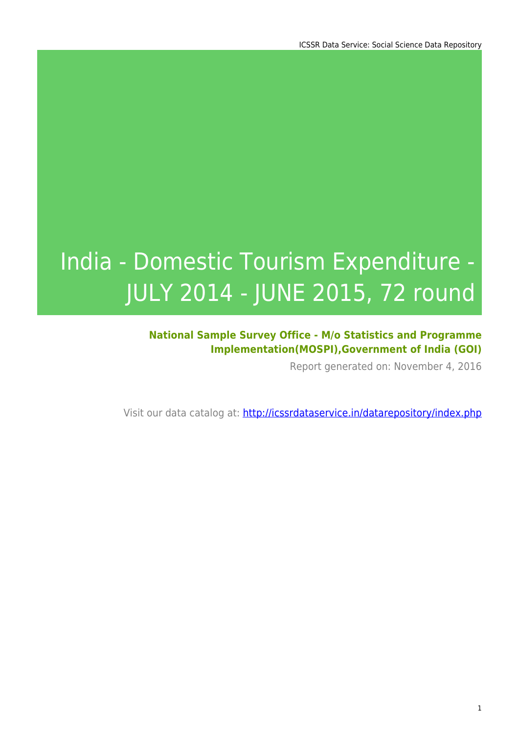# India - Domestic Tourism Expenditure - JULY 2014 - JUNE 2015, 72 round

### **National Sample Survey Office - M/o Statistics and Programme Implementation(MOSPI),Government of India (GOI)**

Report generated on: November 4, 2016

Visit our data catalog at: http://icssrdataservice.in/datarepository/index.php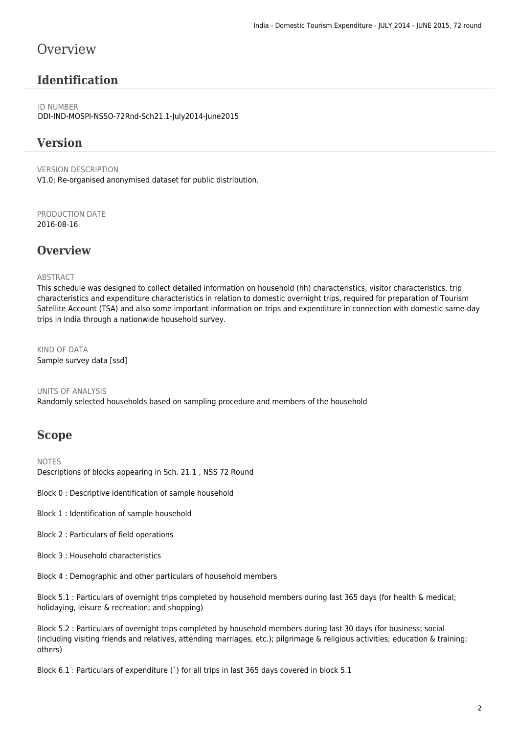### **Overview**

### **Identification**

ID NUMBER DDI-IND-MOSPI-NSSO-72Rnd-Sch21.1-July2014-June2015

### **Version**

VERSION DESCRIPTION V1.0; Re-organised anonymised dataset for public distribution.

PRODUCTION DATE 2016-08-16

### **Overview**

#### **ABSTRACT**

This schedule was designed to collect detailed information on household (hh) characteristics, visitor characteristics, trip characteristics and expenditure characteristics in relation to domestic overnight trips, required for preparation of Tourism Satellite Account (TSA) and also some important information on trips and expenditure in connection with domestic same-day trips in India through a nationwide household survey.

KIND OF DATA Sample survey data [ssd]

UNITS OF ANALYSIS Randomly selected households based on sampling procedure and members of the household

### **Scope**

**NOTES** Descriptions of blocks appearing in Sch. 21.1 , NSS 72 Round

Block 0 : Descriptive identification of sample household

- Block 1 : Identification of sample household
- Block 2 : Particulars of field operations
- Block 3 : Household characteristics
- Block 4 : Demographic and other particulars of household members

Block 5.1 : Particulars of overnight trips completed by household members during last 365 days (for health & medical; holidaying, leisure & recreation; and shopping)

Block 5.2 : Particulars of overnight trips completed by household members during last 30 days (for business; social (including visiting friends and relatives, attending marriages, etc.); pilgrimage & religious activities; education & training; others)

Block 6.1 : Particulars of expenditure (`) for all trips in last 365 days covered in block 5.1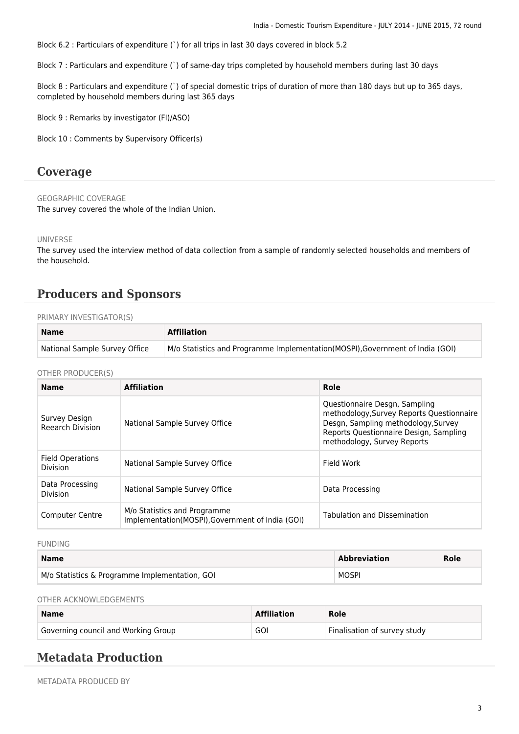Block 7 : Particulars and expenditure (`) of same-day trips completed by household members during last 30 days

Block 8 : Particulars and expenditure (`) of special domestic trips of duration of more than 180 days but up to 365 days, completed by household members during last 365 days

Block 9 : Remarks by investigator (FI)/ASO)

Block 10 : Comments by Supervisory Officer(s)

### **Coverage**

GEOGRAPHIC COVERAGE

The survey covered the whole of the Indian Union.

UNIVERSE

The survey used the interview method of data collection from a sample of randomly selected households and members of the household.

### **Producers and Sponsors**

#### PRIMARY INVESTIGATOR(S)

| <b>Name</b>                   | <b>Affiliation</b>                                                            |
|-------------------------------|-------------------------------------------------------------------------------|
| National Sample Survey Office | M/o Statistics and Programme Implementation(MOSPI), Government of India (GOI) |

#### OTHER PRODUCER(S)

| <b>Name</b>                              | <b>Affiliation</b>                                                               | Role                                                                                                                                                                                       |
|------------------------------------------|----------------------------------------------------------------------------------|--------------------------------------------------------------------------------------------------------------------------------------------------------------------------------------------|
| Survey Design<br><b>Reearch Division</b> | National Sample Survey Office                                                    | Questionnaire Desgn, Sampling<br>methodology, Survey Reports Questionnaire<br>Desgn, Sampling methodology, Survey<br>Reports Questionnaire Design, Sampling<br>methodology, Survey Reports |
| <b>Field Operations</b><br>Division      | National Sample Survey Office                                                    | Field Work                                                                                                                                                                                 |
| Data Processing<br>Division              | National Sample Survey Office                                                    | Data Processing                                                                                                                                                                            |
| <b>Computer Centre</b>                   | M/o Statistics and Programme<br>Implementation(MOSPI), Government of India (GOI) | <b>Tabulation and Dissemination</b>                                                                                                                                                        |

#### FUNDING

| <b>Name</b>                                    | <b>Abbreviation</b> | Role |
|------------------------------------------------|---------------------|------|
| M/o Statistics & Programme Implementation, GOI | <b>MOSPI</b>        |      |

#### OTHER ACKNOWLEDGEMENTS

| <b>Name</b>                         | <b>Affiliation</b> | Role                         |
|-------------------------------------|--------------------|------------------------------|
| Governing council and Working Group | GOI                | Finalisation of survey study |

### **Metadata Production**

METADATA PRODUCED BY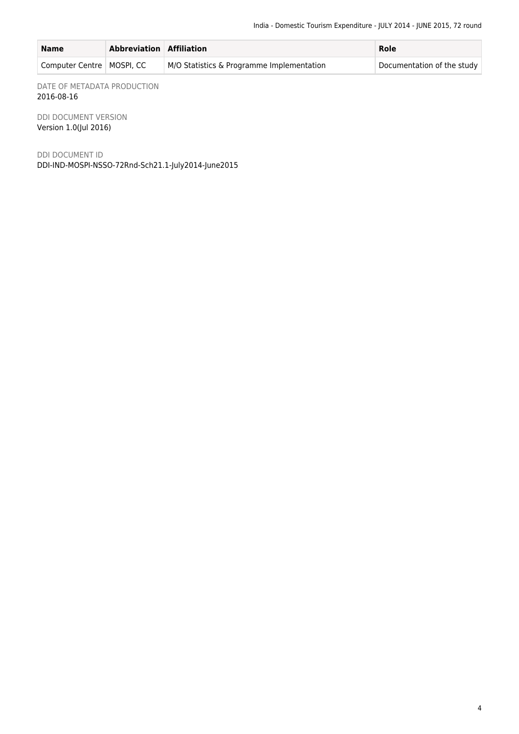| <b>Name</b>                 | Abbreviation Affiliation |                                           | Role                       |
|-----------------------------|--------------------------|-------------------------------------------|----------------------------|
| Computer Centre   MOSPI, CC |                          | M/O Statistics & Programme Implementation | Documentation of the study |

DATE OF METADATA PRODUCTION 2016-08-16

DDI DOCUMENT VERSION Version 1.0(Jul 2016)

DDI DOCUMENT ID

DDI-IND-MOSPI-NSSO-72Rnd-Sch21.1-July2014-June2015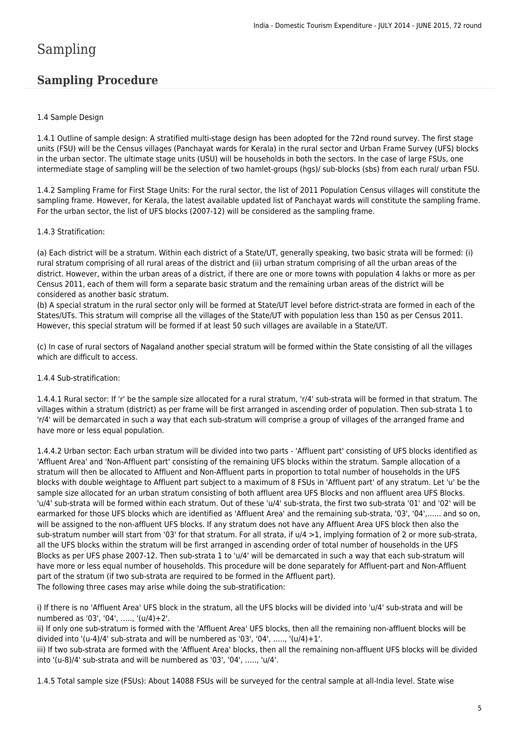## Sampling

### **Sampling Procedure**

### 1.4 Sample Design

1.4.1 Outline of sample design: A stratified multi-stage design has been adopted for the 72nd round survey. The first stage units (FSU) will be the Census villages (Panchayat wards for Kerala) in the rural sector and Urban Frame Survey (UFS) blocks in the urban sector. The ultimate stage units (USU) will be households in both the sectors. In the case of large FSUs, one intermediate stage of sampling will be the selection of two hamlet-groups (hgs)/ sub-blocks (sbs) from each rural/ urban FSU.

1.4.2 Sampling Frame for First Stage Units: For the rural sector, the list of 2011 Population Census villages will constitute the sampling frame. However, for Kerala, the latest available updated list of Panchayat wards will constitute the sampling frame. For the urban sector, the list of UFS blocks (2007-12) will be considered as the sampling frame.

#### 1.4.3 Stratification:

(a) Each district will be a stratum. Within each district of a State/UT, generally speaking, two basic strata will be formed: (i) rural stratum comprising of all rural areas of the district and (ii) urban stratum comprising of all the urban areas of the district. However, within the urban areas of a district, if there are one or more towns with population 4 lakhs or more as per Census 2011, each of them will form a separate basic stratum and the remaining urban areas of the district will be considered as another basic stratum.

(b) A special stratum in the rural sector only will be formed at State/UT level before district-strata are formed in each of the States/UTs. This stratum will comprise all the villages of the State/UT with population less than 150 as per Census 2011. However, this special stratum will be formed if at least 50 such villages are available in a State/UT.

(c) In case of rural sectors of Nagaland another special stratum will be formed within the State consisting of all the villages which are difficult to access.

#### 1.4.4 Sub-stratification:

1.4.4.1 Rural sector: If 'r' be the sample size allocated for a rural stratum, 'r/4' sub-strata will be formed in that stratum. The villages within a stratum (district) as per frame will be first arranged in ascending order of population. Then sub-strata 1 to 'r/4' will be demarcated in such a way that each sub-stratum will comprise a group of villages of the arranged frame and have more or less equal population.

1.4.4.2 Urban sector: Each urban stratum will be divided into two parts - 'Affluent part' consisting of UFS blocks identified as 'Affluent Area' and 'Non-Affluent part' consisting of the remaining UFS blocks within the stratum. Sample allocation of a stratum will then be allocated to Affluent and Non-Affluent parts in proportion to total number of households in the UFS blocks with double weightage to Affluent part subject to a maximum of 8 FSUs in 'Affluent part' of any stratum. Let 'u' be the sample size allocated for an urban stratum consisting of both affluent area UFS Blocks and non affluent area UFS Blocks. 'u/4' sub-strata will be formed within each stratum. Out of these 'u/4' sub-strata, the first two sub-strata '01' and '02' will be earmarked for those UFS blocks which are identified as 'Affluent Area' and the remaining sub-strata, '03', '04',…... and so on, will be assigned to the non-affluent UFS blocks. If any stratum does not have any Affluent Area UFS block then also the sub-stratum number will start from '03' for that stratum. For all strata, if u/4 >1, implying formation of 2 or more sub-strata, all the UFS blocks within the stratum will be first arranged in ascending order of total number of households in the UFS Blocks as per UFS phase 2007-12. Then sub-strata 1 to 'u/4' will be demarcated in such a way that each sub-stratum will have more or less equal number of households. This procedure will be done separately for Affluent-part and Non-Affluent part of the stratum (if two sub-strata are required to be formed in the Affluent part). The following three cases may arise while doing the sub-stratification:

i) If there is no 'Affluent Area' UFS block in the stratum, all the UFS blocks will be divided into 'u/4' sub-strata and will be numbered as '03', '04', ….., '(u/4)+2'.

ii) If only one sub-stratum is formed with the 'Affluent Area' UFS blocks, then all the remaining non-affluent blocks will be divided into '(u-4)/4' sub-strata and will be numbered as '03', '04', ....., '(u/4)+1'.

iii) If two sub-strata are formed with the 'Affluent Area' blocks, then all the remaining non-affluent UFS blocks will be divided into '(u-8)/4' sub-strata and will be numbered as '03', '04', ….., 'u/4'.

1.4.5 Total sample size (FSUs): About 14088 FSUs will be surveyed for the central sample at all-India level. State wise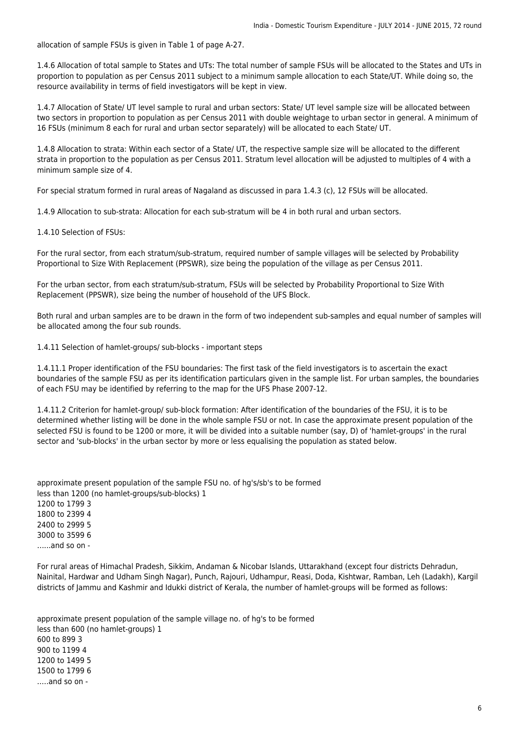allocation of sample FSUs is given in Table 1 of page A-27.

1.4.6 Allocation of total sample to States and UTs: The total number of sample FSUs will be allocated to the States and UTs in proportion to population as per Census 2011 subject to a minimum sample allocation to each State/UT. While doing so, the resource availability in terms of field investigators will be kept in view.

1.4.7 Allocation of State/ UT level sample to rural and urban sectors: State/ UT level sample size will be allocated between two sectors in proportion to population as per Census 2011 with double weightage to urban sector in general. A minimum of 16 FSUs (minimum 8 each for rural and urban sector separately) will be allocated to each State/ UT.

1.4.8 Allocation to strata: Within each sector of a State/ UT, the respective sample size will be allocated to the different strata in proportion to the population as per Census 2011. Stratum level allocation will be adjusted to multiples of 4 with a minimum sample size of 4.

For special stratum formed in rural areas of Nagaland as discussed in para 1.4.3 (c), 12 FSUs will be allocated.

1.4.9 Allocation to sub-strata: Allocation for each sub-stratum will be 4 in both rural and urban sectors.

1.4.10 Selection of FSUs:

For the rural sector, from each stratum/sub-stratum, required number of sample villages will be selected by Probability Proportional to Size With Replacement (PPSWR), size being the population of the village as per Census 2011.

For the urban sector, from each stratum/sub-stratum, FSUs will be selected by Probability Proportional to Size With Replacement (PPSWR), size being the number of household of the UFS Block.

Both rural and urban samples are to be drawn in the form of two independent sub-samples and equal number of samples will be allocated among the four sub rounds.

1.4.11 Selection of hamlet-groups/ sub-blocks - important steps

1.4.11.1 Proper identification of the FSU boundaries: The first task of the field investigators is to ascertain the exact boundaries of the sample FSU as per its identification particulars given in the sample list. For urban samples, the boundaries of each FSU may be identified by referring to the map for the UFS Phase 2007-12.

1.4.11.2 Criterion for hamlet-group/ sub-block formation: After identification of the boundaries of the FSU, it is to be determined whether listing will be done in the whole sample FSU or not. In case the approximate present population of the selected FSU is found to be 1200 or more, it will be divided into a suitable number (say, D) of 'hamlet-groups' in the rural sector and 'sub-blocks' in the urban sector by more or less equalising the population as stated below.

approximate present population of the sample FSU no. of hg's/sb's to be formed less than 1200 (no hamlet-groups/sub-blocks) 1 1200 to 1799 3 1800 to 2399 4 2400 to 2999 5 3000 to 3599 6

…...and so on -

For rural areas of Himachal Pradesh, Sikkim, Andaman & Nicobar Islands, Uttarakhand (except four districts Dehradun, Nainital, Hardwar and Udham Singh Nagar), Punch, Rajouri, Udhampur, Reasi, Doda, Kishtwar, Ramban, Leh (Ladakh), Kargil districts of Jammu and Kashmir and Idukki district of Kerala, the number of hamlet-groups will be formed as follows:

approximate present population of the sample village no. of hg's to be formed less than 600 (no hamlet-groups) 1 600 to 899 3 900 to 1199 4 1200 to 1499 5 1500 to 1799 6 .….and so on -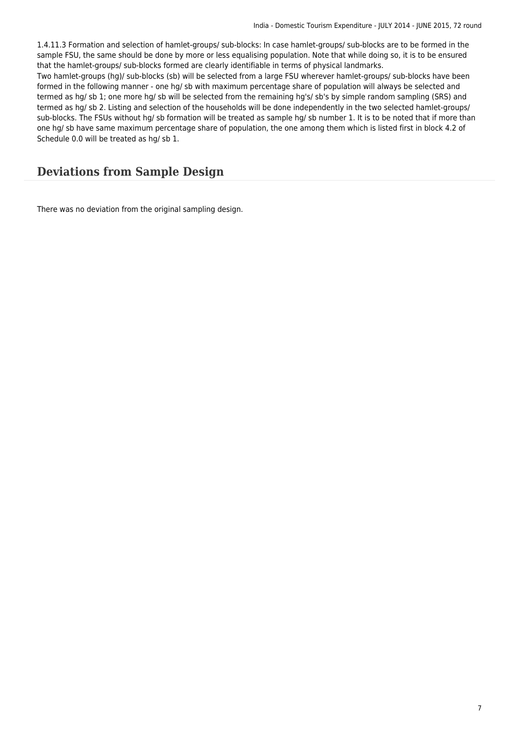1.4.11.3 Formation and selection of hamlet-groups/ sub-blocks: In case hamlet-groups/ sub-blocks are to be formed in the sample FSU, the same should be done by more or less equalising population. Note that while doing so, it is to be ensured that the hamlet-groups/ sub-blocks formed are clearly identifiable in terms of physical landmarks.

Two hamlet-groups (hg)/ sub-blocks (sb) will be selected from a large FSU wherever hamlet-groups/ sub-blocks have been formed in the following manner - one hg/ sb with maximum percentage share of population will always be selected and termed as hg/ sb 1; one more hg/ sb will be selected from the remaining hg's/ sb's by simple random sampling (SRS) and termed as hg/ sb 2. Listing and selection of the households will be done independently in the two selected hamlet-groups/ sub-blocks. The FSUs without hg/ sb formation will be treated as sample hg/ sb number 1. It is to be noted that if more than one hg/ sb have same maximum percentage share of population, the one among them which is listed first in block 4.2 of Schedule 0.0 will be treated as hg/ sb 1.

### **Deviations from Sample Design**

There was no deviation from the original sampling design.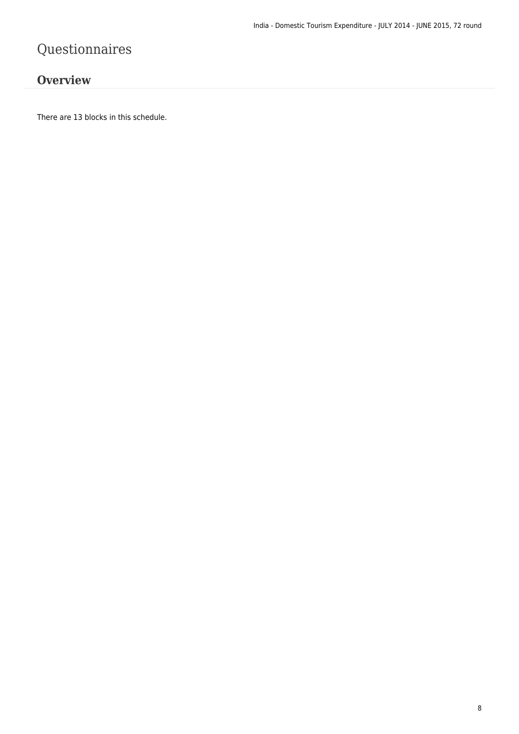## Questionnaires

### **Overview**

There are 13 blocks in this schedule.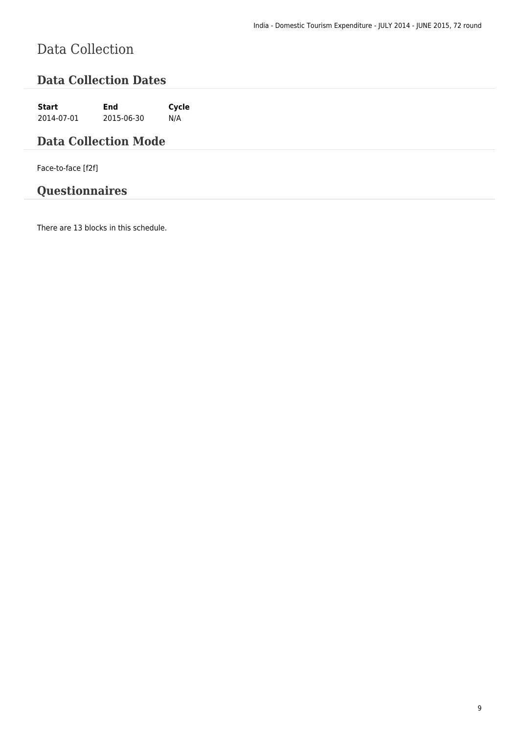## Data Collection

### **Data Collection Dates**

**Start End Cycle** 2014-07-01 2015-06-30 N/A

### **Data Collection Mode**

Face-to-face [f2f]

### **Questionnaires**

There are 13 blocks in this schedule.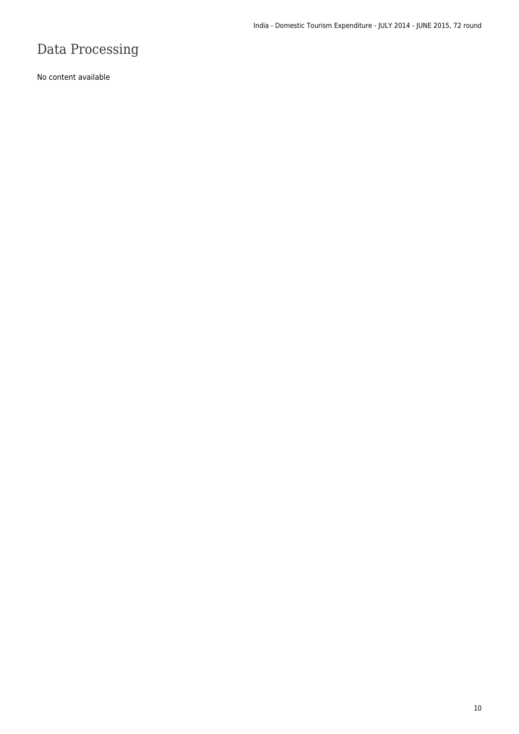## Data Processing

No content available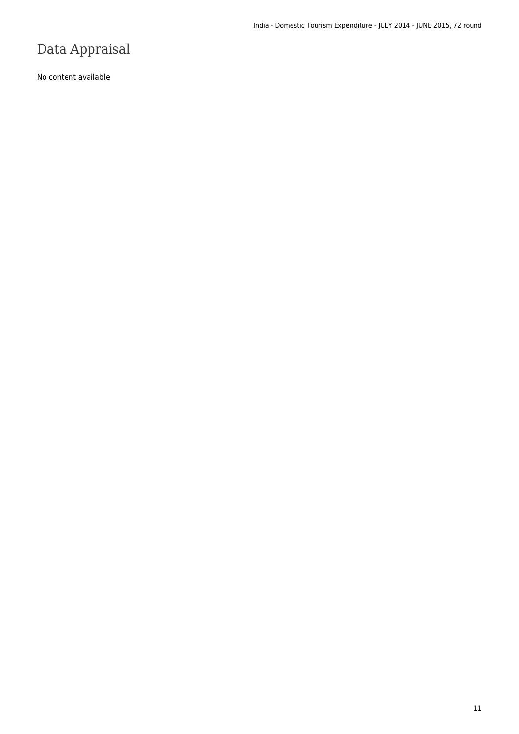## Data Appraisal

No content available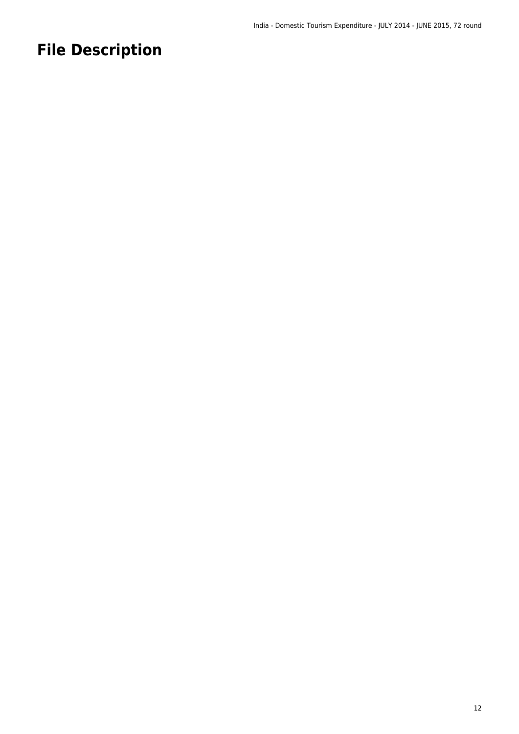## **File Description**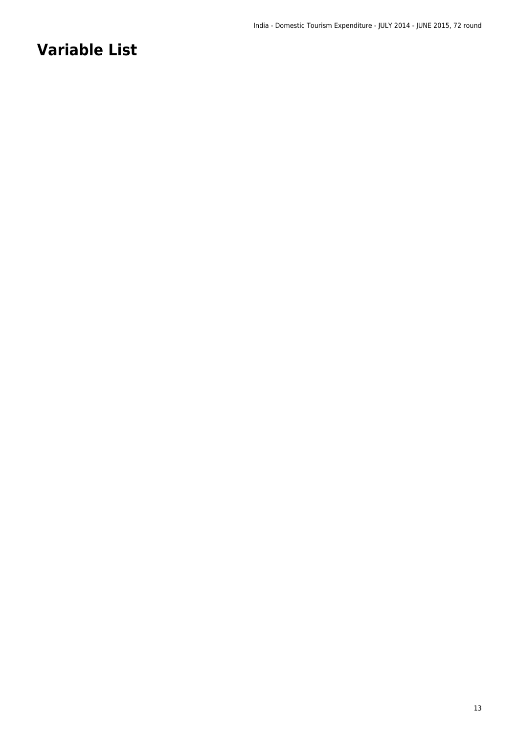## **Variable List**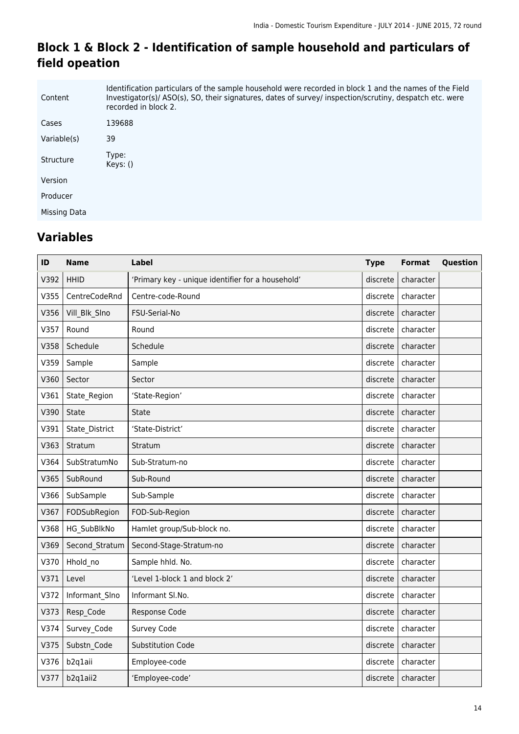### **Block 1 & Block 2 - Identification of sample household and particulars of field opeation**

| Content      | Identification particulars of the sample household were recorded in block 1 and the names of the Field<br>Investigator(s)/ ASO(s), SO, their signatures, dates of survey/ inspection/scrutiny, despatch etc. were<br>recorded in block 2. |
|--------------|-------------------------------------------------------------------------------------------------------------------------------------------------------------------------------------------------------------------------------------------|
| Cases        | 139688                                                                                                                                                                                                                                    |
| Variable(s)  | 39                                                                                                                                                                                                                                        |
| Structure    | Type:<br>Keys: ()                                                                                                                                                                                                                         |
| Version      |                                                                                                                                                                                                                                           |
| Producer     |                                                                                                                                                                                                                                           |
| Missing Data |                                                                                                                                                                                                                                           |

| ID   | <b>Name</b>          | <b>Label</b>                                      | <b>Type</b> | <b>Format</b> | Question |
|------|----------------------|---------------------------------------------------|-------------|---------------|----------|
| V392 | <b>HHID</b>          | 'Primary key - unique identifier for a household' | discrete    | character     |          |
| V355 | CentreCodeRnd        | Centre-code-Round                                 | discrete    | character     |          |
| V356 | Vill_Blk_SIno        | FSU-Serial-No                                     | discrete    | character     |          |
| V357 | Round                | Round                                             | discrete    | character     |          |
| V358 | Schedule             | Schedule                                          | discrete    | character     |          |
| V359 | Sample               | Sample                                            | discrete    | character     |          |
| V360 | Sector               | Sector                                            | discrete    | character     |          |
| V361 | State Region         | 'State-Region'                                    | discrete    | character     |          |
| V390 | State                | <b>State</b>                                      | discrete    | character     |          |
| V391 | State_District       | 'State-District'                                  | discrete    | character     |          |
| V363 | Stratum              | Stratum                                           | discrete    | character     |          |
| V364 | SubStratumNo         | Sub-Stratum-no                                    | discrete    | character     |          |
| V365 | SubRound             | Sub-Round                                         | discrete    | character     |          |
| V366 | SubSample            | Sub-Sample                                        | discrete    | character     |          |
| V367 | FODSubRegion         | FOD-Sub-Region                                    | discrete    | character     |          |
| V368 | HG SubBlkNo          | Hamlet group/Sub-block no.                        | discrete    | character     |          |
| V369 | Second Stratum       | Second-Stage-Stratum-no                           | discrete    | character     |          |
| V370 | Hhold no             | Sample hhld. No.                                  | discrete    | character     |          |
| V371 | Level                | 'Level 1-block 1 and block 2'                     | discrete    | character     |          |
| V372 | Informant Sino       | Informant SI.No.                                  | discrete    | character     |          |
| V373 | Resp Code            | Response Code                                     | discrete    | character     |          |
| V374 | Survey_Code          | Survey Code                                       | discrete    | character     |          |
| V375 | Substn Code          | <b>Substitution Code</b>                          | discrete    | character     |          |
| V376 | b <sub>2q1aii</sub>  | Employee-code                                     | discrete    | character     |          |
| V377 | b <sub>2q1aii2</sub> | 'Employee-code'                                   | discrete    | character     |          |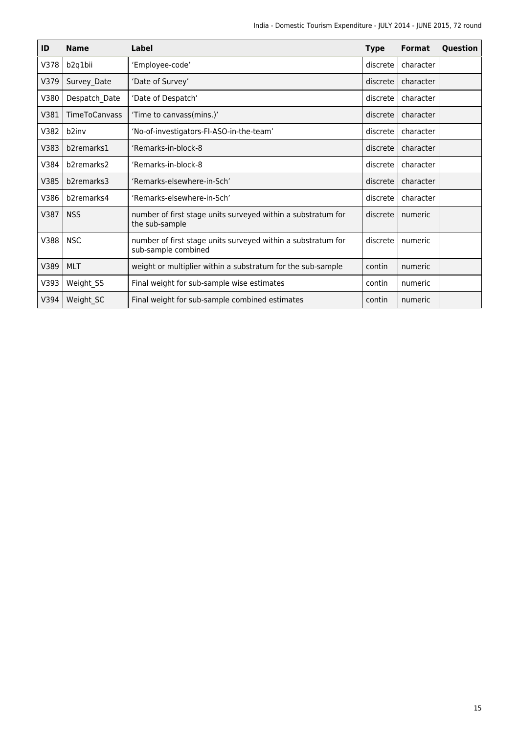| ID   | <b>Name</b>          | Label                                                                               | <b>Type</b> | <b>Format</b> | Question |
|------|----------------------|-------------------------------------------------------------------------------------|-------------|---------------|----------|
| V378 | b <sub>2q1bii</sub>  | 'Employee-code'                                                                     | discrete    | character     |          |
| V379 | Survey Date          | 'Date of Survey'                                                                    | discrete    | character     |          |
| V380 | Despatch Date        | 'Date of Despatch'                                                                  | discrete    | character     |          |
| V381 | <b>TimeToCanvass</b> | 'Time to canvass(mins.)'                                                            | discrete    | character     |          |
| V382 | b <sub>2</sub> inv   | 'No-of-investigators-FI-ASO-in-the-team'                                            | discrete    | character     |          |
| V383 | b2remarks1           | 'Remarks-in-block-8                                                                 | discrete    | character     |          |
| V384 | b2remarks2           | 'Remarks-in-block-8                                                                 | discrete    | character     |          |
| V385 | b2remarks3           | 'Remarks-elsewhere-in-Sch'                                                          | discrete    | character     |          |
| V386 | b2remarks4           | 'Remarks-elsewhere-in-Sch'                                                          | discrete    | character     |          |
| V387 | <b>NSS</b>           | number of first stage units surveyed within a substratum for<br>the sub-sample      | discrete    | numeric       |          |
| V388 | <b>NSC</b>           | number of first stage units surveyed within a substratum for<br>sub-sample combined | discrete    | numeric       |          |
| V389 | <b>MLT</b>           | weight or multiplier within a substratum for the sub-sample                         | contin      | numeric       |          |
| V393 | Weight SS            | Final weight for sub-sample wise estimates                                          | contin      | numeric       |          |
| V394 | Weight SC            | Final weight for sub-sample combined estimates                                      | contin      | numeric       |          |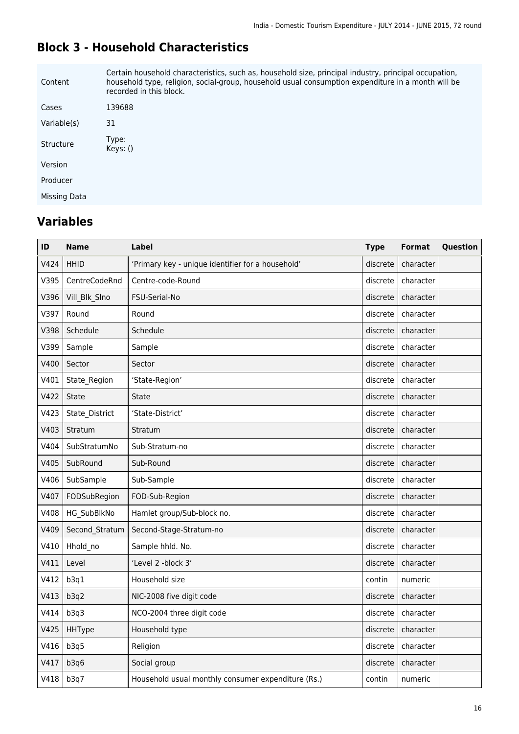### **Block 3 - Household Characteristics**

| Content      | Certain household characteristics, such as, household size, principal industry, principal occupation,<br>household type, religion, social-group, household usual consumption expenditure in a month will be<br>recorded in this block. |
|--------------|----------------------------------------------------------------------------------------------------------------------------------------------------------------------------------------------------------------------------------------|
| Cases        | 139688                                                                                                                                                                                                                                 |
| Variable(s)  | 31                                                                                                                                                                                                                                     |
| Structure    | Type:<br>Keys: ()                                                                                                                                                                                                                      |
| Version      |                                                                                                                                                                                                                                        |
| Producer     |                                                                                                                                                                                                                                        |
| Missing Data |                                                                                                                                                                                                                                        |

| ID          | <b>Name</b>    | Label                                              | <b>Type</b> | Format    | Question |
|-------------|----------------|----------------------------------------------------|-------------|-----------|----------|
| V424        | <b>HHID</b>    | 'Primary key - unique identifier for a household'  | discrete    | character |          |
| V395        | CentreCodeRnd  | Centre-code-Round                                  | discrete    | character |          |
| V396        | Vill Blk Slno  | FSU-Serial-No                                      | discrete    | character |          |
| V397        | Round          | Round                                              | discrete    | character |          |
| V398        | Schedule       | Schedule                                           | discrete    | character |          |
| V399        | Sample         | Sample                                             | discrete    | character |          |
| V400        | Sector         | Sector                                             | discrete    | character |          |
| V401        | State_Region   | 'State-Region'                                     | discrete    | character |          |
| V422        | State          | <b>State</b>                                       | discrete    | character |          |
| V423        | State_District | 'State-District'                                   | discrete    | character |          |
| V403        | Stratum        | Stratum                                            | discrete    | character |          |
| V404        | SubStratumNo   | Sub-Stratum-no                                     | discrete    | character |          |
| V405        | SubRound       | Sub-Round                                          | discrete    | character |          |
| V406        | SubSample      | Sub-Sample                                         | discrete    | character |          |
| V407        | FODSubRegion   | FOD-Sub-Region                                     | discrete    | character |          |
| V408        | HG SubBlkNo    | Hamlet group/Sub-block no.                         | discrete    | character |          |
| V409        | Second Stratum | Second-Stage-Stratum-no                            | discrete    | character |          |
| V410        | Hhold_no       | Sample hhld. No.                                   | discrete    | character |          |
| V411        | Level          | 'Level 2 -block 3'                                 | discrete    | character |          |
| V412        | b3q1           | Household size                                     | contin      | numeric   |          |
| V413        | b3q2           | NIC-2008 five digit code                           | discrete    | character |          |
| V414        | b3q3           | NCO-2004 three digit code                          | discrete    | character |          |
| V425        | <b>HHType</b>  | Household type                                     | discrete    | character |          |
| V416        | b3q5           | Religion                                           | discrete    | character |          |
| V417        | b3q6           | Social group                                       | discrete    | character |          |
| V418   b3q7 |                | Household usual monthly consumer expenditure (Rs.) | contin      | numeric   |          |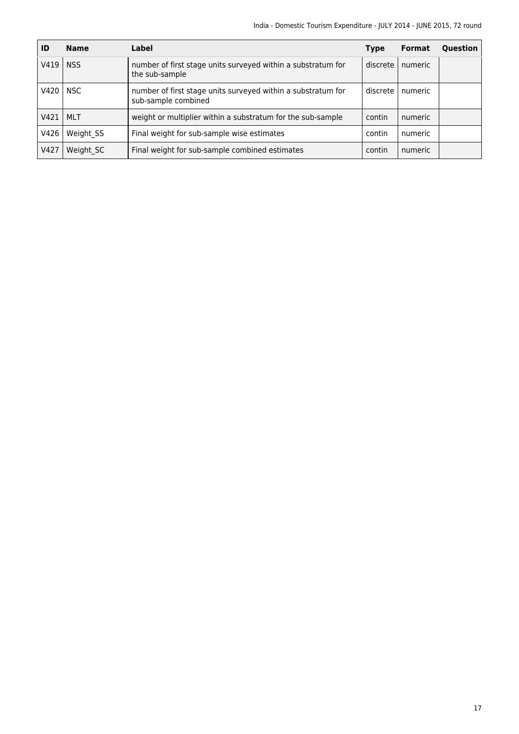| ID   | <b>Name</b> | Label                                                                               | <b>Type</b> | <b>Format</b> | <b>Ouestion</b> |
|------|-------------|-------------------------------------------------------------------------------------|-------------|---------------|-----------------|
| V419 | <b>NSS</b>  | number of first stage units surveyed within a substratum for<br>the sub-sample      | discrete    | numeric       |                 |
| V420 | <b>NSC</b>  | number of first stage units surveyed within a substratum for<br>sub-sample combined | discrete    | numeric       |                 |
| V421 | MLT         | weight or multiplier within a substratum for the sub-sample                         | contin      | numeric       |                 |
| V426 | Weight SS   | Final weight for sub-sample wise estimates                                          | contin      | numeric       |                 |
| V427 | Weight SC   | Final weight for sub-sample combined estimates                                      | contin      | numeric       |                 |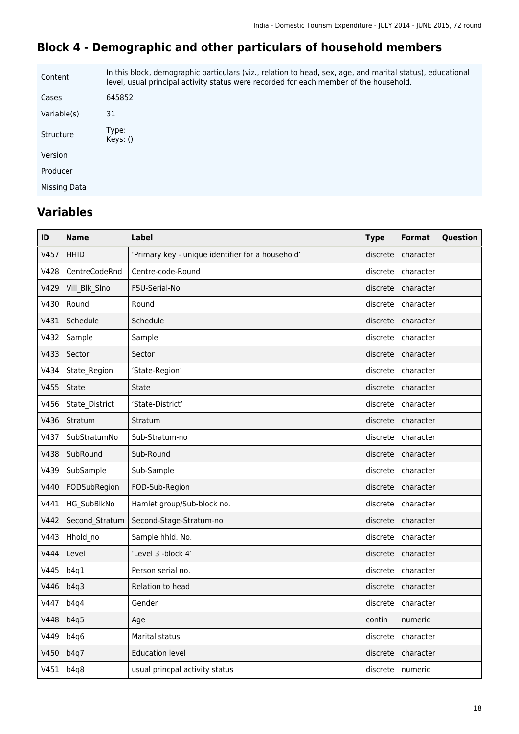## **Block 4 - Demographic and other particulars of household members**

| Content      | In this block, demographic particulars (viz., relation to head, sex, age, and marital status), educational<br>level, usual principal activity status were recorded for each member of the household. |
|--------------|------------------------------------------------------------------------------------------------------------------------------------------------------------------------------------------------------|
| Cases        | 645852                                                                                                                                                                                               |
| Variable(s)  | 31                                                                                                                                                                                                   |
| Structure    | Type:<br>Keys: ()                                                                                                                                                                                    |
| Version      |                                                                                                                                                                                                      |
| Producer     |                                                                                                                                                                                                      |
| Missing Data |                                                                                                                                                                                                      |

| ID   | <b>Name</b>    | Label                                             | <b>Type</b> | <b>Format</b>      | Question |
|------|----------------|---------------------------------------------------|-------------|--------------------|----------|
| V457 | <b>HHID</b>    | 'Primary key - unique identifier for a household' | discrete    | character          |          |
| V428 | CentreCodeRnd  | Centre-code-Round                                 | discrete    | character          |          |
| V429 | Vill_Blk_SIno  | FSU-Serial-No                                     | discrete    | character          |          |
| V430 | Round          | Round                                             | discrete    | character          |          |
| V431 | Schedule       | Schedule                                          | discrete    | character          |          |
| V432 | Sample         | Sample                                            | discrete    | character          |          |
| V433 | Sector         | Sector                                            | discrete    | character          |          |
| V434 | State Region   | 'State-Region'                                    | discrete    | character          |          |
| V455 | State          | State                                             | discrete    | character          |          |
| V456 | State District | 'State-District'                                  | discrete    | character          |          |
| V436 | Stratum        | Stratum                                           | discrete    | character          |          |
| V437 | SubStratumNo   | Sub-Stratum-no                                    | discrete    | character          |          |
| V438 | SubRound       | Sub-Round                                         | discrete    | character          |          |
| V439 | SubSample      | Sub-Sample                                        | discrete    | character          |          |
| V440 | FODSubRegion   | FOD-Sub-Region                                    | discrete    | character          |          |
| V441 | HG SubBlkNo    | Hamlet group/Sub-block no.                        | discrete    | character          |          |
| V442 | Second_Stratum | Second-Stage-Stratum-no                           | discrete    | character          |          |
| V443 | Hhold_no       | Sample hhld. No.                                  | discrete    | character          |          |
| V444 | Level          | 'Level 3 -block 4'                                | discrete    | character          |          |
| V445 | b4q1           | Person serial no.                                 | discrete    | character          |          |
| V446 | b4q3           | Relation to head                                  | discrete    | character          |          |
| V447 | b4q4           | Gender                                            | discrete    | character          |          |
| V448 | b4q5           | Age                                               | contin      | numeric            |          |
| V449 | b4q6           | Marital status                                    | discrete    | character          |          |
| V450 | b4q7           | <b>Education level</b>                            | discrete    | character          |          |
| V451 | b4q8           | usual princpal activity status                    |             | discrete   numeric |          |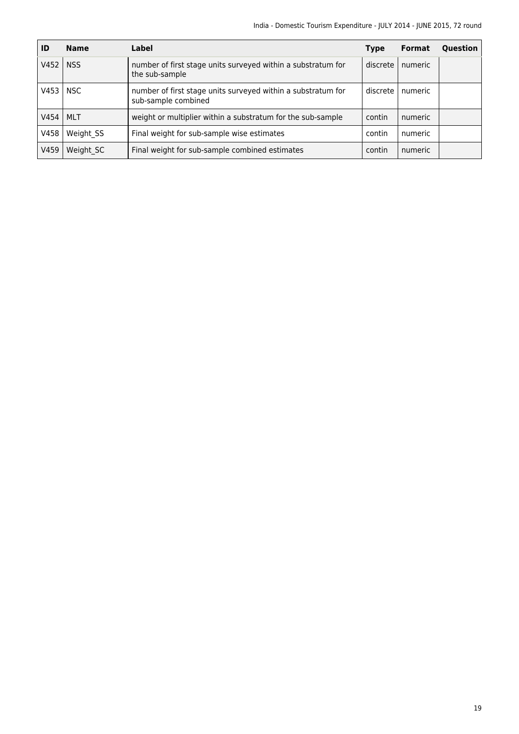| ID   | <b>Name</b> | Label                                                                               | <b>Type</b> | <b>Format</b> | <b>Ouestion</b> |
|------|-------------|-------------------------------------------------------------------------------------|-------------|---------------|-----------------|
| V452 | <b>NSS</b>  | number of first stage units surveyed within a substratum for<br>the sub-sample      | discrete    | numeric       |                 |
| V453 | NSC.        | number of first stage units surveyed within a substratum for<br>sub-sample combined | discrete    | numeric       |                 |
| V454 | MI T        | weight or multiplier within a substratum for the sub-sample                         | contin      | numeric       |                 |
| V458 | Weight SS   | Final weight for sub-sample wise estimates                                          | contin      | numeric       |                 |
| V459 | Weight SC   | Final weight for sub-sample combined estimates                                      | contin      | numeric       |                 |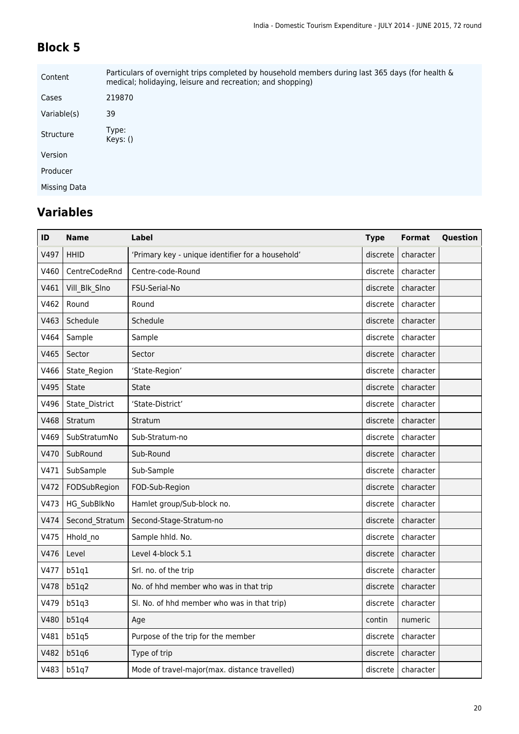| <b>Block 5</b> |                                                                                                                                                                |
|----------------|----------------------------------------------------------------------------------------------------------------------------------------------------------------|
| Content        | Particulars of overnight trips completed by household members during last 365 days (for health &<br>medical; holidaying, leisure and recreation; and shopping) |
| Cases          | 219870                                                                                                                                                         |
| Variable(s)    | 39                                                                                                                                                             |
| Structure      | Type:<br>Keys: ()                                                                                                                                              |
| Version        |                                                                                                                                                                |
| Producer       |                                                                                                                                                                |
| Missing Data   |                                                                                                                                                                |

| ID   | <b>Name</b>    | Label                                             | <b>Type</b> | <b>Format</b> | Question |
|------|----------------|---------------------------------------------------|-------------|---------------|----------|
| V497 | <b>HHID</b>    | 'Primary key - unique identifier for a household' | discrete    | character     |          |
| V460 | CentreCodeRnd  | Centre-code-Round                                 | discrete    | character     |          |
| V461 | Vill_Blk_SIno  | FSU-Serial-No                                     | discrete    | character     |          |
| V462 | Round          | Round                                             | discrete    | character     |          |
| V463 | Schedule       | Schedule                                          | discrete    | character     |          |
| V464 | Sample         | Sample                                            | discrete    | character     |          |
| V465 | Sector         | Sector                                            | discrete    | character     |          |
| V466 | State_Region   | 'State-Region'                                    | discrete    | character     |          |
| V495 | State          | State                                             | discrete    | character     |          |
| V496 | State District | 'State-District'                                  | discrete    | character     |          |
| V468 | Stratum        | Stratum                                           | discrete    | character     |          |
| V469 | SubStratumNo   | Sub-Stratum-no                                    | discrete    | character     |          |
| V470 | SubRound       | Sub-Round                                         | discrete    | character     |          |
| V471 | SubSample      | Sub-Sample                                        | discrete    | character     |          |
| V472 | FODSubRegion   | FOD-Sub-Region                                    | discrete    | character     |          |
| V473 | HG_SubBlkNo    | Hamlet group/Sub-block no.                        | discrete    | character     |          |
| V474 | Second Stratum | Second-Stage-Stratum-no                           | discrete    | character     |          |
| V475 | Hhold no       | Sample hhld. No.                                  | discrete    | character     |          |
| V476 | Level          | Level 4-block 5.1                                 | discrete    | character     |          |
| V477 | b51q1          | Srl. no. of the trip                              | discrete    | character     |          |
| V478 | b51q2          | No. of hhd member who was in that trip            | discrete    | character     |          |
| V479 | b51q3          | SI. No. of hhd member who was in that trip)       | discrete    | character     |          |
| V480 | b51q4          | Age                                               | contin      | numeric       |          |
| V481 | b51q5          | Purpose of the trip for the member                | discrete    | character     |          |
| V482 | b51q6          | Type of trip                                      | discrete    | character     |          |
| V483 | b51q7          | Mode of travel-major(max. distance travelled)     | discrete    | character     |          |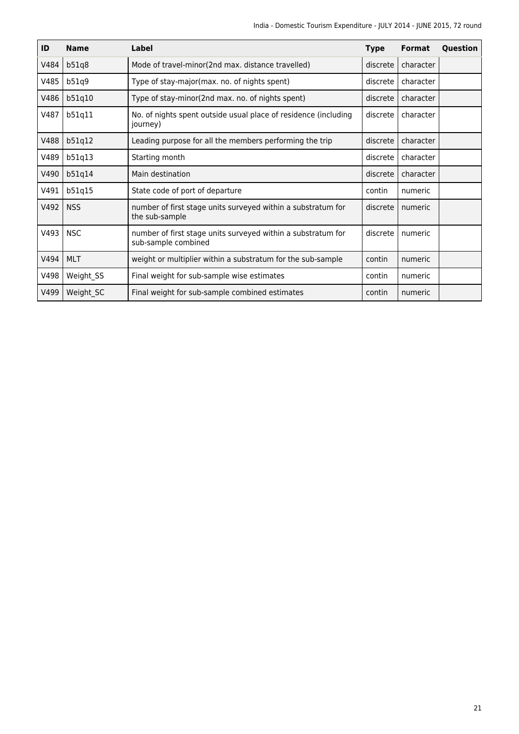| ID   | <b>Name</b> | Label                                                                               | <b>Type</b> | <b>Format</b> | Question |
|------|-------------|-------------------------------------------------------------------------------------|-------------|---------------|----------|
| V484 | b51q8       | Mode of travel-minor(2nd max. distance travelled)                                   | discrete    | character     |          |
| V485 | b51q9       | Type of stay-major(max. no. of nights spent)                                        | discrete    | character     |          |
| V486 | b51q10      | Type of stay-minor(2nd max. no. of nights spent)                                    | discrete    | character     |          |
| V487 | b51q11      | No. of nights spent outside usual place of residence (including<br>journey)         | discrete    | character     |          |
| V488 | b51q12      | Leading purpose for all the members performing the trip                             | discrete    | character     |          |
| V489 | b51q13      | Starting month                                                                      | discrete    | character     |          |
| V490 | b51q14      | Main destination                                                                    | discrete    | character     |          |
| V491 | b51q15      | State code of port of departure                                                     | contin      | numeric       |          |
| V492 | <b>NSS</b>  | number of first stage units surveyed within a substratum for<br>the sub-sample      | discrete    | numeric       |          |
| V493 | <b>NSC</b>  | number of first stage units surveyed within a substratum for<br>sub-sample combined | discrete    | numeric       |          |
| V494 | <b>MLT</b>  | weight or multiplier within a substratum for the sub-sample                         | contin      | numeric       |          |
| V498 | Weight SS   | Final weight for sub-sample wise estimates                                          | contin      | numeric       |          |
| V499 | Weight SC   | Final weight for sub-sample combined estimates                                      | contin      | numeric       |          |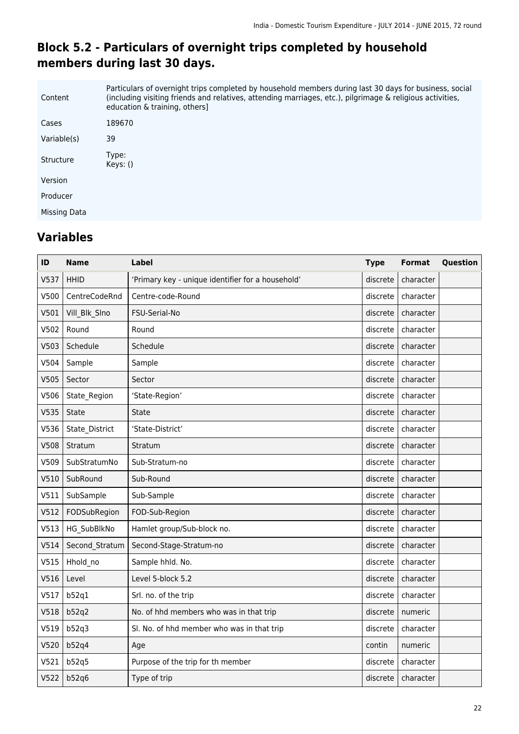### **Block 5.2 - Particulars of overnight trips completed by household members during last 30 days.**

| Content      | Particulars of overnight trips completed by household members during last 30 days for business, social<br>(including visiting friends and relatives, attending marriages, etc.), pilgrimage & religious activities,<br>education & training, others] |
|--------------|------------------------------------------------------------------------------------------------------------------------------------------------------------------------------------------------------------------------------------------------------|
| Cases        | 189670                                                                                                                                                                                                                                               |
| Variable(s)  | 39                                                                                                                                                                                                                                                   |
| Structure    | Type:<br>Keys: ()                                                                                                                                                                                                                                    |
| Version      |                                                                                                                                                                                                                                                      |
| Producer     |                                                                                                                                                                                                                                                      |
| Missing Data |                                                                                                                                                                                                                                                      |

| ID   | <b>Name</b>    | <b>Label</b>                                      | <b>Type</b> | <b>Format</b> | Question |
|------|----------------|---------------------------------------------------|-------------|---------------|----------|
| V537 | <b>HHID</b>    | 'Primary key - unique identifier for a household' | discrete    | character     |          |
| V500 | CentreCodeRnd  | Centre-code-Round                                 | discrete    | character     |          |
| V501 | Vill_Blk_Slno  | FSU-Serial-No                                     | discrete    | character     |          |
| V502 | Round          | Round                                             | discrete    | character     |          |
| V503 | Schedule       | Schedule                                          | discrete    | character     |          |
| V504 | Sample         | Sample                                            | discrete    | character     |          |
| V505 | Sector         | Sector                                            | discrete    | character     |          |
| V506 | State_Region   | 'State-Region'                                    | discrete    | character     |          |
| V535 | State          | <b>State</b>                                      | discrete    | character     |          |
| V536 | State_District | 'State-District'                                  | discrete    | character     |          |
| V508 | Stratum        | Stratum                                           | discrete    | character     |          |
| V509 | SubStratumNo   | Sub-Stratum-no                                    | discrete    | character     |          |
| V510 | SubRound       | Sub-Round                                         | discrete    | character     |          |
| V511 | SubSample      | Sub-Sample                                        | discrete    | character     |          |
| V512 | FODSubRegion   | FOD-Sub-Region                                    | discrete    | character     |          |
| V513 | HG_SubBlkNo    | Hamlet group/Sub-block no.                        | discrete    | character     |          |
| V514 | Second_Stratum | Second-Stage-Stratum-no                           | discrete    | character     |          |
| V515 | Hhold_no       | Sample hhld. No.                                  | discrete    | character     |          |
| V516 | Level          | Level 5-block 5.2                                 | discrete    | character     |          |
| V517 | b52q1          | Srl. no. of the trip                              | discrete    | character     |          |
| V518 | b52q2          | No. of hhd members who was in that trip           | discrete    | numeric       |          |
| V519 | b52q3          | Sl. No. of hhd member who was in that trip        | discrete    | character     |          |
| V520 | b52q4          | Age                                               | contin      | numeric       |          |
| V521 | b52q5          | Purpose of the trip for th member                 | discrete    | character     |          |
| V522 | b52q6          | Type of trip                                      | discrete    | character     |          |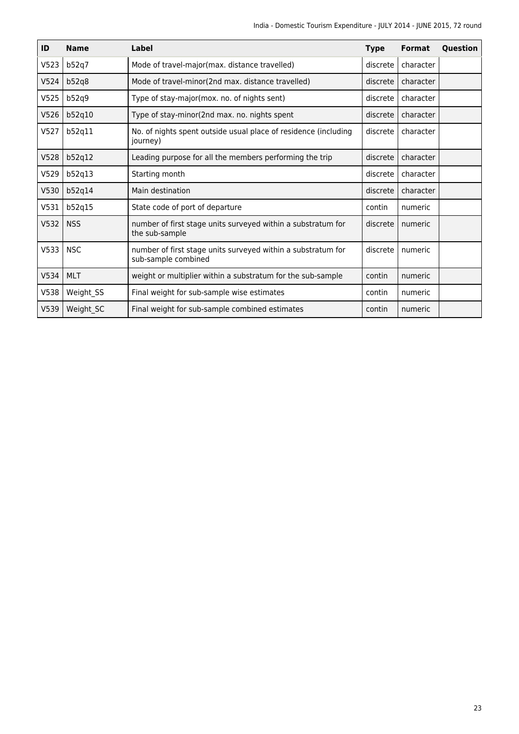| ID   | <b>Name</b> | Label                                                                               | <b>Type</b> | <b>Format</b> | <b>Ouestion</b> |
|------|-------------|-------------------------------------------------------------------------------------|-------------|---------------|-----------------|
| V523 | b52q7       | Mode of travel-major(max. distance travelled)                                       | discrete    | character     |                 |
| V524 | b52q8       | Mode of travel-minor(2nd max. distance travelled)                                   | discrete    | character     |                 |
| V525 | b52q9       | Type of stay-major(mox. no. of nights sent)                                         | discrete    | character     |                 |
| V526 | b52q10      | Type of stay-minor(2nd max. no. nights spent                                        | discrete    | character     |                 |
| V527 | b52q11      | No. of nights spent outside usual place of residence (including<br>journey)         | discrete    | character     |                 |
| V528 | b52q12      | Leading purpose for all the members performing the trip                             | discrete    | character     |                 |
| V529 | b52q13      | Starting month                                                                      | discrete    | character     |                 |
| V530 | b52q14      | Main destination                                                                    | discrete    | character     |                 |
| V531 | b52q15      | State code of port of departure                                                     | contin      | numeric       |                 |
| V532 | <b>NSS</b>  | number of first stage units surveyed within a substratum for<br>the sub-sample      | discrete    | numeric       |                 |
| V533 | <b>NSC</b>  | number of first stage units surveyed within a substratum for<br>sub-sample combined | discrete    | numeric       |                 |
| V534 | <b>MLT</b>  | weight or multiplier within a substratum for the sub-sample                         | contin      | numeric       |                 |
| V538 | Weight SS   | Final weight for sub-sample wise estimates                                          | contin      | numeric       |                 |
| V539 | Weight SC   | Final weight for sub-sample combined estimates                                      | contin      | numeric       |                 |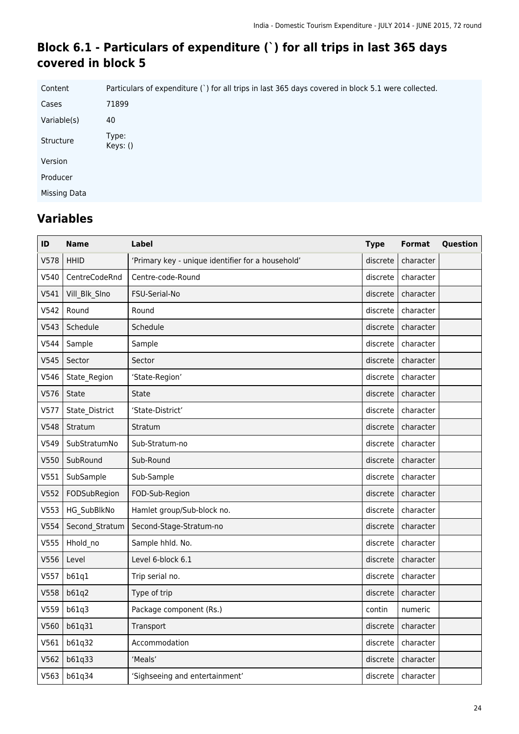| Content      | Particulars of expenditure (`) for all trips in last 365 days covered in block 5.1 were collected. |
|--------------|----------------------------------------------------------------------------------------------------|
| Cases        | 71899                                                                                              |
| Variable(s)  | 40                                                                                                 |
| Structure    | Type:<br>Keys: ()                                                                                  |
| Version      |                                                                                                    |
| Producer     |                                                                                                    |
| Missing Data |                                                                                                    |

| ID   | <b>Name</b>    | Label                                             | <b>Type</b> | <b>Format</b> | Question |
|------|----------------|---------------------------------------------------|-------------|---------------|----------|
| V578 | <b>HHID</b>    | 'Primary key - unique identifier for a household' | discrete    | character     |          |
| V540 | CentreCodeRnd  | Centre-code-Round                                 | discrete    | character     |          |
| V541 | Vill Blk Slno  | FSU-Serial-No                                     | discrete    | character     |          |
| V542 | Round          | Round                                             | discrete    | character     |          |
| V543 | Schedule       | Schedule                                          | discrete    | character     |          |
| V544 | Sample         | Sample                                            | discrete    | character     |          |
| V545 | Sector         | Sector                                            | discrete    | character     |          |
| V546 | State_Region   | 'State-Region'                                    | discrete    | character     |          |
| V576 | State          | <b>State</b>                                      | discrete    | character     |          |
| V577 | State_District | 'State-District'                                  | discrete    | character     |          |
| V548 | Stratum        | Stratum                                           | discrete    | character     |          |
| V549 | SubStratumNo   | Sub-Stratum-no                                    | discrete    | character     |          |
| V550 | SubRound       | Sub-Round                                         | discrete    | character     |          |
| V551 | SubSample      | Sub-Sample                                        | discrete    | character     |          |
| V552 | FODSubRegion   | FOD-Sub-Region                                    | discrete    | character     |          |
| V553 | HG_SubBlkNo    | Hamlet group/Sub-block no.                        | discrete    | character     |          |
| V554 | Second Stratum | Second-Stage-Stratum-no                           | discrete    | character     |          |
| V555 | Hhold no       | Sample hhld. No.                                  | discrete    | character     |          |
| V556 | Level          | Level 6-block 6.1                                 | discrete    | character     |          |
| V557 | b61q1          | Trip serial no.                                   | discrete    | character     |          |
| V558 | b61q2          | Type of trip                                      | discrete    | character     |          |
| V559 | b61q3          | Package component (Rs.)                           | contin      | numeric       |          |
| V560 | b61q31         | Transport                                         | discrete    | character     |          |
| V561 | b61q32         | Accommodation                                     | discrete    | character     |          |
| V562 | b61q33         | 'Meals'                                           | discrete    | character     |          |
| V563 | b61q34         | 'Sighseeing and entertainment'                    | discrete    | character     |          |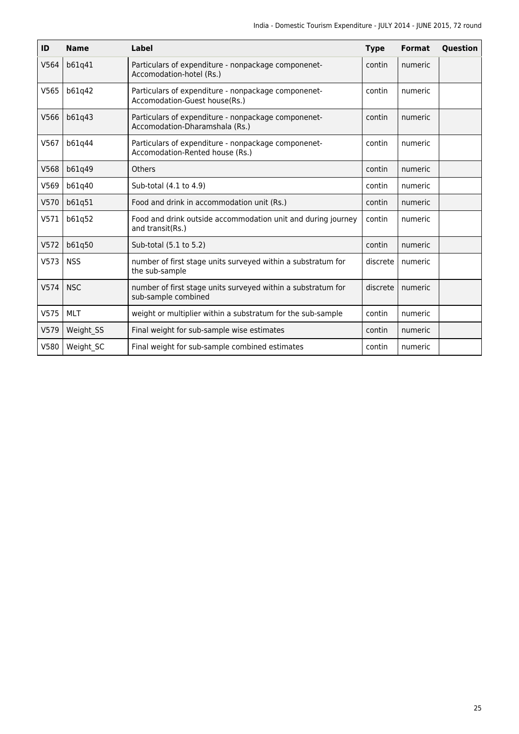| ID   | <b>Name</b> | Label                                                                                  | <b>Type</b> | <b>Format</b> | <b>Question</b> |
|------|-------------|----------------------------------------------------------------------------------------|-------------|---------------|-----------------|
| V564 | b61q41      | Particulars of expenditure - nonpackage componenet-<br>Accomodation-hotel (Rs.)        | contin      | numeric       |                 |
| V565 | b61q42      | Particulars of expenditure - nonpackage componenet-<br>Accomodation-Guest house(Rs.)   | contin      | numeric       |                 |
| V566 | b61q43      | Particulars of expenditure - nonpackage componenet-<br>Accomodation-Dharamshala (Rs.)  | contin      | numeric       |                 |
| V567 | b61q44      | Particulars of expenditure - nonpackage componenet-<br>Accomodation-Rented house (Rs.) | contin      | numeric       |                 |
| V568 | b61q49      | Others                                                                                 | contin      | numeric       |                 |
| V569 | b61q40      | Sub-total (4.1 to 4.9)                                                                 | contin      | numeric       |                 |
| V570 | b61q51      | Food and drink in accommodation unit (Rs.)                                             | contin      | numeric       |                 |
| V571 | b61q52      | Food and drink outside accommodation unit and during journey<br>and transit(Rs.)       | contin      | numeric       |                 |
| V572 | b61q50      | Sub-total (5.1 to 5.2)                                                                 | contin      | numeric       |                 |
| V573 | <b>NSS</b>  | number of first stage units surveyed within a substratum for<br>the sub-sample         | discrete    | numeric       |                 |
| V574 | <b>NSC</b>  | number of first stage units surveyed within a substratum for<br>sub-sample combined    | discrete    | numeric       |                 |
| V575 | <b>MLT</b>  | weight or multiplier within a substratum for the sub-sample                            | contin      | numeric       |                 |
| V579 | Weight SS   | Final weight for sub-sample wise estimates                                             | contin      | numeric       |                 |
| V580 | Weight SC   | Final weight for sub-sample combined estimates                                         | contin      | numeric       |                 |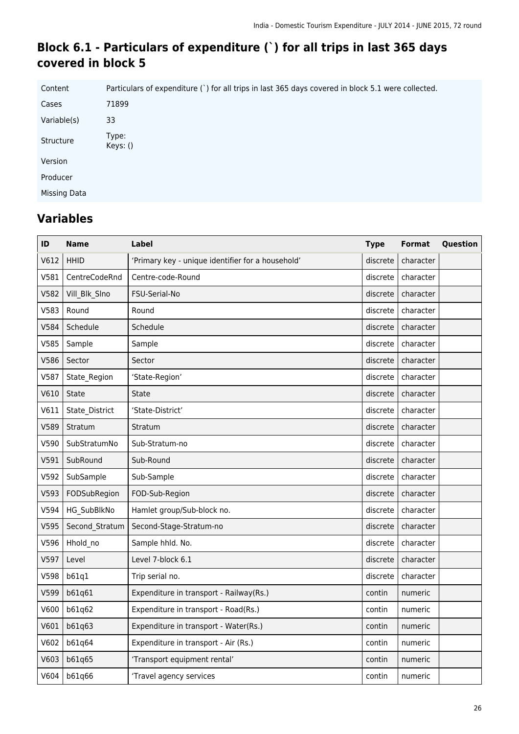| Content      | Particulars of expenditure (`) for all trips in last 365 days covered in block 5.1 were collected. |
|--------------|----------------------------------------------------------------------------------------------------|
| Cases        | 71899                                                                                              |
| Variable(s)  | 33                                                                                                 |
| Structure    | Type:<br>Keys: ()                                                                                  |
| Version      |                                                                                                    |
| Producer     |                                                                                                    |
| Missing Data |                                                                                                    |

| ID   | <b>Name</b>    | <b>Label</b>                                      | <b>Type</b> | <b>Format</b> | Question |
|------|----------------|---------------------------------------------------|-------------|---------------|----------|
| V612 | <b>HHID</b>    | 'Primary key - unique identifier for a household' | discrete    | character     |          |
| V581 | CentreCodeRnd  | Centre-code-Round                                 | discrete    | character     |          |
| V582 | Vill_Blk_Slno  | FSU-Serial-No                                     | discrete    | character     |          |
| V583 | Round          | Round                                             | discrete    | character     |          |
| V584 | Schedule       | Schedule                                          | discrete    | character     |          |
| V585 | Sample         | Sample                                            | discrete    | character     |          |
| V586 | Sector         | Sector                                            | discrete    | character     |          |
| V587 | State_Region   | 'State-Region'                                    | discrete    | character     |          |
| V610 | State          | <b>State</b>                                      | discrete    | character     |          |
| V611 | State_District | 'State-District'                                  | discrete    | character     |          |
| V589 | Stratum        | Stratum                                           | discrete    | character     |          |
| V590 | SubStratumNo   | Sub-Stratum-no                                    | discrete    | character     |          |
| V591 | SubRound       | Sub-Round                                         | discrete    | character     |          |
| V592 | SubSample      | Sub-Sample                                        | discrete    | character     |          |
| V593 | FODSubRegion   | FOD-Sub-Region                                    | discrete    | character     |          |
| V594 | HG SubBlkNo    | Hamlet group/Sub-block no.                        | discrete    | character     |          |
| V595 | Second Stratum | Second-Stage-Stratum-no                           | discrete    | character     |          |
| V596 | Hhold_no       | Sample hhld. No.                                  | discrete    | character     |          |
| V597 | Level          | Level 7-block 6.1                                 | discrete    | character     |          |
| V598 | b61q1          | Trip serial no.                                   | discrete    | character     |          |
| V599 | b61q61         | Expenditure in transport - Railway(Rs.)           | contin      | numeric       |          |
| V600 | b61q62         | Expenditure in transport - Road(Rs.)              | contin      | numeric       |          |
| V601 | b61q63         | Expenditure in transport - Water(Rs.)             | contin      | numeric       |          |
| V602 | b61q64         | Expenditure in transport - Air (Rs.)              | contin      | numeric       |          |
| V603 | b61q65         | 'Transport equipment rental'                      | contin      | numeric       |          |
| V604 | b61q66         | 'Travel agency services                           | contin      | numeric       |          |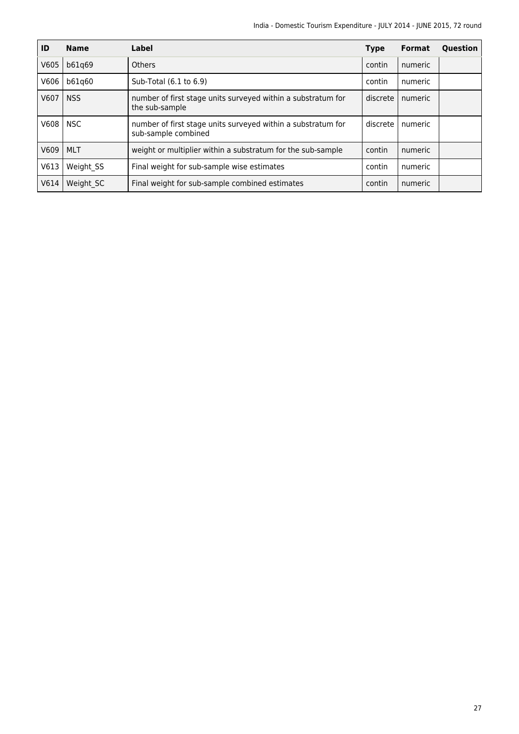| ID   | <b>Name</b> | Label                                                                               | <b>Type</b> | <b>Format</b> | Question |
|------|-------------|-------------------------------------------------------------------------------------|-------------|---------------|----------|
| V605 | b61q69      | <b>Others</b>                                                                       | contin      | numeric       |          |
| V606 | b61q60      | Sub-Total (6.1 to 6.9)                                                              | contin      | numeric       |          |
| V607 | <b>NSS</b>  | number of first stage units surveyed within a substratum for<br>the sub-sample      | discrete    | numeric       |          |
| V608 | <b>NSC</b>  | number of first stage units surveyed within a substratum for<br>sub-sample combined | discrete    | numeric       |          |
| V609 | <b>MLT</b>  | weight or multiplier within a substratum for the sub-sample                         | contin      | numeric       |          |
| V613 | Weight SS   | Final weight for sub-sample wise estimates                                          | contin      | numeric       |          |
| V614 | Weight SC   | Final weight for sub-sample combined estimates                                      | contin      | numeric       |          |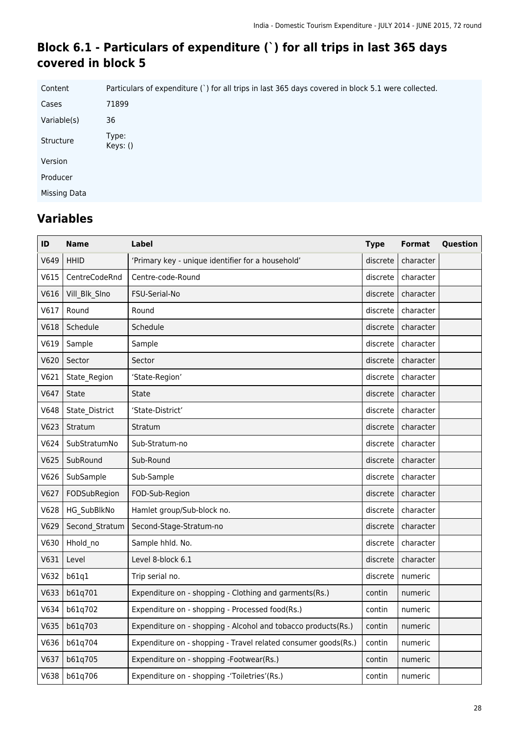| Content      | Particulars of expenditure (`) for all trips in last 365 days covered in block 5.1 were collected. |
|--------------|----------------------------------------------------------------------------------------------------|
| Cases        | 71899                                                                                              |
| Variable(s)  | 36                                                                                                 |
| Structure    | Type:<br>Keys: ()                                                                                  |
| Version      |                                                                                                    |
| Producer     |                                                                                                    |
| Missing Data |                                                                                                    |

| ID   | <b>Name</b>    | Label                                                          | <b>Type</b> | <b>Format</b> | <b>Question</b> |
|------|----------------|----------------------------------------------------------------|-------------|---------------|-----------------|
| V649 | <b>HHID</b>    | 'Primary key - unique identifier for a household'              | discrete    | character     |                 |
| V615 | CentreCodeRnd  | Centre-code-Round                                              | discrete    | character     |                 |
| V616 | Vill Blk Slno  | FSU-Serial-No                                                  | discrete    | character     |                 |
| V617 | Round          | Round                                                          | discrete    | character     |                 |
| V618 | Schedule       | Schedule                                                       | discrete    | character     |                 |
| V619 | Sample         | Sample                                                         | discrete    | character     |                 |
| V620 | Sector         | Sector                                                         | discrete    | character     |                 |
| V621 | State Region   | 'State-Region'                                                 | discrete    | character     |                 |
| V647 | State          | State                                                          | discrete    | character     |                 |
| V648 | State_District | 'State-District'                                               | discrete    | character     |                 |
| V623 | Stratum        | Stratum                                                        | discrete    | character     |                 |
| V624 | SubStratumNo   | Sub-Stratum-no                                                 | discrete    | character     |                 |
| V625 | SubRound       | Sub-Round                                                      | discrete    | character     |                 |
| V626 | SubSample      | Sub-Sample                                                     | discrete    | character     |                 |
| V627 | FODSubRegion   | FOD-Sub-Region                                                 | discrete    | character     |                 |
| V628 | HG SubBlkNo    | Hamlet group/Sub-block no.                                     | discrete    | character     |                 |
| V629 | Second Stratum | Second-Stage-Stratum-no                                        | discrete    | character     |                 |
| V630 | Hhold no       | Sample hhld. No.                                               | discrete    | character     |                 |
| V631 | Level          | Level 8-block 6.1                                              | discrete    | character     |                 |
| V632 | b61q1          | Trip serial no.                                                | discrete    | numeric       |                 |
| V633 | b61q701        | Expenditure on - shopping - Clothing and garments(Rs.)         | contin      | numeric       |                 |
| V634 | b61q702        | Expenditure on - shopping - Processed food(Rs.)                | contin      | numeric       |                 |
| V635 | b61q703        | Expenditure on - shopping - Alcohol and tobacco products(Rs.)  | contin      | numeric       |                 |
| V636 | b61q704        | Expenditure on - shopping - Travel related consumer goods(Rs.) | contin      | numeric       |                 |
| V637 | b61q705        | Expenditure on - shopping -Footwear(Rs.)                       | contin      | numeric       |                 |
| V638 | b61q706        | Expenditure on - shopping -'Toiletries'(Rs.)                   | contin      | numeric       |                 |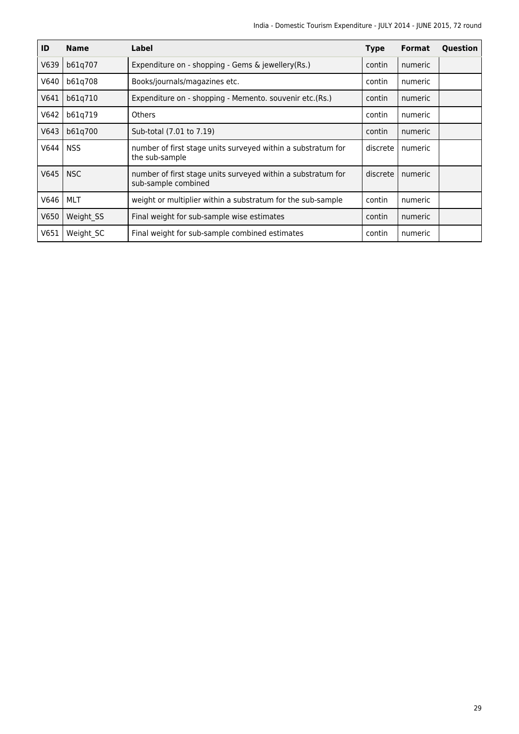| ID   | <b>Name</b> | Label                                                                               | <b>Type</b> | <b>Format</b> | Question |
|------|-------------|-------------------------------------------------------------------------------------|-------------|---------------|----------|
| V639 | b61q707     | Expenditure on - shopping - Gems & jewellery(Rs.)                                   | contin      | numeric       |          |
| V640 | b61q708     | Books/journals/magazines etc.                                                       | contin      | numeric       |          |
| V641 | b61q710     | Expenditure on - shopping - Memento. souvenir etc.(Rs.)                             | contin      | numeric       |          |
| V642 | b61q719     | <b>Others</b>                                                                       | contin      | numeric       |          |
| V643 | b61q700     | Sub-total (7.01 to 7.19)                                                            | contin      | numeric       |          |
| V644 | <b>NSS</b>  | number of first stage units surveyed within a substratum for<br>the sub-sample      | discrete    | numeric       |          |
| V645 | <b>NSC</b>  | number of first stage units surveyed within a substratum for<br>sub-sample combined | discrete    | numeric       |          |
| V646 | MLT         | weight or multiplier within a substratum for the sub-sample                         | contin      | numeric       |          |
| V650 | Weight SS   | Final weight for sub-sample wise estimates                                          | contin      | numeric       |          |
| V651 | Weight SC   | Final weight for sub-sample combined estimates                                      | contin      | numeric       |          |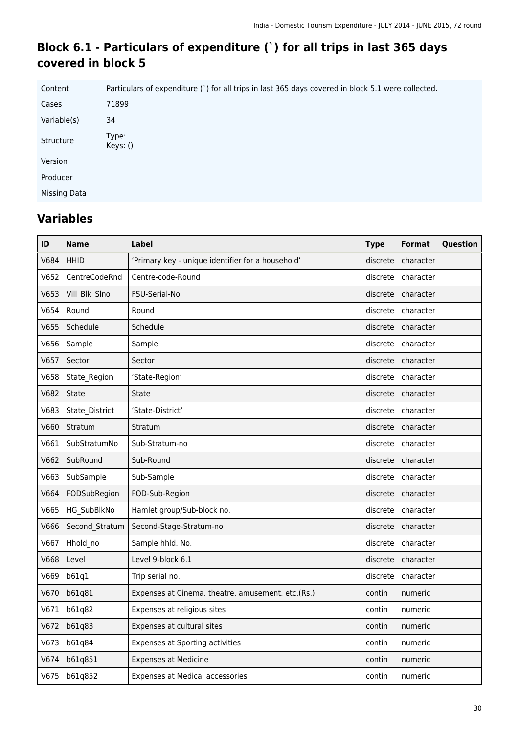| Content      | Particulars of expenditure (`) for all trips in last 365 days covered in block 5.1 were collected. |
|--------------|----------------------------------------------------------------------------------------------------|
| Cases        | 71899                                                                                              |
| Variable(s)  | 34                                                                                                 |
| Structure    | Type:<br>Keys: ()                                                                                  |
| Version      |                                                                                                    |
| Producer     |                                                                                                    |
| Missing Data |                                                                                                    |

| ID   | <b>Name</b>    | Label                                             | <b>Type</b> | <b>Format</b> | <b>Question</b> |
|------|----------------|---------------------------------------------------|-------------|---------------|-----------------|
| V684 | <b>HHID</b>    | 'Primary key - unique identifier for a household' | discrete    | character     |                 |
| V652 | CentreCodeRnd  | Centre-code-Round                                 | discrete    | character     |                 |
| V653 | Vill Blk Slno  | FSU-Serial-No                                     | discrete    | character     |                 |
| V654 | Round          | Round                                             | discrete    | character     |                 |
| V655 | Schedule       | Schedule                                          | discrete    | character     |                 |
| V656 | Sample         | Sample                                            | discrete    | character     |                 |
| V657 | Sector         | Sector                                            | discrete    | character     |                 |
| V658 | State Region   | 'State-Region'                                    | discrete    | character     |                 |
| V682 | State          | State                                             | discrete    | character     |                 |
| V683 | State_District | 'State-District'                                  | discrete    | character     |                 |
| V660 | Stratum        | Stratum                                           | discrete    | character     |                 |
| V661 | SubStratumNo   | Sub-Stratum-no                                    | discrete    | character     |                 |
| V662 | SubRound       | Sub-Round                                         | discrete    | character     |                 |
| V663 | SubSample      | Sub-Sample                                        | discrete    | character     |                 |
| V664 | FODSubRegion   | FOD-Sub-Region                                    | discrete    | character     |                 |
| V665 | HG SubBlkNo    | Hamlet group/Sub-block no.                        | discrete    | character     |                 |
| V666 | Second_Stratum | Second-Stage-Stratum-no                           | discrete    | character     |                 |
| V667 | Hhold_no       | Sample hhld. No.                                  | discrete    | character     |                 |
| V668 | Level          | Level 9-block 6.1                                 | discrete    | character     |                 |
| V669 | b61q1          | Trip serial no.                                   | discrete    | character     |                 |
| V670 | b61q81         | Expenses at Cinema, theatre, amusement, etc.(Rs.) | contin      | numeric       |                 |
| V671 | b61q82         | Expenses at religious sites                       | contin      | numeric       |                 |
| V672 | b61q83         | Expenses at cultural sites                        | contin      | numeric       |                 |
| V673 | b61q84         | Expenses at Sporting activities                   | contin      | numeric       |                 |
| V674 | b61q851        | <b>Expenses at Medicine</b>                       | contin      | numeric       |                 |
| V675 | b61q852        | Expenses at Medical accessories                   | contin      | numeric       |                 |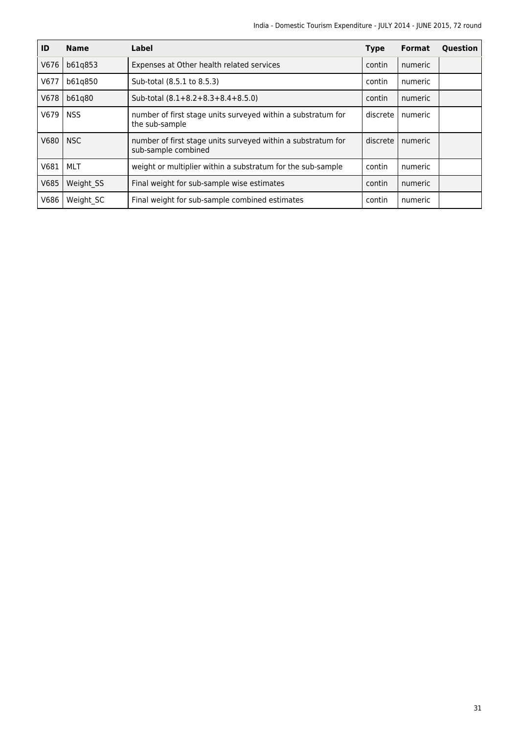| ID   | <b>Name</b> | Label                                                                               | <b>Type</b> | <b>Format</b> | Question |
|------|-------------|-------------------------------------------------------------------------------------|-------------|---------------|----------|
| V676 | b61q853     | Expenses at Other health related services                                           | contin      | numeric       |          |
| V677 | b61q850     | Sub-total (8.5.1 to 8.5.3)                                                          | contin      | numeric       |          |
| V678 | b61q80      | Sub-total (8.1+8.2+8.3+8.4+8.5.0)                                                   | contin      | numeric       |          |
| V679 | <b>NSS</b>  | number of first stage units surveyed within a substratum for<br>the sub-sample      | discrete    | numeric       |          |
| V680 | <b>NSC</b>  | number of first stage units surveyed within a substratum for<br>sub-sample combined | discrete    | numeric       |          |
| V681 | MLT         | weight or multiplier within a substratum for the sub-sample                         | contin      | numeric       |          |
| V685 | Weight SS   | Final weight for sub-sample wise estimates                                          | contin      | numeric       |          |
| V686 | Weight SC   | Final weight for sub-sample combined estimates                                      | contin      | numeric       |          |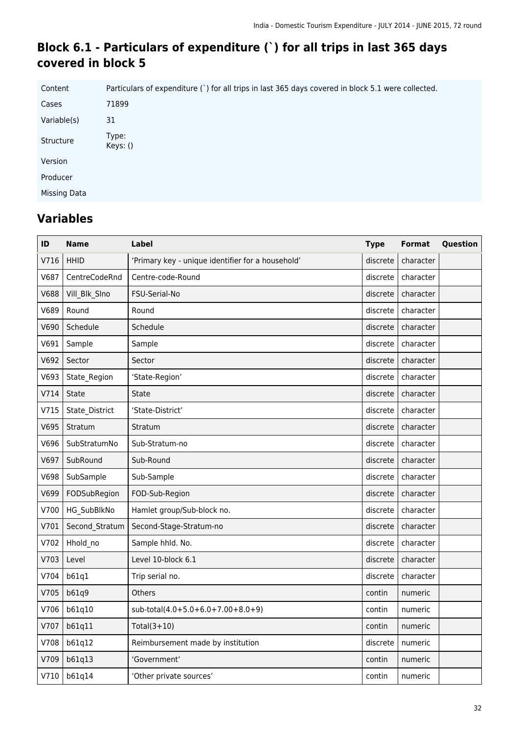| Content      | Particulars of expenditure (`) for all trips in last 365 days covered in block 5.1 were collected. |
|--------------|----------------------------------------------------------------------------------------------------|
| Cases        | 71899                                                                                              |
| Variable(s)  | 31                                                                                                 |
| Structure    | Type:<br>Keys: ()                                                                                  |
| Version      |                                                                                                    |
| Producer     |                                                                                                    |
| Missing Data |                                                                                                    |

| ID   | <b>Name</b>    | Label                                             | <b>Type</b> | <b>Format</b> | Question |
|------|----------------|---------------------------------------------------|-------------|---------------|----------|
| V716 | <b>HHID</b>    | 'Primary key - unique identifier for a household' | discrete    | character     |          |
| V687 | CentreCodeRnd  | Centre-code-Round                                 | discrete    | character     |          |
| V688 | Vill Blk Slno  | FSU-Serial-No                                     | discrete    | character     |          |
| V689 | Round          | Round                                             | discrete    | character     |          |
| V690 | Schedule       | Schedule                                          | discrete    | character     |          |
| V691 | Sample         | Sample                                            | discrete    | character     |          |
| V692 | Sector         | Sector                                            | discrete    | character     |          |
| V693 | State_Region   | 'State-Region'                                    | discrete    | character     |          |
| V714 | State          | <b>State</b>                                      | discrete    | character     |          |
| V715 | State_District | 'State-District'                                  | discrete    | character     |          |
| V695 | Stratum        | Stratum                                           | discrete    | character     |          |
| V696 | SubStratumNo   | Sub-Stratum-no                                    | discrete    | character     |          |
| V697 | SubRound       | Sub-Round                                         | discrete    | character     |          |
| V698 | SubSample      | Sub-Sample                                        | discrete    | character     |          |
| V699 | FODSubRegion   | FOD-Sub-Region                                    | discrete    | character     |          |
| V700 | HG_SubBlkNo    | Hamlet group/Sub-block no.                        | discrete    | character     |          |
| V701 | Second Stratum | Second-Stage-Stratum-no                           | discrete    | character     |          |
| V702 | Hhold no       | Sample hhld. No.                                  | discrete    | character     |          |
| V703 | Level          | Level 10-block 6.1                                | discrete    | character     |          |
| V704 | b61q1          | Trip serial no.                                   | discrete    | character     |          |
| V705 | b61q9          | Others                                            | contin      | numeric       |          |
| V706 | b61q10         | sub-total(4.0+5.0+6.0+7.00+8.0+9)                 | contin      | numeric       |          |
| V707 | b61q11         | $Total(3+10)$                                     | contin      | numeric       |          |
| V708 | b61q12         | Reimbursement made by institution                 | discrete    | numeric       |          |
| V709 | b61q13         | 'Government'                                      | contin      | numeric       |          |
| V710 | b61q14         | 'Other private sources'                           | contin      | numeric       |          |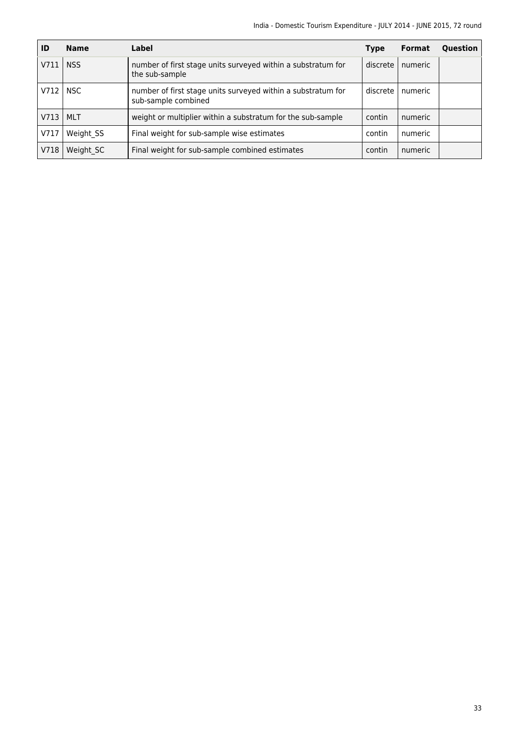| ID   | <b>Name</b> | Label                                                                               | <b>Type</b> | <b>Format</b> | <b>Ouestion</b> |
|------|-------------|-------------------------------------------------------------------------------------|-------------|---------------|-----------------|
| V711 | <b>NSS</b>  | number of first stage units surveyed within a substratum for<br>the sub-sample      | discrete    | numeric       |                 |
| V712 | <b>NSC</b>  | number of first stage units surveyed within a substratum for<br>sub-sample combined | discrete    | numeric       |                 |
| V713 | MLT         | weight or multiplier within a substratum for the sub-sample                         | contin      | numeric       |                 |
| V717 | Weight SS   | Final weight for sub-sample wise estimates                                          | contin      | numeric       |                 |
| V718 | Weight SC   | Final weight for sub-sample combined estimates                                      | contin      | numeric       |                 |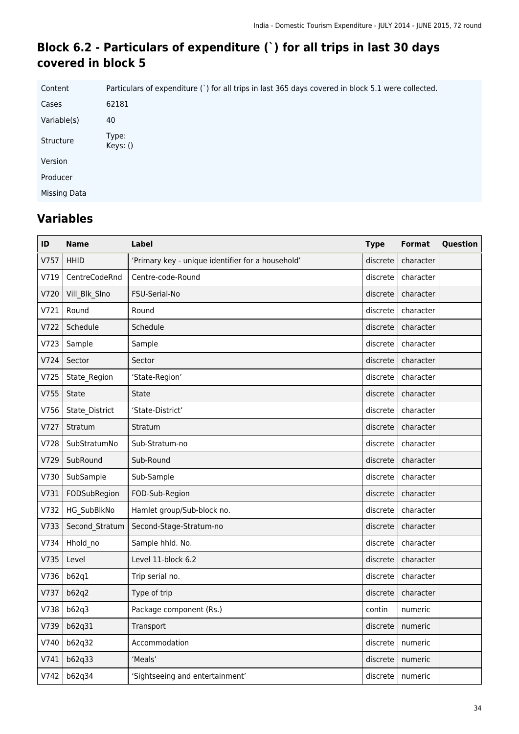| Content      | Particulars of expenditure (`) for all trips in last 365 days covered in block 5.1 were collected. |
|--------------|----------------------------------------------------------------------------------------------------|
| Cases        | 62181                                                                                              |
| Variable(s)  | 40                                                                                                 |
| Structure    | Type:<br>Keys: ()                                                                                  |
| Version      |                                                                                                    |
| Producer     |                                                                                                    |
| Missing Data |                                                                                                    |

| ID   | <b>Name</b>    | <b>Label</b>                                      | <b>Type</b> | <b>Format</b> | <b>Question</b> |
|------|----------------|---------------------------------------------------|-------------|---------------|-----------------|
| V757 | <b>HHID</b>    | 'Primary key - unique identifier for a household' | discrete    | character     |                 |
| V719 | CentreCodeRnd  | Centre-code-Round                                 | discrete    | character     |                 |
| V720 | Vill_Blk_SIno  | FSU-Serial-No                                     | discrete    | character     |                 |
| V721 | Round          | Round                                             | discrete    | character     |                 |
| V722 | Schedule       | Schedule                                          | discrete    | character     |                 |
| V723 | Sample         | Sample                                            | discrete    | character     |                 |
| V724 | Sector         | Sector                                            | discrete    | character     |                 |
| V725 | State Region   | 'State-Region'                                    | discrete    | character     |                 |
| V755 | State          | State                                             | discrete    | character     |                 |
| V756 | State_District | 'State-District'                                  | discrete    | character     |                 |
| V727 | Stratum        | Stratum                                           | discrete    | character     |                 |
| V728 | SubStratumNo   | Sub-Stratum-no                                    | discrete    | character     |                 |
| V729 | SubRound       | Sub-Round                                         | discrete    | character     |                 |
| V730 | SubSample      | Sub-Sample                                        | discrete    | character     |                 |
| V731 | FODSubRegion   | FOD-Sub-Region                                    | discrete    | character     |                 |
| V732 | HG_SubBlkNo    | Hamlet group/Sub-block no.                        | discrete    | character     |                 |
| V733 | Second Stratum | Second-Stage-Stratum-no                           | discrete    | character     |                 |
| V734 | Hhold no       | Sample hhld. No.                                  | discrete    | character     |                 |
| V735 | Level          | Level 11-block 6.2                                | discrete    | character     |                 |
| V736 | b62q1          | Trip serial no.                                   | discrete    | character     |                 |
| V737 | b62q2          | Type of trip                                      | discrete    | character     |                 |
| V738 | b62q3          | Package component (Rs.)                           | contin      | numeric       |                 |
| V739 | b62q31         | Transport                                         | discrete    | numeric       |                 |
| V740 | b62q32         | Accommodation                                     | discrete    | numeric       |                 |
| V741 | b62q33         | 'Meals'                                           | discrete    | numeric       |                 |
| V742 | b62q34         | 'Sightseeing and entertainment'                   | discrete    | numeric       |                 |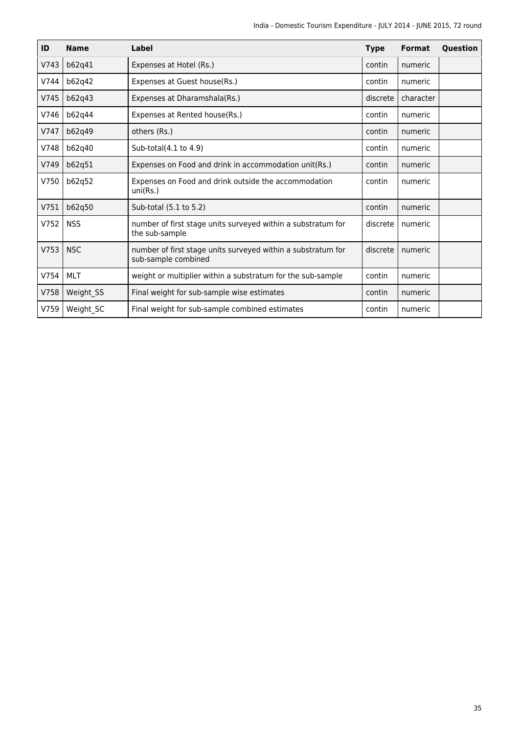| ID   | <b>Name</b> | Label                                                                               | <b>Type</b> | <b>Format</b> | Question |
|------|-------------|-------------------------------------------------------------------------------------|-------------|---------------|----------|
| V743 | b62q41      | Expenses at Hotel (Rs.)                                                             | contin      | numeric       |          |
| V744 | b62q42      | Expenses at Guest house(Rs.)                                                        | contin      | numeric       |          |
| V745 | b62q43      | Expenses at Dharamshala(Rs.)                                                        | discrete    | character     |          |
| V746 | b62q44      | Expenses at Rented house(Rs.)                                                       | contin      | numeric       |          |
| V747 | b62q49      | others (Rs.)                                                                        | contin      | numeric       |          |
| V748 | b62q40      | Sub-total(4.1 to 4.9)                                                               | contin      | numeric       |          |
| V749 | b62q51      | Expenses on Food and drink in accommodation unit(Rs.)                               | contin      | numeric       |          |
| V750 | b62q52      | Expenses on Food and drink outside the accommodation<br>uni(Rs.)                    | contin      | numeric       |          |
| V751 | b62q50      | Sub-total (5.1 to 5.2)                                                              | contin      | numeric       |          |
| V752 | <b>NSS</b>  | number of first stage units surveyed within a substratum for<br>the sub-sample      | discrete    | numeric       |          |
| V753 | <b>NSC</b>  | number of first stage units surveyed within a substratum for<br>sub-sample combined | discrete    | numeric       |          |
| V754 | <b>MLT</b>  | weight or multiplier within a substratum for the sub-sample                         | contin      | numeric       |          |
| V758 | Weight_SS   | Final weight for sub-sample wise estimates                                          | contin      | numeric       |          |
| V759 | Weight SC   | Final weight for sub-sample combined estimates                                      | contin      | numeric       |          |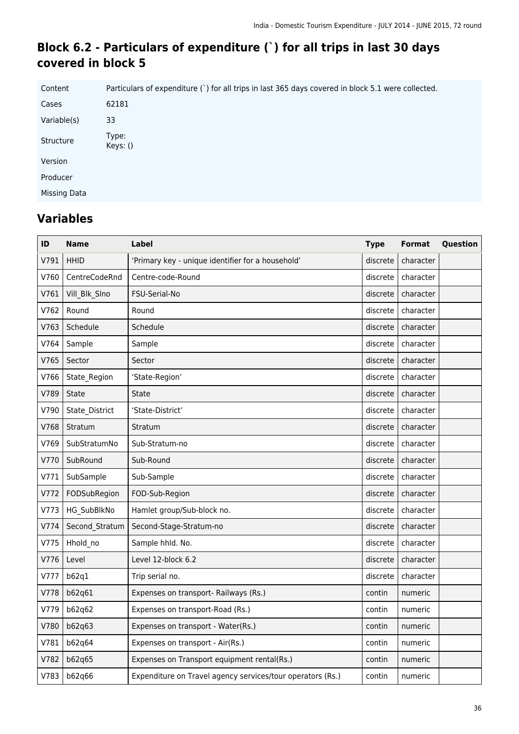| Content             | Particulars of expenditure (`) for all trips in last 365 days covered in block 5.1 were collected. |
|---------------------|----------------------------------------------------------------------------------------------------|
| Cases               | 62181                                                                                              |
| Variable(s)         | 33                                                                                                 |
| Structure           | Type:<br>Keys: ()                                                                                  |
| Version             |                                                                                                    |
| Producer            |                                                                                                    |
| <b>Missing Data</b> |                                                                                                    |

| ID   | <b>Name</b>    | <b>Label</b>                                               | <b>Type</b> | <b>Format</b> | <b>Question</b> |
|------|----------------|------------------------------------------------------------|-------------|---------------|-----------------|
| V791 | <b>HHID</b>    | 'Primary key - unique identifier for a household'          | discrete    | character     |                 |
| V760 | CentreCodeRnd  | Centre-code-Round                                          | discrete    | character     |                 |
| V761 | Vill_Blk_Slno  | FSU-Serial-No                                              | discrete    | character     |                 |
| V762 | Round          | Round                                                      | discrete    | character     |                 |
| V763 | Schedule       | Schedule                                                   | discrete    | character     |                 |
| V764 | Sample         | Sample                                                     | discrete    | character     |                 |
| V765 | Sector         | Sector                                                     | discrete    | character     |                 |
| V766 | State Region   | 'State-Region'                                             | discrete    | character     |                 |
| V789 | State          | State                                                      | discrete    | character     |                 |
| V790 | State_District | 'State-District'                                           | discrete    | character     |                 |
| V768 | Stratum        | Stratum                                                    | discrete    | character     |                 |
| V769 | SubStratumNo   | Sub-Stratum-no                                             | discrete    | character     |                 |
| V770 | SubRound       | Sub-Round                                                  | discrete    | character     |                 |
| V771 | SubSample      | Sub-Sample                                                 | discrete    | character     |                 |
| V772 | FODSubRegion   | FOD-Sub-Region                                             | discrete    | character     |                 |
| V773 | HG SubBlkNo    | Hamlet group/Sub-block no.                                 | discrete    | character     |                 |
| V774 | Second Stratum | Second-Stage-Stratum-no                                    | discrete    | character     |                 |
| V775 | Hhold no       | Sample hhld. No.                                           | discrete    | character     |                 |
| V776 | Level          | Level 12-block 6.2                                         | discrete    | character     |                 |
| V777 | b62q1          | Trip serial no.                                            | discrete    | character     |                 |
| V778 | b62q61         | Expenses on transport- Railways (Rs.)                      | contin      | numeric       |                 |
| V779 | b62q62         | Expenses on transport-Road (Rs.)                           | contin      | numeric       |                 |
| V780 | b62q63         | Expenses on transport - Water(Rs.)                         | contin      | numeric       |                 |
| V781 | b62q64         | Expenses on transport - Air(Rs.)                           | contin      | numeric       |                 |
| V782 | b62q65         | Expenses on Transport equipment rental(Rs.)                | contin      | numeric       |                 |
| V783 | b62q66         | Expenditure on Travel agency services/tour operators (Rs.) | contin      | numeric       |                 |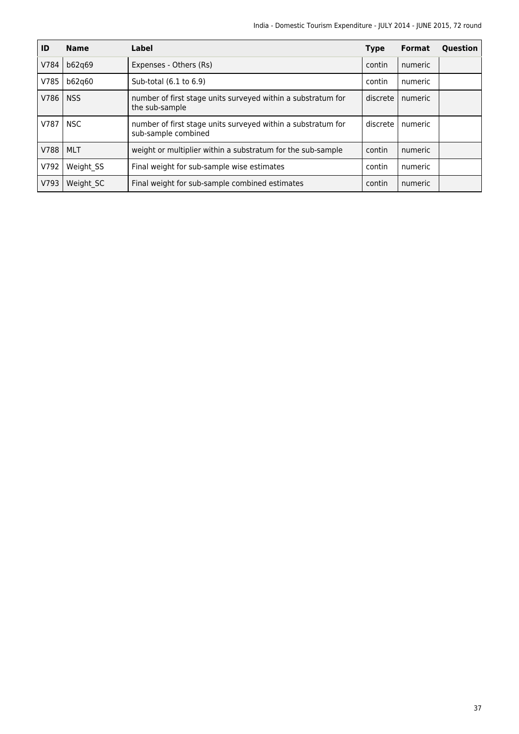| ID   | <b>Name</b> | Label                                                                               | <b>Type</b> | <b>Format</b> | <b>Ouestion</b> |
|------|-------------|-------------------------------------------------------------------------------------|-------------|---------------|-----------------|
| V784 | b62q69      | Expenses - Others (Rs)                                                              | contin      | numeric       |                 |
| V785 | b62q60      | Sub-total (6.1 to 6.9)                                                              | contin      | numeric       |                 |
| V786 | <b>NSS</b>  | number of first stage units surveyed within a substratum for<br>the sub-sample      | discrete    | numeric       |                 |
| V787 | <b>NSC</b>  | number of first stage units surveyed within a substratum for<br>sub-sample combined | discrete    | numeric       |                 |
| V788 | <b>MLT</b>  | weight or multiplier within a substratum for the sub-sample                         | contin      | numeric       |                 |
| V792 | Weight SS   | Final weight for sub-sample wise estimates                                          | contin      | numeric       |                 |
| V793 | Weight SC   | Final weight for sub-sample combined estimates                                      | contin      | numeric       |                 |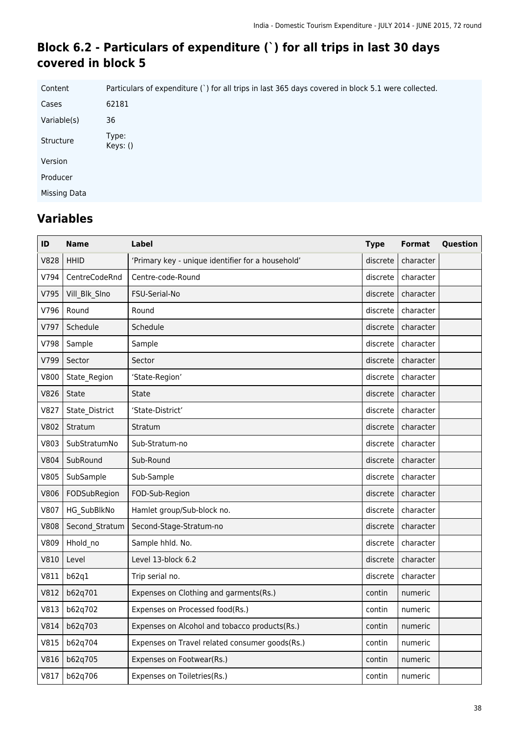### **Block 6.2 - Particulars of expenditure (`) for all trips in last 30 days covered in block 5**

| Content      | Particulars of expenditure (`) for all trips in last 365 days covered in block 5.1 were collected. |
|--------------|----------------------------------------------------------------------------------------------------|
| Cases        | 62181                                                                                              |
| Variable(s)  | 36                                                                                                 |
| Structure    | Type:<br>Keys: ()                                                                                  |
| Version      |                                                                                                    |
| Producer     |                                                                                                    |
| Missing Data |                                                                                                    |

| ID   | <b>Name</b>    | Label                                             | <b>Type</b> | <b>Format</b> | <b>Question</b> |
|------|----------------|---------------------------------------------------|-------------|---------------|-----------------|
| V828 | <b>HHID</b>    | 'Primary key - unique identifier for a household' | discrete    | character     |                 |
| V794 | CentreCodeRnd  | Centre-code-Round                                 | discrete    | character     |                 |
| V795 | Vill_Blk_Slno  | FSU-Serial-No                                     | discrete    | character     |                 |
| V796 | Round          | Round                                             | discrete    | character     |                 |
| V797 | Schedule       | Schedule                                          | discrete    | character     |                 |
| V798 | Sample         | Sample                                            | discrete    | character     |                 |
| V799 | Sector         | Sector                                            | discrete    | character     |                 |
| V800 | State Region   | 'State-Region'                                    | discrete    | character     |                 |
| V826 | State          | State                                             | discrete    | character     |                 |
| V827 | State_District | 'State-District'                                  | discrete    | character     |                 |
| V802 | Stratum        | Stratum                                           | discrete    | character     |                 |
| V803 | SubStratumNo   | Sub-Stratum-no                                    | discrete    | character     |                 |
| V804 | SubRound       | Sub-Round                                         | discrete    | character     |                 |
| V805 | SubSample      | Sub-Sample                                        | discrete    | character     |                 |
| V806 | FODSubRegion   | FOD-Sub-Region                                    | discrete    | character     |                 |
| V807 | HG SubBlkNo    | Hamlet group/Sub-block no.                        | discrete    | character     |                 |
| V808 | Second Stratum | Second-Stage-Stratum-no                           | discrete    | character     |                 |
| V809 | Hhold no       | Sample hhld. No.                                  | discrete    | character     |                 |
| V810 | Level          | Level 13-block 6.2                                | discrete    | character     |                 |
| V811 | b62q1          | Trip serial no.                                   | discrete    | character     |                 |
| V812 | b62q701        | Expenses on Clothing and garments(Rs.)            | contin      | numeric       |                 |
| V813 | b62q702        | Expenses on Processed food(Rs.)                   | contin      | numeric       |                 |
| V814 | b62q703        | Expenses on Alcohol and tobacco products(Rs.)     | contin      | numeric       |                 |
| V815 | b62q704        | Expenses on Travel related consumer goods(Rs.)    | contin      | numeric       |                 |
| V816 | b62q705        | Expenses on Footwear(Rs.)                         | contin      | numeric       |                 |
| V817 | b62q706        | Expenses on Toiletries(Rs.)                       | contin      | numeric       |                 |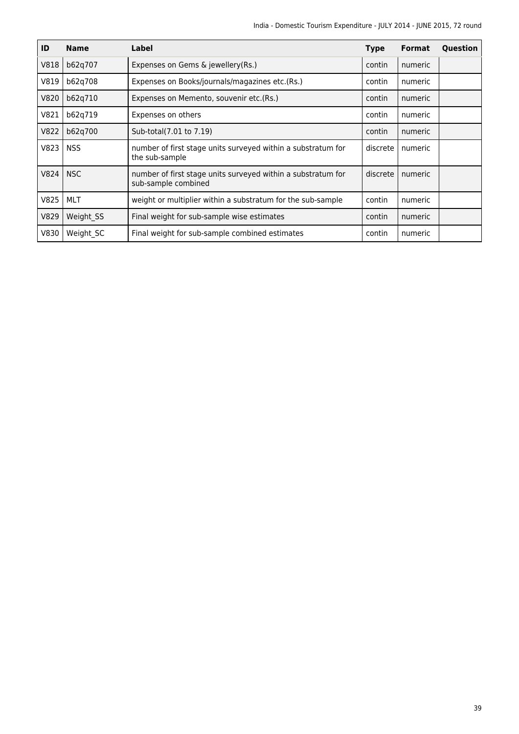| ID          | <b>Name</b> | Label                                                                               | <b>Type</b> | <b>Format</b> | Question |
|-------------|-------------|-------------------------------------------------------------------------------------|-------------|---------------|----------|
| <b>V818</b> | b62q707     | Expenses on Gems & jewellery(Rs.)                                                   | contin      | numeric       |          |
| V819        | b62q708     | Expenses on Books/journals/magazines etc.(Rs.)                                      | contin      | numeric       |          |
| V820        | b62q710     | Expenses on Memento, souvenir etc.(Rs.)                                             | contin      | numeric       |          |
| V821        | b62q719     | Expenses on others                                                                  | contin      | numeric       |          |
| V822        | b62q700     | Sub-total(7.01 to 7.19)                                                             | contin      | numeric       |          |
| V823        | <b>NSS</b>  | number of first stage units surveyed within a substratum for<br>the sub-sample      | discrete    | numeric       |          |
| V824        | <b>NSC</b>  | number of first stage units surveyed within a substratum for<br>sub-sample combined | discrete    | numeric       |          |
| V825        | MLT         | weight or multiplier within a substratum for the sub-sample                         | contin      | numeric       |          |
| V829        | Weight SS   | Final weight for sub-sample wise estimates                                          | contin      | numeric       |          |
| V830        | Weight SC   | Final weight for sub-sample combined estimates                                      | contin      | numeric       |          |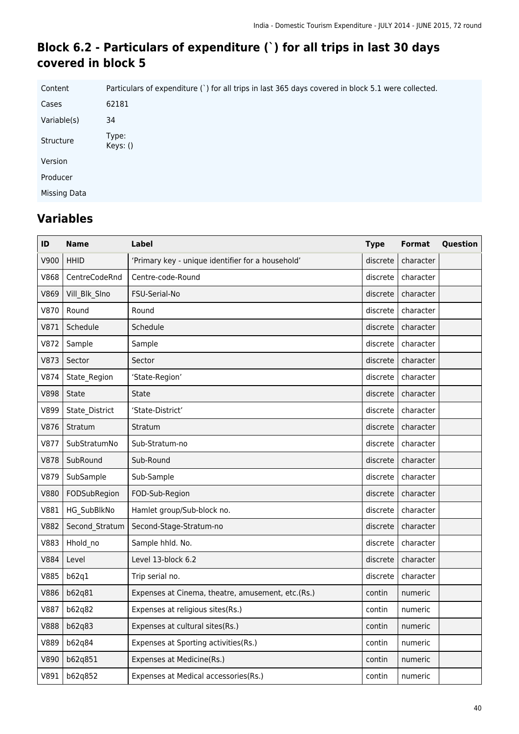### **Block 6.2 - Particulars of expenditure (`) for all trips in last 30 days covered in block 5**

| Content             | Particulars of expenditure (`) for all trips in last 365 days covered in block 5.1 were collected. |
|---------------------|----------------------------------------------------------------------------------------------------|
| Cases               | 62181                                                                                              |
| Variable(s)         | 34                                                                                                 |
| Structure           | Type:<br>Keys: ()                                                                                  |
| Version             |                                                                                                    |
| Producer            |                                                                                                    |
| <b>Missing Data</b> |                                                                                                    |

| ID          | <b>Name</b>    | Label                                             | <b>Type</b> | <b>Format</b> | Question |
|-------------|----------------|---------------------------------------------------|-------------|---------------|----------|
| V900        | <b>HHID</b>    | 'Primary key - unique identifier for a household' | discrete    | character     |          |
| V868        | CentreCodeRnd  | Centre-code-Round                                 | discrete    | character     |          |
| V869        | Vill_Blk_Slno  | FSU-Serial-No                                     | discrete    | character     |          |
| V870        | Round          | Round                                             | discrete    | character     |          |
| V871        | Schedule       | Schedule                                          | discrete    | character     |          |
| V872        | Sample         | Sample                                            | discrete    | character     |          |
| V873        | Sector         | Sector                                            | discrete    | character     |          |
| V874        | State Region   | 'State-Region'                                    | discrete    | character     |          |
| V898        | <b>State</b>   | State                                             | discrete    | character     |          |
| V899        | State District | 'State-District'                                  | discrete    | character     |          |
| V876        | Stratum        | Stratum                                           | discrete    | character     |          |
| V877        | SubStratumNo   | Sub-Stratum-no                                    | discrete    | character     |          |
| V878        | SubRound       | Sub-Round                                         | discrete    | character     |          |
| V879        | SubSample      | Sub-Sample                                        | discrete    | character     |          |
| V880        | FODSubRegion   | FOD-Sub-Region                                    | discrete    | character     |          |
| V881        | HG SubBlkNo    | Hamlet group/Sub-block no.                        | discrete    | character     |          |
| V882        | Second Stratum | Second-Stage-Stratum-no                           | discrete    | character     |          |
| V883        | Hhold no       | Sample hhld. No.                                  | discrete    | character     |          |
| V884        | Level          | Level 13-block 6.2                                | discrete    | character     |          |
| V885        | b62q1          | Trip serial no.                                   | discrete    | character     |          |
| V886        | b62q81         | Expenses at Cinema, theatre, amusement, etc.(Rs.) | contin      | numeric       |          |
| V887        | b62q82         | Expenses at religious sites(Rs.)                  | contin      | numeric       |          |
| <b>V888</b> | b62q83         | Expenses at cultural sites(Rs.)                   | contin      | numeric       |          |
| V889        | b62q84         | Expenses at Sporting activities(Rs.)              | contin      | numeric       |          |
| V890        | b62q851        | Expenses at Medicine(Rs.)                         | contin      | numeric       |          |
| V891        | b62q852        | Expenses at Medical accessories(Rs.)              | contin      | numeric       |          |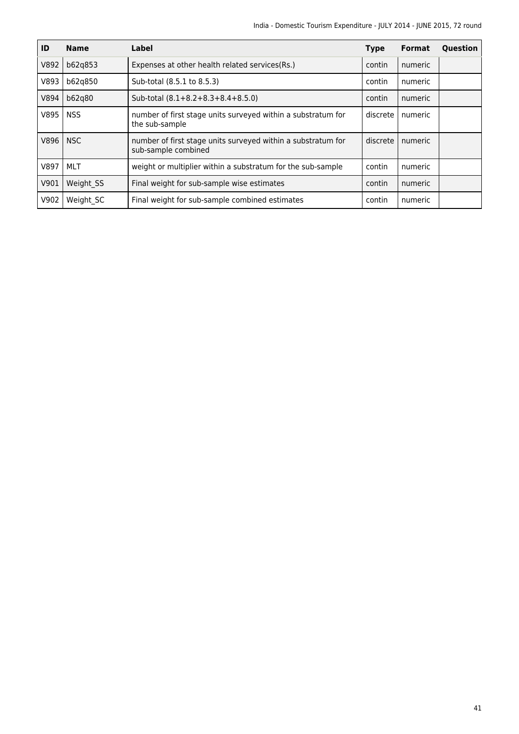| ID   | <b>Name</b> | Label                                                                               | <b>Type</b> | <b>Format</b> | Question |
|------|-------------|-------------------------------------------------------------------------------------|-------------|---------------|----------|
| V892 | b62q853     | Expenses at other health related services(Rs.)                                      | contin      | numeric       |          |
| V893 | b62q850     | Sub-total (8.5.1 to 8.5.3)                                                          | contin      | numeric       |          |
| V894 | b62q80      | Sub-total (8.1+8.2+8.3+8.4+8.5.0)                                                   | contin      | numeric       |          |
| V895 | <b>NSS</b>  | number of first stage units surveyed within a substratum for<br>the sub-sample      | discrete    | numeric       |          |
| V896 | <b>NSC</b>  | number of first stage units surveyed within a substratum for<br>sub-sample combined | discrete    | numeric       |          |
| V897 | MLT         | weight or multiplier within a substratum for the sub-sample                         | contin      | numeric       |          |
| V901 | Weight SS   | Final weight for sub-sample wise estimates                                          | contin      | numeric       |          |
| V902 | Weight SC   | Final weight for sub-sample combined estimates                                      | contin      | numeric       |          |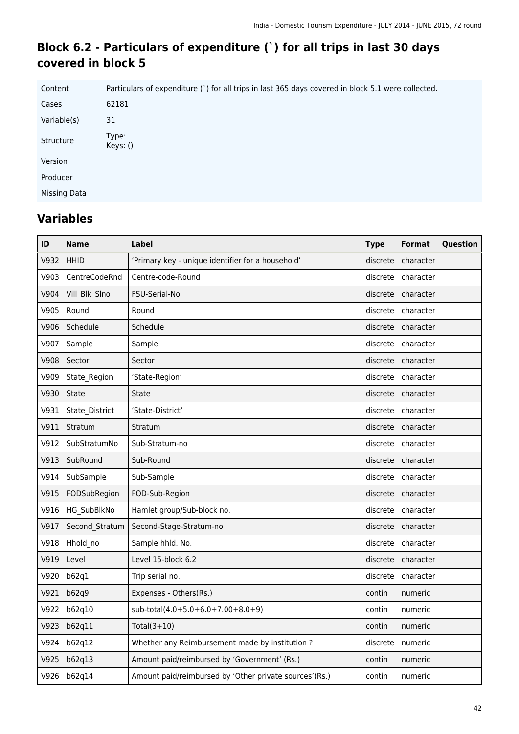### **Block 6.2 - Particulars of expenditure (`) for all trips in last 30 days covered in block 5**

| Content      | Particulars of expenditure (`) for all trips in last 365 days covered in block 5.1 were collected. |
|--------------|----------------------------------------------------------------------------------------------------|
| Cases        | 62181                                                                                              |
| Variable(s)  | 31                                                                                                 |
| Structure    | Type:<br>Keys: ()                                                                                  |
| Version      |                                                                                                    |
| Producer     |                                                                                                    |
| Missing Data |                                                                                                    |

| ID   | <b>Name</b>    | Label                                                  | <b>Type</b> | <b>Format</b> | <b>Question</b> |
|------|----------------|--------------------------------------------------------|-------------|---------------|-----------------|
| V932 | <b>HHID</b>    | 'Primary key - unique identifier for a household'      | discrete    | character     |                 |
| V903 | CentreCodeRnd  | Centre-code-Round                                      | discrete    | character     |                 |
| V904 | Vill_Blk_Slno  | FSU-Serial-No                                          | discrete    | character     |                 |
| V905 | Round          | Round                                                  | discrete    | character     |                 |
| V906 | Schedule       | Schedule                                               | discrete    | character     |                 |
| V907 | Sample         | Sample                                                 | discrete    | character     |                 |
| V908 | Sector         | Sector                                                 | discrete    | character     |                 |
| V909 | State Region   | 'State-Region'                                         | discrete    | character     |                 |
| V930 | <b>State</b>   | <b>State</b>                                           | discrete    | character     |                 |
| V931 | State District | 'State-District'                                       | discrete    | character     |                 |
| V911 | Stratum        | Stratum                                                | discrete    | character     |                 |
| V912 | SubStratumNo   | Sub-Stratum-no                                         | discrete    | character     |                 |
| V913 | SubRound       | Sub-Round                                              | discrete    | character     |                 |
| V914 | SubSample      | Sub-Sample                                             | discrete    | character     |                 |
| V915 | FODSubRegion   | FOD-Sub-Region                                         | discrete    | character     |                 |
| V916 | HG SubBlkNo    | Hamlet group/Sub-block no.                             | discrete    | character     |                 |
| V917 | Second_Stratum | Second-Stage-Stratum-no                                | discrete    | character     |                 |
| V918 | Hhold no       | Sample hhld. No.                                       | discrete    | character     |                 |
| V919 | Level          | Level 15-block 6.2                                     | discrete    | character     |                 |
| V920 | b62q1          | Trip serial no.                                        | discrete    | character     |                 |
| V921 | b62q9          | Expenses - Others(Rs.)                                 | contin      | numeric       |                 |
| V922 | b62q10         | sub-total(4.0+5.0+6.0+7.00+8.0+9)                      | contin      | numeric       |                 |
| V923 | b62q11         | $Total(3+10)$                                          | contin      | numeric       |                 |
| V924 | b62q12         | Whether any Reimbursement made by institution?         | discrete    | numeric       |                 |
| V925 | b62q13         | Amount paid/reimbursed by 'Government' (Rs.)           | contin      | numeric       |                 |
| V926 | b62q14         | Amount paid/reimbursed by 'Other private sources'(Rs.) | contin      | numeric       |                 |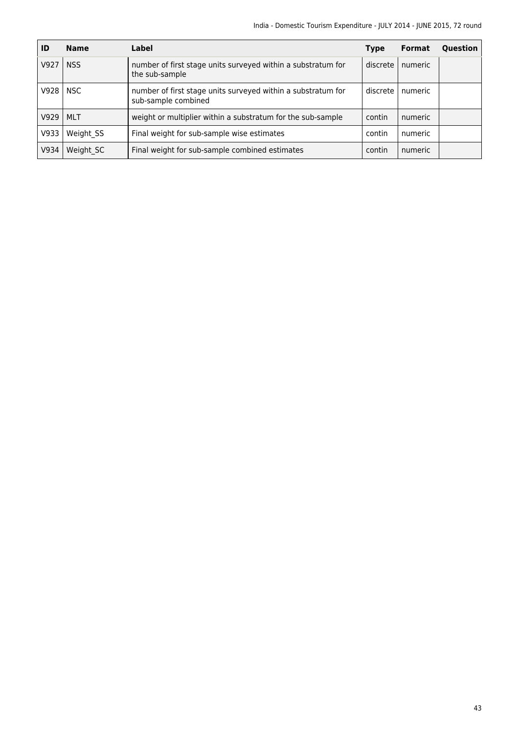| ID   | <b>Name</b> | Label                                                                               | <b>Type</b> | <b>Format</b> | Question |
|------|-------------|-------------------------------------------------------------------------------------|-------------|---------------|----------|
| V927 | <b>NSS</b>  | number of first stage units surveyed within a substratum for<br>the sub-sample      | discrete    | numeric       |          |
| V928 | <b>NSC</b>  | number of first stage units surveyed within a substratum for<br>sub-sample combined | discrete    | numeric       |          |
| V929 | MI T        | weight or multiplier within a substratum for the sub-sample                         | contin      | numeric       |          |
| V933 | Weight SS   | Final weight for sub-sample wise estimates                                          | contin      | numeric       |          |
| V934 | Weight SC   | Final weight for sub-sample combined estimates                                      | contin      | numeric       |          |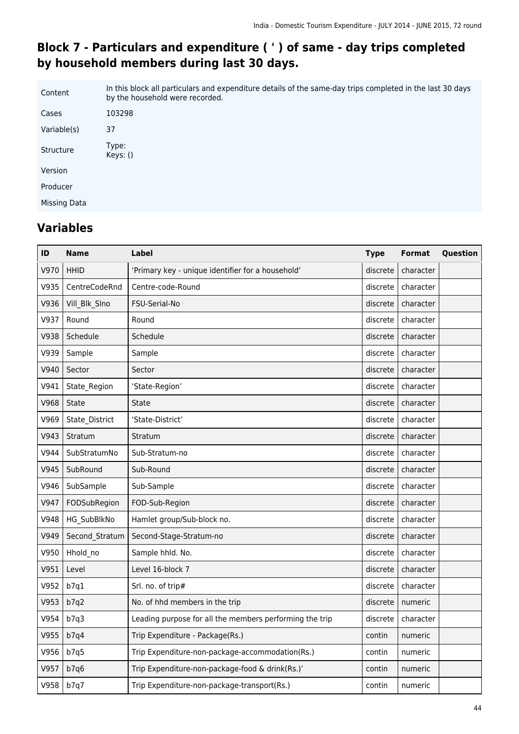### **Block 7 - Particulars and expenditure ( ' ) of same - day trips completed by household members during last 30 days.**

| Content      | In this block all particulars and expenditure details of the same-day trips completed in the last 30 days<br>by the household were recorded. |
|--------------|----------------------------------------------------------------------------------------------------------------------------------------------|
| Cases        | 103298                                                                                                                                       |
| Variable(s)  | 37                                                                                                                                           |
| Structure    | Type:<br>Keys: ()                                                                                                                            |
| Version      |                                                                                                                                              |
| Producer     |                                                                                                                                              |
| Missing Data |                                                                                                                                              |

| ID   | <b>Name</b>    | Label                                                   | <b>Type</b> | <b>Format</b> | <b>Question</b> |
|------|----------------|---------------------------------------------------------|-------------|---------------|-----------------|
| V970 | <b>HHID</b>    | 'Primary key - unique identifier for a household'       | discrete    | character     |                 |
| V935 | CentreCodeRnd  | Centre-code-Round                                       | discrete    | character     |                 |
| V936 | Vill_Blk_SIno  | FSU-Serial-No                                           | discrete    | character     |                 |
| V937 | Round          | Round                                                   | discrete    | character     |                 |
| V938 | Schedule       | Schedule                                                | discrete    | character     |                 |
| V939 | Sample         | Sample                                                  | discrete    | character     |                 |
| V940 | Sector         | Sector                                                  | discrete    | character     |                 |
| V941 | State_Region   | 'State-Region'                                          | discrete    | character     |                 |
| V968 | State          | <b>State</b>                                            | discrete    | character     |                 |
| V969 | State District | 'State-District'                                        | discrete    | character     |                 |
| V943 | Stratum        | Stratum                                                 | discrete    | character     |                 |
| V944 | SubStratumNo   | Sub-Stratum-no                                          | discrete    | character     |                 |
| V945 | SubRound       | Sub-Round                                               | discrete    | character     |                 |
| V946 | SubSample      | Sub-Sample                                              | discrete    | character     |                 |
| V947 | FODSubRegion   | FOD-Sub-Region                                          | discrete    | character     |                 |
| V948 | HG SubBlkNo    | Hamlet group/Sub-block no.                              | discrete    | character     |                 |
| V949 | Second_Stratum | Second-Stage-Stratum-no                                 | discrete    | character     |                 |
| V950 | Hhold no       | Sample hhld. No.                                        | discrete    | character     |                 |
| V951 | Level          | Level 16-block 7                                        | discrete    | character     |                 |
| V952 | b7q1           | Srl. no. of trip#                                       | discrete    | character     |                 |
| V953 | b7q2           | No. of hhd members in the trip                          | discrete    | numeric       |                 |
| V954 | b7q3           | Leading purpose for all the members performing the trip | discrete    | character     |                 |
| V955 | b7q4           | Trip Expenditure - Package(Rs.)                         | contin      | numeric       |                 |
| V956 | b7q5           | Trip Expenditure-non-package-accommodation(Rs.)         | contin      | numeric       |                 |
| V957 | b7q6           | Trip Expenditure-non-package-food & drink(Rs.)'         | contin      | numeric       |                 |
| V958 | b7q7           | Trip Expenditure-non-package-transport(Rs.)             | contin      | numeric       |                 |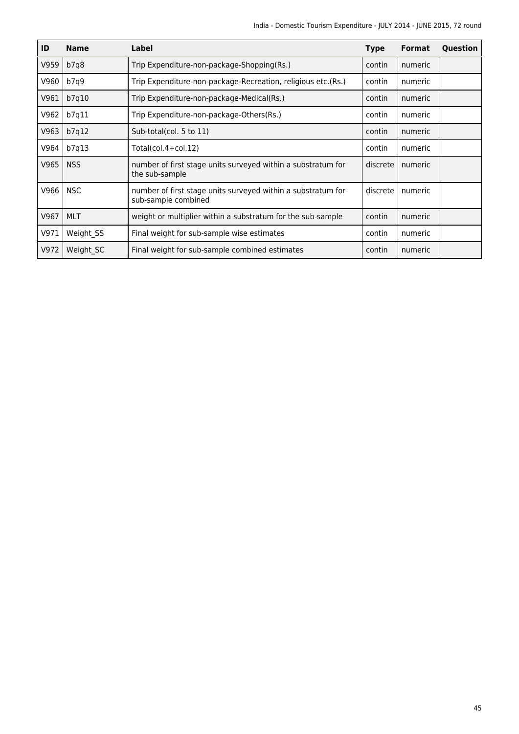| ID   | <b>Name</b> | Label                                                                               | <b>Type</b> | <b>Format</b> | <b>Question</b> |
|------|-------------|-------------------------------------------------------------------------------------|-------------|---------------|-----------------|
| V959 | b7q8        | Trip Expenditure-non-package-Shopping(Rs.)                                          | contin      | numeric       |                 |
| V960 | b7q9        | Trip Expenditure-non-package-Recreation, religious etc.(Rs.)                        | contin      | numeric       |                 |
| V961 | b7q10       | Trip Expenditure-non-package-Medical(Rs.)                                           | contin      | numeric       |                 |
| V962 | b7q11       | Trip Expenditure-non-package-Others(Rs.)                                            | contin      | numeric       |                 |
| V963 | b7q12       | Sub-total(col. 5 to 11)                                                             | contin      | numeric       |                 |
| V964 | b7q13       | Total(col.4+col.12)                                                                 | contin      | numeric       |                 |
| V965 | <b>NSS</b>  | number of first stage units surveyed within a substratum for<br>the sub-sample      | discrete    | numeric       |                 |
| V966 | <b>NSC</b>  | number of first stage units surveyed within a substratum for<br>sub-sample combined | discrete    | numeric       |                 |
| V967 | <b>MLT</b>  | weight or multiplier within a substratum for the sub-sample                         | contin      | numeric       |                 |
| V971 | Weight SS   | Final weight for sub-sample wise estimates                                          | contin      | numeric       |                 |
| V972 | Weight SC   | Final weight for sub-sample combined estimates                                      | contin      | numeric       |                 |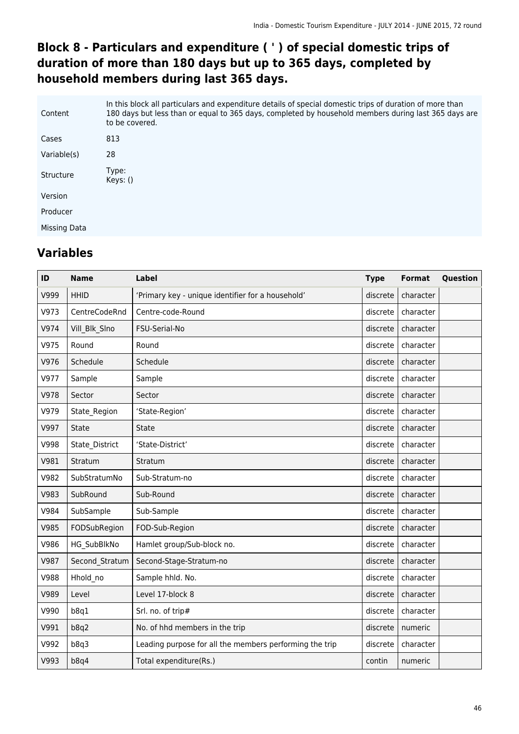### **Block 8 - Particulars and expenditure ( ' ) of special domestic trips of duration of more than 180 days but up to 365 days, completed by household members during last 365 days.**

| Content      | In this block all particulars and expenditure details of special domestic trips of duration of more than<br>180 days but less than or equal to 365 days, completed by household members during last 365 days are<br>to be covered. |
|--------------|------------------------------------------------------------------------------------------------------------------------------------------------------------------------------------------------------------------------------------|
| Cases        | 813                                                                                                                                                                                                                                |
| Variable(s)  | 28                                                                                                                                                                                                                                 |
| Structure    | Type:<br>Keys: ()                                                                                                                                                                                                                  |
| Version      |                                                                                                                                                                                                                                    |
| Producer     |                                                                                                                                                                                                                                    |
| Missing Data |                                                                                                                                                                                                                                    |

| ID   | <b>Name</b>    | <b>Label</b>                                            | <b>Type</b> | <b>Format</b> | Question |
|------|----------------|---------------------------------------------------------|-------------|---------------|----------|
| V999 | <b>HHID</b>    | 'Primary key - unique identifier for a household'       | discrete    | character     |          |
| V973 | CentreCodeRnd  | Centre-code-Round                                       | discrete    | character     |          |
| V974 | Vill Blk Slno  | FSU-Serial-No                                           | discrete    | character     |          |
| V975 | Round          | Round                                                   | discrete    | character     |          |
| V976 | Schedule       | Schedule                                                | discrete    | character     |          |
| V977 | Sample         | Sample                                                  | discrete    | character     |          |
| V978 | Sector         | Sector                                                  | discrete    | character     |          |
| V979 | State Region   | 'State-Region'                                          | discrete    | character     |          |
| V997 | <b>State</b>   | <b>State</b>                                            | discrete    | character     |          |
| V998 | State_District | 'State-District'                                        | discrete    | character     |          |
| V981 | Stratum        | Stratum                                                 | discrete    | character     |          |
| V982 | SubStratumNo   | Sub-Stratum-no                                          | discrete    | character     |          |
| V983 | SubRound       | Sub-Round                                               | discrete    | character     |          |
| V984 | SubSample      | Sub-Sample                                              | discrete    | character     |          |
| V985 | FODSubRegion   | FOD-Sub-Region                                          | discrete    | character     |          |
| V986 | HG SubBlkNo    | Hamlet group/Sub-block no.                              | discrete    | character     |          |
| V987 | Second Stratum | Second-Stage-Stratum-no                                 | discrete    | character     |          |
| V988 | Hhold no       | Sample hhld. No.                                        | discrete    | character     |          |
| V989 | Level          | Level 17-block 8                                        | discrete    | character     |          |
| V990 | b8q1           | Srl. no. of trip#                                       | discrete    | character     |          |
| V991 | b8q2           | No. of hhd members in the trip                          | discrete    | numeric       |          |
| V992 | b8q3           | Leading purpose for all the members performing the trip | discrete    | character     |          |
| V993 | b8q4           | Total expenditure(Rs.)                                  | contin      | numeric       |          |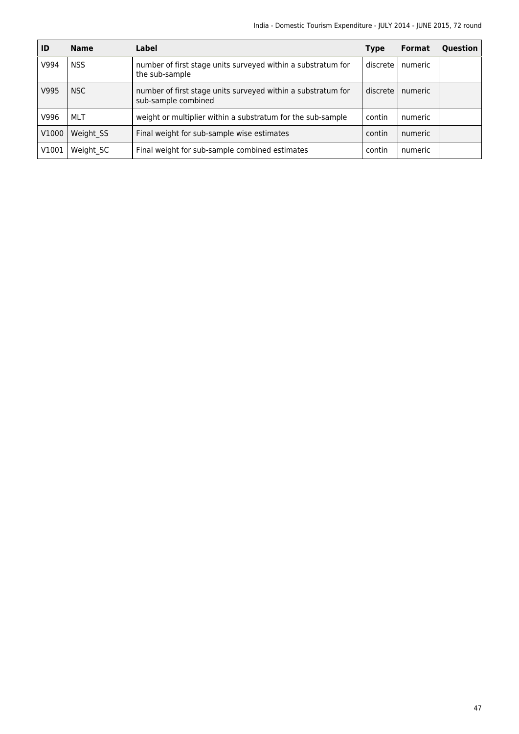| ID    | <b>Name</b> | Label                                                                               | <b>Type</b> | <b>Format</b> | <b>Ouestion</b> |
|-------|-------------|-------------------------------------------------------------------------------------|-------------|---------------|-----------------|
| V994  | <b>NSS</b>  | number of first stage units surveyed within a substratum for<br>the sub-sample      | discrete    | numeric       |                 |
| V995  | <b>NSC</b>  | number of first stage units surveyed within a substratum for<br>sub-sample combined | discrete    | numeric       |                 |
| V996  | <b>MLT</b>  | weight or multiplier within a substratum for the sub-sample                         | contin      | numeric       |                 |
| V1000 | Weight SS   | Final weight for sub-sample wise estimates                                          | contin      | numeric       |                 |
| V1001 | Weight SC   | Final weight for sub-sample combined estimates                                      | contin      | numeric       |                 |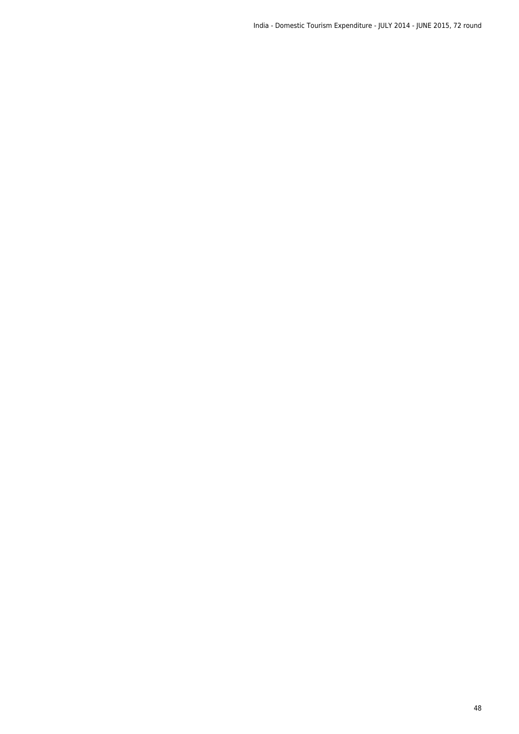India - Domestic Tourism Expenditure - JULY 2014 - JUNE 2015, 72 round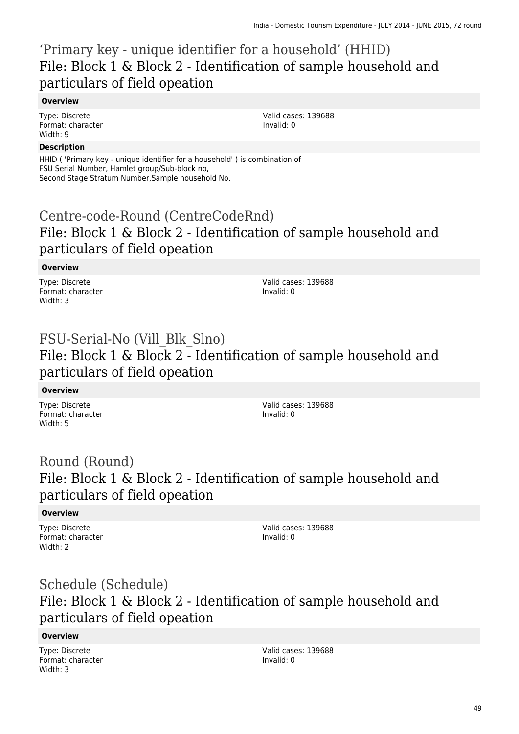# 'Primary key - unique identifier for a household' (HHID) File: Block 1 & Block 2 - Identification of sample household and particulars of field opeation

#### **Overview**

Type: Discrete Format: character Width: 9

**Description**

HHID ( 'Primary key - unique identifier for a household' ) is combination of FSU Serial Number, Hamlet group/Sub-block no, Second Stage Stratum Number,Sample household No.

# Centre-code-Round (CentreCodeRnd) File: Block 1 & Block 2 - Identification of sample household and particulars of field opeation

### **Overview**

Type: Discrete Format: character Width: 3

Valid cases: 139688 Invalid: 0

Valid cases: 139688

Invalid: 0

# FSU-Serial-No (Vill\_Blk\_Slno) File: Block 1 & Block 2 - Identification of sample household and particulars of field opeation

### **Overview**

Type: Discrete Format: character Width: 5

Valid cases: 139688 Invalid: 0

## Round (Round) File: Block 1 & Block 2 - Identification of sample household and particulars of field opeation

#### **Overview**

Type: Discrete Format: character Width: 2

Valid cases: 139688 Invalid: 0

# Schedule (Schedule) File: Block 1 & Block 2 - Identification of sample household and particulars of field opeation

#### **Overview**

Type: Discrete Format: character Width: 3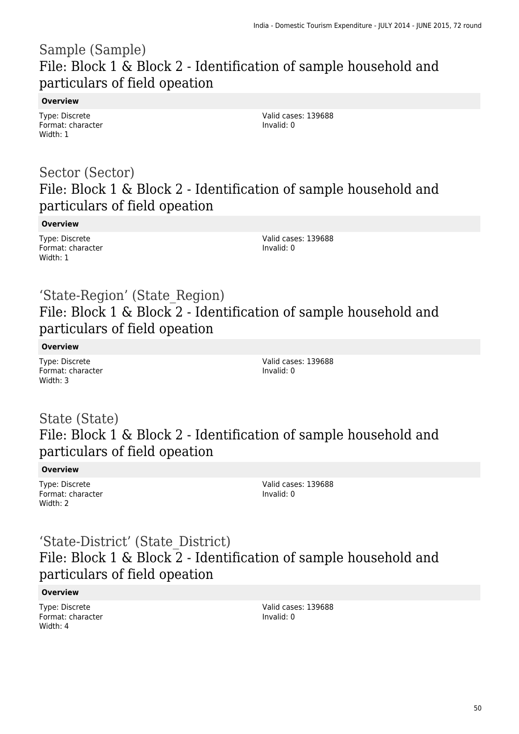### Sample (Sample) File: Block 1 & Block 2 - Identification of sample household and particulars of field opeation

#### **Overview**

Type: Discrete Format: character Width: 1

Valid cases: 139688 Invalid: 0

### Sector (Sector) File: Block 1 & Block 2 - Identification of sample household and particulars of field opeation

### **Overview**

Type: Discrete Format: character Width: 1

Valid cases: 139688 Invalid: 0

### 'State-Region' (State\_Region) File: Block 1 & Block 2 - Identification of sample household and particulars of field opeation

### **Overview**

Type: Discrete Format: character Width: 3

Valid cases: 139688 Invalid: 0

### State (State) File: Block 1 & Block 2 - Identification of sample household and particulars of field opeation

#### **Overview**

Type: Discrete Format: character Width: 2

Valid cases: 139688 Invalid: 0

'State-District' (State\_District) File: Block 1 & Block 2 - Identification of sample household and particulars of field opeation

#### **Overview**

Type: Discrete Format: character Width: 4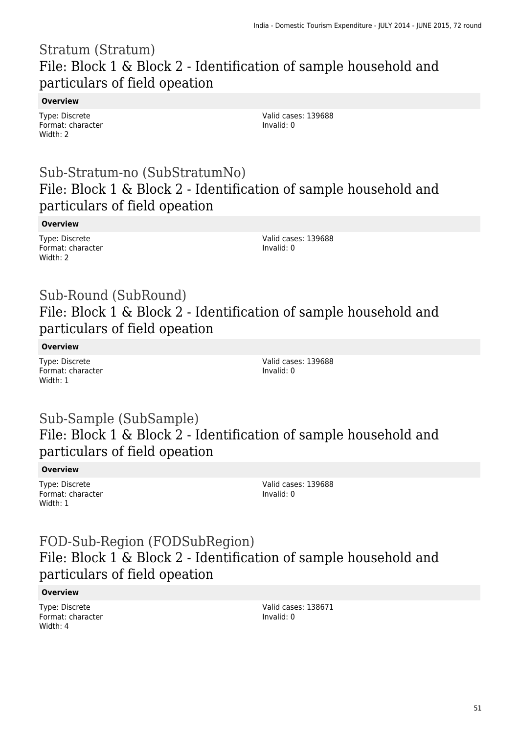### Stratum (Stratum) File: Block 1 & Block 2 - Identification of sample household and particulars of field opeation

#### **Overview**

Type: Discrete Format: character Width: 2

Valid cases: 139688 Invalid: 0

### Sub-Stratum-no (SubStratumNo) File: Block 1 & Block 2 - Identification of sample household and particulars of field opeation

#### **Overview**

Type: Discrete Format: character Width: 2

Valid cases: 139688 Invalid: 0

### Sub-Round (SubRound) File: Block 1 & Block 2 - Identification of sample household and particulars of field opeation

### **Overview**

Type: Discrete Format: character Width: 1

Valid cases: 139688 Invalid: 0

### Sub-Sample (SubSample) File: Block 1 & Block 2 - Identification of sample household and particulars of field opeation

#### **Overview**

Type: Discrete Format: character Width: 1

Valid cases: 139688 Invalid: 0

### FOD-Sub-Region (FODSubRegion) File: Block 1 & Block 2 - Identification of sample household and particulars of field opeation

#### **Overview**

Type: Discrete Format: character Width: 4

Valid cases: 138671 Invalid: 0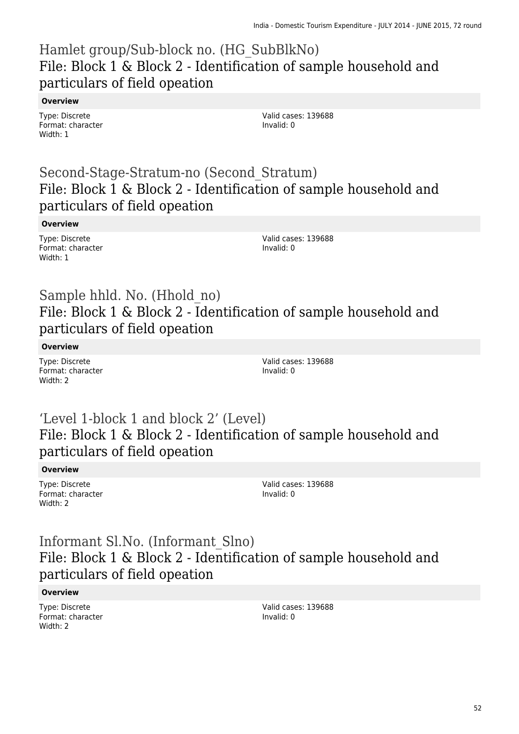### Hamlet group/Sub-block no. (HG\_SubBlkNo) File: Block 1 & Block 2 - Identification of sample household and particulars of field opeation

#### **Overview**

Type: Discrete Format: character Width: 1

Valid cases: 139688 Invalid: 0

### Second-Stage-Stratum-no (Second\_Stratum) File: Block 1 & Block 2 - Identification of sample household and particulars of field opeation

#### **Overview**

Type: Discrete Format: character Width: 1

Valid cases: 139688 Invalid: 0

### Sample hhld. No. (Hhold\_no) File: Block 1 & Block 2 - Identification of sample household and particulars of field opeation

#### **Overview**

Type: Discrete Format: character Width: 2

Valid cases: 139688 Invalid: 0

### 'Level 1-block 1 and block 2' (Level) File: Block 1 & Block 2 - Identification of sample household and particulars of field opeation

#### **Overview**

Type: Discrete Format: character Width: 2

Valid cases: 139688 Invalid: 0

### Informant Sl.No. (Informant\_Slno) File: Block 1 & Block 2 - Identification of sample household and particulars of field opeation

#### **Overview**

Type: Discrete Format: character Width: 2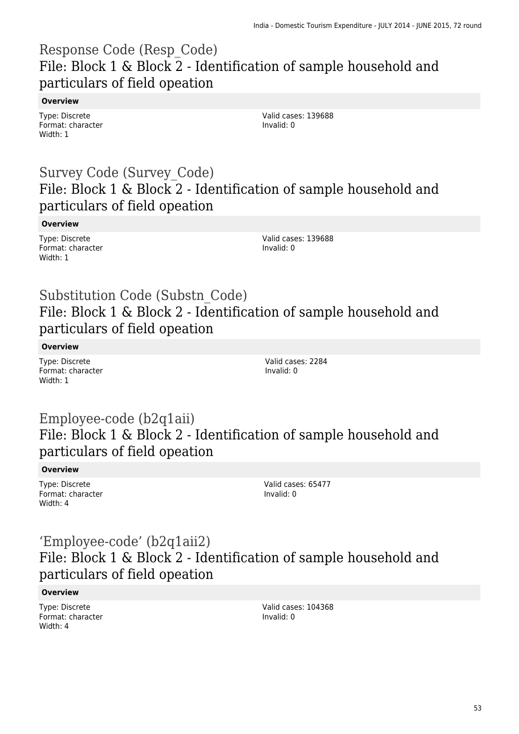### Response Code (Resp\_Code) File: Block 1 & Block 2 - Identification of sample household and particulars of field opeation

#### **Overview**

Type: Discrete Format: character Width: 1

Valid cases: 139688 Invalid: 0

### Survey Code (Survey\_Code) File: Block 1 & Block 2 - Identification of sample household and particulars of field opeation

### **Overview**

Type: Discrete Format: character Width: 1

Valid cases: 139688 Invalid: 0

### Substitution Code (Substn\_Code) File: Block 1 & Block 2 - Identification of sample household and particulars of field opeation

### **Overview**

Type: Discrete Format: character Width: 1

Valid cases: 2284 Invalid: 0

### Employee-code (b2q1aii) File: Block 1 & Block 2 - Identification of sample household and particulars of field opeation

#### **Overview**

Type: Discrete Format: character Width: 4

Valid cases: 65477 Invalid: 0

### 'Employee-code' (b2q1aii2) File: Block 1 & Block 2 - Identification of sample household and particulars of field opeation

#### **Overview**

Type: Discrete Format: character Width: 4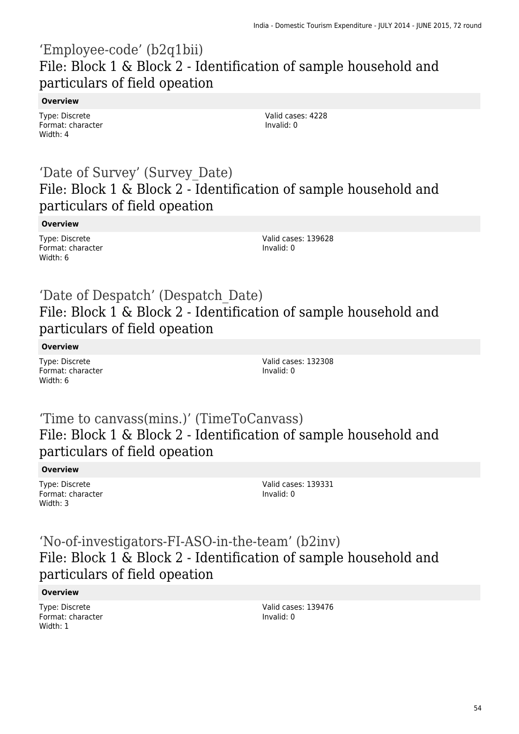### 'Employee-code' (b2q1bii) File: Block 1 & Block 2 - Identification of sample household and particulars of field opeation

#### **Overview**

Type: Discrete Format: character Width: 4

Valid cases: 4228 Invalid: 0

### 'Date of Survey' (Survey\_Date) File: Block 1 & Block 2 - Identification of sample household and particulars of field opeation

### **Overview**

Type: Discrete Format: character Width: 6

Valid cases: 139628 Invalid: 0

### 'Date of Despatch' (Despatch\_Date) File: Block 1 & Block 2 - Identification of sample household and particulars of field opeation

### **Overview**

Type: Discrete Format: character Width: 6

Valid cases: 132308 Invalid: 0

### 'Time to canvass(mins.)' (TimeToCanvass) File: Block 1 & Block 2 - Identification of sample household and particulars of field opeation

#### **Overview**

Type: Discrete Format: character Width: 3

Valid cases: 139331 Invalid: 0

'No-of-investigators-FI-ASO-in-the-team' (b2inv) File: Block 1 & Block 2 - Identification of sample household and particulars of field opeation

#### **Overview**

Type: Discrete Format: character Width: 1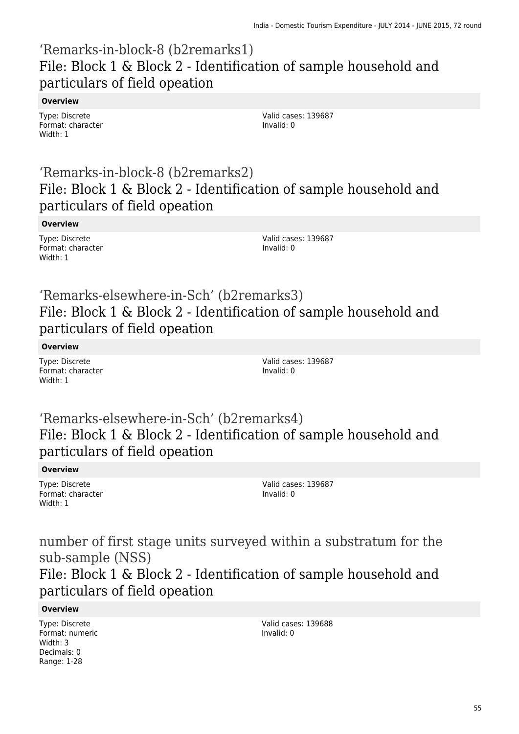### 'Remarks-in-block-8 (b2remarks1) File: Block 1 & Block 2 - Identification of sample household and particulars of field opeation

#### **Overview**

Type: Discrete Format: character Width: 1

Valid cases: 139687 Invalid: 0

'Remarks-in-block-8 (b2remarks2) File: Block 1 & Block 2 - Identification of sample household and particulars of field opeation

#### **Overview**

Type: Discrete Format: character Width: 1

Valid cases: 139687 Invalid: 0

### 'Remarks-elsewhere-in-Sch' (b2remarks3) File: Block 1 & Block 2 - Identification of sample household and particulars of field opeation

#### **Overview**

Type: Discrete Format: character Width: 1

Valid cases: 139687 Invalid: 0

### 'Remarks-elsewhere-in-Sch' (b2remarks4) File: Block 1 & Block 2 - Identification of sample household and particulars of field opeation

#### **Overview**

Type: Discrete Format: character Width: 1

Valid cases: 139687 Invalid: 0

number of first stage units surveyed within a substratum for the sub-sample (NSS) File: Block 1 & Block 2 - Identification of sample household and particulars of field opeation

#### **Overview**

Type: Discrete Format: numeric Width: 3 Decimals: 0 Range: 1-28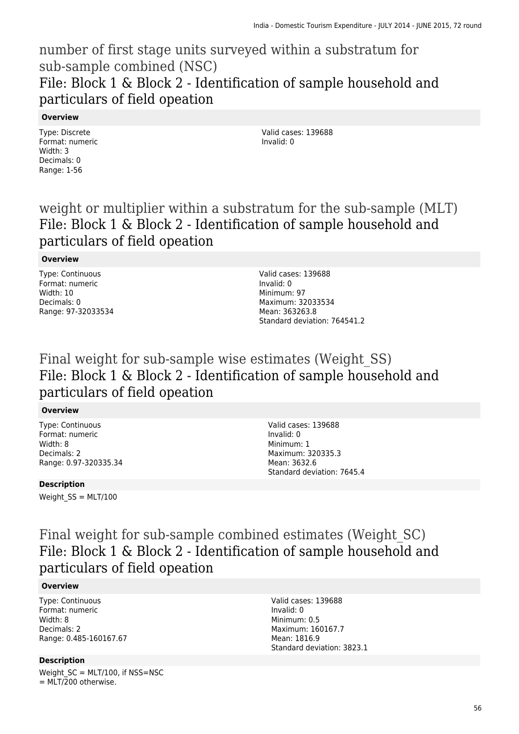### number of first stage units surveyed within a substratum for sub-sample combined (NSC) File: Block 1 & Block 2 - Identification of sample household and particulars of field opeation

#### **Overview**

Type: Discrete Format: numeric Width: 3 Decimals: 0 Range: 1-56

Valid cases: 139688 Invalid: 0

weight or multiplier within a substratum for the sub-sample (MLT) File: Block 1 & Block 2 - Identification of sample household and particulars of field opeation

#### **Overview**

Type: Continuous Format: numeric Width: 10 Decimals: 0 Range: 97-32033534

Valid cases: 139688 Invalid: 0 Minimum: 97 Maximum: 32033534 Mean: 363263.8 Standard deviation: 764541.2

### Final weight for sub-sample wise estimates (Weight\_SS) File: Block 1 & Block 2 - Identification of sample household and particulars of field opeation

#### **Overview**

Type: Continuous Format: numeric Width: 8 Decimals: 2 Range: 0.97-320335.34

#### **Description**

Weight  $SS = MLT/100$ 

Valid cases: 139688 Invalid: 0 Minimum: 1 Maximum: 320335.3 Mean: 3632.6 Standard deviation: 7645.4

Final weight for sub-sample combined estimates (Weight\_SC) File: Block 1 & Block 2 - Identification of sample household and particulars of field opeation

#### **Overview**

Type: Continuous Format: numeric Width: 8 Decimals: 2 Range: 0.485-160167.67

#### **Description**

Weight  $SC = MLT/100$ , if NSS=NSC = MLT/200 otherwise.

Valid cases: 139688 Invalid: 0 Minimum: 0.5 Maximum: 160167.7 Mean: 1816.9 Standard deviation: 3823.1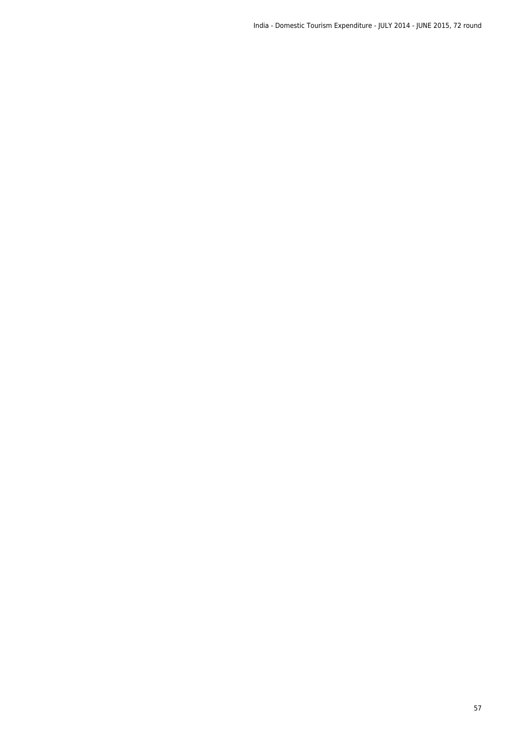India - Domestic Tourism Expenditure - JULY 2014 - JUNE 2015, 72 round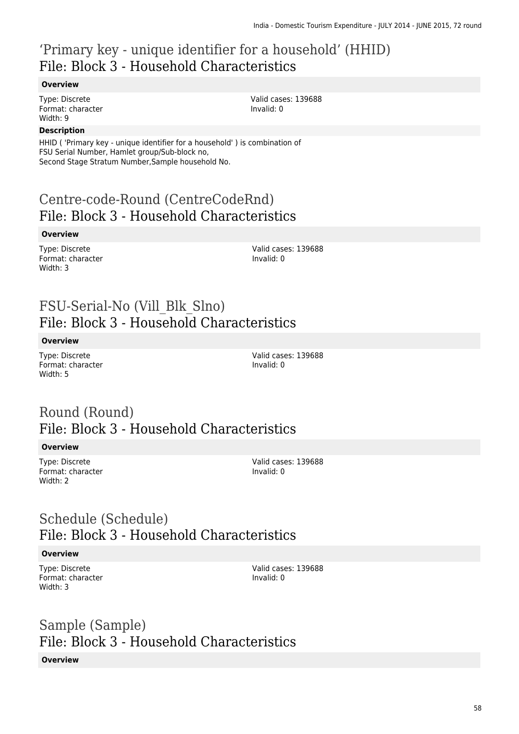# 'Primary key - unique identifier for a household' (HHID) File: Block 3 - Household Characteristics

#### **Overview**

Type: Discrete Format: character Width: 9

Valid cases: 139688 Invalid: 0

### **Description**

HHID ( 'Primary key - unique identifier for a household' ) is combination of FSU Serial Number, Hamlet group/Sub-block no, Second Stage Stratum Number,Sample household No.

### Centre-code-Round (CentreCodeRnd) File: Block 3 - Household Characteristics

#### **Overview**

Type: Discrete Format: character Width: 3

Valid cases: 139688 Invalid: 0

### FSU-Serial-No (Vill\_Blk\_Slno) File: Block 3 - Household Characteristics

#### **Overview**

Type: Discrete Format: character Width: 5

Valid cases: 139688 Invalid: 0

# Round (Round) File: Block 3 - Household Characteristics

#### **Overview**

Type: Discrete Format: character Width: 2

Valid cases: 139688 Invalid: 0

### Schedule (Schedule) File: Block 3 - Household Characteristics

#### **Overview**

Type: Discrete Format: character Width: 3

Valid cases: 139688 Invalid: 0

### Sample (Sample) File: Block 3 - Household Characteristics

#### **Overview**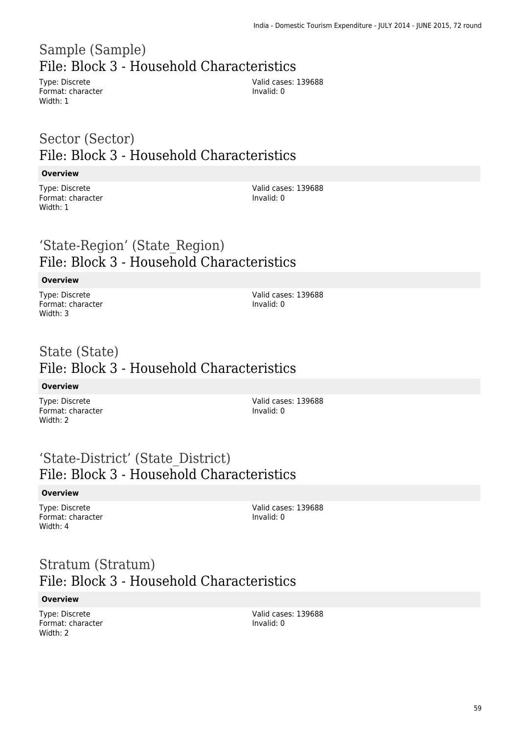# Sample (Sample) File: Block 3 - Household Characteristics

Type: Discrete Format: character Width: 1

Valid cases: 139688 Invalid: 0

### Sector (Sector) File: Block 3 - Household Characteristics

#### **Overview**

Type: Discrete Format: character Width: 1

Valid cases: 139688 Invalid: 0

### 'State-Region' (State\_Region) File: Block 3 - Household Characteristics

#### **Overview**

Type: Discrete Format: character Width: 3

Valid cases: 139688 Invalid: 0

# State (State) File: Block 3 - Household Characteristics

#### **Overview**

Type: Discrete Format: character Width: 2

Valid cases: 139688 Invalid: 0

### 'State-District' (State\_District) File: Block 3 - Household Characteristics

#### **Overview**

Type: Discrete Format: character Width: 4

Valid cases: 139688 Invalid: 0

### Stratum (Stratum) File: Block 3 - Household Characteristics

#### **Overview**

Type: Discrete Format: character Width: 2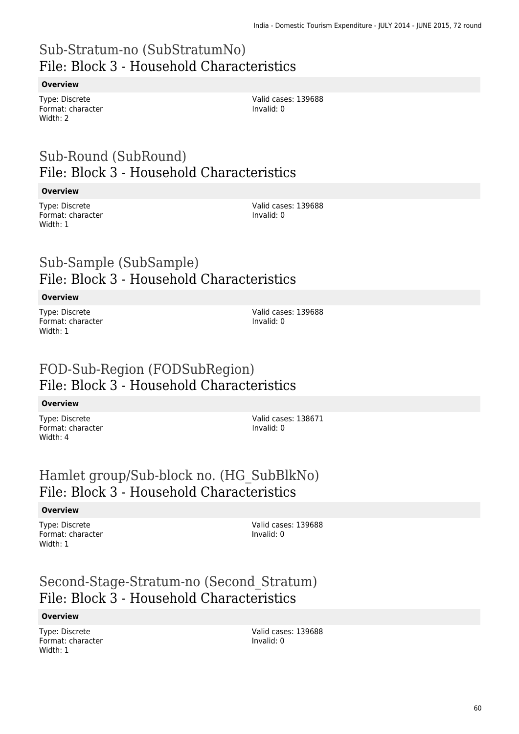### Sub-Stratum-no (SubStratumNo) File: Block 3 - Household Characteristics

#### **Overview**

Type: Discrete Format: character Width: 2

Valid cases: 139688 Invalid: 0

# Sub-Round (SubRound) File: Block 3 - Household Characteristics

#### **Overview**

Type: Discrete Format: character Width: 1

Valid cases: 139688 Invalid: 0

### Sub-Sample (SubSample) File: Block 3 - Household Characteristics

#### **Overview**

Type: Discrete Format: character Width: 1

Valid cases: 139688 Invalid: 0

### FOD-Sub-Region (FODSubRegion) File: Block 3 - Household Characteristics

#### **Overview**

Type: Discrete Format: character Width: 4

Valid cases: 138671 Invalid: 0

### Hamlet group/Sub-block no. (HG\_SubBlkNo) File: Block 3 - Household Characteristics

#### **Overview**

Type: Discrete Format: character Width: 1

Valid cases: 139688 Invalid: 0

### Second-Stage-Stratum-no (Second\_Stratum) File: Block 3 - Household Characteristics

#### **Overview**

Type: Discrete Format: character Width: 1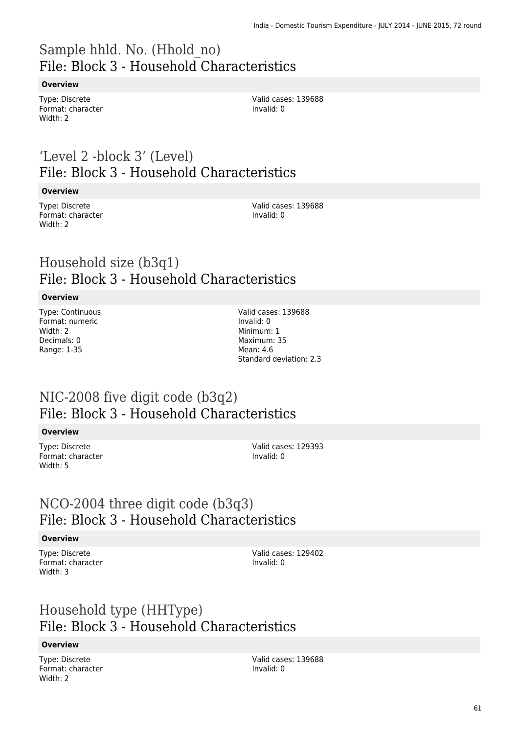### Sample hhld. No. (Hhold\_no) File: Block 3 - Household Characteristics

### **Overview**

Type: Discrete Format: character Width: 2

Valid cases: 139688 Invalid: 0

# 'Level 2 -block 3' (Level) File: Block 3 - Household Characteristics

#### **Overview**

Type: Discrete Format: character Width: 2

Valid cases: 139688 Invalid: 0

# Household size (b3q1) File: Block 3 - Household Characteristics

#### **Overview**

Type: Continuous Format: numeric Width: 2 Decimals: 0 Range: 1-35

Valid cases: 139688 Invalid: 0 Minimum: 1 Maximum: 35 Mean: 4.6 Standard deviation: 2.3

### NIC-2008 five digit code (b3q2) File: Block 3 - Household Characteristics

#### **Overview**

Type: Discrete Format: character Width: 5

Valid cases: 129393 Invalid: 0

### NCO-2004 three digit code (b3q3) File: Block 3 - Household Characteristics

#### **Overview**

Type: Discrete Format: character Width: 3

Valid cases: 129402 Invalid: 0

# Household type (HHType) File: Block 3 - Household Characteristics

#### **Overview**

Type: Discrete Format: character Width: 2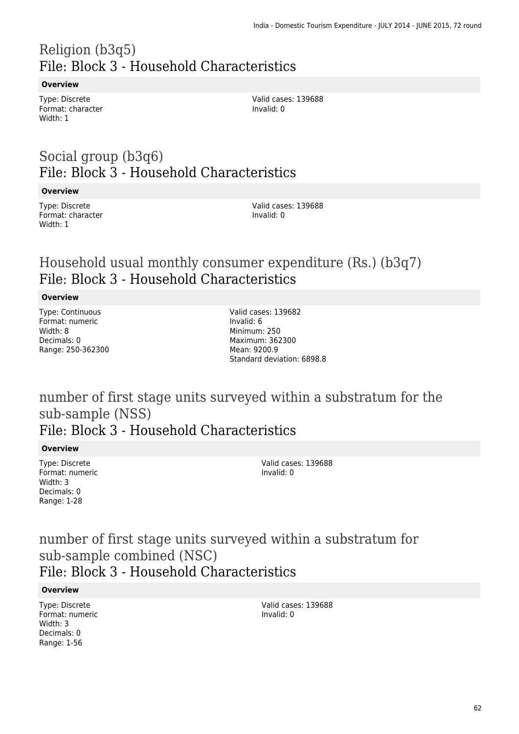# Religion (b3q5) File: Block 3 - Household Characteristics

#### **Overview**

Type: Discrete Format: character Width: 1

Valid cases: 139688 Invalid: 0

# Social group (b3q6) File: Block 3 - Household Characteristics

#### **Overview**

Type: Discrete Format: character Width: 1

Valid cases: 139688 Invalid: 0

## Household usual monthly consumer expenditure (Rs.) (b3q7) File: Block 3 - Household Characteristics

#### **Overview**

Type: Continuous Format: numeric Width: 8 Decimals: 0 Range: 250-362300 Valid cases: 139682 Invalid: 6 Minimum: 250 Maximum: 362300 Mean: 9200.9 Standard deviation: 6898.8

# number of first stage units surveyed within a substratum for the sub-sample (NSS)

### File: Block 3 - Household Characteristics

#### **Overview**

Type: Discrete Format: numeric Width: 3 Decimals: 0 Range: 1-28

Valid cases: 139688 Invalid: 0

### number of first stage units surveyed within a substratum for sub-sample combined (NSC) File: Block 3 - Household Characteristics

#### **Overview**

Type: Discrete Format: numeric Width: 3 Decimals: 0 Range: 1-56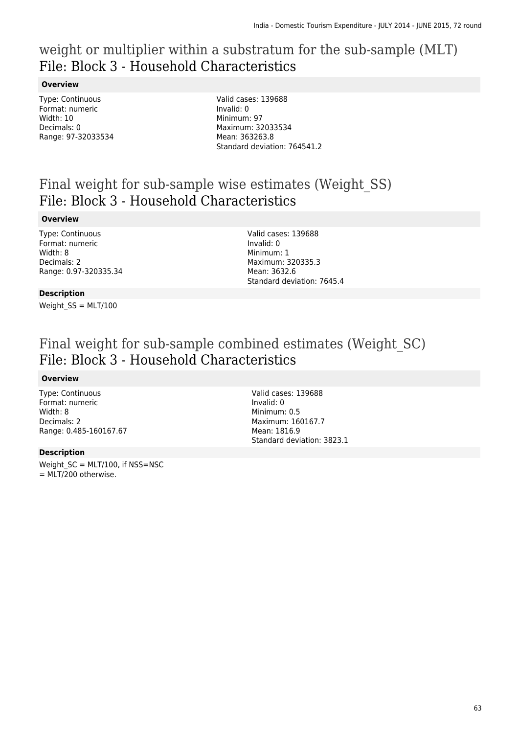# weight or multiplier within a substratum for the sub-sample (MLT) File: Block 3 - Household Characteristics

### **Overview**

Type: Continuous Format: numeric Width: 10 Decimals: 0 Range: 97-32033534

Valid cases: 139688 Invalid: 0 Minimum: 97 Maximum: 32033534 Mean: 363263.8 Standard deviation: 764541.2

# Final weight for sub-sample wise estimates (Weight\_SS) File: Block 3 - Household Characteristics

### **Overview**

Type: Continuous Format: numeric Width: 8 Decimals: 2 Range: 0.97-320335.34

**Description**

Weight  $SS = MLT/100$ 

Valid cases: 139688 Invalid: 0 Minimum: 1 Maximum: 320335.3 Mean: 3632.6 Standard deviation: 7645.4

## Final weight for sub-sample combined estimates (Weight\_SC) File: Block 3 - Household Characteristics

#### **Overview**

Type: Continuous Format: numeric Width: 8 Decimals: 2 Range: 0.485-160167.67

#### **Description**

Weight  $SC = MLT/100$ , if NSS=NSC = MLT/200 otherwise.

Valid cases: 139688 Invalid: 0 Minimum: 0.5 Maximum: 160167.7 Mean: 1816.9 Standard deviation: 3823.1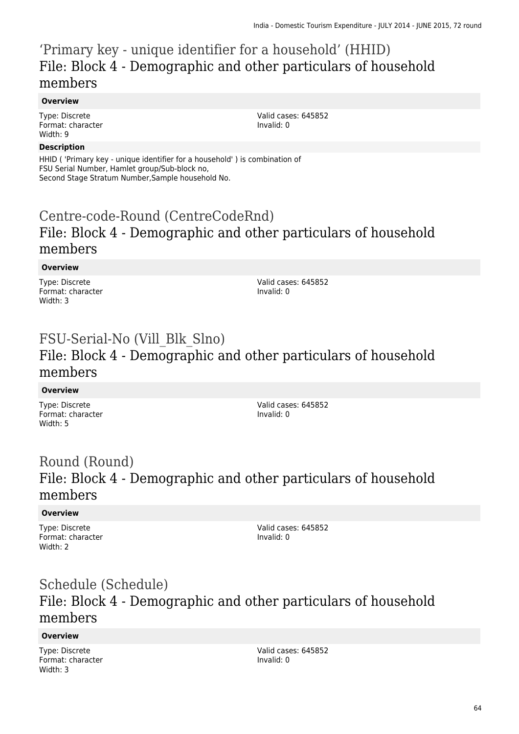# 'Primary key - unique identifier for a household' (HHID) File: Block 4 - Demographic and other particulars of household members

### **Overview**

Type: Discrete Format: character Width: 9

**Description**

HHID ( 'Primary key - unique identifier for a household' ) is combination of FSU Serial Number, Hamlet group/Sub-block no, Second Stage Stratum Number,Sample household No.

## Centre-code-Round (CentreCodeRnd) File: Block 4 - Demographic and other particulars of household members

### **Overview**

Type: Discrete Format: character Width: 3

Valid cases: 645852 Invalid: 0

Valid cases: 645852

Invalid: 0

# FSU-Serial-No (Vill\_Blk\_Slno) File: Block 4 - Demographic and other particulars of household members

### **Overview**

Type: Discrete Format: character Width: 5

Valid cases: 645852 Invalid: 0

## Round (Round) File: Block 4 - Demographic and other particulars of household members

#### **Overview**

Type: Discrete Format: character Width: 2

Valid cases: 645852 Invalid: 0

## Schedule (Schedule) File: Block 4 - Demographic and other particulars of household members

#### **Overview**

Type: Discrete Format: character Width: 3

Valid cases: 645852 Invalid: 0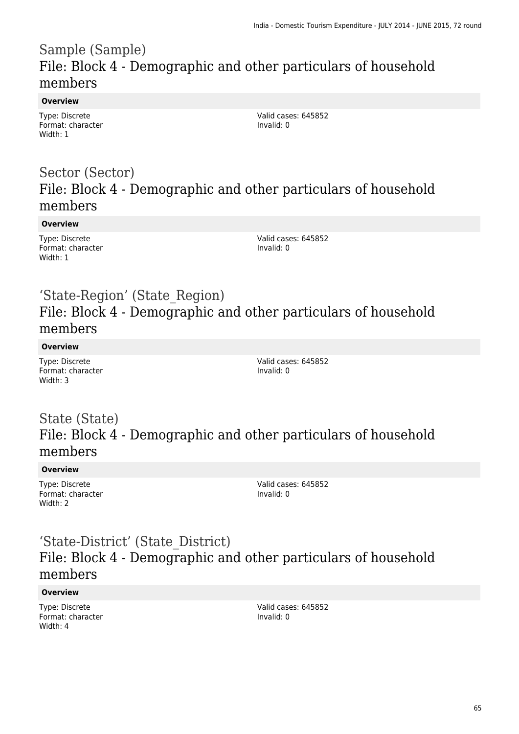### Sample (Sample) File: Block 4 - Demographic and other particulars of household members

#### **Overview**

Type: Discrete Format: character Width: 1

Valid cases: 645852 Invalid: 0

## Sector (Sector) File: Block 4 - Demographic and other particulars of household members

#### **Overview**

Type: Discrete Format: character Width: 1

Valid cases: 645852 Invalid: 0

# 'State-Region' (State\_Region) File: Block 4 - Demographic and other particulars of household members

### **Overview**

Type: Discrete Format: character Width: 3

Valid cases: 645852 Invalid: 0

### State (State) File: Block 4 - Demographic and other particulars of household members

#### **Overview**

Type: Discrete Format: character Width: 2

Valid cases: 645852 Invalid: 0

### 'State-District' (State\_District) File: Block 4 - Demographic and other particulars of household members

#### **Overview**

Type: Discrete Format: character Width: 4

Valid cases: 645852 Invalid: 0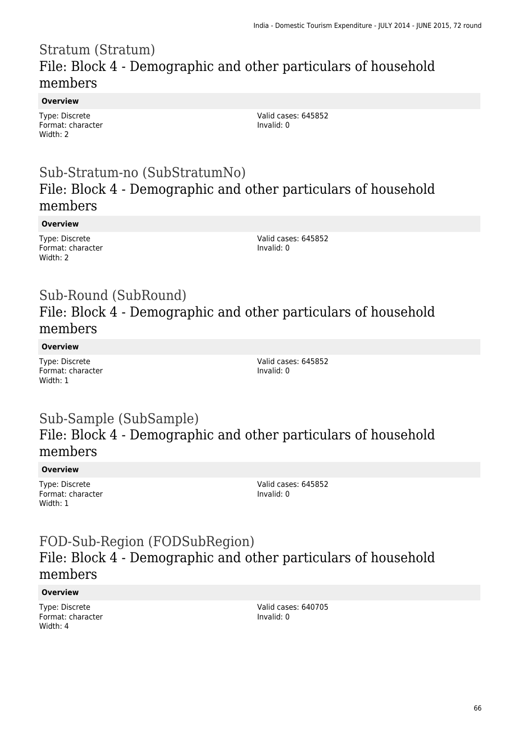### Stratum (Stratum) File: Block 4 - Demographic and other particulars of household members

### **Overview**

Type: Discrete Format: character Width: 2

Valid cases: 645852 Invalid: 0

### Sub-Stratum-no (SubStratumNo) File: Block 4 - Demographic and other particulars of household members

#### **Overview**

Type: Discrete Format: character Width: 2

Valid cases: 645852 Invalid: 0

## Sub-Round (SubRound) File: Block 4 - Demographic and other particulars of household members

### **Overview**

Type: Discrete Format: character Width: 1

Valid cases: 645852 Invalid: 0

### Sub-Sample (SubSample) File: Block 4 - Demographic and other particulars of household members

#### **Overview**

Type: Discrete Format: character Width: 1

Valid cases: 645852 Invalid: 0

## FOD-Sub-Region (FODSubRegion) File: Block 4 - Demographic and other particulars of household members

#### **Overview**

Type: Discrete Format: character Width: 4

Valid cases: 640705 Invalid: 0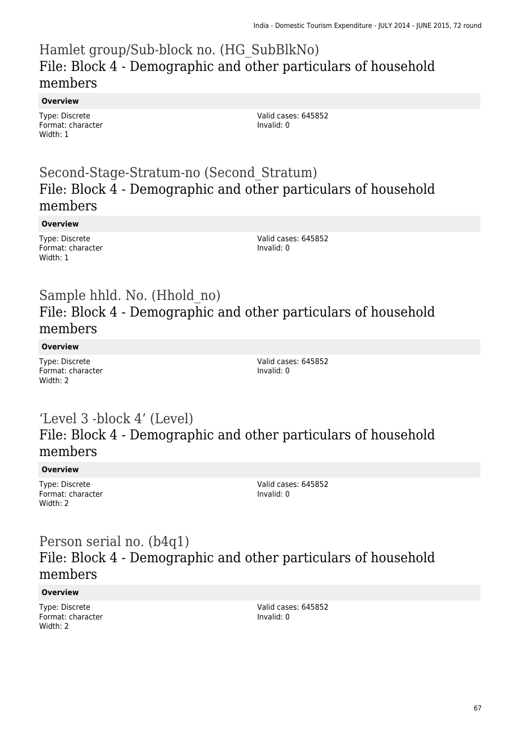### Hamlet group/Sub-block no. (HG\_SubBlkNo) File: Block 4 - Demographic and other particulars of household members

#### **Overview**

Type: Discrete Format: character Width: 1

Valid cases: 645852 Invalid: 0

### Second-Stage-Stratum-no (Second\_Stratum) File: Block 4 - Demographic and other particulars of household members

#### **Overview**

Type: Discrete Format: character Width: 1

Valid cases: 645852 Invalid: 0

### Sample hhld. No. (Hhold\_no) File: Block 4 - Demographic and other particulars of household members

### **Overview**

Type: Discrete Format: character Width: 2

Valid cases: 645852 Invalid: 0

### 'Level 3 -block 4' (Level) File: Block 4 - Demographic and other particulars of household members

#### **Overview**

Type: Discrete Format: character Width: 2

Valid cases: 645852 Invalid: 0

## Person serial no. (b4q1) File: Block 4 - Demographic and other particulars of household members

#### **Overview**

Type: Discrete Format: character Width: 2

Valid cases: 645852 Invalid: 0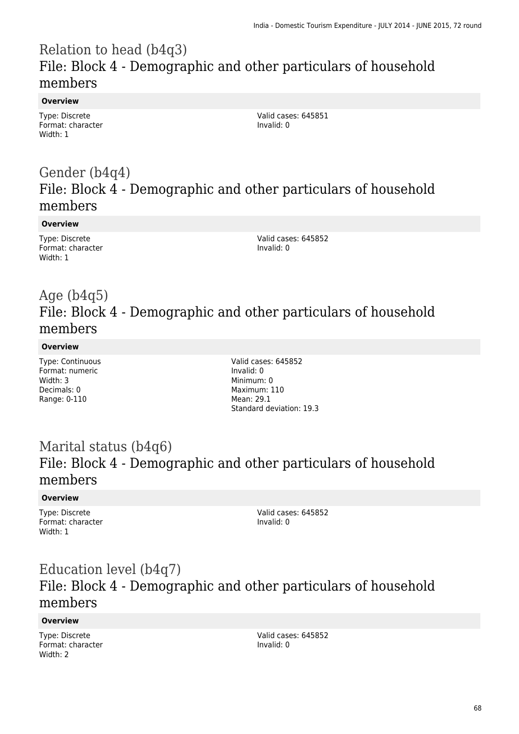# Relation to head (b4q3) File: Block 4 - Demographic and other particulars of household members

### **Overview**

Type: Discrete Format: character Width: 1

Valid cases: 645851 Invalid: 0

## Gender (b4q4) File: Block 4 - Demographic and other particulars of household members

### **Overview**

Type: Discrete Format: character Width: 1

Valid cases: 645852 Invalid: 0

### Age (b4q5) File: Block 4 - Demographic and other particulars of household members

### **Overview**

| <b>Type: Continuous</b> |
|-------------------------|
| Format: numeric         |
| Width: 3                |
| Decimals: 0             |
| Range: 0-110            |

Valid cases: 645852 Invalid: 0 Minimum: 0 Maximum: 110 Mean: 29.1 Standard deviation: 19.3

## Marital status (b4q6) File: Block 4 - Demographic and other particulars of household members

### **Overview**

Type: Discrete Format: character Width: 1

Valid cases: 645852 Invalid: 0

## Education level (b4q7) File: Block 4 - Demographic and other particulars of household members

### **Overview**

Type: Discrete Format: character Width: 2

Valid cases: 645852 Invalid: 0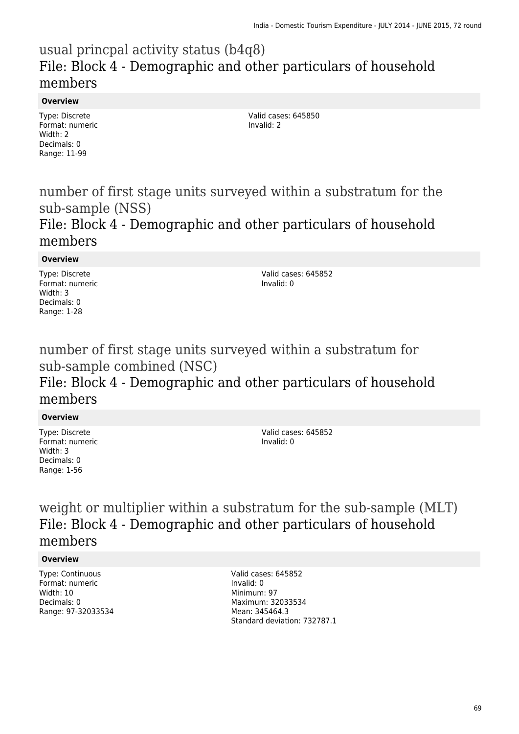### usual princpal activity status (b4q8) File: Block 4 - Demographic and other particulars of household members

#### **Overview**

Type: Discrete Format: numeric Width: 2 Decimals: 0 Range: 11-99

Valid cases: 645850 Invalid: 2

number of first stage units surveyed within a substratum for the sub-sample (NSS) File: Block 4 - Demographic and other particulars of household members

# **Overview**

Type: Discrete Format: numeric Width: 3 Decimals: 0 Range: 1-28

Valid cases: 645852 Invalid: 0

### number of first stage units surveyed within a substratum for sub-sample combined (NSC) File: Block 4 - Demographic and other particulars of household members

### **Overview**

Type: Discrete Format: numeric Width: 3 Decimals: 0 Range: 1-56

Valid cases: 645852 Invalid: 0

weight or multiplier within a substratum for the sub-sample (MLT) File: Block 4 - Demographic and other particulars of household members

#### **Overview**

Type: Continuous Format: numeric Width: 10 Decimals: 0 Range: 97-32033534

Valid cases: 645852 Invalid: 0 Minimum: 97 Maximum: 32033534 Mean: 345464.3 Standard deviation: 732787.1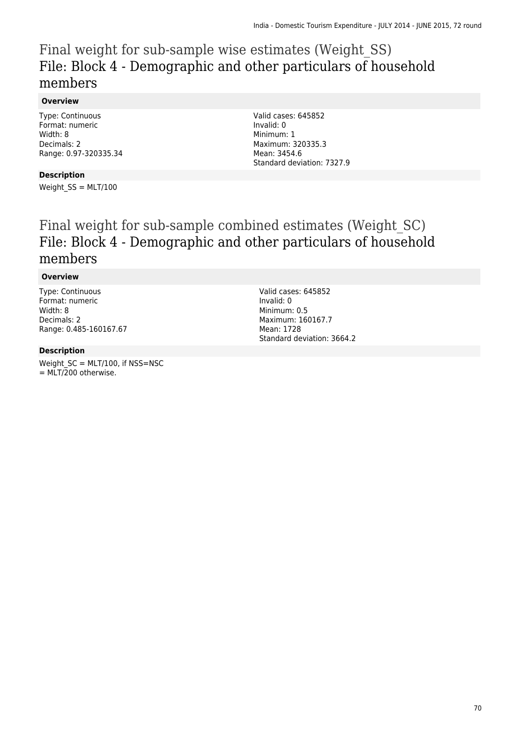# Final weight for sub-sample wise estimates (Weight\_SS) File: Block 4 - Demographic and other particulars of household members

#### **Overview**

Type: Continuous Format: numeric Width: 8 Decimals: 2 Range: 0.97-320335.34

#### **Description**

Weight  $SS = MLT/100$ 

Valid cases: 645852 Invalid: 0 Minimum: 1 Maximum: 320335.3 Mean: 3454.6 Standard deviation: 7327.9

# Final weight for sub-sample combined estimates (Weight\_SC) File: Block 4 - Demographic and other particulars of household members

#### **Overview**

Type: Continuous Format: numeric Width: 8 Decimals: 2 Range: 0.485-160167.67

#### **Description**

Weight  $SC = MLT/100$ , if NSS=NSC  $=$  MLT/200 otherwise.

Valid cases: 645852 Invalid: 0 Minimum: 0.5 Maximum: 160167.7 Mean: 1728 Standard deviation: 3664.2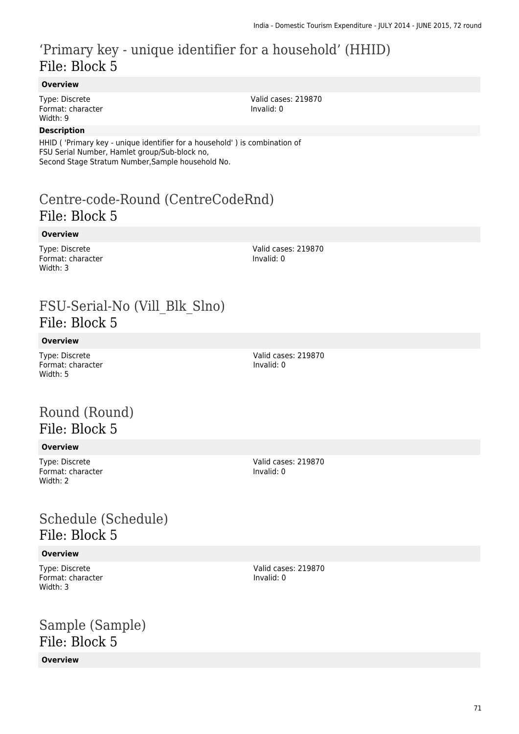# 'Primary key - unique identifier for a household' (HHID) File: Block 5

#### **Overview**

Type: Discrete Format: character Width: 9

Valid cases: 219870 Invalid: 0

### **Description**

HHID ( 'Primary key - unique identifier for a household' ) is combination of FSU Serial Number, Hamlet group/Sub-block no, Second Stage Stratum Number,Sample household No.

# Centre-code-Round (CentreCodeRnd) File: Block 5

#### **Overview**

Type: Discrete Format: character Width: 3

Valid cases: 219870 Invalid: 0

# FSU-Serial-No (Vill\_Blk\_Slno) File: Block 5

### **Overview**

Type: Discrete Format: character Width: 5

Valid cases: 219870 Invalid: 0

# Round (Round) File: Block 5

#### **Overview**

Type: Discrete Format: character Width: 2

Valid cases: 219870 Invalid: 0

# Schedule (Schedule) File: Block 5

#### **Overview**

Type: Discrete Format: character Width: 3

Valid cases: 219870 Invalid: 0

### Sample (Sample) File: Block 5

**Overview**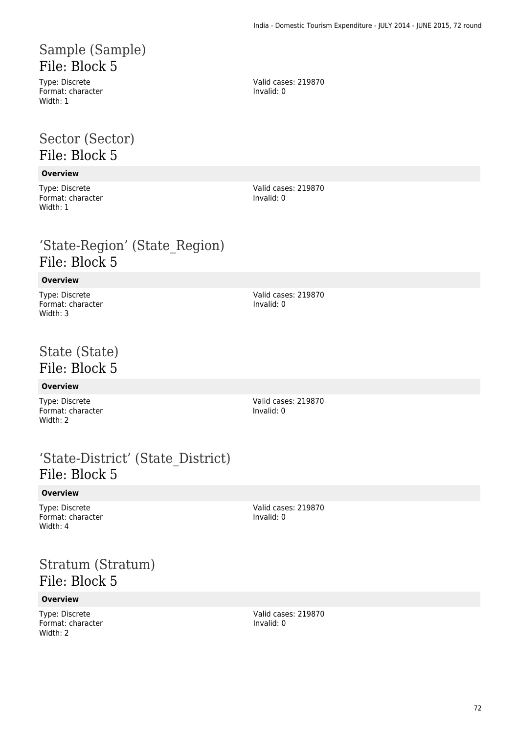# Sample (Sample) File: Block 5

Type: Discrete Format: character Width: 1

### Sector (Sector) File: Block 5

### **Overview**

Type: Discrete Format: character Width: 1

#### Valid cases: 219870 Invalid: 0

Valid cases: 219870

Invalid: 0

# 'State-Region' (State\_Region) File: Block 5

### **Overview**

Type: Discrete Format: character Width: 3

# State (State) File: Block 5

#### **Overview**

Type: Discrete Format: character Width: 2

Valid cases: 219870

Invalid: 0

Valid cases: 219870 Invalid: 0

# 'State-District' (State\_District) File: Block 5

### **Overview**

Type: Discrete Format: character Width: 4

Valid cases: 219870 Invalid: 0

### Stratum (Stratum) File: Block 5

#### **Overview**

Type: Discrete Format: character Width: 2

Valid cases: 219870 Invalid: 0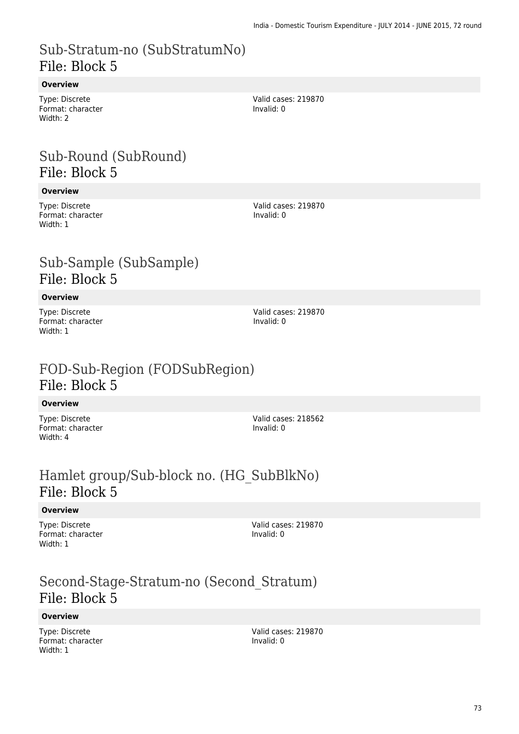### Sub-Stratum-no (SubStratumNo) File: Block 5

### **Overview**

Type: Discrete Format: character Width: 2

Valid cases: 219870 Invalid: 0

# Sub-Round (SubRound) File: Block 5

### **Overview**

Type: Discrete Format: character Width: 1

Valid cases: 219870 Invalid: 0

Valid cases: 219870

Invalid: 0

### Sub-Sample (SubSample) File: Block 5

### **Overview**

Type: Discrete Format: character Width: 1

### FOD-Sub-Region (FODSubRegion) File: Block 5

### **Overview**

Type: Discrete Format: character Width: 4

Valid cases: 218562 Invalid: 0

# Hamlet group/Sub-block no. (HG\_SubBlkNo) File: Block 5

### **Overview**

Type: Discrete Format: character Width: 1

Valid cases: 219870 Invalid: 0

# Second-Stage-Stratum-no (Second\_Stratum) File: Block 5

### **Overview**

Type: Discrete Format: character Width: 1

Valid cases: 219870 Invalid: 0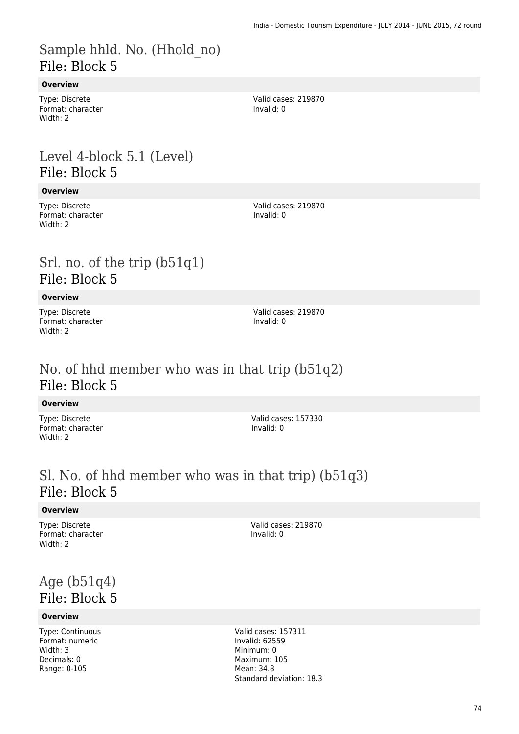# Sample hhld. No. (Hhold\_no) File: Block 5

### **Overview**

Type: Discrete Format: character Width: 2

#### Valid cases: 219870 Invalid: 0

# Level 4-block 5.1 (Level) File: Block 5

#### **Overview**

Type: Discrete Format: character Width: 2

Valid cases: 219870 Invalid: 0

### Srl. no. of the trip (b51q1) File: Block 5

#### **Overview**

Type: Discrete Format: character Width: 2

Valid cases: 219870 Invalid: 0

### No. of hhd member who was in that trip (b51q2) File: Block 5

#### **Overview**

Type: Discrete Format: character Width: 2

Valid cases: 157330 Invalid: 0

# Sl. No. of hhd member who was in that trip) (b51q3) File: Block 5

#### **Overview**

Type: Discrete Format: character Width: 2

Valid cases: 219870 Invalid: 0

### Age (b51q4) File: Block 5

### **Overview**

Type: Continuous Format: numeric Width: 3 Decimals: 0 Range: 0-105

Valid cases: 157311 Invalid: 62559 Minimum: 0 Maximum: 105 Mean: 34.8 Standard deviation: 18.3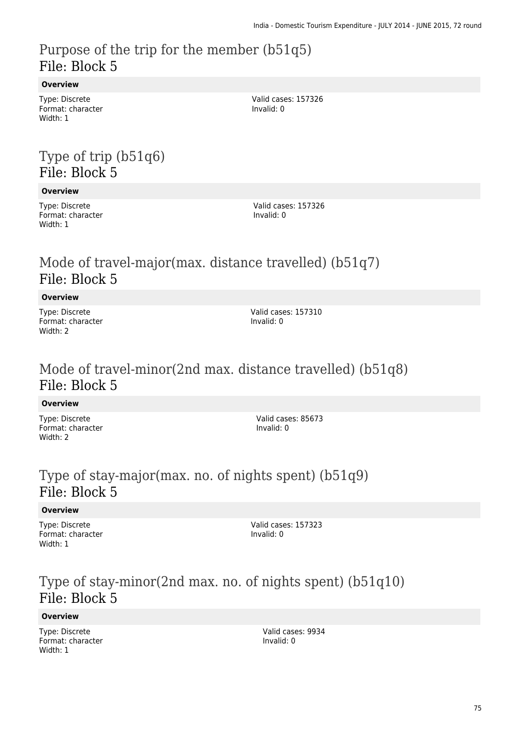# Purpose of the trip for the member (b51q5) File: Block 5

### **Overview**

Type: Discrete Format: character Width: 1

Valid cases: 157326 Invalid: 0

# Type of trip (b51q6) File: Block 5

#### **Overview**

Type: Discrete Format: character Width: 1

Valid cases: 157326 Invalid: 0

# Mode of travel-major(max. distance travelled) (b51q7) File: Block 5

### **Overview**

Type: Discrete Format: character Width: 2

Valid cases: 157310 Invalid: 0

### Mode of travel-minor(2nd max. distance travelled) (b51q8) File: Block 5

### **Overview**

Type: Discrete Format: character Width: 2

Valid cases: 85673 Invalid: 0

### Type of stay-major(max. no. of nights spent) (b51q9) File: Block 5

### **Overview**

Type: Discrete Format: character Width: 1

Valid cases: 157323 Invalid: 0

### Type of stay-minor(2nd max. no. of nights spent) (b51q10) File: Block 5

### **Overview**

Type: Discrete Format: character Width: 1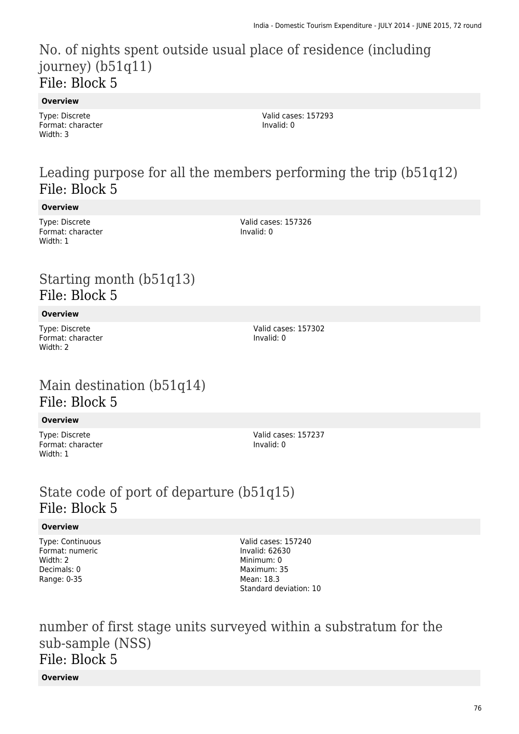### No. of nights spent outside usual place of residence (including journey) (b51q11) File: Block 5

### **Overview**

Type: Discrete Format: character Width: 3

Valid cases: 157293 Invalid: 0

# Leading purpose for all the members performing the trip (b51q12) File: Block 5

### **Overview**

Type: Discrete Format: character Width: 1

Valid cases: 157326 Invalid: 0

# Starting month (b51q13) File: Block 5

### **Overview**

Type: Discrete Format: character Width: 2

Valid cases: 157302 Invalid: 0

### Main destination (b51q14) File: Block 5

### **Overview**

Type: Discrete Format: character Width: 1

Valid cases: 157237 Invalid: 0

# State code of port of departure (b51q15) File: Block 5

### **Overview**

Type: Continuous Format: numeric Width: 2 Decimals: 0 Range: 0-35

Valid cases: 157240 Invalid: 62630 Minimum: 0 Maximum: 35 Mean: 18.3 Standard deviation: 10

### number of first stage units surveyed within a substratum for the sub-sample (NSS) File: Block 5

#### **Overview**

76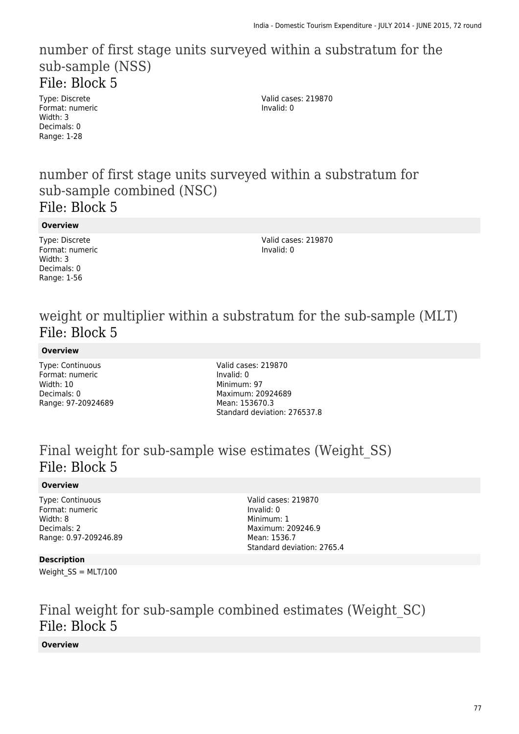### number of first stage units surveyed within a substratum for the sub-sample (NSS) File: Block 5

Type: Discrete Format: numeric Width: 3 Decimals: 0 Range: 1-28

Valid cases: 219870 Invalid: 0

### number of first stage units surveyed within a substratum for sub-sample combined (NSC) File: Block 5

### **Overview**

Type: Discrete Format: numeric Width: 3 Decimals: 0 Range: 1-56

Valid cases: 219870 Invalid: 0

### weight or multiplier within a substratum for the sub-sample (MLT) File: Block 5

### **Overview**

Type: Continuous Format: numeric Width: 10 Decimals: 0 Range: 97-20924689 Valid cases: 219870 Invalid: 0 Minimum: 97 Maximum: 20924689 Mean: 153670.3 Standard deviation: 276537.8

# Final weight for sub-sample wise estimates (Weight\_SS) File: Block 5

### **Overview**

Type: Continuous Format: numeric Width: 8 Decimals: 2 Range: 0.97-209246.89 Valid cases: 219870 Invalid: 0 Minimum: 1 Maximum: 209246.9 Mean: 1536.7 Standard deviation: 2765.4

### **Description**

Weight\_SS = MLT/100

# Final weight for sub-sample combined estimates (Weight\_SC) File: Block 5

### **Overview**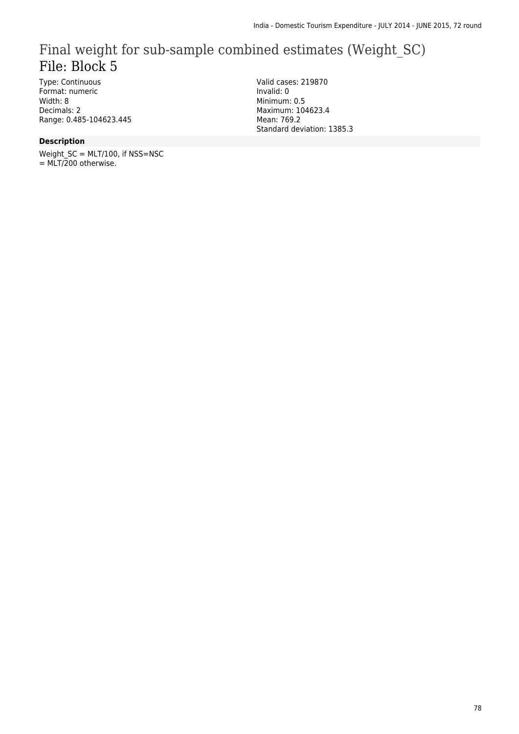# Final weight for sub-sample combined estimates (Weight\_SC) File: Block 5

Type: Continuous Format: numeric Width: 8 Decimals: 2 Range: 0.485-104623.445

#### **Description**

Weight  $SC = MLT/100$ , if NSS=NSC  $=$  MLT/200 otherwise.

Valid cases: 219870 Invalid: 0 Minimum: 0.5 Maximum: 104623.4 Mean: 769.2 Standard deviation: 1385.3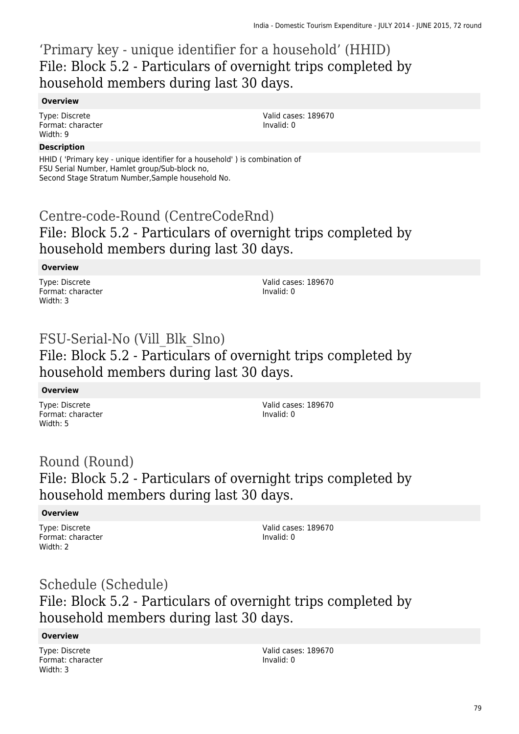# 'Primary key - unique identifier for a household' (HHID) File: Block 5.2 - Particulars of overnight trips completed by household members during last 30 days.

### **Overview**

Type: Discrete Format: character Width: 9

**Description**

HHID ( 'Primary key - unique identifier for a household' ) is combination of FSU Serial Number, Hamlet group/Sub-block no, Second Stage Stratum Number,Sample household No.

Centre-code-Round (CentreCodeRnd) File: Block 5.2 - Particulars of overnight trips completed by household members during last 30 days.

### **Overview**

Type: Discrete Format: character Width: 3

Valid cases: 189670 Invalid: 0

Valid cases: 189670

Invalid: 0

# FSU-Serial-No (Vill\_Blk\_Slno) File: Block 5.2 - Particulars of overnight trips completed by household members during last 30 days.

### **Overview**

Type: Discrete Format: character Width: 5

Valid cases: 189670 Invalid: 0

# Round (Round) File: Block 5.2 - Particulars of overnight trips completed by household members during last 30 days.

### **Overview**

Type: Discrete Format: character Width: 2

Valid cases: 189670 Invalid: 0

# Schedule (Schedule) File: Block 5.2 - Particulars of overnight trips completed by household members during last 30 days.

### **Overview**

Type: Discrete Format: character Width: 3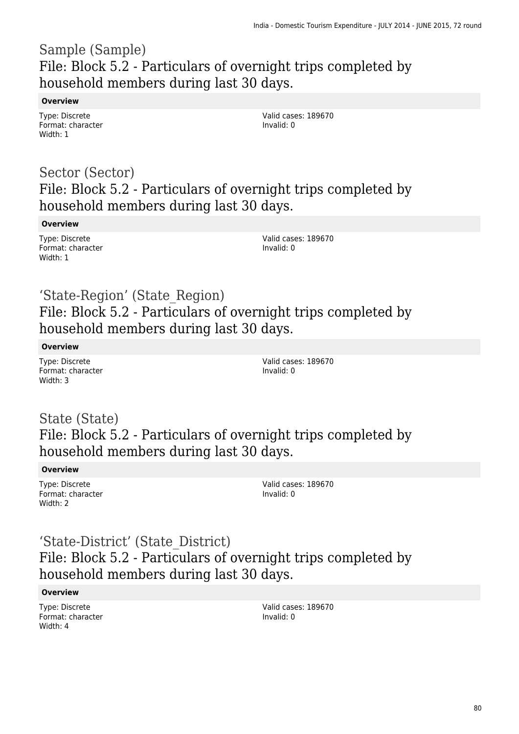### Sample (Sample) File: Block 5.2 - Particulars of overnight trips completed by household members during last 30 days.

### **Overview**

Type: Discrete Format: character Width: 1

Valid cases: 189670 Invalid: 0

### Sector (Sector) File: Block 5.2 - Particulars of overnight trips completed by household members during last 30 days.

### **Overview**

Type: Discrete Format: character Width: 1

Valid cases: 189670 Invalid: 0

### 'State-Region' (State\_Region) File: Block 5.2 - Particulars of overnight trips completed by household members during last 30 days.

### **Overview**

Type: Discrete Format: character Width: 3

Valid cases: 189670 Invalid: 0

### State (State) File: Block 5.2 - Particulars of overnight trips completed by household members during last 30 days.

### **Overview**

Type: Discrete Format: character Width: 2

Valid cases: 189670 Invalid: 0

### 'State-District' (State\_District) File: Block 5.2 - Particulars of overnight trips completed by household members during last 30 days.

### **Overview**

Type: Discrete Format: character Width: 4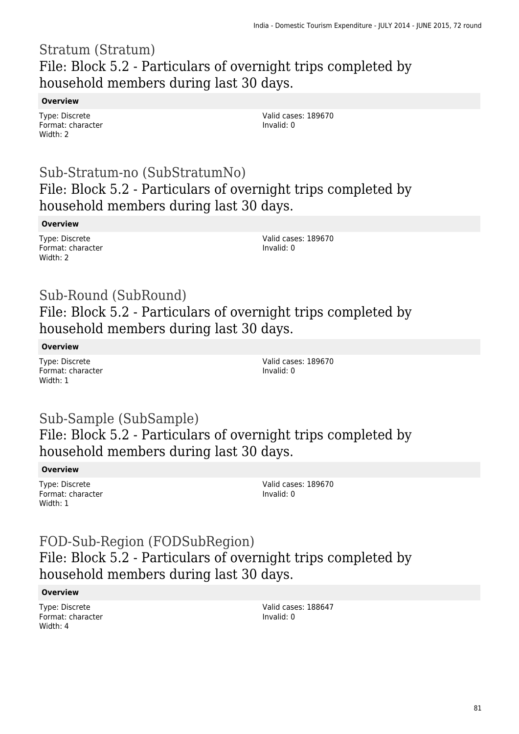### Stratum (Stratum) File: Block 5.2 - Particulars of overnight trips completed by household members during last 30 days.

### **Overview**

Type: Discrete Format: character Width: 2

Valid cases: 189670 Invalid: 0

### Sub-Stratum-no (SubStratumNo) File: Block 5.2 - Particulars of overnight trips completed by household members during last 30 days.

### **Overview**

Type: Discrete Format: character Width: 2

Valid cases: 189670 Invalid: 0

# Sub-Round (SubRound) File: Block 5.2 - Particulars of overnight trips completed by household members during last 30 days.

### **Overview**

Type: Discrete Format: character Width: 1

Valid cases: 189670 Invalid: 0

### Sub-Sample (SubSample) File: Block 5.2 - Particulars of overnight trips completed by

household members during last 30 days.

### **Overview**

Type: Discrete Format: character Width: 1

Valid cases: 189670 Invalid: 0

### FOD-Sub-Region (FODSubRegion) File: Block 5.2 - Particulars of overnight trips completed by household members during last 30 days.

### **Overview**

Type: Discrete Format: character Width: 4

Valid cases: 188647 Invalid: 0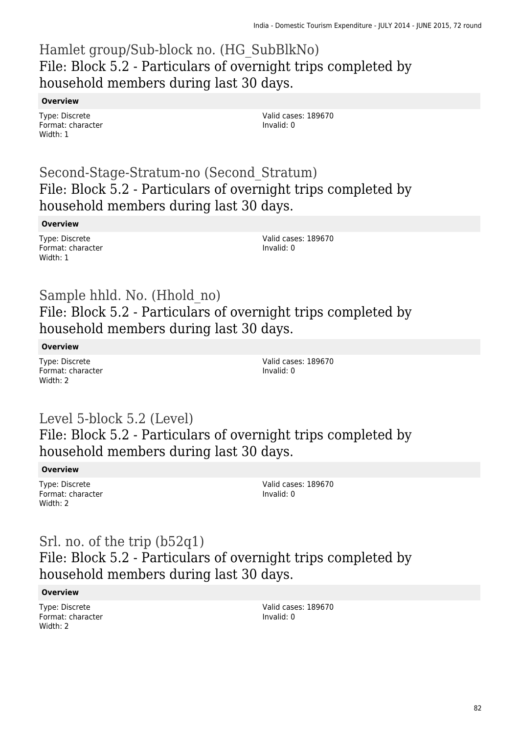### Hamlet group/Sub-block no. (HG\_SubBlkNo) File: Block 5.2 - Particulars of overnight trips completed by household members during last 30 days.

### **Overview**

Type: Discrete Format: character Width: 1

Valid cases: 189670 Invalid: 0

Second-Stage-Stratum-no (Second\_Stratum) File: Block 5.2 - Particulars of overnight trips completed by household members during last 30 days.

#### **Overview**

Type: Discrete Format: character Width: 1

Valid cases: 189670 Invalid: 0

### Sample hhld. No. (Hhold\_no) File: Block 5.2 - Particulars of overnight trips completed by household members during last 30 days.

### **Overview**

Type: Discrete Format: character Width: 2

Valid cases: 189670 Invalid: 0

### Level 5-block 5.2 (Level) File: Block 5.2 - Particulars of overnight trips completed by household members during last 30 days.

### **Overview**

Type: Discrete Format: character Width: 2

Valid cases: 189670 Invalid: 0

### Srl. no. of the trip (b52q1) File: Block 5.2 - Particulars of overnight trips completed by household members during last 30 days.

#### **Overview**

Type: Discrete Format: character Width: 2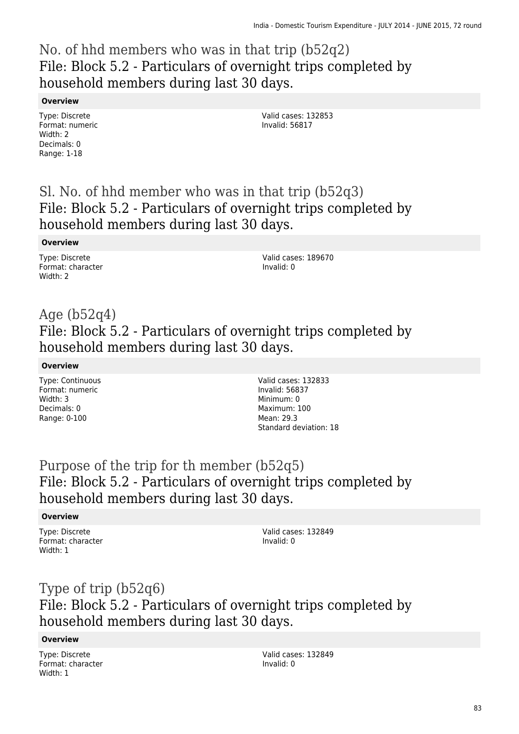### No. of hhd members who was in that trip (b52q2) File: Block 5.2 - Particulars of overnight trips completed by household members during last 30 days.

#### **Overview**

Type: Discrete Format: numeric Width: 2 Decimals: 0 Range: 1-18

Valid cases: 132853 Invalid: 56817

# Sl. No. of hhd member who was in that trip (b52q3) File: Block 5.2 - Particulars of overnight trips completed by household members during last 30 days.

#### **Overview**

Type: Discrete Format: character Width: 2

Valid cases: 189670 Invalid: 0

# Age (b52q4) File: Block 5.2 - Particulars of overnight trips completed by household members during last 30 days.

### **Overview**

Type: Continuous Format: numeric Width: 3 Decimals: 0 Range: 0-100

Valid cases: 132833 Invalid: 56837 Minimum: 0 Maximum: 100 Mean: 29.3 Standard deviation: 18

### Purpose of the trip for th member (b52q5) File: Block 5.2 - Particulars of overnight trips completed by household members during last 30 days.

### **Overview**

Type: Discrete Format: character Width: 1

Valid cases: 132849 Invalid: 0

# Type of trip (b52q6) File: Block 5.2 - Particulars of overnight trips completed by household members during last 30 days.

#### **Overview**

Type: Discrete Format: character Width: 1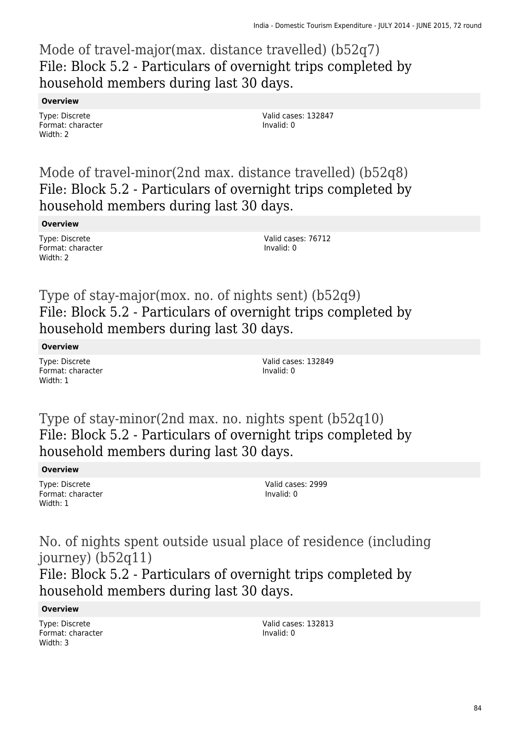Mode of travel-major(max. distance travelled) (b52q7) File: Block 5.2 - Particulars of overnight trips completed by household members during last 30 days.

#### **Overview**

Type: Discrete Format: character Width: 2

Valid cases: 132847 Invalid: 0

Mode of travel-minor(2nd max. distance travelled) (b52q8) File: Block 5.2 - Particulars of overnight trips completed by household members during last 30 days.

#### **Overview**

Type: Discrete Format: character Width: 2

Valid cases: 76712 Invalid: 0

Type of stay-major(mox. no. of nights sent) (b52q9) File: Block 5.2 - Particulars of overnight trips completed by household members during last 30 days.

#### **Overview**

Type: Discrete Format: character Width: 1

Valid cases: 132849 Invalid: 0

Type of stay-minor(2nd max. no. nights spent (b52q10) File: Block 5.2 - Particulars of overnight trips completed by household members during last 30 days.

#### **Overview**

Type: Discrete Format: character Width: 1

Valid cases: 2999 Invalid: 0

No. of nights spent outside usual place of residence (including journey) (b52q11)

File: Block 5.2 - Particulars of overnight trips completed by household members during last 30 days.

#### **Overview**

Type: Discrete Format: character Width: 3

Valid cases: 132813 Invalid: 0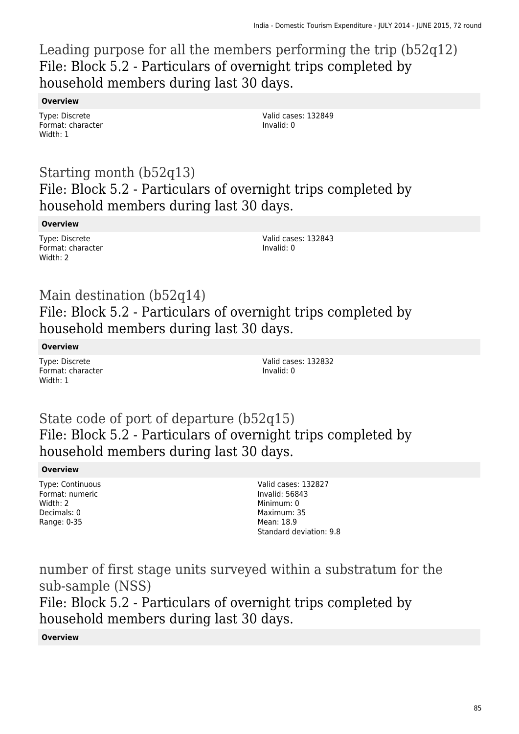Leading purpose for all the members performing the trip (b52q12) File: Block 5.2 - Particulars of overnight trips completed by household members during last 30 days.

### **Overview**

Type: Discrete Format: character Width: 1

Valid cases: 132849 Invalid: 0

### Starting month (b52q13) File: Block 5.2 - Particulars of overnight trips completed by household members during last 30 days.

### **Overview**

Type: Discrete Format: character Width: 2

Valid cases: 132843 Invalid: 0

# Main destination (b52q14) File: Block 5.2 - Particulars of overnight trips completed by household members during last 30 days.

### **Overview**

Type: Discrete Format: character Width: 1

Valid cases: 132832 Invalid: 0

### State code of port of departure (b52q15) File: Block 5.2 - Particulars of overnight trips completed by household members during last 30 days.

### **Overview**

Type: Continuous Format: numeric Width: 2 Decimals: 0 Range: 0-35

Valid cases: 132827 Invalid: 56843 Minimum: 0 Maximum: 35 Mean: 18.9 Standard deviation: 9.8

number of first stage units surveyed within a substratum for the sub-sample (NSS)

File: Block 5.2 - Particulars of overnight trips completed by household members during last 30 days.

### **Overview**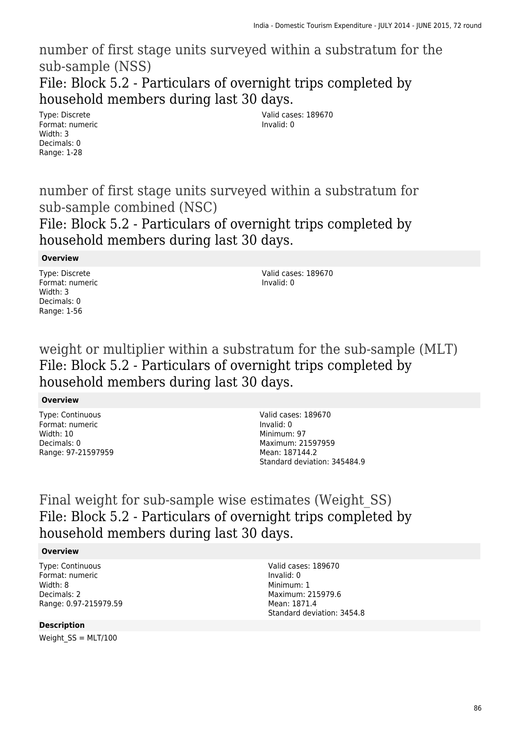number of first stage units surveyed within a substratum for the sub-sample (NSS)

File: Block 5.2 - Particulars of overnight trips completed by household members during last 30 days.

Type: Discrete Format: numeric Width: 3 Decimals: 0 Range: 1-28

Valid cases: 189670 Invalid: 0

number of first stage units surveyed within a substratum for sub-sample combined (NSC)

File: Block 5.2 - Particulars of overnight trips completed by household members during last 30 days.

### **Overview**

Type: Discrete Format: numeric Width: 3 Decimals: 0 Range: 1-56

Valid cases: 189670 Invalid: 0

weight or multiplier within a substratum for the sub-sample (MLT) File: Block 5.2 - Particulars of overnight trips completed by household members during last 30 days.

### **Overview**

Type: Continuous Format: numeric Width: 10 Decimals: 0 Range: 97-21597959

Valid cases: 189670 Invalid: 0 Minimum: 97 Maximum: 21597959 Mean: 187144.2 Standard deviation: 345484.9

Final weight for sub-sample wise estimates (Weight\_SS) File: Block 5.2 - Particulars of overnight trips completed by household members during last 30 days.

#### **Overview**

Type: Continuous Format: numeric Width: 8 Decimals: 2 Range: 0.97-215979.59

#### **Description**

Weight  $SS = MLT/100$ 

Valid cases: 189670 Invalid: 0 Minimum: 1 Maximum: 215979.6 Mean: 1871.4 Standard deviation: 3454.8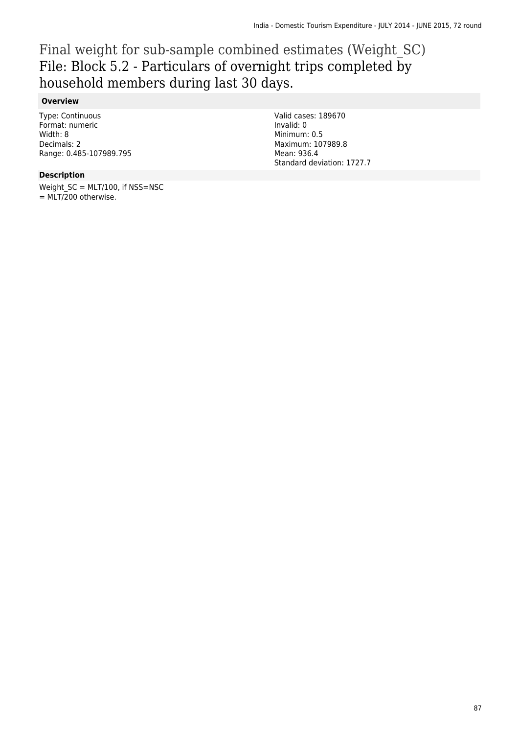### Final weight for sub-sample combined estimates (Weight\_SC) File: Block 5.2 - Particulars of overnight trips completed by household members during last 30 days.

### **Overview**

Type: Continuous Format: numeric Width: 8 Decimals: 2 Range: 0.485-107989.795

#### **Description**

Weight SC = MLT/100, if NSS=NSC  $=$  MLT/200 otherwise.

Valid cases: 189670 Invalid: 0 Minimum: 0.5 Maximum: 107989.8 Mean: 936.4 Standard deviation: 1727.7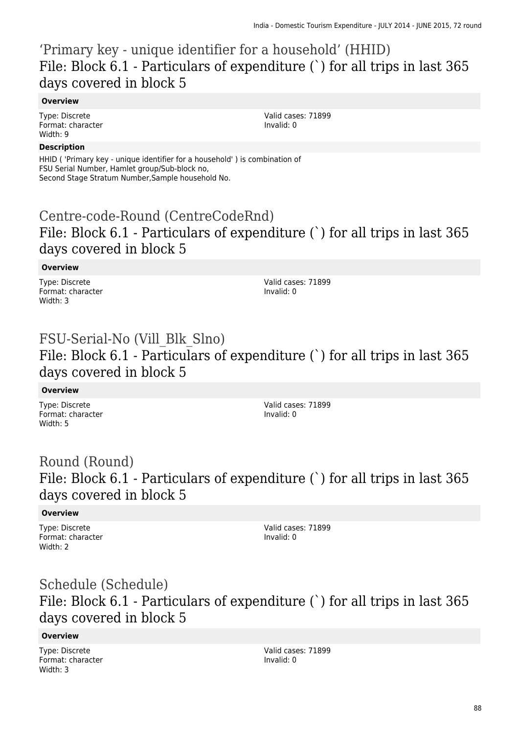# 'Primary key - unique identifier for a household' (HHID) File: Block 6.1 - Particulars of expenditure (`) for all trips in last 365 days covered in block 5

### **Overview**

Type: Discrete Format: character Width: 9

#### **Description**

HHID ( 'Primary key - unique identifier for a household' ) is combination of FSU Serial Number, Hamlet group/Sub-block no, Second Stage Stratum Number,Sample household No.

### Centre-code-Round (CentreCodeRnd) File: Block 6.1 - Particulars of expenditure (`) for all trips in last 365 days covered in block 5

### **Overview**

Type: Discrete Format: character Width: 3

Valid cases: 71899 Invalid: 0

Valid cases: 71899

Invalid: 0

### FSU-Serial-No (Vill\_Blk\_Slno) File: Block 6.1 - Particulars of expenditure (`) for all trips in last 365 days covered in block 5

### **Overview**

Type: Discrete Format: character Width: 5

Valid cases: 71899 Invalid: 0

### Round (Round) File: Block 6.1 - Particulars of expenditure (`) for all trips in last 365 days covered in block 5

### **Overview**

Type: Discrete Format: character Width: 2

Valid cases: 71899 Invalid: 0

# Schedule (Schedule) File: Block 6.1 - Particulars of expenditure (`) for all trips in last 365 days covered in block 5

### **Overview**

Type: Discrete Format: character Width: 3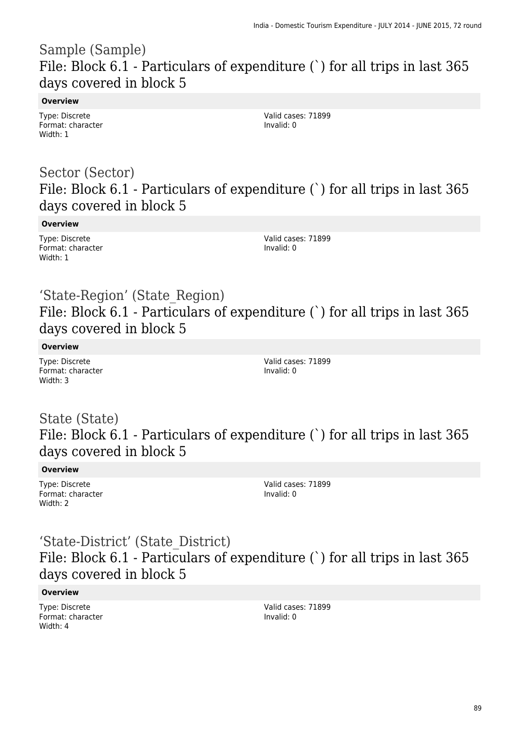### Sample (Sample) File: Block 6.1 - Particulars of expenditure (`) for all trips in last 365 days covered in block 5

### **Overview**

Type: Discrete Format: character Width: 1

Valid cases: 71899 Invalid: 0

### Sector (Sector) File: Block 6.1 - Particulars of expenditure (`) for all trips in last 365 days covered in block 5

### **Overview**

Type: Discrete Format: character Width: 1

Valid cases: 71899 Invalid: 0

### 'State-Region' (State\_Region) File: Block 6.1 - Particulars of expenditure (`) for all trips in last 365 days covered in block 5

### **Overview**

Type: Discrete Format: character Width: 3

Valid cases: 71899 Invalid: 0

### State (State) File: Block 6.1 - Particulars of expenditure (`) for all trips in last 365 days covered in block 5

### **Overview**

Type: Discrete Format: character Width: 2

Valid cases: 71899 Invalid: 0

'State-District' (State\_District) File: Block 6.1 - Particulars of expenditure (`) for all trips in last 365 days covered in block 5

### **Overview**

Type: Discrete Format: character Width: 4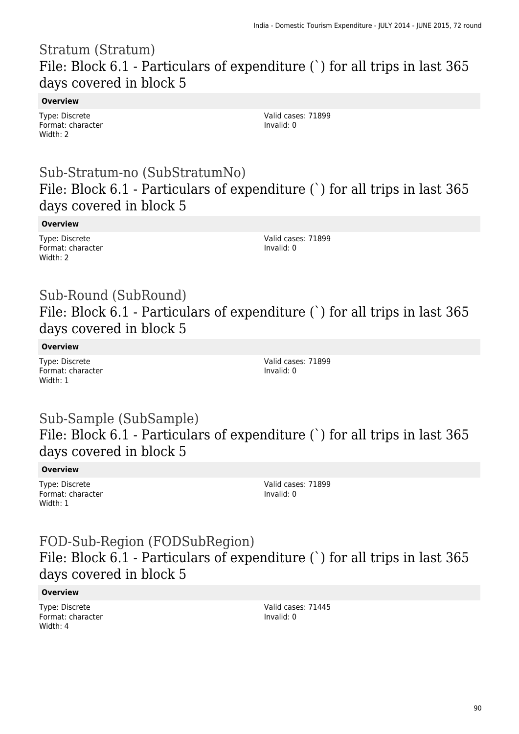### Stratum (Stratum) File: Block 6.1 - Particulars of expenditure (`) for all trips in last 365 days covered in block 5

### **Overview**

Type: Discrete Format: character Width: 2

Valid cases: 71899 Invalid: 0

Sub-Stratum-no (SubStratumNo) File: Block 6.1 - Particulars of expenditure (`) for all trips in last 365 days covered in block 5

### **Overview**

Type: Discrete Format: character Width: 2

Valid cases: 71899 Invalid: 0

### Sub-Round (SubRound) File: Block 6.1 - Particulars of expenditure (`) for all trips in last 365 days covered in block 5

### **Overview**

Type: Discrete Format: character Width: 1

Valid cases: 71899 Invalid: 0

### Sub-Sample (SubSample) File: Block 6.1 - Particulars of expenditure (`) for all trips in last 365 days covered in block 5

### **Overview**

Type: Discrete Format: character Width: 1

Valid cases: 71899 Invalid: 0

FOD-Sub-Region (FODSubRegion) File: Block 6.1 - Particulars of expenditure (`) for all trips in last 365 days covered in block 5

### **Overview**

Type: Discrete Format: character Width: 4

Valid cases: 71445 Invalid: 0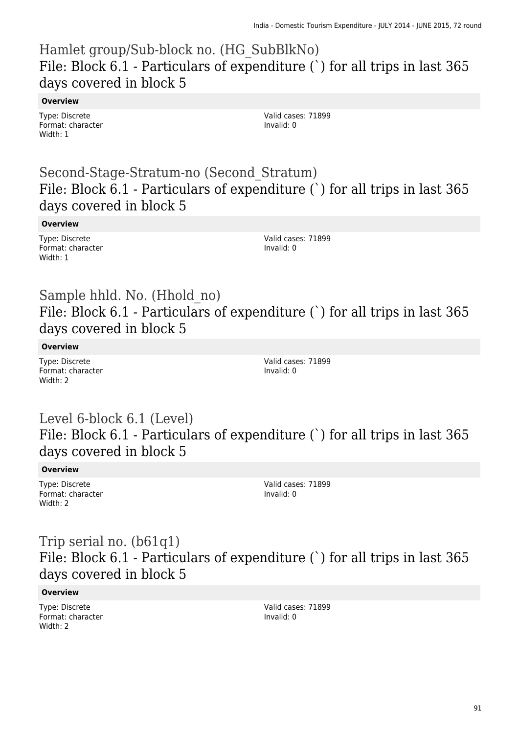### Hamlet group/Sub-block no. (HG\_SubBlkNo) File: Block 6.1 - Particulars of expenditure (`) for all trips in last 365 days covered in block 5

### **Overview**

Type: Discrete Format: character Width: 1

Valid cases: 71899 Invalid: 0

Second-Stage-Stratum-no (Second\_Stratum) File: Block 6.1 - Particulars of expenditure (`) for all trips in last 365 days covered in block 5

#### **Overview**

Type: Discrete Format: character Width: 1

Valid cases: 71899 Invalid: 0

Sample hhld. No. (Hhold\_no) File: Block 6.1 - Particulars of expenditure (`) for all trips in last 365 days covered in block 5

#### **Overview**

Type: Discrete Format: character Width: 2

Valid cases: 71899 Invalid: 0

### Level 6-block 6.1 (Level) File: Block 6.1 - Particulars of expenditure (`) for all trips in last 365 days covered in block 5

### **Overview**

Type: Discrete Format: character Width: 2

Valid cases: 71899 Invalid: 0

Trip serial no. (b61q1) File: Block 6.1 - Particulars of expenditure (`) for all trips in last 365 days covered in block 5

### **Overview**

Type: Discrete Format: character Width: 2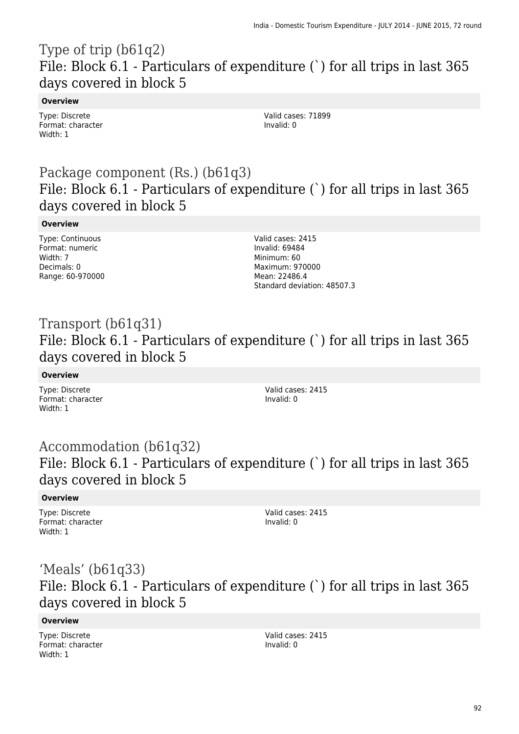### Type of trip (b61q2) File: Block 6.1 - Particulars of expenditure (`) for all trips in last 365 days covered in block 5

### **Overview**

Type: Discrete Format: character Width: 1

Valid cases: 71899 Invalid: 0

### Package component (Rs.) (b61q3) File: Block 6.1 - Particulars of expenditure (`) for all trips in last 365 days covered in block 5

### **Overview**

Type: Continuous Format: numeric Width: 7 Decimals: 0 Range: 60-970000 Valid cases: 2415 Invalid: 69484 Minimum: 60 Maximum: 970000 Mean: 22486.4 Standard deviation: 48507.3

# Transport (b61q31) File: Block 6.1 - Particulars of expenditure (`) for all trips in last 365 days covered in block 5

### **Overview**

Type: Discrete Format: character Width: 1

Valid cases: 2415 Invalid: 0

### Accommodation (b61q32) File: Block 6.1 - Particulars of expenditure (`) for all trips in last 365 days covered in block 5

### **Overview**

Type: Discrete Format: character Width: 1

Valid cases: 2415 Invalid: 0

### 'Meals' (b61q33) File: Block 6.1 - Particulars of expenditure (`) for all trips in last 365 days covered in block 5

### **Overview**

Type: Discrete Format: character Width: 1

Valid cases: 2415 Invalid: 0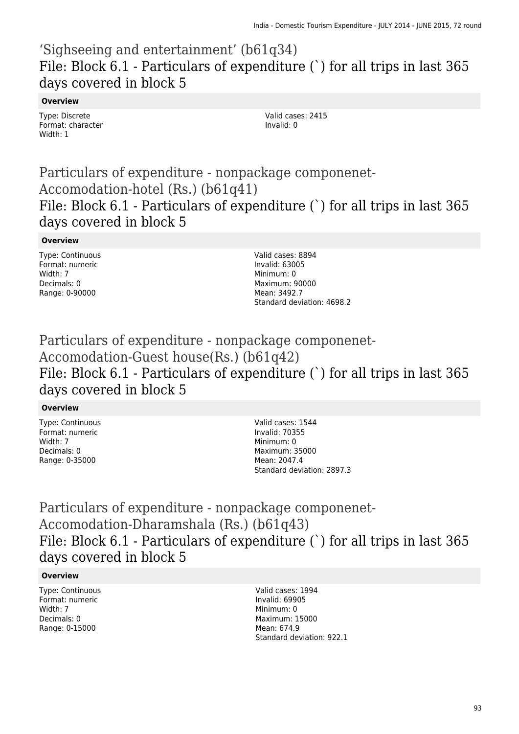## 'Sighseeing and entertainment' (b61q34) File: Block 6.1 - Particulars of expenditure (`) for all trips in last 365 days covered in block 5

### **Overview**

Type: Discrete Format: character Width: 1

Valid cases: 2415 Invalid: 0

### Particulars of expenditure - nonpackage componenet-Accomodation-hotel (Rs.) (b61q41) File: Block 6.1 - Particulars of expenditure (`) for all trips in last 365 days covered in block 5

### **Overview**

Type: Continuous Format: numeric Width: 7 Decimals: 0 Range: 0-90000

Valid cases: 8894 Invalid: 63005 Minimum: 0 Maximum: 90000 Mean: 3492.7 Standard deviation: 4698.2

### Particulars of expenditure - nonpackage componenet-Accomodation-Guest house(Rs.) (b61q42) File: Block 6.1 - Particulars of expenditure (`) for all trips in last 365 days covered in block 5

### **Overview**

Type: Continuous Format: numeric Width: 7 Decimals: 0 Range: 0-35000

Valid cases: 1544 Invalid: 70355 Minimum: 0 Maximum: 35000 Mean: 2047.4 Standard deviation: 2897.3

Particulars of expenditure - nonpackage componenet-Accomodation-Dharamshala (Rs.) (b61q43) File: Block 6.1 - Particulars of expenditure (`) for all trips in last 365 days covered in block 5

### **Overview**

Type: Continuous Format: numeric Width: 7 Decimals: 0 Range: 0-15000

Valid cases: 1994 Invalid: 69905 Minimum: 0 Maximum: 15000 Mean: 674.9 Standard deviation: 922.1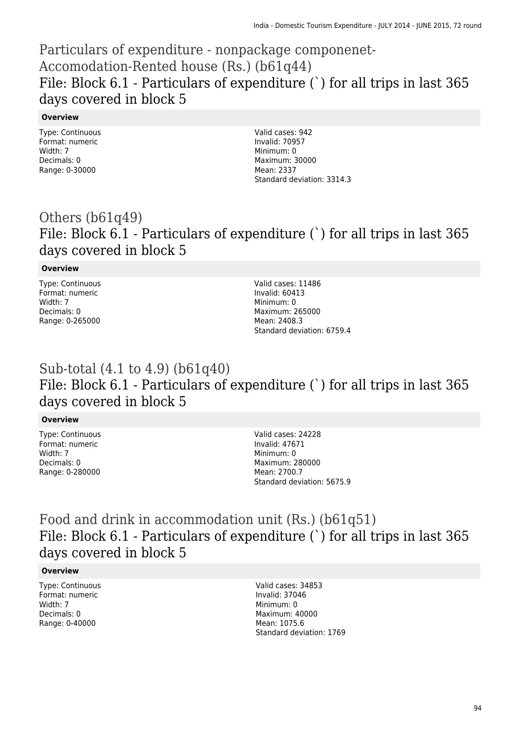# Particulars of expenditure - nonpackage componenet-Accomodation-Rented house (Rs.) (b61q44) File: Block 6.1 - Particulars of expenditure (`) for all trips in last 365 days covered in block 5

#### **Overview**

Type: Continuous Format: numeric Width: 7 Decimals: 0 Range: 0-30000

Valid cases: 942 Invalid: 70957 Minimum: 0 Maximum: 30000 Mean: 2337 Standard deviation: 3314.3

# Others (b61q49) File: Block 6.1 - Particulars of expenditure (`) for all trips in last 365 days covered in block 5

### **Overview**

Type: Continuous Format: numeric Width: 7 Decimals: 0 Range: 0-265000

Valid cases: 11486 Invalid: 60413 Minimum: 0 Maximum: 265000 Mean: 2408.3 Standard deviation: 6759.4

# Sub-total (4.1 to 4.9) (b61q40)

# File: Block 6.1 - Particulars of expenditure (`) for all trips in last 365 days covered in block 5

### **Overview**

Type: Continuous Format: numeric Width: 7 Decimals: 0 Range: 0-280000

Valid cases: 24228 Invalid: 47671 Minimum: 0 Maximum: 280000 Mean: 2700.7 Standard deviation: 5675.9

### Food and drink in accommodation unit (Rs.) (b61q51) File: Block 6.1 - Particulars of expenditure (`) for all trips in last 365 days covered in block 5

### **Overview**

Type: Continuous Format: numeric Width: 7 Decimals: 0 Range: 0-40000

Valid cases: 34853 Invalid: 37046 Minimum: 0 Maximum: 40000 Mean: 1075.6 Standard deviation: 1769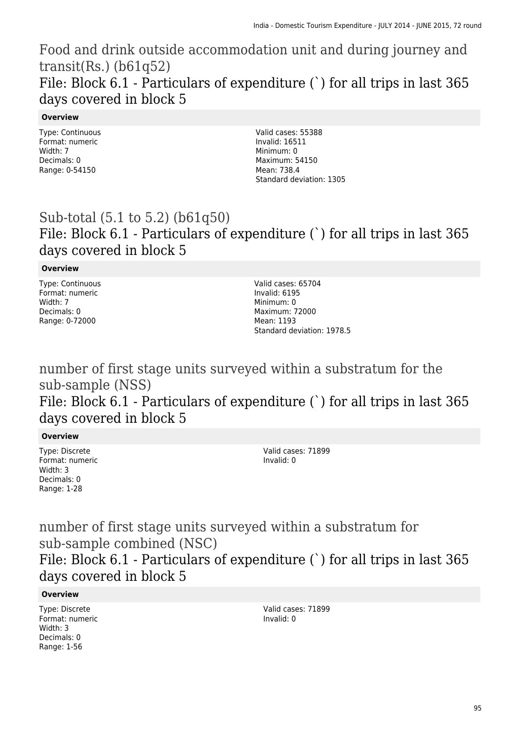# Food and drink outside accommodation unit and during journey and transit(Rs.)  $(b61q52)$ File: Block 6.1 - Particulars of expenditure (`) for all trips in last 365 days covered in block 5

#### **Overview**

Type: Continuous Format: numeric Width: 7 Decimals: 0 Range: 0-54150

Valid cases: 55388 Invalid: 16511 Minimum: 0 Maximum: 54150 Mean: 738.4 Standard deviation: 1305

# Sub-total (5.1 to 5.2) (b61q50) File: Block 6.1 - Particulars of expenditure (`) for all trips in last 365 days covered in block 5

### **Overview**

Type: Continuous Format: numeric Width: 7 Decimals: 0 Range: 0-72000

Valid cases: 65704 Invalid: 6195 Minimum: 0 Maximum: 72000 Mean: 1193 Standard deviation: 1978.5

number of first stage units surveyed within a substratum for the sub-sample (NSS)

File: Block 6.1 - Particulars of expenditure (`) for all trips in last 365 days covered in block 5

### **Overview**

Type: Discrete Format: numeric Width: 3 Decimals: 0 Range: 1-28

Valid cases: 71899 Invalid: 0

number of first stage units surveyed within a substratum for sub-sample combined (NSC) File: Block 6.1 - Particulars of expenditure (`) for all trips in last 365 days covered in block 5

### **Overview**

Type: Discrete Format: numeric Width: 3 Decimals: 0 Range: 1-56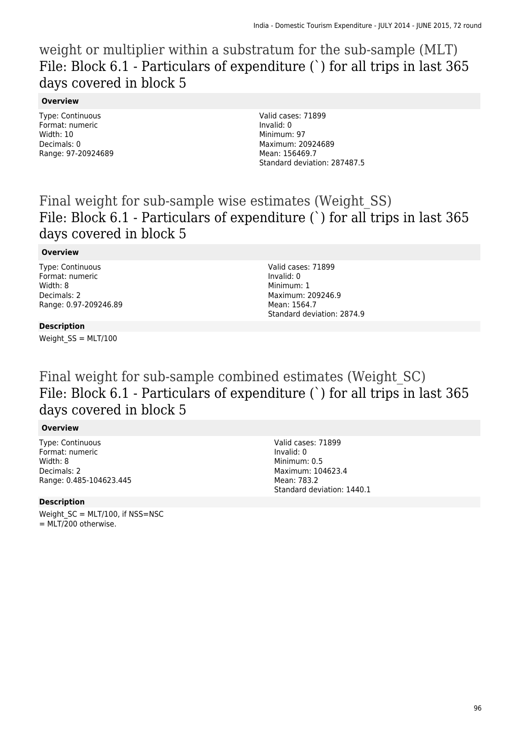### weight or multiplier within a substratum for the sub-sample (MLT) File: Block 6.1 - Particulars of expenditure (`) for all trips in last 365 days covered in block 5

### **Overview**

Type: Continuous Format: numeric Width: 10 Decimals: 0 Range: 97-20924689

Valid cases: 71899 Invalid: 0 Minimum: 97 Maximum: 20924689 Mean: 156469.7 Standard deviation: 287487.5

# Final weight for sub-sample wise estimates (Weight\_SS) File: Block 6.1 - Particulars of expenditure (`) for all trips in last 365 days covered in block 5

### **Overview**

Type: Continuous Format: numeric Width: 8 Decimals: 2 Range: 0.97-209246.89

### **Description**

Weight  $SS = MLT/100$ 

Valid cases: 71899 Invalid: 0 Minimum: 1 Maximum: 209246.9 Mean: 1564.7 Standard deviation: 2874.9

# Final weight for sub-sample combined estimates (Weight\_SC) File: Block 6.1 - Particulars of expenditure (`) for all trips in last 365 days covered in block 5

### **Overview**

Type: Continuous Format: numeric Width: 8 Decimals: 2 Range: 0.485-104623.445

### **Description**

Weight  $SC = MLT/100$ , if  $NSS=NSC$  $=$  MLT/200 otherwise.

Valid cases: 71899 Invalid: 0 Minimum: 0.5 Maximum: 104623.4 Mean: 783.2 Standard deviation: 1440.1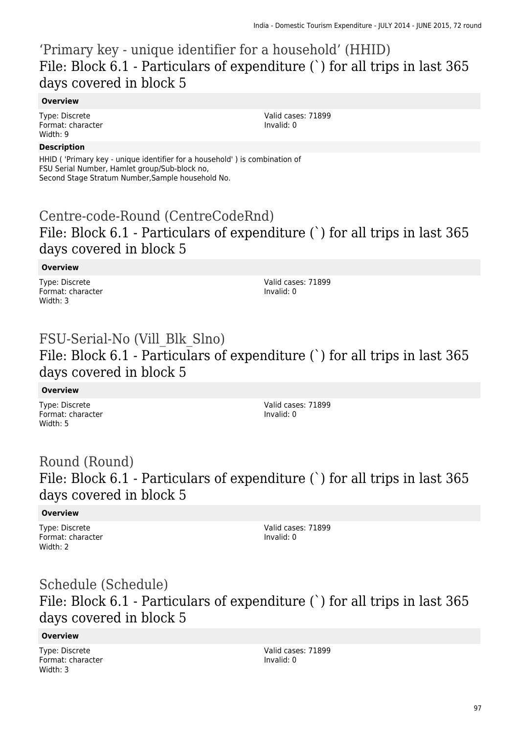# 'Primary key - unique identifier for a household' (HHID) File: Block 6.1 - Particulars of expenditure (`) for all trips in last 365 days covered in block 5

### **Overview**

Type: Discrete Format: character Width: 9

#### **Description**

HHID ( 'Primary key - unique identifier for a household' ) is combination of FSU Serial Number, Hamlet group/Sub-block no, Second Stage Stratum Number,Sample household No.

### Centre-code-Round (CentreCodeRnd) File: Block 6.1 - Particulars of expenditure (`) for all trips in last 365 days covered in block 5

### **Overview**

Type: Discrete Format: character Width: 3

Valid cases: 71899 Invalid: 0

Valid cases: 71899

Invalid: 0

### FSU-Serial-No (Vill\_Blk\_Slno) File: Block 6.1 - Particulars of expenditure (`) for all trips in last 365 days covered in block 5

### **Overview**

Type: Discrete Format: character Width: 5

Valid cases: 71899 Invalid: 0

### Round (Round) File: Block 6.1 - Particulars of expenditure (`) for all trips in last 365 days covered in block 5

### **Overview**

Type: Discrete Format: character Width: 2

Valid cases: 71899 Invalid: 0

# Schedule (Schedule) File: Block 6.1 - Particulars of expenditure (`) for all trips in last 365 days covered in block 5

### **Overview**

Type: Discrete Format: character Width: 3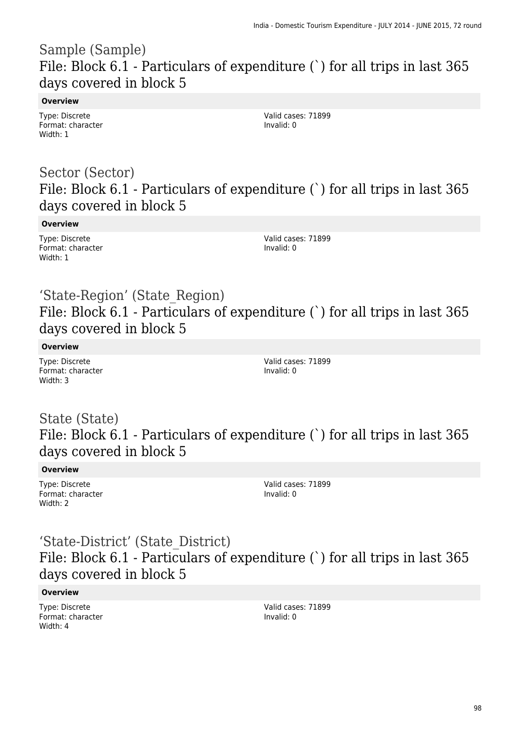### Sample (Sample) File: Block 6.1 - Particulars of expenditure (`) for all trips in last 365 days covered in block 5

### **Overview**

Type: Discrete Format: character Width: 1

Valid cases: 71899 Invalid: 0

### Sector (Sector) File: Block 6.1 - Particulars of expenditure (`) for all trips in last 365 days covered in block 5

### **Overview**

Type: Discrete Format: character Width: 1

Valid cases: 71899 Invalid: 0

### 'State-Region' (State\_Region) File: Block 6.1 - Particulars of expenditure (`) for all trips in last 365 days covered in block 5

### **Overview**

Type: Discrete Format: character Width: 3

Valid cases: 71899 Invalid: 0

### State (State) File: Block 6.1 - Particulars of expenditure (`) for all trips in last 365 days covered in block 5

### **Overview**

Type: Discrete Format: character Width: 2

Valid cases: 71899 Invalid: 0

'State-District' (State\_District) File: Block 6.1 - Particulars of expenditure (`) for all trips in last 365 days covered in block 5

### **Overview**

Type: Discrete Format: character Width: 4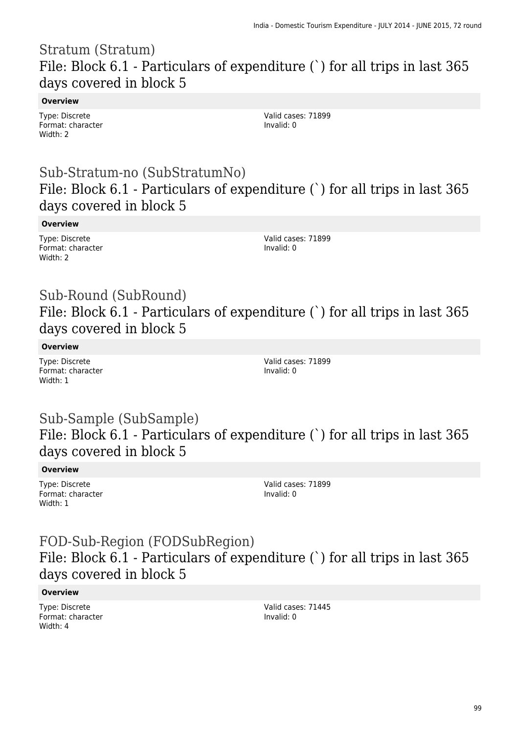### Stratum (Stratum) File: Block 6.1 - Particulars of expenditure (`) for all trips in last 365 days covered in block 5

### **Overview**

Type: Discrete Format: character Width: 2

Valid cases: 71899 Invalid: 0

Sub-Stratum-no (SubStratumNo) File: Block 6.1 - Particulars of expenditure (`) for all trips in last 365 days covered in block 5

### **Overview**

Type: Discrete Format: character Width: 2

Valid cases: 71899 Invalid: 0

### Sub-Round (SubRound) File: Block 6.1 - Particulars of expenditure (`) for all trips in last 365 days covered in block 5

### **Overview**

Type: Discrete Format: character Width: 1

Valid cases: 71899 Invalid: 0

### Sub-Sample (SubSample) File: Block 6.1 - Particulars of expenditure (`) for all trips in last 365 days covered in block 5

### **Overview**

Type: Discrete Format: character Width: 1

Valid cases: 71899 Invalid: 0

FOD-Sub-Region (FODSubRegion) File: Block 6.1 - Particulars of expenditure (`) for all trips in last 365 days covered in block 5

### **Overview**

Type: Discrete Format: character Width: 4

Valid cases: 71445 Invalid: 0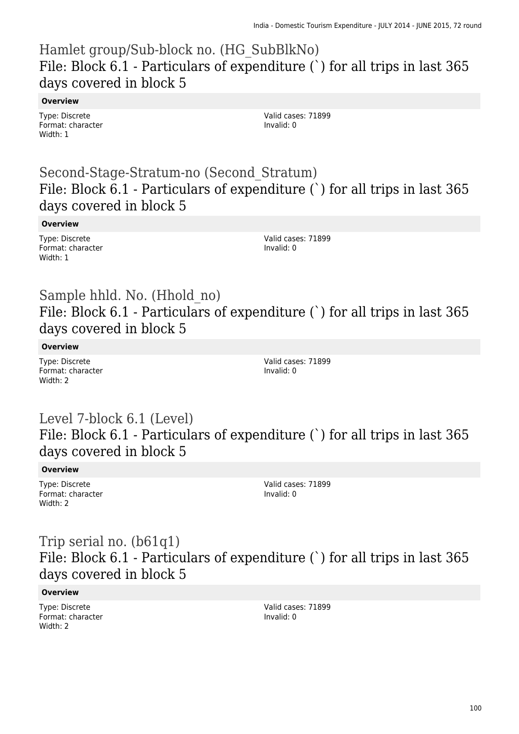### Hamlet group/Sub-block no. (HG\_SubBlkNo) File: Block 6.1 - Particulars of expenditure (`) for all trips in last 365 days covered in block 5

### **Overview**

Type: Discrete Format: character Width: 1

Valid cases: 71899 Invalid: 0

Second-Stage-Stratum-no (Second\_Stratum) File: Block 6.1 - Particulars of expenditure (`) for all trips in last 365 days covered in block 5

#### **Overview**

Type: Discrete Format: character Width: 1

Valid cases: 71899 Invalid: 0

### Sample hhld. No. (Hhold\_no) File: Block 6.1 - Particulars of expenditure (`) for all trips in last 365 days covered in block 5

### **Overview**

Type: Discrete Format: character Width: 2

Valid cases: 71899 Invalid: 0

### Level 7-block 6.1 (Level) File: Block 6.1 - Particulars of expenditure (`) for all trips in last 365 days covered in block 5

### **Overview**

Type: Discrete Format: character Width: 2

Valid cases: 71899 Invalid: 0

Trip serial no. (b61q1) File: Block 6.1 - Particulars of expenditure (`) for all trips in last 365 days covered in block 5

### **Overview**

Type: Discrete Format: character Width: 2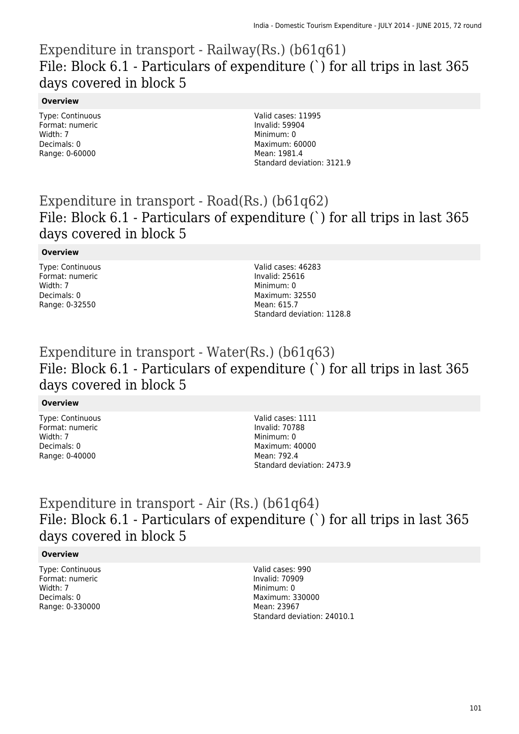# Expenditure in transport - Railway(Rs.)  $(b61q61)$ File: Block 6.1 - Particulars of expenditure (`) for all trips in last 365 days covered in block 5

#### **Overview**

Type: Continuous Format: numeric Width: 7 Decimals: 0 Range: 0-60000

Valid cases: 11995 Invalid: 59904 Minimum: 0 Maximum: 60000 Mean: 1981.4 Standard deviation: 3121.9

# Expenditure in transport - Road(Rs.) (b61q62) File: Block 6.1 - Particulars of expenditure (`) for all trips in last 365 days covered in block 5

### **Overview**

Type: Continuous Format: numeric Width: 7 Decimals: 0 Range: 0-32550

Valid cases: 46283 Invalid: 25616 Minimum: 0 Maximum: 32550 Mean: 615.7 Standard deviation: 1128.8

# Expenditure in transport - Water(Rs.) (b61q63) File: Block 6.1 - Particulars of expenditure (`) for all trips in last 365 days covered in block 5

### **Overview**

Type: Continuous Format: numeric Width: 7 Decimals: 0 Range: 0-40000

Valid cases: 1111 Invalid: 70788 Minimum: 0 Maximum: 40000 Mean: 792.4 Standard deviation: 2473.9

# Expenditure in transport - Air (Rs.) (b61q64) File: Block 6.1 - Particulars of expenditure (`) for all trips in last 365 days covered in block 5

### **Overview**

Type: Continuous Format: numeric Width: 7 Decimals: 0 Range: 0-330000

Valid cases: 990 Invalid: 70909 Minimum: 0 Maximum: 330000 Mean: 23967 Standard deviation: 24010.1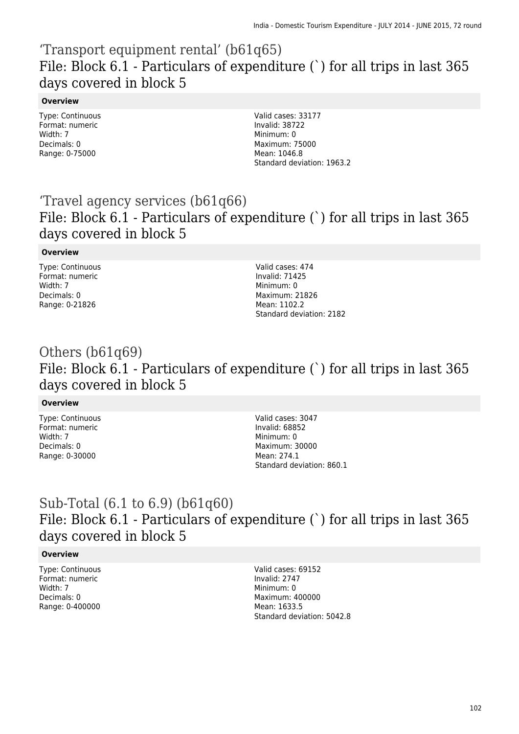# 'Transport equipment rental' (b61q65) File: Block 6.1 - Particulars of expenditure (`) for all trips in last 365 days covered in block 5

#### **Overview**

Type: Continuous Format: numeric Width: 7 Decimals: 0 Range: 0-75000

Valid cases: 33177 Invalid: 38722 Minimum: 0 Maximum: 75000 Mean: 1046.8 Standard deviation: 1963.2

# 'Travel agency services (b61q66)

File: Block 6.1 - Particulars of expenditure (`) for all trips in last 365 days covered in block 5

### **Overview**

Type: Continuous Format: numeric Width: 7 Decimals: 0 Range: 0-21826

Valid cases: 474 Invalid: 71425 Minimum: 0 Maximum: 21826 Mean: 1102.2 Standard deviation: 2182

# Others (b61q69) File: Block 6.1 - Particulars of expenditure (`) for all trips in last 365 days covered in block 5

### **Overview**

Type: Continuous Format: numeric Width: 7 Decimals: 0 Range: 0-30000

Valid cases: 3047 Invalid: 68852 Minimum: 0 Maximum: 30000 Mean: 274.1 Standard deviation: 860.1

# Sub-Total (6.1 to 6.9) (b61q60) File: Block 6.1 - Particulars of expenditure (`) for all trips in last 365 days covered in block 5

### **Overview**

Type: Continuous Format: numeric Width: 7 Decimals: 0 Range: 0-400000

Valid cases: 69152 Invalid: 2747 Minimum: 0 Maximum: 400000 Mean: 1633.5 Standard deviation: 5042.8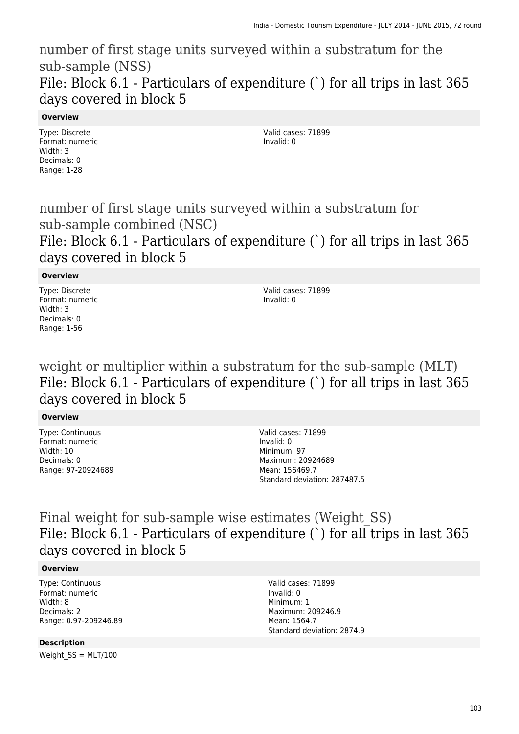### number of first stage units surveyed within a substratum for the sub-sample (NSS) File: Block 6.1 - Particulars of expenditure (`) for all trips in last 365 days covered in block 5

#### **Overview**

Type: Discrete Format: numeric Width: 3 Decimals: 0 Range: 1-28

Valid cases: 71899 Invalid: 0

number of first stage units surveyed within a substratum for sub-sample combined (NSC) File: Block 6.1 - Particulars of expenditure (`) for all trips in last 365 days covered in block 5

#### **Overview**

Type: Discrete Format: numeric Width: 3 Decimals: 0 Range: 1-56

Valid cases: 71899 Invalid: 0

weight or multiplier within a substratum for the sub-sample (MLT) File: Block 6.1 - Particulars of expenditure (`) for all trips in last 365 days covered in block 5

### **Overview**

Type: Continuous Format: numeric Width: 10 Decimals: 0 Range: 97-20924689

Valid cases: 71899 Invalid: 0 Minimum: 97 Maximum: 20924689 Mean: 156469.7 Standard deviation: 287487.5

Final weight for sub-sample wise estimates (Weight\_SS) File: Block 6.1 - Particulars of expenditure (`) for all trips in last 365 days covered in block 5

#### **Overview**

Type: Continuous Format: numeric Width: 8 Decimals: 2 Range: 0.97-209246.89

#### **Description**

Weight  $SS = MLT/100$ 

Valid cases: 71899 Invalid: 0 Minimum: 1 Maximum: 209246.9 Mean: 1564.7 Standard deviation: 2874.9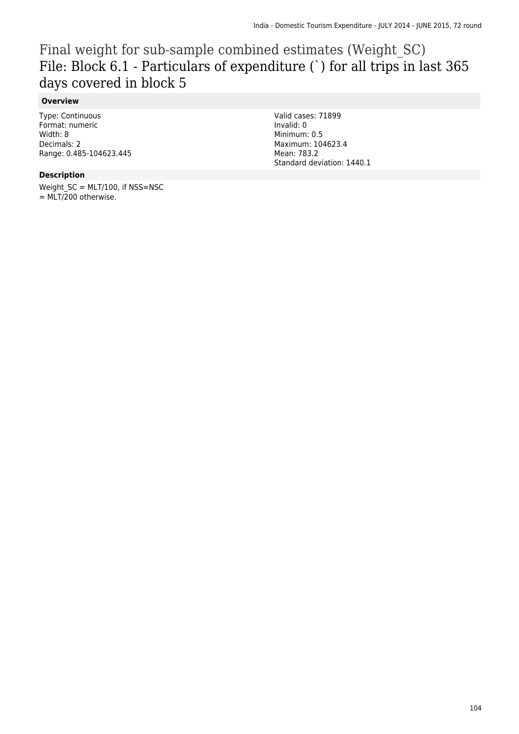# Final weight for sub-sample combined estimates (Weight\_SC) File: Block 6.1 - Particulars of expenditure (`) for all trips in last 365 days covered in block 5

#### **Overview**

Type: Continuous Format: numeric Width: 8 Decimals: 2 Range: 0.485-104623.445

#### **Description**

Weight SC = MLT/100, if NSS=NSC  $=$  MLT/200 otherwise.

Valid cases: 71899 Invalid: 0 Minimum: 0.5 Maximum: 104623.4 Mean: 783.2 Standard deviation: 1440.1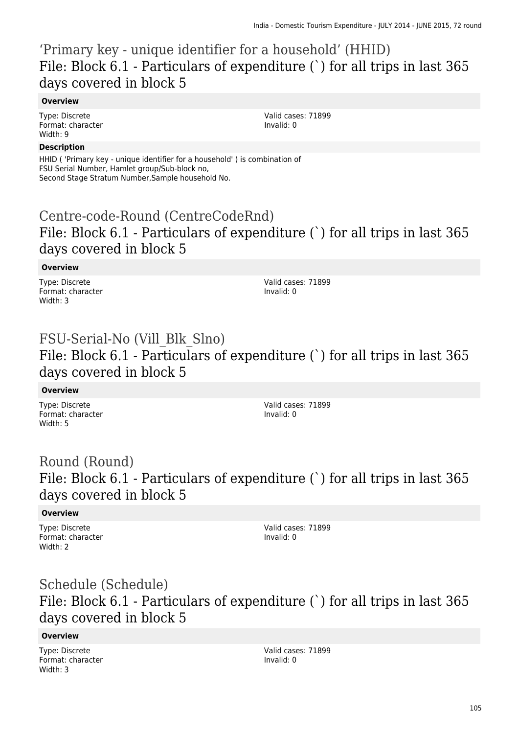# 'Primary key - unique identifier for a household' (HHID) File: Block 6.1 - Particulars of expenditure (`) for all trips in last 365 days covered in block 5

### **Overview**

Type: Discrete Format: character Width: 9

#### **Description**

HHID ( 'Primary key - unique identifier for a household' ) is combination of FSU Serial Number, Hamlet group/Sub-block no, Second Stage Stratum Number,Sample household No.

### Centre-code-Round (CentreCodeRnd) File: Block 6.1 - Particulars of expenditure (`) for all trips in last 365 days covered in block 5

### **Overview**

Type: Discrete Format: character Width: 3

Valid cases: 71899 Invalid: 0

Valid cases: 71899

Invalid: 0

# FSU-Serial-No (Vill\_Blk\_Slno) File: Block 6.1 - Particulars of expenditure (`) for all trips in last 365 days covered in block 5

### **Overview**

Type: Discrete Format: character Width: 5

Valid cases: 71899 Invalid: 0

### Round (Round) File: Block 6.1 - Particulars of expenditure (`) for all trips in last 365 days covered in block 5

### **Overview**

Type: Discrete Format: character Width: 2

Valid cases: 71899 Invalid: 0

# Schedule (Schedule) File: Block 6.1 - Particulars of expenditure (`) for all trips in last 365 days covered in block 5

### **Overview**

Type: Discrete Format: character Width: 3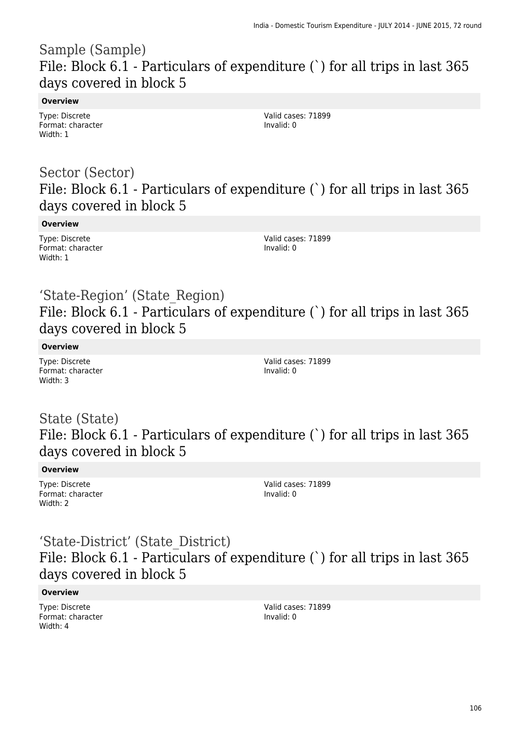### Sample (Sample) File: Block 6.1 - Particulars of expenditure (`) for all trips in last 365 days covered in block 5

### **Overview**

Type: Discrete Format: character Width: 1

Valid cases: 71899 Invalid: 0

### Sector (Sector) File: Block 6.1 - Particulars of expenditure (`) for all trips in last 365 days covered in block 5

### **Overview**

Type: Discrete Format: character Width: 1

Valid cases: 71899 Invalid: 0

### 'State-Region' (State\_Region) File: Block 6.1 - Particulars of expenditure (`) for all trips in last 365 days covered in block 5

### **Overview**

Type: Discrete Format: character Width: 3

Valid cases: 71899 Invalid: 0

### State (State) File: Block 6.1 - Particulars of expenditure (`) for all trips in last 365 days covered in block 5

### **Overview**

Type: Discrete Format: character Width: 2

Valid cases: 71899 Invalid: 0

'State-District' (State\_District) File: Block 6.1 - Particulars of expenditure (`) for all trips in last 365 days covered in block 5

### **Overview**

Type: Discrete Format: character Width: 4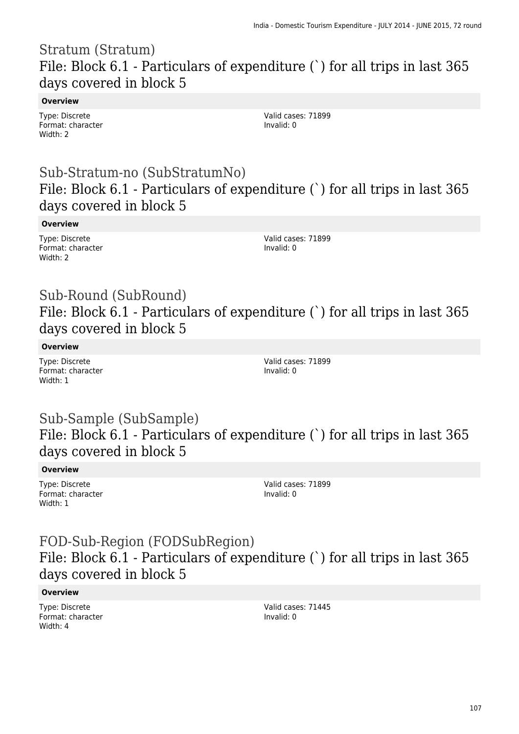### Stratum (Stratum) File: Block 6.1 - Particulars of expenditure (`) for all trips in last 365 days covered in block 5

### **Overview**

Type: Discrete Format: character Width: 2

Valid cases: 71899 Invalid: 0

Sub-Stratum-no (SubStratumNo) File: Block 6.1 - Particulars of expenditure (`) for all trips in last 365 days covered in block 5

### **Overview**

Type: Discrete Format: character Width: 2

Valid cases: 71899 Invalid: 0

### Sub-Round (SubRound) File: Block 6.1 - Particulars of expenditure (`) for all trips in last 365 days covered in block 5

### **Overview**

Type: Discrete Format: character Width: 1

Valid cases: 71899 Invalid: 0

### Sub-Sample (SubSample) File: Block 6.1 - Particulars of expenditure (`) for all trips in last 365 days covered in block 5

### **Overview**

Type: Discrete Format: character Width: 1

Valid cases: 71899 Invalid: 0

FOD-Sub-Region (FODSubRegion) File: Block 6.1 - Particulars of expenditure (`) for all trips in last 365 days covered in block 5

### **Overview**

Type: Discrete Format: character Width: 4

Valid cases: 71445 Invalid: 0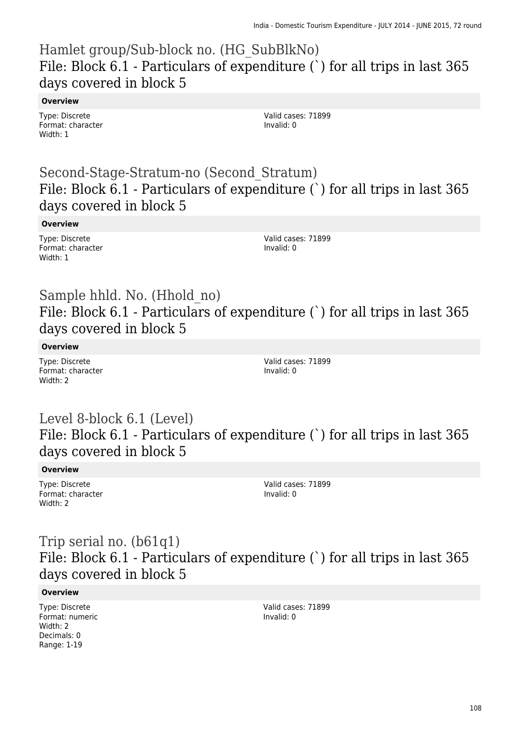### Hamlet group/Sub-block no. (HG\_SubBlkNo) File: Block 6.1 - Particulars of expenditure (`) for all trips in last 365 days covered in block 5

#### **Overview**

Type: Discrete Format: character Width: 1

Valid cases: 71899 Invalid: 0

Second-Stage-Stratum-no (Second\_Stratum) File: Block 6.1 - Particulars of expenditure (`) for all trips in last 365 days covered in block 5

#### **Overview**

Type: Discrete Format: character Width: 1

Valid cases: 71899 Invalid: 0

Sample hhld. No. (Hhold\_no) File: Block 6.1 - Particulars of expenditure (`) for all trips in last 365 days covered in block 5

#### **Overview**

Type: Discrete Format: character Width: 2

Valid cases: 71899 Invalid: 0

### Level 8-block 6.1 (Level) File: Block 6.1 - Particulars of expenditure (`) for all trips in last 365 days covered in block 5

### **Overview**

Type: Discrete Format: character Width: 2

Valid cases: 71899 Invalid: 0

Trip serial no. (b61q1) File: Block 6.1 - Particulars of expenditure (`) for all trips in last 365 days covered in block 5

#### **Overview**

Type: Discrete Format: numeric Width: 2 Decimals: 0 Range: 1-19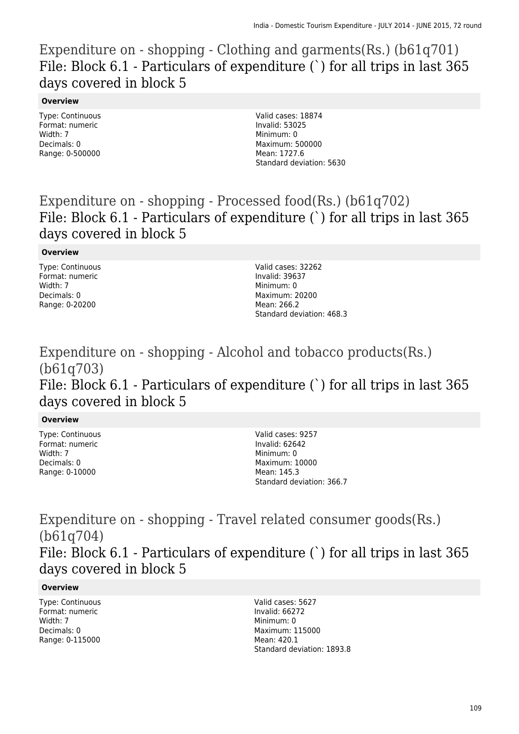# Expenditure on - shopping - Clothing and garments(Rs.) (b61q701) File: Block 6.1 - Particulars of expenditure (`) for all trips in last 365 days covered in block 5

### **Overview**

Type: Continuous Format: numeric Width: 7 Decimals: 0 Range: 0-500000

Valid cases: 18874 Invalid: 53025 Minimum: 0 Maximum: 500000 Mean: 1727.6 Standard deviation: 5630

# Expenditure on - shopping - Processed food(Rs.) (b61q702) File: Block 6.1 - Particulars of expenditure (`) for all trips in last 365 days covered in block 5

### **Overview**

Type: Continuous Format: numeric Width: 7 Decimals: 0 Range: 0-20200

Valid cases: 32262 Invalid: 39637 Minimum: 0 Maximum: 20200 Mean: 266.2 Standard deviation: 468.3

# Expenditure on - shopping - Alcohol and tobacco products(Rs.) (b61q703) File: Block 6.1 - Particulars of expenditure (`) for all trips in last 365 days covered in block 5

### **Overview**

Type: Continuous Format: numeric Width: 7 Decimals: 0 Range: 0-10000

Valid cases: 9257 Invalid: 62642 Minimum: 0 Maximum: 10000 Mean: 145.3 Standard deviation: 366.7

### Expenditure on - shopping - Travel related consumer goods(Rs.) (b61q704) File: Block 6.1 - Particulars of expenditure (`) for all trips in last 365 days covered in block 5

### **Overview**

Type: Continuous Format: numeric Width: 7 Decimals: 0 Range: 0-115000

Valid cases: 5627 Invalid: 66272 Minimum: 0 Maximum: 115000 Mean: 420.1 Standard deviation: 1893.8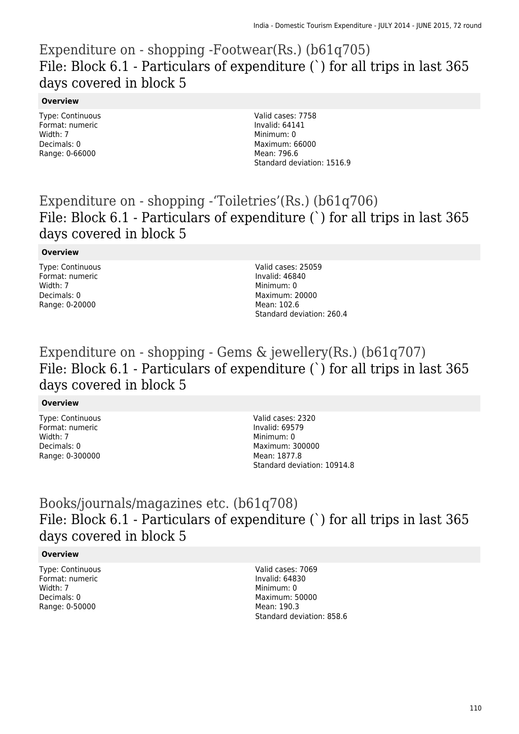# Expenditure on - shopping -Footwear(Rs.) (b61q705) File: Block 6.1 - Particulars of expenditure (`) for all trips in last 365 days covered in block 5

#### **Overview**

Type: Continuous Format: numeric Width: 7 Decimals: 0 Range: 0-66000

Valid cases: 7758 Invalid: 64141 Minimum: 0 Maximum: 66000 Mean: 796.6 Standard deviation: 1516.9

# Expenditure on - shopping -'Toiletries'(Rs.) (b61q706) File: Block 6.1 - Particulars of expenditure (`) for all trips in last 365 days covered in block 5

### **Overview**

Type: Continuous Format: numeric Width: 7 Decimals: 0 Range: 0-20000

Valid cases: 25059 Invalid: 46840 Minimum: 0 Maximum: 20000 Mean: 102.6 Standard deviation: 260.4

# Expenditure on - shopping - Gems & jewellery(Rs.) (b61q707) File: Block 6.1 - Particulars of expenditure (`) for all trips in last 365 days covered in block 5

### **Overview**

Type: Continuous Format: numeric Width: 7 Decimals: 0 Range: 0-300000

Valid cases: 2320 Invalid: 69579 Minimum: 0 Maximum: 300000 Mean: 1877.8 Standard deviation: 10914.8

# Books/journals/magazines etc. (b61q708) File: Block 6.1 - Particulars of expenditure (`) for all trips in last 365 days covered in block 5

### **Overview**

Type: Continuous Format: numeric Width: 7 Decimals: 0 Range: 0-50000

Valid cases: 7069 Invalid: 64830 Minimum: 0 Maximum: 50000 Mean: 190.3 Standard deviation: 858.6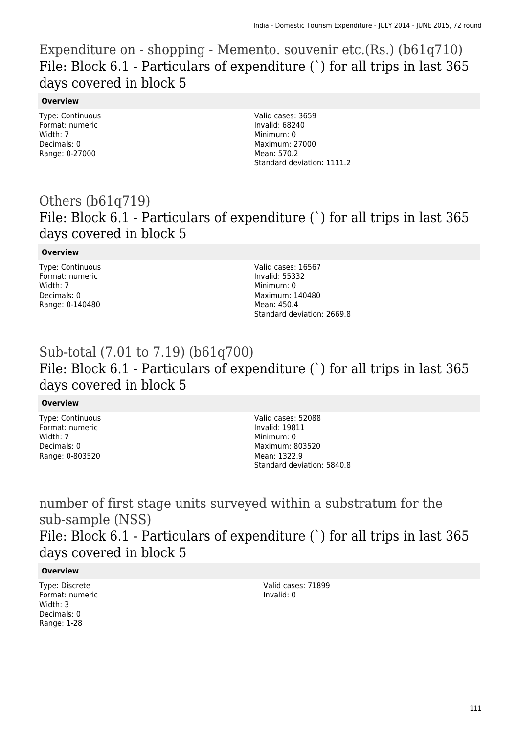# Expenditure on - shopping - Memento. souvenir etc.(Rs.) (b61q710) File: Block 6.1 - Particulars of expenditure (`) for all trips in last 365 days covered in block 5

### **Overview**

Type: Continuous Format: numeric Width: 7 Decimals: 0 Range: 0-27000

Valid cases: 3659 Invalid: 68240 Minimum: 0 Maximum: 27000 Mean: 570.2 Standard deviation: 1111.2

## Others (b61q719) File: Block 6.1 - Particulars of expenditure (`) for all trips in last 365 days covered in block 5

### **Overview**

Type: Continuous Format: numeric Width: 7 Decimals: 0 Range: 0-140480

Valid cases: 16567 Invalid: 55332 Minimum: 0 Maximum: 140480 Mean: 450.4 Standard deviation: 2669.8

# Sub-total (7.01 to 7.19) (b61q700) File: Block 6.1 - Particulars of expenditure (`) for all trips in last 365 days covered in block 5

### **Overview**

Type: Continuous Format: numeric Width: 7 Decimals: 0 Range: 0-803520

Valid cases: 52088 Invalid: 19811 Minimum: 0 Maximum: 803520 Mean: 1322.9 Standard deviation: 5840.8

number of first stage units surveyed within a substratum for the sub-sample (NSS) File: Block 6.1 - Particulars of expenditure (`) for all trips in last 365 days covered in block 5

### **Overview**

Type: Discrete Format: numeric Width: 3 Decimals: 0 Range: 1-28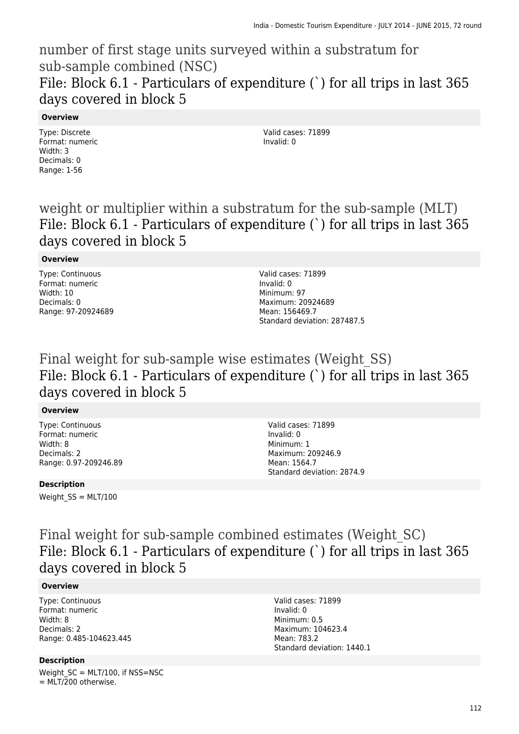# number of first stage units surveyed within a substratum for sub-sample combined (NSC) File: Block 6.1 - Particulars of expenditure (`) for all trips in last 365 days covered in block 5

### **Overview**

Type: Discrete Format: numeric Width: 3 Decimals: 0 Range: 1-56

Valid cases: 71899 Invalid: 0

weight or multiplier within a substratum for the sub-sample (MLT) File: Block 6.1 - Particulars of expenditure (`) for all trips in last 365 days covered in block 5

#### **Overview**

Type: Continuous Format: numeric Width: 10 Decimals: 0 Range: 97-20924689

Valid cases: 71899 Invalid: 0 Minimum: 97 Maximum: 20924689 Mean: 156469.7 Standard deviation: 287487.5

# Final weight for sub-sample wise estimates (Weight\_SS) File: Block 6.1 - Particulars of expenditure (`) for all trips in last 365 days covered in block 5

#### **Overview**

Type: Continuous Format: numeric Width: 8 Decimals: 2 Range: 0.97-209246.89

#### **Description**

Weight  $SS = MLT/100$ 

Valid cases: 71899 Invalid: 0 Minimum: 1 Maximum: 209246.9 Mean: 1564.7 Standard deviation: 2874.9

Final weight for sub-sample combined estimates (Weight\_SC) File: Block 6.1 - Particulars of expenditure (`) for all trips in last 365 days covered in block 5

#### **Overview**

Type: Continuous Format: numeric Width: 8 Decimals: 2 Range: 0.485-104623.445

#### **Description**

Weight  $SC = MLT/100$ , if NSS=NSC = MLT/200 otherwise.

Valid cases: 71899 Invalid: 0 Minimum: 0.5 Maximum: 104623.4 Mean: 783.2 Standard deviation: 1440.1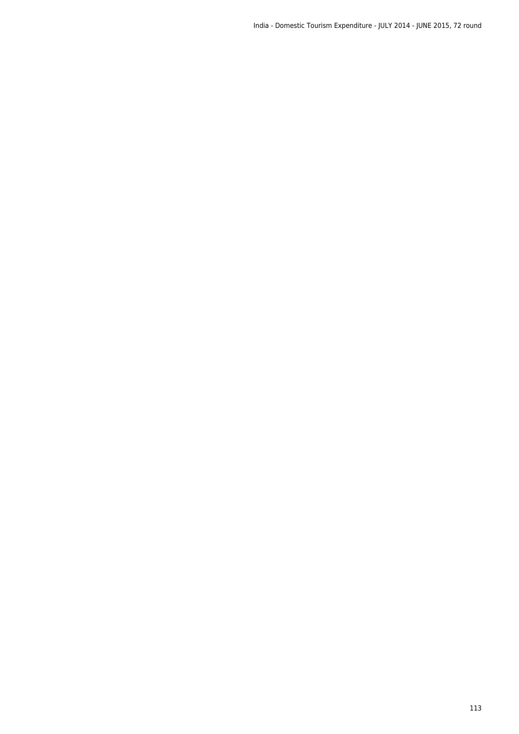India - Domestic Tourism Expenditure - JULY 2014 - JUNE 2015, 72 round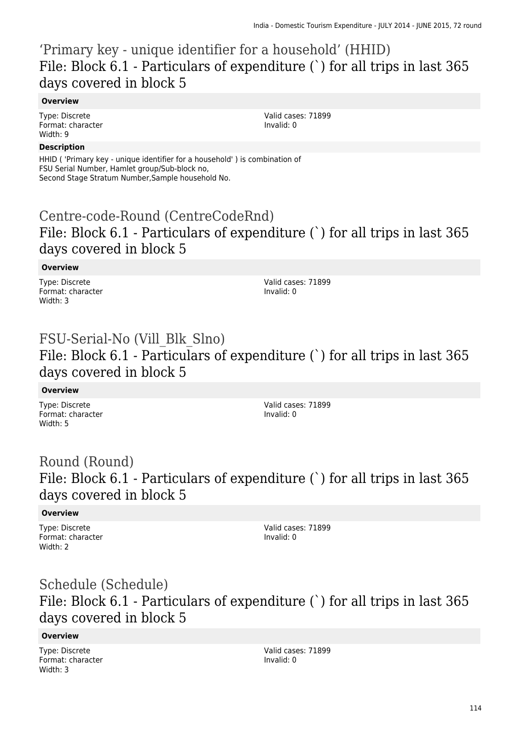# 'Primary key - unique identifier for a household' (HHID) File: Block 6.1 - Particulars of expenditure (`) for all trips in last 365 days covered in block 5

### **Overview**

Type: Discrete Format: character Width: 9

### **Description**

HHID ( 'Primary key - unique identifier for a household' ) is combination of FSU Serial Number, Hamlet group/Sub-block no, Second Stage Stratum Number,Sample household No.

# Centre-code-Round (CentreCodeRnd) File: Block 6.1 - Particulars of expenditure (`) for all trips in last 365 days covered in block 5

### **Overview**

Type: Discrete Format: character Width: 3

Valid cases: 71899 Invalid: 0

Valid cases: 71899

Invalid: 0

# FSU-Serial-No (Vill\_Blk\_Slno) File: Block 6.1 - Particulars of expenditure (`) for all trips in last 365 days covered in block 5

### **Overview**

Type: Discrete Format: character Width: 5

Valid cases: 71899 Invalid: 0

# Round (Round) File: Block 6.1 - Particulars of expenditure (`) for all trips in last 365 days covered in block 5

### **Overview**

Type: Discrete Format: character Width: 2

Valid cases: 71899 Invalid: 0

# Schedule (Schedule) File: Block 6.1 - Particulars of expenditure (`) for all trips in last 365 days covered in block 5

### **Overview**

Type: Discrete Format: character Width: 3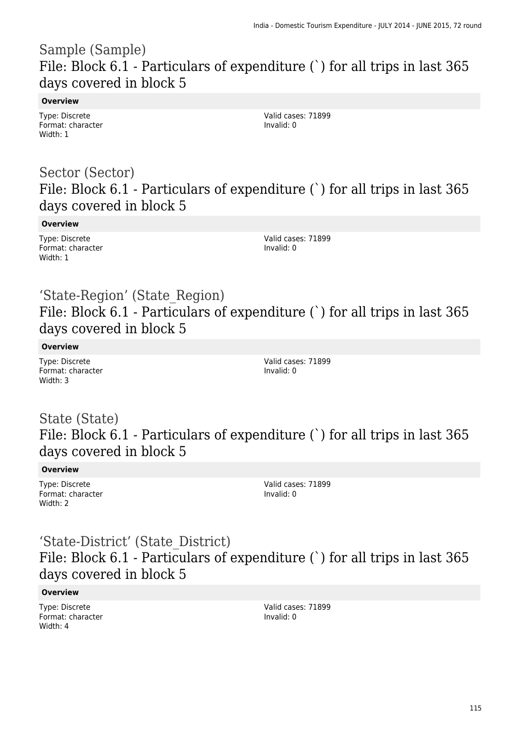# Sample (Sample) File: Block 6.1 - Particulars of expenditure (`) for all trips in last 365 days covered in block 5

### **Overview**

Type: Discrete Format: character Width: 1

Valid cases: 71899 Invalid: 0

### Sector (Sector) File: Block 6.1 - Particulars of expenditure (`) for all trips in last 365 days covered in block 5

### **Overview**

Type: Discrete Format: character Width: 1

Valid cases: 71899 Invalid: 0

## 'State-Region' (State\_Region) File: Block 6.1 - Particulars of expenditure (`) for all trips in last 365 days covered in block 5

### **Overview**

Type: Discrete Format: character Width: 3

Valid cases: 71899 Invalid: 0

### State (State) File: Block 6.1 - Particulars of expenditure (`) for all trips in last 365 days covered in block 5

### **Overview**

Type: Discrete Format: character Width: 2

Valid cases: 71899 Invalid: 0

'State-District' (State\_District) File: Block 6.1 - Particulars of expenditure (`) for all trips in last 365 days covered in block 5

### **Overview**

Type: Discrete Format: character Width: 4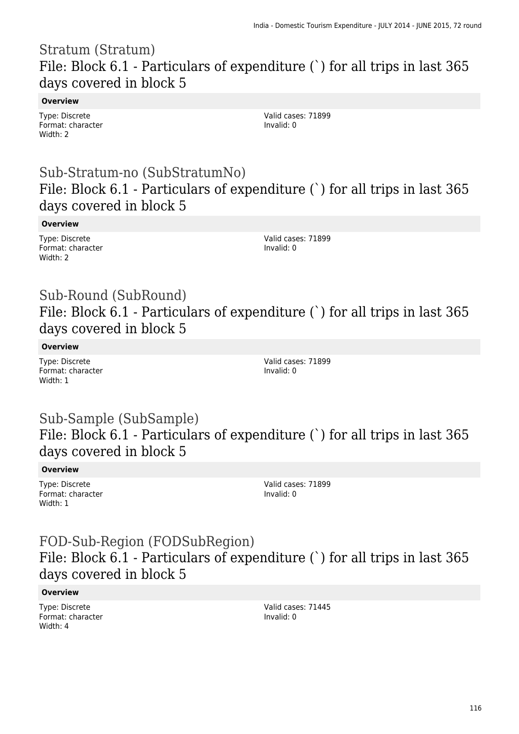## Stratum (Stratum) File: Block 6.1 - Particulars of expenditure (`) for all trips in last 365 days covered in block 5

### **Overview**

Type: Discrete Format: character Width: 2

Valid cases: 71899 Invalid: 0

Sub-Stratum-no (SubStratumNo) File: Block 6.1 - Particulars of expenditure (`) for all trips in last 365 days covered in block 5

### **Overview**

Type: Discrete Format: character Width: 2

Valid cases: 71899 Invalid: 0

# Sub-Round (SubRound) File: Block 6.1 - Particulars of expenditure (`) for all trips in last 365 days covered in block 5

### **Overview**

Type: Discrete Format: character Width: 1

Valid cases: 71899 Invalid: 0

### Sub-Sample (SubSample) File: Block 6.1 - Particulars of expenditure (`) for all trips in last 365 days covered in block 5

### **Overview**

Type: Discrete Format: character Width: 1

Valid cases: 71899 Invalid: 0

FOD-Sub-Region (FODSubRegion) File: Block 6.1 - Particulars of expenditure (`) for all trips in last 365 days covered in block 5

### **Overview**

Type: Discrete Format: character Width: 4

Valid cases: 71445 Invalid: 0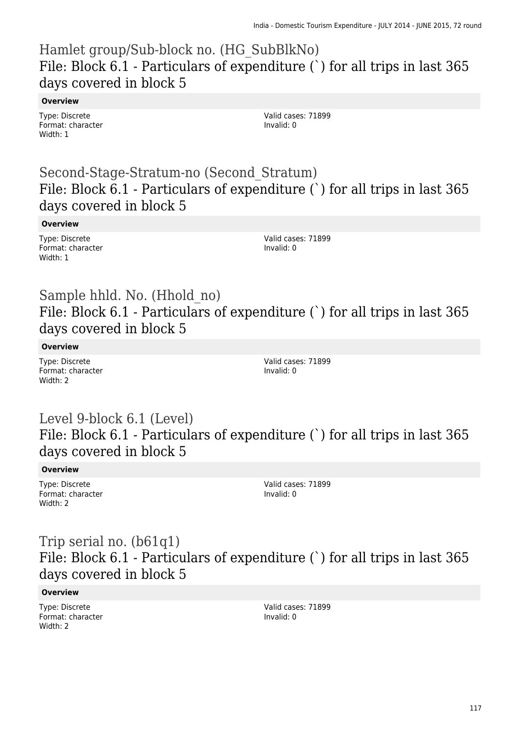# Hamlet group/Sub-block no. (HG\_SubBlkNo) File: Block 6.1 - Particulars of expenditure (`) for all trips in last 365 days covered in block 5

### **Overview**

Type: Discrete Format: character Width: 1

Valid cases: 71899 Invalid: 0

Second-Stage-Stratum-no (Second\_Stratum) File: Block 6.1 - Particulars of expenditure (`) for all trips in last 365 days covered in block 5

#### **Overview**

Type: Discrete Format: character Width: 1

Valid cases: 71899 Invalid: 0

### Sample hhld. No. (Hhold\_no) File: Block 6.1 - Particulars of expenditure (`) for all trips in last 365 days covered in block 5

### **Overview**

Type: Discrete Format: character Width: 2

Valid cases: 71899 Invalid: 0

### Level 9-block 6.1 (Level) File: Block 6.1 - Particulars of expenditure (`) for all trips in last 365 days covered in block 5

### **Overview**

Type: Discrete Format: character Width: 2

Valid cases: 71899 Invalid: 0

Trip serial no. (b61q1) File: Block 6.1 - Particulars of expenditure (`) for all trips in last 365 days covered in block 5

### **Overview**

Type: Discrete Format: character Width: 2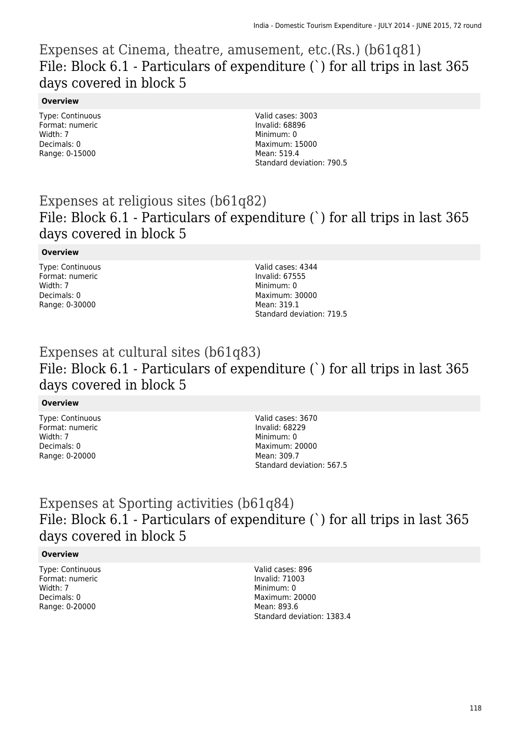# Expenses at Cinema, theatre, amusement, etc.(Rs.) (b61q81) File: Block 6.1 - Particulars of expenditure (`) for all trips in last 365 days covered in block 5

### **Overview**

Type: Continuous Format: numeric Width: 7 Decimals: 0 Range: 0-15000

Valid cases: 3003 Invalid: 68896 Minimum: 0 Maximum: 15000 Mean: 519.4 Standard deviation: 790.5

# Expenses at religious sites (b61q82) File: Block 6.1 - Particulars of expenditure (`) for all trips in last 365 days covered in block 5

### **Overview**

Type: Continuous Format: numeric Width: 7 Decimals: 0 Range: 0-30000

Valid cases: 4344 Invalid: 67555 Minimum: 0 Maximum: 30000 Mean: 319.1 Standard deviation: 719.5

# Expenses at cultural sites (b61q83) File: Block 6.1 - Particulars of expenditure (`) for all trips in last 365 days covered in block 5

### **Overview**

Type: Continuous Format: numeric Width: 7 Decimals: 0 Range: 0-20000

Valid cases: 3670 Invalid: 68229 Minimum: 0 Maximum: 20000 Mean: 309.7 Standard deviation: 567.5

# Expenses at Sporting activities (b61q84) File: Block 6.1 - Particulars of expenditure (`) for all trips in last 365 days covered in block 5

### **Overview**

Type: Continuous Format: numeric Width: 7 Decimals: 0 Range: 0-20000

Valid cases: 896 Invalid: 71003 Minimum: 0 Maximum: 20000 Mean: 893.6 Standard deviation: 1383.4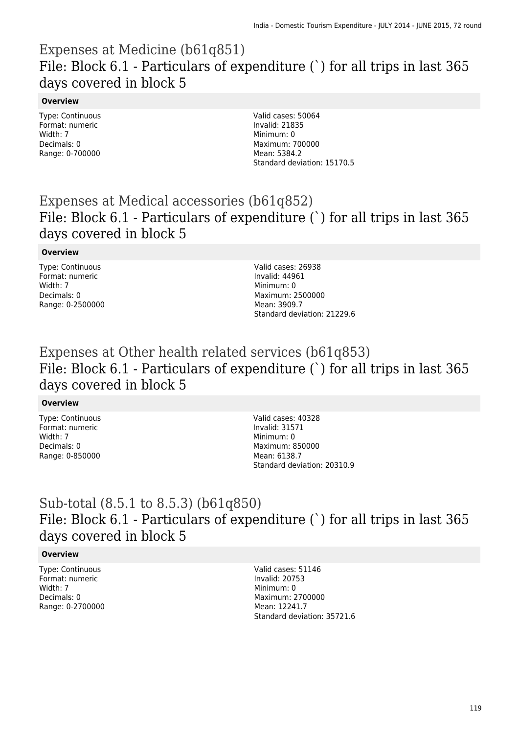# Expenses at Medicine (b61q851) File: Block 6.1 - Particulars of expenditure (`) for all trips in last 365 days covered in block 5

### **Overview**

Type: Continuous Format: numeric Width: 7 Decimals: 0 Range: 0-700000

Valid cases: 50064 Invalid: 21835 Minimum: 0 Maximum: 700000 Mean: 5384.2 Standard deviation: 15170.5

# Expenses at Medical accessories (b61q852) File: Block 6.1 - Particulars of expenditure (`) for all trips in last 365 days covered in block 5

### **Overview**

Type: Continuous Format: numeric Width: 7 Decimals: 0 Range: 0-2500000

Valid cases: 26938 Invalid: 44961 Minimum: 0 Maximum: 2500000 Mean: 3909.7 Standard deviation: 21229.6

# Expenses at Other health related services (b61q853) File: Block 6.1 - Particulars of expenditure (`) for all trips in last 365 days covered in block 5

### **Overview**

Type: Continuous Format: numeric Width: 7 Decimals: 0 Range: 0-850000

Valid cases: 40328 Invalid: 31571 Minimum: 0 Maximum: 850000 Mean: 6138.7 Standard deviation: 20310.9

# Sub-total (8.5.1 to 8.5.3) (b61q850) File: Block 6.1 - Particulars of expenditure (`) for all trips in last 365 days covered in block 5

### **Overview**

Type: Continuous Format: numeric Width: 7 Decimals: 0 Range: 0-2700000 Valid cases: 51146 Invalid: 20753 Minimum: 0 Maximum: 2700000 Mean: 12241.7 Standard deviation: 35721.6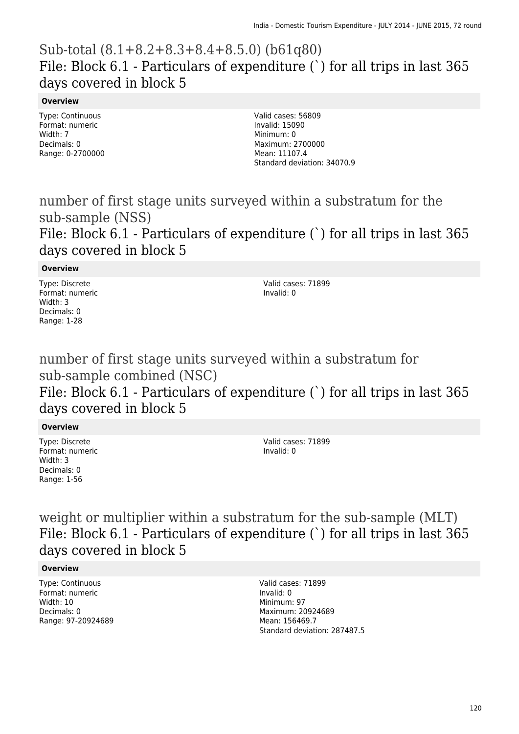# Sub-total (8.1+8.2+8.3+8.4+8.5.0) (b61q80) File: Block 6.1 - Particulars of expenditure (`) for all trips in last 365 days covered in block 5

### **Overview**

Type: Continuous Format: numeric Width: 7 Decimals: 0 Range: 0-2700000

Valid cases: 56809 Invalid: 15090 Minimum: 0 Maximum: 2700000 Mean: 11107.4 Standard deviation: 34070.9

number of first stage units surveyed within a substratum for the sub-sample (NSS) File: Block 6.1 - Particulars of expenditure (`) for all trips in last 365 days covered in block 5

### **Overview**

Type: Discrete Format: numeric Width: 3 Decimals: 0 Range: 1-28

Valid cases: 71899 Invalid: 0

number of first stage units surveyed within a substratum for sub-sample combined (NSC) File: Block 6.1 - Particulars of expenditure (`) for all trips in last 365

### days covered in block 5

### **Overview**

Type: Discrete Format: numeric Width: 3 Decimals: 0 Range: 1-56

Valid cases: 71899 Invalid: 0

weight or multiplier within a substratum for the sub-sample (MLT) File: Block 6.1 - Particulars of expenditure (`) for all trips in last 365 days covered in block 5

### **Overview**

Type: Continuous Format: numeric Width: 10 Decimals: 0 Range: 97-20924689 Valid cases: 71899 Invalid: 0 Minimum: 97 Maximum: 20924689 Mean: 156469.7 Standard deviation: 287487.5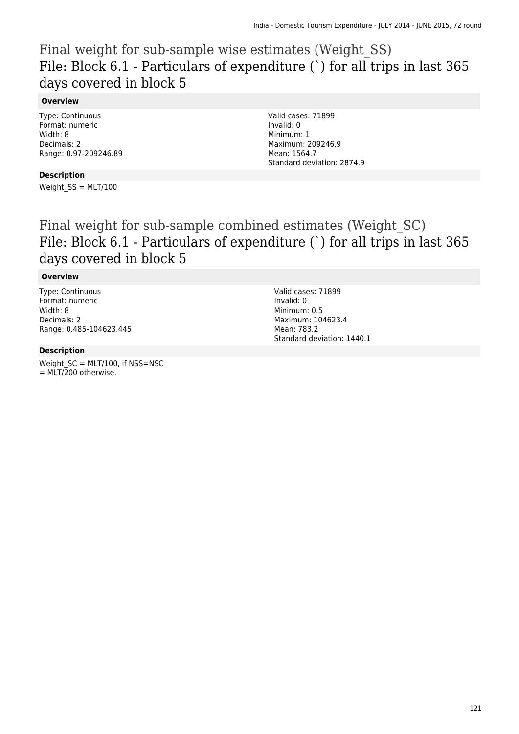# Final weight for sub-sample wise estimates (Weight\_SS) File: Block 6.1 - Particulars of expenditure (`) for all trips in last 365 days covered in block 5

### **Overview**

Type: Continuous Format: numeric Width: 8 Decimals: 2 Range: 0.97-209246.89

#### **Description**

Weight  $SS = MLT/100$ 

Valid cases: 71899 Invalid: 0 Minimum: 1 Maximum: 209246.9 Mean: 1564.7 Standard deviation: 2874.9

# Final weight for sub-sample combined estimates (Weight\_SC) File: Block 6.1 - Particulars of expenditure (`) for all trips in last 365 days covered in block 5

#### **Overview**

Type: Continuous Format: numeric Width: 8 Decimals: 2 Range: 0.485-104623.445

### **Description**

Weight  $SC = MLT/100$ , if NSS=NSC  $=$  MLT/200 otherwise.

Valid cases: 71899 Invalid: 0 Minimum: 0.5 Maximum: 104623.4 Mean: 783.2 Standard deviation: 1440.1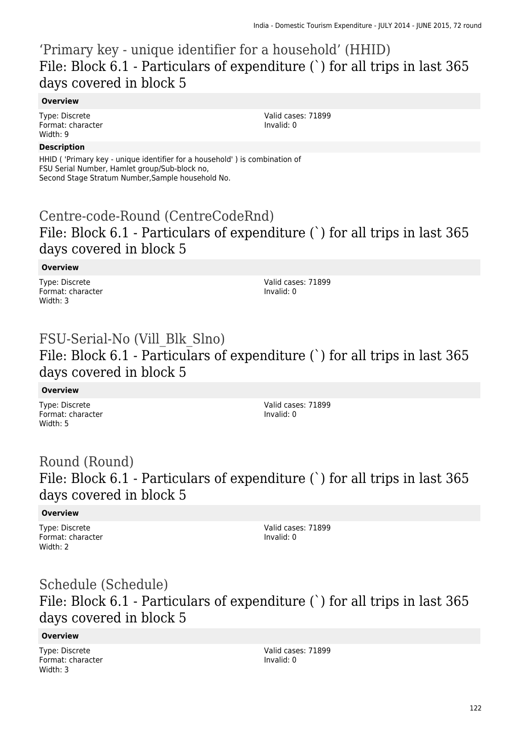# 'Primary key - unique identifier for a household' (HHID) File: Block 6.1 - Particulars of expenditure (`) for all trips in last 365 days covered in block 5

### **Overview**

Type: Discrete Format: character Width: 9

### **Description**

HHID ( 'Primary key - unique identifier for a household' ) is combination of FSU Serial Number, Hamlet group/Sub-block no, Second Stage Stratum Number,Sample household No.

# Centre-code-Round (CentreCodeRnd) File: Block 6.1 - Particulars of expenditure (`) for all trips in last 365 days covered in block 5

### **Overview**

Type: Discrete Format: character Width: 3

Valid cases: 71899 Invalid: 0

Valid cases: 71899

Invalid: 0

# FSU-Serial-No (Vill\_Blk\_Slno) File: Block 6.1 - Particulars of expenditure (`) for all trips in last 365 days covered in block 5

### **Overview**

Type: Discrete Format: character Width: 5

Valid cases: 71899 Invalid: 0

# Round (Round) File: Block 6.1 - Particulars of expenditure (`) for all trips in last 365 days covered in block 5

### **Overview**

Type: Discrete Format: character Width: 2

Valid cases: 71899 Invalid: 0

# Schedule (Schedule) File: Block 6.1 - Particulars of expenditure (`) for all trips in last 365 days covered in block 5

### **Overview**

Type: Discrete Format: character Width: 3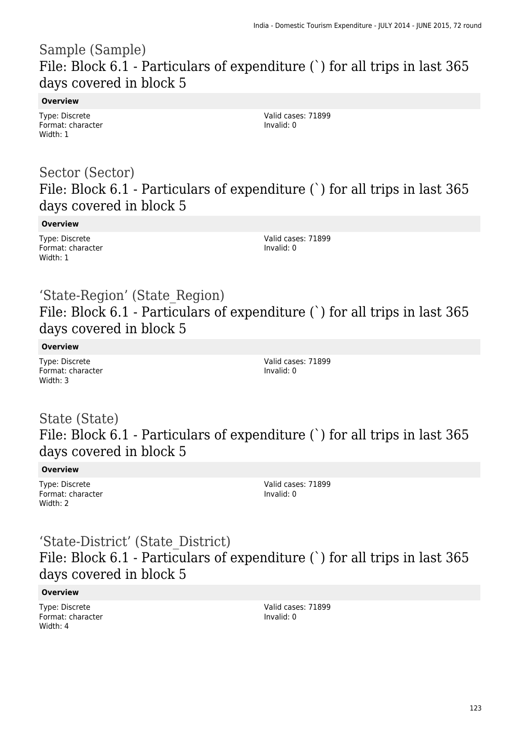# Sample (Sample) File: Block 6.1 - Particulars of expenditure (`) for all trips in last 365 days covered in block 5

### **Overview**

Type: Discrete Format: character Width: 1

Valid cases: 71899 Invalid: 0

### Sector (Sector) File: Block 6.1 - Particulars of expenditure (`) for all trips in last 365 days covered in block 5

### **Overview**

Type: Discrete Format: character Width: 1

Valid cases: 71899 Invalid: 0

## 'State-Region' (State\_Region) File: Block 6.1 - Particulars of expenditure (`) for all trips in last 365 days covered in block 5

### **Overview**

Type: Discrete Format: character Width: 3

Valid cases: 71899 Invalid: 0

### State (State) File: Block 6.1 - Particulars of expenditure (`) for all trips in last 365 days covered in block 5

### **Overview**

Type: Discrete Format: character Width: 2

Valid cases: 71899 Invalid: 0

'State-District' (State\_District) File: Block 6.1 - Particulars of expenditure (`) for all trips in last 365 days covered in block 5

### **Overview**

Type: Discrete Format: character Width: 4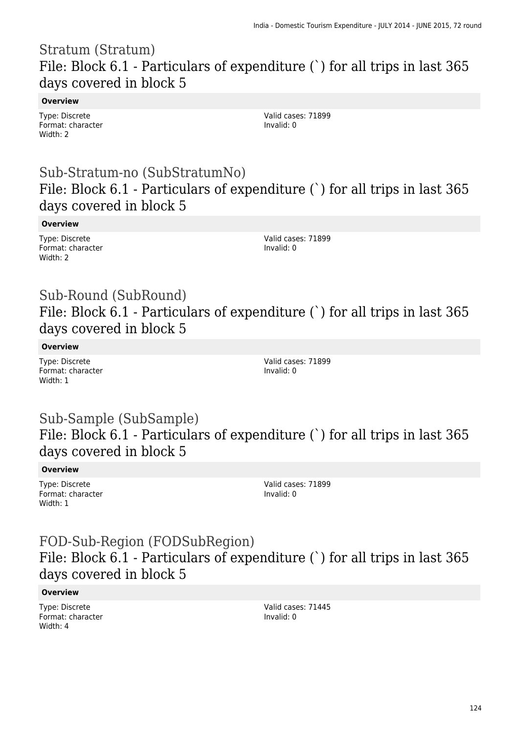## Stratum (Stratum) File: Block 6.1 - Particulars of expenditure (`) for all trips in last 365 days covered in block 5

### **Overview**

Type: Discrete Format: character Width: 2

Valid cases: 71899 Invalid: 0

Sub-Stratum-no (SubStratumNo) File: Block 6.1 - Particulars of expenditure (`) for all trips in last 365 days covered in block 5

### **Overview**

Type: Discrete Format: character Width: 2

Valid cases: 71899 Invalid: 0

# Sub-Round (SubRound) File: Block 6.1 - Particulars of expenditure (`) for all trips in last 365 days covered in block 5

### **Overview**

Type: Discrete Format: character Width: 1

Valid cases: 71899 Invalid: 0

### Sub-Sample (SubSample) File: Block 6.1 - Particulars of expenditure (`) for all trips in last 365 days covered in block 5

### **Overview**

Type: Discrete Format: character Width: 1

Valid cases: 71899 Invalid: 0

FOD-Sub-Region (FODSubRegion) File: Block 6.1 - Particulars of expenditure (`) for all trips in last 365 days covered in block 5

### **Overview**

Type: Discrete Format: character Width: 4

Valid cases: 71445 Invalid: 0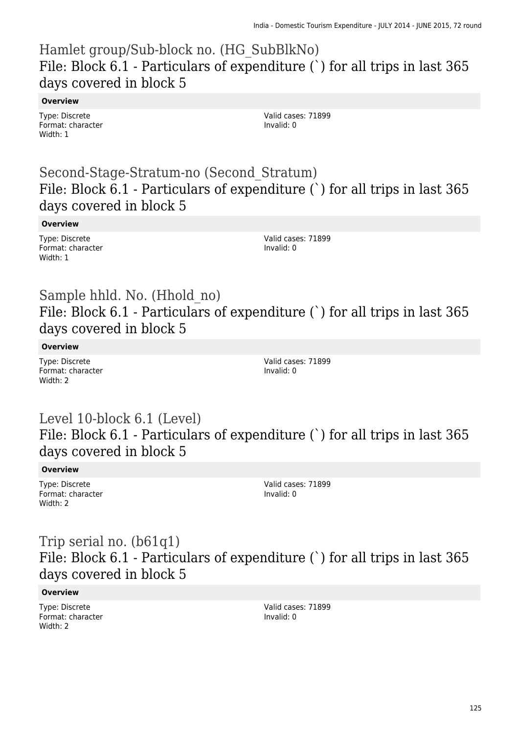# Hamlet group/Sub-block no. (HG\_SubBlkNo) File: Block 6.1 - Particulars of expenditure (`) for all trips in last 365 days covered in block 5

### **Overview**

Type: Discrete Format: character Width: 1

Valid cases: 71899 Invalid: 0

Second-Stage-Stratum-no (Second\_Stratum) File: Block 6.1 - Particulars of expenditure (`) for all trips in last 365 days covered in block 5

#### **Overview**

Type: Discrete Format: character Width: 1

Valid cases: 71899 Invalid: 0

### Sample hhld. No. (Hhold\_no) File: Block 6.1 - Particulars of expenditure (`) for all trips in last 365 days covered in block 5

### **Overview**

Type: Discrete Format: character Width: 2

Valid cases: 71899 Invalid: 0

### Level 10-block 6.1 (Level) File: Block 6.1 - Particulars of expenditure (`) for all trips in last 365 days covered in block 5

### **Overview**

Type: Discrete Format: character Width: 2

Valid cases: 71899 Invalid: 0

Trip serial no. (b61q1) File: Block 6.1 - Particulars of expenditure (`) for all trips in last 365 days covered in block 5

### **Overview**

Type: Discrete Format: character Width: 2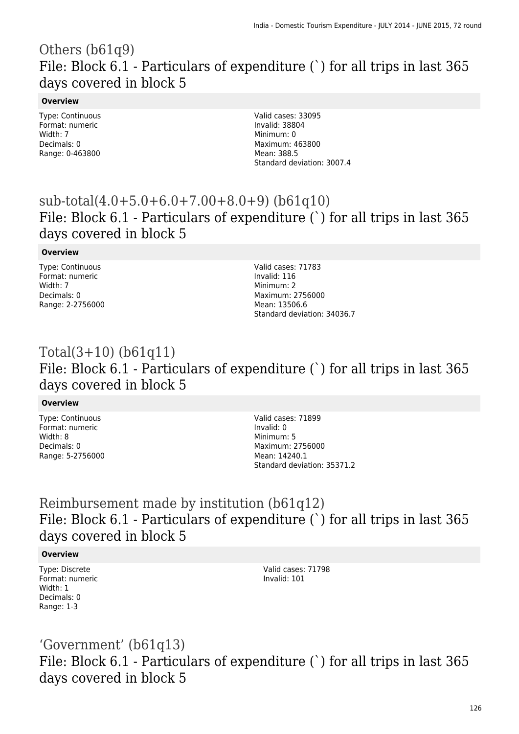## Others (b61q9) File: Block 6.1 - Particulars of expenditure (`) for all trips in last 365 days covered in block 5

### **Overview**

Type: Continuous Format: numeric Width: 7 Decimals: 0 Range: 0-463800

Valid cases: 33095 Invalid: 38804 Minimum: 0 Maximum: 463800 Mean: 388.5 Standard deviation: 3007.4

# sub-total(4.0+5.0+6.0+7.00+8.0+9) (b61q10) File: Block 6.1 - Particulars of expenditure (`) for all trips in last 365 days covered in block 5

### **Overview**

Type: Continuous Format: numeric Width: 7 Decimals: 0 Range: 2-2756000

Valid cases: 71783 Invalid: 116 Minimum: 2 Maximum: 2756000 Mean: 13506.6 Standard deviation: 34036.7

# Total(3+10) (b61q11) File: Block 6.1 - Particulars of expenditure (`) for all trips in last 365 days covered in block 5

### **Overview**

Type: Continuous Format: numeric Width: 8 Decimals: 0 Range: 5-2756000

Valid cases: 71899 Invalid: 0 Minimum: 5 Maximum: 2756000 Mean: 14240.1 Standard deviation: 35371.2

# Reimbursement made by institution (b61q12) File: Block 6.1 - Particulars of expenditure (`) for all trips in last 365 days covered in block 5

### **Overview**

Type: Discrete Format: numeric Width: 1 Decimals: 0 Range: 1-3

Valid cases: 71798 Invalid: 101

'Government' (b61q13) File: Block 6.1 - Particulars of expenditure (`) for all trips in last 365 days covered in block 5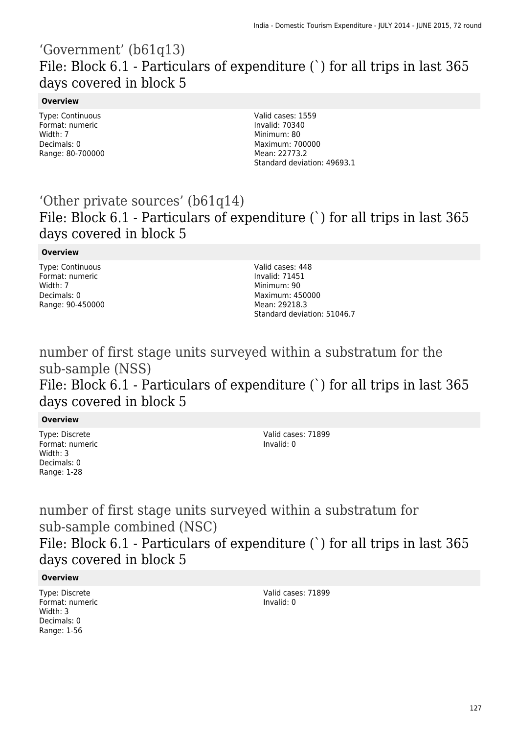## 'Government' (b61q13) File: Block 6.1 - Particulars of expenditure (`) for all trips in last 365 days covered in block 5

### **Overview**

Type: Continuous Format: numeric Width: 7 Decimals: 0 Range: 80-700000

Valid cases: 1559 Invalid: 70340 Minimum: 80 Maximum: 700000 Mean: 22773.2 Standard deviation: 49693.1

## 'Other private sources' (b61q14) File: Block 6.1 - Particulars of expenditure (`) for all trips in last 365 days covered in block 5

### **Overview**

Type: Continuous Format: numeric Width: 7 Decimals: 0 Range: 90-450000 Valid cases: 448 Invalid: 71451 Minimum: 90 Maximum: 450000 Mean: 29218.3 Standard deviation: 51046.7

# number of first stage units surveyed within a substratum for the sub-sample (NSS)

File: Block 6.1 - Particulars of expenditure (`) for all trips in last 365 days covered in block 5

### **Overview**

Type: Discrete Format: numeric Width: 3 Decimals: 0 Range: 1-28

Valid cases: 71899 Invalid: 0

number of first stage units surveyed within a substratum for sub-sample combined (NSC)

File: Block 6.1 - Particulars of expenditure (`) for all trips in last 365 days covered in block 5

### **Overview**

Type: Discrete Format: numeric Width: 3 Decimals: 0 Range: 1-56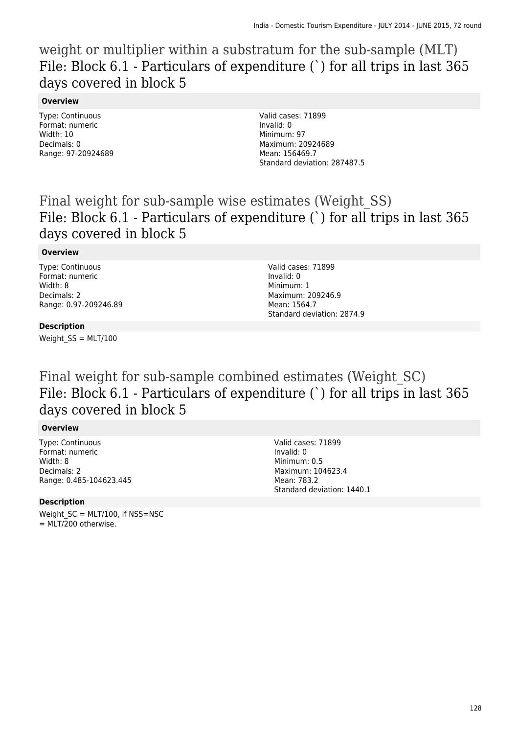# weight or multiplier within a substratum for the sub-sample (MLT) File: Block 6.1 - Particulars of expenditure (`) for all trips in last 365 days covered in block 5

### **Overview**

Type: Continuous Format: numeric Width: 10 Decimals: 0 Range: 97-20924689

Valid cases: 71899 Invalid: 0 Minimum: 97 Maximum: 20924689 Mean: 156469.7 Standard deviation: 287487.5

# Final weight for sub-sample wise estimates (Weight\_SS) File: Block 6.1 - Particulars of expenditure (`) for all trips in last 365 days covered in block 5

### **Overview**

Type: Continuous Format: numeric Width: 8 Decimals: 2 Range: 0.97-209246.89

### **Description**

Weight  $SS = MLT/100$ 

Valid cases: 71899 Invalid: 0 Minimum: 1 Maximum: 209246.9 Mean: 1564.7 Standard deviation: 2874.9

# Final weight for sub-sample combined estimates (Weight\_SC) File: Block 6.1 - Particulars of expenditure (`) for all trips in last 365 days covered in block 5

### **Overview**

Type: Continuous Format: numeric Width: 8 Decimals: 2 Range: 0.485-104623.445

### **Description**

Weight SC = MLT/100, if NSS=NSC  $=$  MLT/200 otherwise.

Valid cases: 71899 Invalid: 0 Minimum: 0.5 Maximum: 104623.4 Mean: 783.2 Standard deviation: 1440.1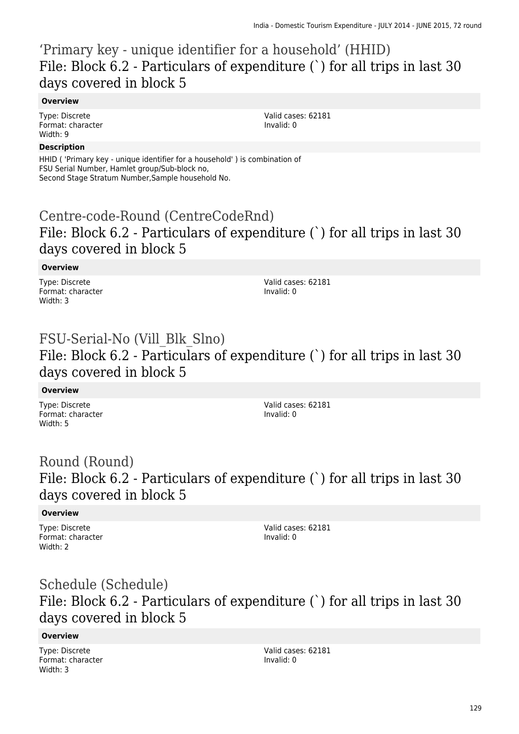# 'Primary key - unique identifier for a household' (HHID) File: Block 6.2 - Particulars of expenditure (`) for all trips in last 30 days covered in block 5

### **Overview**

Type: Discrete Format: character Width: 9

### **Description**

HHID ( 'Primary key - unique identifier for a household' ) is combination of FSU Serial Number, Hamlet group/Sub-block no, Second Stage Stratum Number,Sample household No.

# Centre-code-Round (CentreCodeRnd) File: Block 6.2 - Particulars of expenditure (`) for all trips in last 30 days covered in block 5

### **Overview**

Type: Discrete Format: character Width: 3

Valid cases: 62181 Invalid: 0

Valid cases: 62181

Invalid: 0

# FSU-Serial-No (Vill\_Blk\_Slno) File: Block 6.2 - Particulars of expenditure (`) for all trips in last 30 days covered in block 5

### **Overview**

Type: Discrete Format: character Width: 5

Valid cases: 62181 Invalid: 0

# Round (Round) File: Block 6.2 - Particulars of expenditure (`) for all trips in last 30 days covered in block 5

### **Overview**

Type: Discrete Format: character Width: 2

Valid cases: 62181 Invalid: 0

# Schedule (Schedule) File: Block 6.2 - Particulars of expenditure (`) for all trips in last 30 days covered in block 5

### **Overview**

Type: Discrete Format: character Width: 3

Valid cases: 62181 Invalid: 0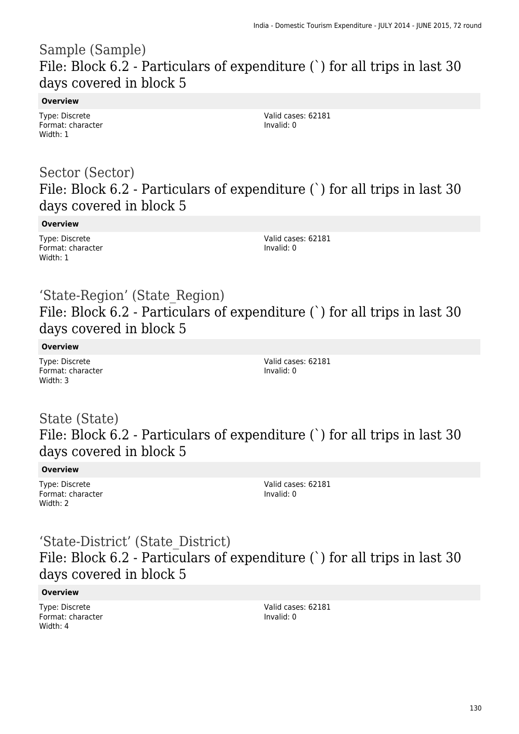# Sample (Sample) File: Block 6.2 - Particulars of expenditure (`) for all trips in last 30 days covered in block 5

### **Overview**

Type: Discrete Format: character Width: 1

Valid cases: 62181 Invalid: 0

## Sector (Sector) File: Block 6.2 - Particulars of expenditure (`) for all trips in last 30 days covered in block 5

### **Overview**

Type: Discrete Format: character Width: 1

Valid cases: 62181 Invalid: 0

### 'State-Region' (State\_Region) File: Block 6.2 - Particulars of expenditure (`) for all trips in last 30 days covered in block 5

### **Overview**

Type: Discrete Format: character Width: 3

Valid cases: 62181 Invalid: 0

### State (State) File: Block 6.2 - Particulars of expenditure (`) for all trips in last 30 days covered in block 5

### **Overview**

Type: Discrete Format: character Width: 2

Valid cases: 62181 Invalid: 0

'State-District' (State\_District) File: Block 6.2 - Particulars of expenditure (`) for all trips in last 30 days covered in block 5

### **Overview**

Type: Discrete Format: character Width: 4

Valid cases: 62181 Invalid: 0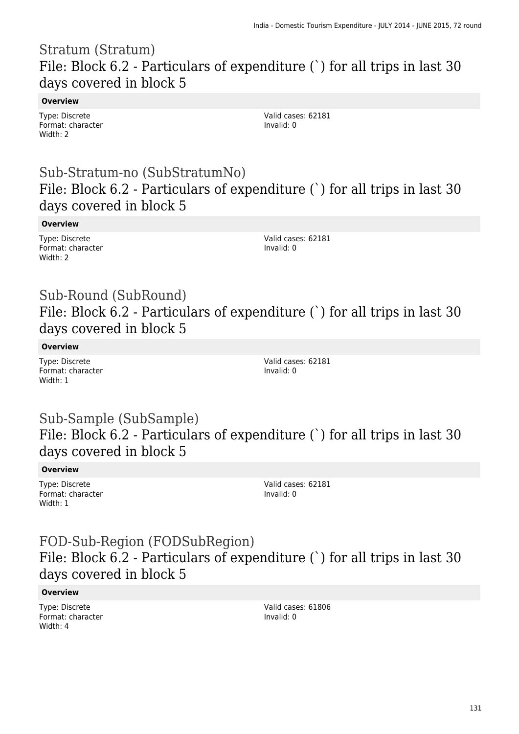## Stratum (Stratum) File: Block 6.2 - Particulars of expenditure (`) for all trips in last 30 days covered in block 5

### **Overview**

Type: Discrete Format: character Width: 2

Valid cases: 62181 Invalid: 0

Sub-Stratum-no (SubStratumNo) File: Block 6.2 - Particulars of expenditure (`) for all trips in last 30 days covered in block 5

### **Overview**

Type: Discrete Format: character Width: 2

Valid cases: 62181 Invalid: 0

# Sub-Round (SubRound) File: Block 6.2 - Particulars of expenditure (`) for all trips in last 30 days covered in block 5

### **Overview**

Type: Discrete Format: character Width: 1

Valid cases: 62181 Invalid: 0

### Sub-Sample (SubSample) File: Block 6.2 - Particulars of expenditure (`) for all trips in last 30 days covered in block 5

### **Overview**

Type: Discrete Format: character Width: 1

Valid cases: 62181 Invalid: 0

FOD-Sub-Region (FODSubRegion) File: Block 6.2 - Particulars of expenditure (`) for all trips in last 30 days covered in block 5

### **Overview**

Type: Discrete Format: character Width: 4

Valid cases: 61806 Invalid: 0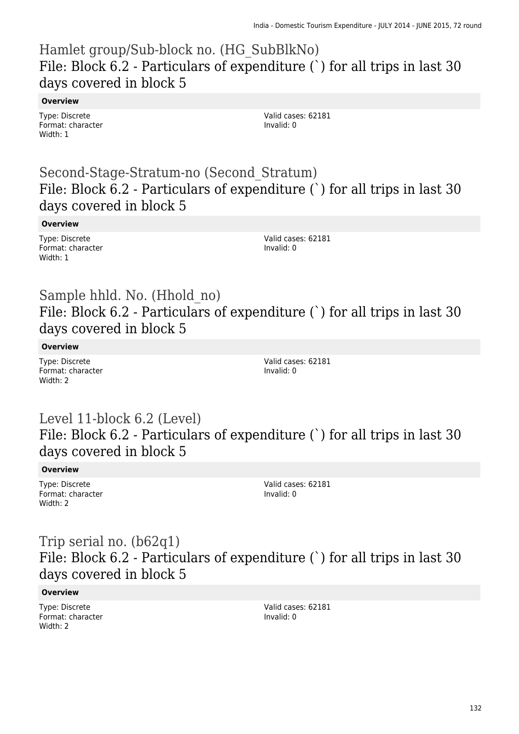# Hamlet group/Sub-block no. (HG\_SubBlkNo) File: Block 6.2 - Particulars of expenditure (`) for all trips in last 30 days covered in block 5

### **Overview**

Type: Discrete Format: character Width: 1

Valid cases: 62181 Invalid: 0

Second-Stage-Stratum-no (Second\_Stratum) File: Block 6.2 - Particulars of expenditure (`) for all trips in last 30 days covered in block 5

#### **Overview**

Type: Discrete Format: character Width: 1

Valid cases: 62181 Invalid: 0

## Sample hhld. No. (Hhold\_no) File: Block 6.2 - Particulars of expenditure (`) for all trips in last 30 days covered in block 5

### **Overview**

Type: Discrete Format: character Width: 2

Valid cases: 62181 Invalid: 0

### Level 11-block 6.2 (Level) File: Block 6.2 - Particulars of expenditure (`) for all trips in last 30 days covered in block 5

### **Overview**

Type: Discrete Format: character Width: 2

Valid cases: 62181 Invalid: 0

Trip serial no. (b62q1) File: Block 6.2 - Particulars of expenditure (`) for all trips in last 30 days covered in block 5

### **Overview**

Type: Discrete Format: character Width: 2

Valid cases: 62181 Invalid: 0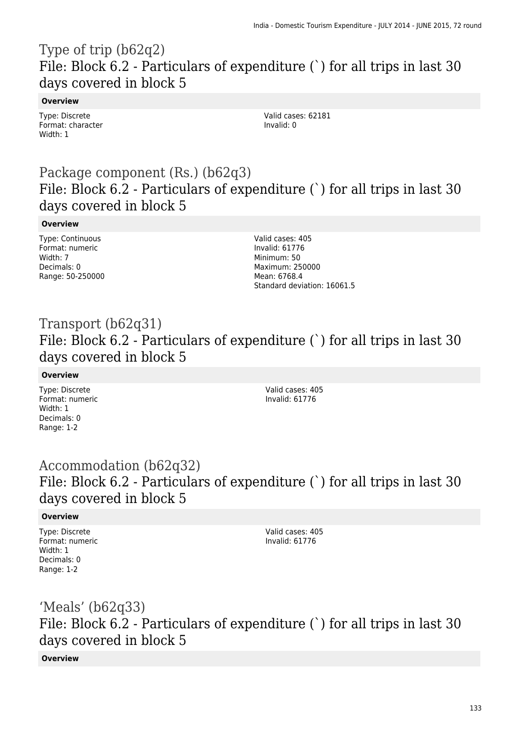# Type of trip (b62q2) File: Block 6.2 - Particulars of expenditure (`) for all trips in last 30 days covered in block 5

### **Overview**

Type: Discrete Format: character Width: 1

Valid cases: 62181 Invalid: 0

# Package component (Rs.) (b62q3) File: Block 6.2 - Particulars of expenditure (`) for all trips in last 30 days covered in block 5

### **Overview**

Type: Continuous Format: numeric Width: 7 Decimals: 0 Range: 50-250000

Valid cases: 405 Invalid: 61776 Minimum: 50 Maximum: 250000 Mean: 6768.4 Standard deviation: 16061.5

# Transport (b62q31) File: Block 6.2 - Particulars of expenditure (`) for all trips in last 30 days covered in block 5

### **Overview**

Type: Discrete Format: numeric Width: 1 Decimals: 0 Range: 1-2

Valid cases: 405 Invalid: 61776

### Accommodation (b62q32) File: Block 6.2 - Particulars of expenditure (`) for all trips in last 30 days covered in block 5

### **Overview**

Type: Discrete Format: numeric Width: 1 Decimals: 0 Range: 1-2

Valid cases: 405 Invalid: 61776

# 'Meals' (b62q33) File: Block 6.2 - Particulars of expenditure (`) for all trips in last 30 days covered in block 5

### **Overview**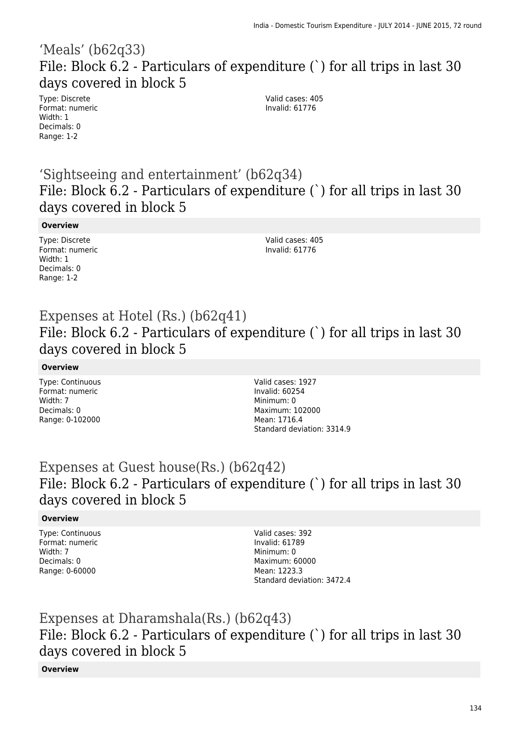# 'Meals' (b62q33) File: Block 6.2 - Particulars of expenditure (`) for all trips in last 30 days covered in block 5

Type: Discrete Format: numeric Width: 1 Decimals: 0 Range: 1-2

Valid cases: 405 Invalid: 61776

'Sightseeing and entertainment' (b62q34) File: Block 6.2 - Particulars of expenditure (`) for all trips in last 30 days covered in block 5

### **Overview**

Type: Discrete Format: numeric Width: 1 Decimals: 0 Range: 1-2

Valid cases: 405 Invalid: 61776

# Expenses at Hotel (Rs.) (b62q41) File: Block 6.2 - Particulars of expenditure (`) for all trips in last 30 days covered in block 5

### **Overview**

Type: Continuous Format: numeric Width: 7 Decimals: 0 Range: 0-102000

Valid cases: 1927 Invalid: 60254 Minimum: 0 Maximum: 102000 Mean: 1716.4 Standard deviation: 3314.9

# Expenses at Guest house(Rs.) (b62q42) File: Block 6.2 - Particulars of expenditure (`) for all trips in last 30 days covered in block 5

### **Overview**

Type: Continuous Format: numeric Width: 7 Decimals: 0 Range: 0-60000

Valid cases: 392 Invalid: 61789 Minimum: 0 Maximum: 60000 Mean: 1223.3 Standard deviation: 3472.4

# Expenses at Dharamshala(Rs.) (b62q43) File: Block 6.2 - Particulars of expenditure (`) for all trips in last 30 days covered in block 5

### **Overview**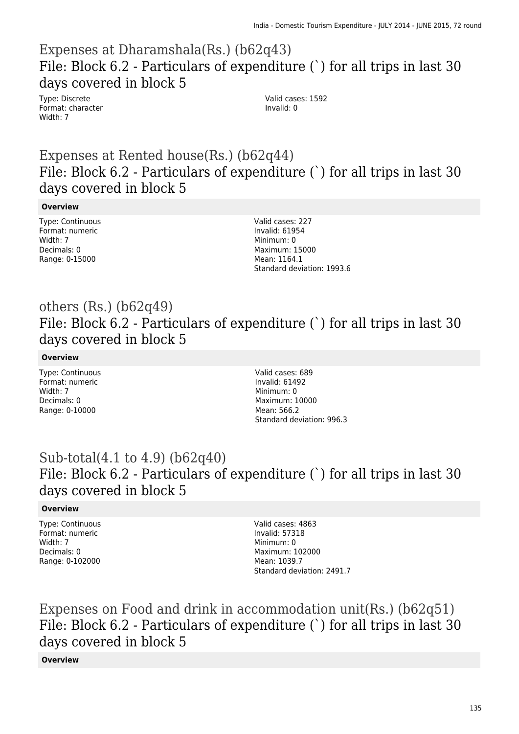# Expenses at Dharamshala(Rs.) (b62q43) File: Block 6.2 - Particulars of expenditure (`) for all trips in last 30 days covered in block 5

Type: Discrete Format: character Width: 7

Valid cases: 1592 Invalid: 0

# Expenses at Rented house(Rs.) (b62q44) File: Block 6.2 - Particulars of expenditure (`) for all trips in last 30 days covered in block 5

### **Overview**

Type: Continuous Format: numeric Width: 7 Decimals: 0 Range: 0-15000

Valid cases: 227 Invalid: 61954 Minimum: 0 Maximum: 15000 Mean: 1164.1 Standard deviation: 1993.6

# others (Rs.) (b62q49) File: Block 6.2 - Particulars of expenditure (`) for all trips in last 30 days covered in block 5

### **Overview**

Type: Continuous Format: numeric Width: 7 Decimals: 0 Range: 0-10000

Valid cases: 689 Invalid: 61492 Minimum: 0 Maximum: 10000 Mean: 566.2 Standard deviation: 996.3

## Sub-total(4.1 to 4.9) (b62q40) File: Block 6.2 - Particulars of expenditure (`) for all trips in last 30 days covered in block 5

### **Overview**

Type: Continuous Format: numeric Width: 7 Decimals: 0 Range: 0-102000

Valid cases: 4863 Invalid: 57318 Minimum: 0 Maximum: 102000 Mean: 1039.7 Standard deviation: 2491.7

Expenses on Food and drink in accommodation unit(Rs.) (b62q51) File: Block 6.2 - Particulars of expenditure (`) for all trips in last 30 days covered in block 5

### **Overview**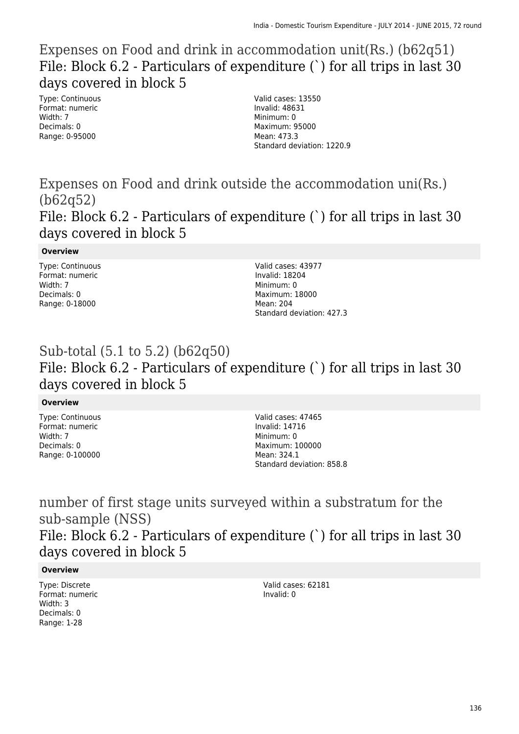# Expenses on Food and drink in accommodation unit(Rs.) (b62q51) File: Block 6.2 - Particulars of expenditure (`) for all trips in last 30 days covered in block 5

Type: Continuous Format: numeric Width: 7 Decimals: 0 Range: 0-95000

Valid cases: 13550 Invalid: 48631 Minimum: 0 Maximum: 95000 Mean: 473.3 Standard deviation: 1220.9

Expenses on Food and drink outside the accommodation uni(Rs.) (b62q52) File: Block 6.2 - Particulars of expenditure (`) for all trips in last 30 days covered in block 5

### **Overview**

Type: Continuous Format: numeric Width: 7 Decimals: 0 Range: 0-18000

Valid cases: 43977 Invalid: 18204 Minimum: 0 Maximum: 18000 Mean: 204 Standard deviation: 427.3

# Sub-total (5.1 to 5.2) (b62q50) File: Block 6.2 - Particulars of expenditure (`) for all trips in last 30 days covered in block 5

### **Overview**

Type: Continuous Format: numeric Width: 7 Decimals: 0 Range: 0-100000

Valid cases: 47465 Invalid: 14716 Minimum: 0 Maximum: 100000 Mean: 324.1 Standard deviation: 858.8

number of first stage units surveyed within a substratum for the sub-sample (NSS)

File: Block 6.2 - Particulars of expenditure (`) for all trips in last 30 days covered in block 5

### **Overview**

Type: Discrete Format: numeric Width: 3 Decimals: 0 Range: 1-28

Valid cases: 62181 Invalid: 0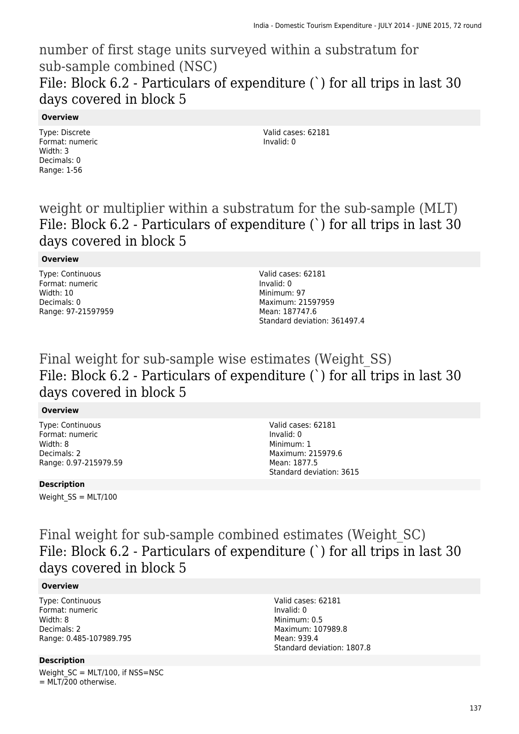# number of first stage units surveyed within a substratum for sub-sample combined (NSC) File: Block 6.2 - Particulars of expenditure (`) for all trips in last 30 days covered in block 5

### **Overview**

Type: Discrete Format: numeric Width: 3 Decimals: 0 Range: 1-56

Valid cases: 62181 Invalid: 0

weight or multiplier within a substratum for the sub-sample (MLT) File: Block 6.2 - Particulars of expenditure (`) for all trips in last 30 days covered in block 5

#### **Overview**

Type: Continuous Format: numeric Width: 10 Decimals: 0 Range: 97-21597959

Valid cases: 62181 Invalid: 0 Minimum: 97 Maximum: 21597959 Mean: 187747.6 Standard deviation: 361497.4

# Final weight for sub-sample wise estimates (Weight\_SS) File: Block 6.2 - Particulars of expenditure (`) for all trips in last 30 days covered in block 5

#### **Overview**

Type: Continuous Format: numeric Width: 8 Decimals: 2 Range: 0.97-215979.59

#### **Description**

Weight  $SS = MLT/100$ 

Valid cases: 62181 Invalid: 0 Minimum: 1 Maximum: 215979.6 Mean: 1877.5 Standard deviation: 3615

Final weight for sub-sample combined estimates (Weight\_SC) File: Block 6.2 - Particulars of expenditure (`) for all trips in last 30 days covered in block 5

#### **Overview**

Type: Continuous Format: numeric Width: 8 Decimals: 2 Range: 0.485-107989.795

#### **Description**

Weight  $SC = MLT/100$ , if NSS=NSC = MLT/200 otherwise.

Valid cases: 62181 Invalid: 0 Minimum: 0.5 Maximum: 107989.8 Mean: 939.4 Standard deviation: 1807.8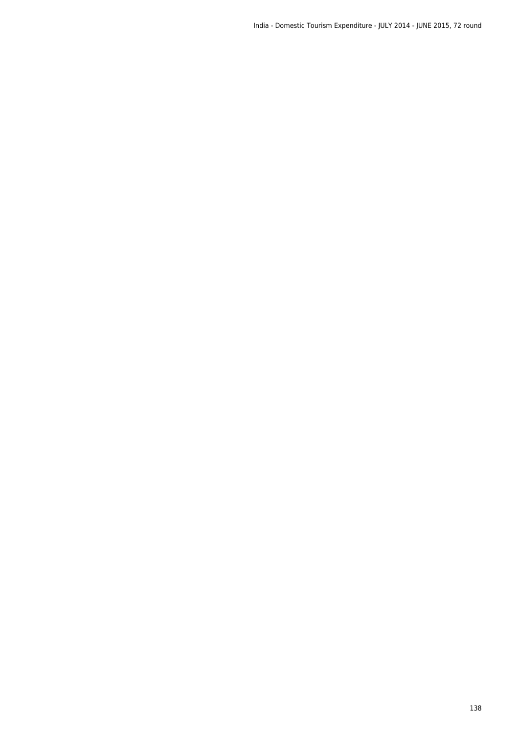India - Domestic Tourism Expenditure - JULY 2014 - JUNE 2015, 72 round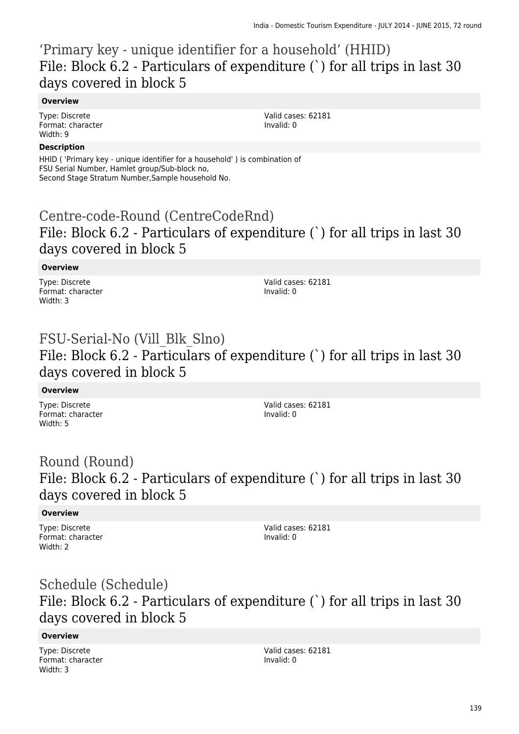# 'Primary key - unique identifier for a household' (HHID) File: Block 6.2 - Particulars of expenditure (`) for all trips in last 30 days covered in block 5

### **Overview**

Type: Discrete Format: character Width: 9

### **Description**

HHID ( 'Primary key - unique identifier for a household' ) is combination of FSU Serial Number, Hamlet group/Sub-block no, Second Stage Stratum Number,Sample household No.

# Centre-code-Round (CentreCodeRnd) File: Block 6.2 - Particulars of expenditure (`) for all trips in last 30 days covered in block 5

### **Overview**

Type: Discrete Format: character Width: 3

Valid cases: 62181 Invalid: 0

Valid cases: 62181

Invalid: 0

# FSU-Serial-No (Vill\_Blk\_Slno) File: Block 6.2 - Particulars of expenditure (`) for all trips in last 30 days covered in block 5

### **Overview**

Type: Discrete Format: character Width: 5

Valid cases: 62181 Invalid: 0

# Round (Round) File: Block 6.2 - Particulars of expenditure (`) for all trips in last 30 days covered in block 5

### **Overview**

Type: Discrete Format: character Width: 2

Valid cases: 62181 Invalid: 0

# Schedule (Schedule) File: Block 6.2 - Particulars of expenditure (`) for all trips in last 30 days covered in block 5

### **Overview**

Type: Discrete Format: character Width: 3

Valid cases: 62181 Invalid: 0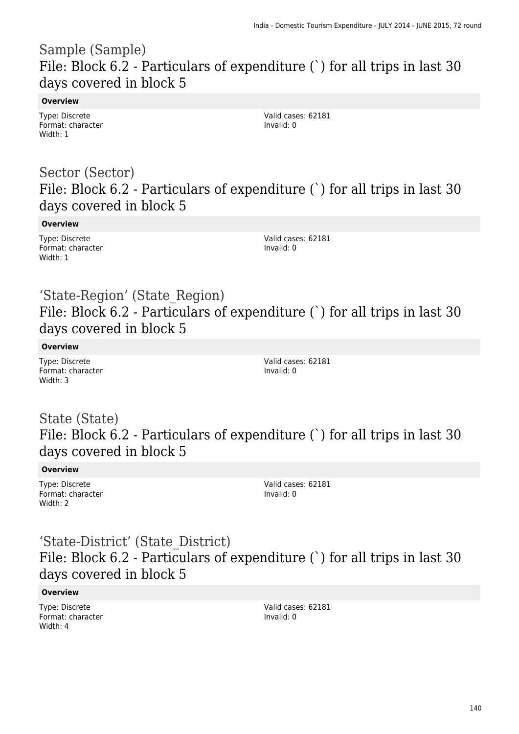# Sample (Sample) File: Block 6.2 - Particulars of expenditure (`) for all trips in last 30 days covered in block 5

### **Overview**

Type: Discrete Format: character Width: 1

Valid cases: 62181 Invalid: 0

## Sector (Sector) File: Block 6.2 - Particulars of expenditure (`) for all trips in last 30 days covered in block 5

### **Overview**

Type: Discrete Format: character Width: 1

Valid cases: 62181 Invalid: 0

### 'State-Region' (State\_Region) File: Block 6.2 - Particulars of expenditure (`) for all trips in last 30 days covered in block 5

### **Overview**

Type: Discrete Format: character Width: 3

Valid cases: 62181 Invalid: 0

### State (State) File: Block 6.2 - Particulars of expenditure (`) for all trips in last 30 days covered in block 5

### **Overview**

Type: Discrete Format: character Width: 2

Valid cases: 62181 Invalid: 0

'State-District' (State\_District) File: Block 6.2 - Particulars of expenditure (`) for all trips in last 30 days covered in block 5

### **Overview**

Type: Discrete Format: character Width: 4

Valid cases: 62181 Invalid: 0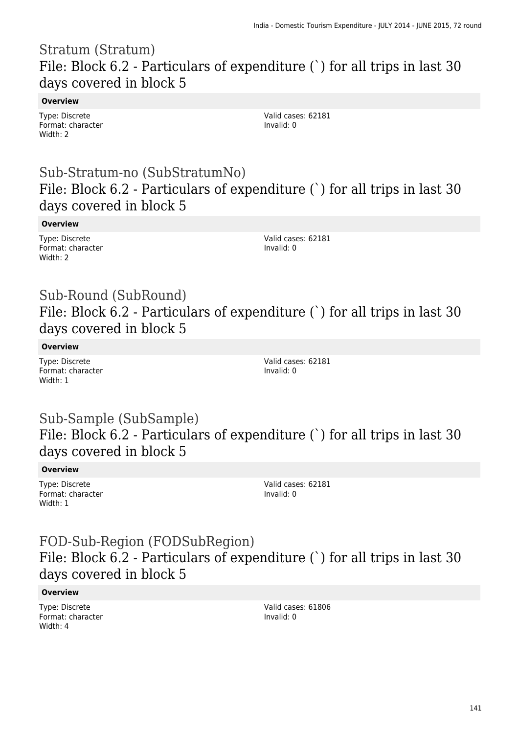## Stratum (Stratum) File: Block 6.2 - Particulars of expenditure (`) for all trips in last 30 days covered in block 5

### **Overview**

Type: Discrete Format: character Width: 2

Valid cases: 62181 Invalid: 0

Sub-Stratum-no (SubStratumNo) File: Block 6.2 - Particulars of expenditure (`) for all trips in last 30 days covered in block 5

### **Overview**

Type: Discrete Format: character Width: 2

Valid cases: 62181 Invalid: 0

# Sub-Round (SubRound) File: Block 6.2 - Particulars of expenditure (`) for all trips in last 30 days covered in block 5

### **Overview**

Type: Discrete Format: character Width: 1

Valid cases: 62181 Invalid: 0

### Sub-Sample (SubSample) File: Block 6.2 - Particulars of expenditure (`) for all trips in last 30 days covered in block 5

### **Overview**

Type: Discrete Format: character Width: 1

Valid cases: 62181 Invalid: 0

# FOD-Sub-Region (FODSubRegion) File: Block 6.2 - Particulars of expenditure (`) for all trips in last 30 days covered in block 5

### **Overview**

Type: Discrete Format: character Width: 4

Valid cases: 61806 Invalid: 0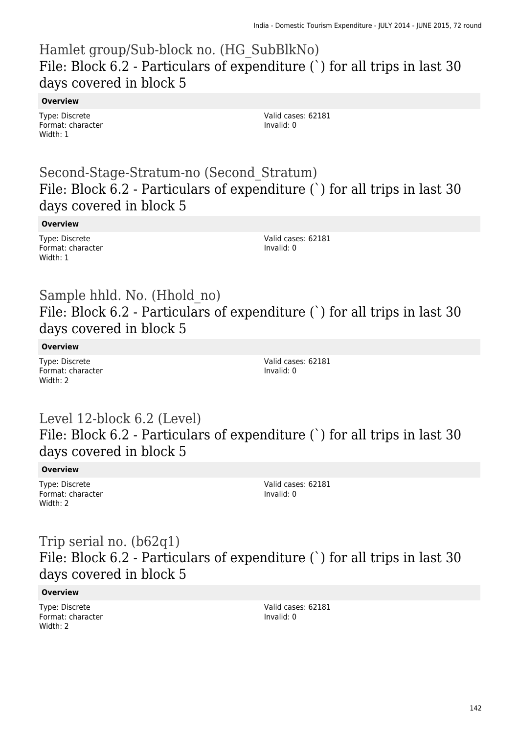# Hamlet group/Sub-block no. (HG\_SubBlkNo) File: Block 6.2 - Particulars of expenditure (`) for all trips in last 30 days covered in block 5

### **Overview**

Type: Discrete Format: character Width: 1

Valid cases: 62181 Invalid: 0

Second-Stage-Stratum-no (Second\_Stratum) File: Block 6.2 - Particulars of expenditure (`) for all trips in last 30 days covered in block 5

#### **Overview**

Type: Discrete Format: character Width: 1

Valid cases: 62181 Invalid: 0

## Sample hhld. No. (Hhold\_no) File: Block 6.2 - Particulars of expenditure (`) for all trips in last 30 days covered in block 5

### **Overview**

Type: Discrete Format: character Width: 2

Valid cases: 62181 Invalid: 0

### Level 12-block 6.2 (Level) File: Block 6.2 - Particulars of expenditure (`) for all trips in last 30 days covered in block 5

### **Overview**

Type: Discrete Format: character Width: 2

Valid cases: 62181 Invalid: 0

Trip serial no. (b62q1) File: Block 6.2 - Particulars of expenditure (`) for all trips in last 30 days covered in block 5

### **Overview**

Type: Discrete Format: character Width: 2

Valid cases: 62181 Invalid: 0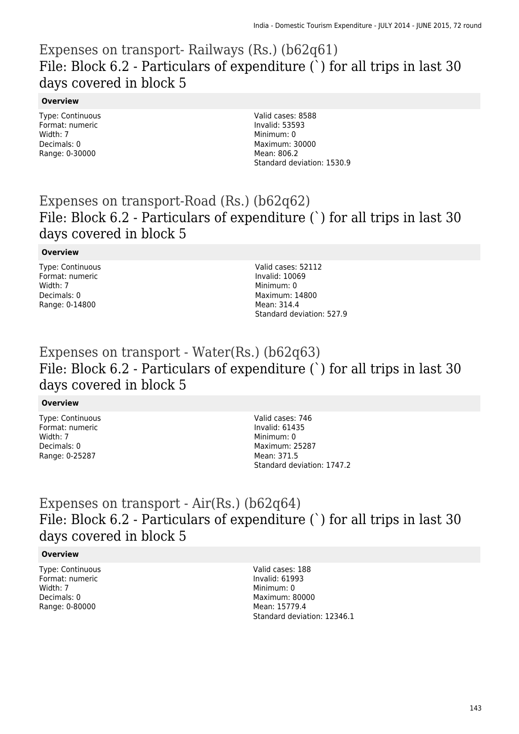# Expenses on transport- Railways (Rs.) (b62q61) File: Block 6.2 - Particulars of expenditure (`) for all trips in last 30 days covered in block 5

#### **Overview**

Type: Continuous Format: numeric Width: 7 Decimals: 0 Range: 0-30000

Valid cases: 8588 Invalid: 53593 Minimum: 0 Maximum: 30000 Mean: 806.2 Standard deviation: 1530.9

# Expenses on transport-Road (Rs.) (b62q62) File: Block 6.2 - Particulars of expenditure (`) for all trips in last 30 days covered in block 5

### **Overview**

Type: Continuous Format: numeric Width: 7 Decimals: 0 Range: 0-14800

Valid cases: 52112 Invalid: 10069 Minimum: 0 Maximum: 14800 Mean: 314.4 Standard deviation: 527.9

# Expenses on transport - Water(Rs.) (b62q63) File: Block 6.2 - Particulars of expenditure (`) for all trips in last 30 days covered in block 5

### **Overview**

Type: Continuous Format: numeric Width: 7 Decimals: 0 Range: 0-25287

Valid cases: 746 Invalid: 61435 Minimum: 0 Maximum: 25287 Mean: 371.5 Standard deviation: 1747.2

# Expenses on transport - Air(Rs.) (b62q64) File: Block 6.2 - Particulars of expenditure (`) for all trips in last 30 days covered in block 5

### **Overview**

Type: Continuous Format: numeric Width: 7 Decimals: 0 Range: 0-80000

Valid cases: 188 Invalid: 61993 Minimum: 0 Maximum: 80000 Mean: 15779.4 Standard deviation: 12346.1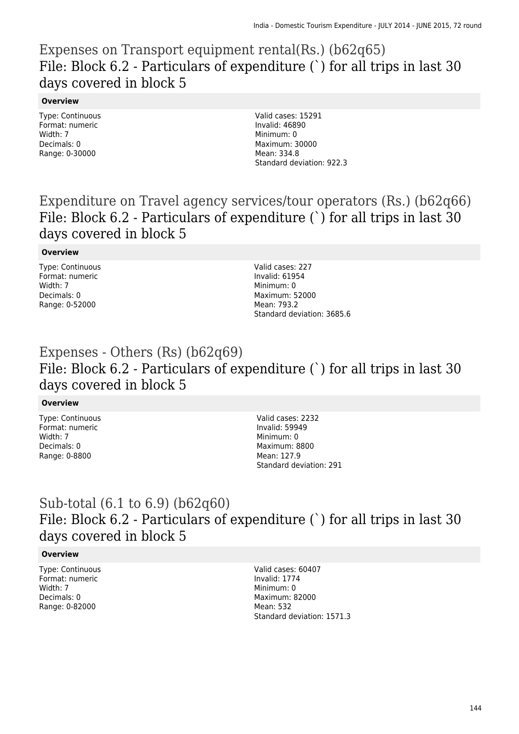# Expenses on Transport equipment rental(Rs.) (b62q65) File: Block 6.2 - Particulars of expenditure (`) for all trips in last 30 days covered in block 5

### **Overview**

Type: Continuous Format: numeric Width: 7 Decimals: 0 Range: 0-30000

Valid cases: 15291 Invalid: 46890 Minimum: 0 Maximum: 30000 Mean: 334.8 Standard deviation: 922.3

Expenditure on Travel agency services/tour operators (Rs.) (b62q66) File: Block 6.2 - Particulars of expenditure (`) for all trips in last 30 days covered in block 5

### **Overview**

Type: Continuous Format: numeric Width: 7 Decimals: 0 Range: 0-52000

Valid cases: 227 Invalid: 61954 Minimum: 0 Maximum: 52000 Mean: 793.2 Standard deviation: 3685.6

# Expenses - Others (Rs) (b62q69) File: Block 6.2 - Particulars of expenditure (`) for all trips in last 30 days covered in block 5

### **Overview**

Type: Continuous Format: numeric Width: 7 Decimals: 0 Range: 0-8800

Valid cases: 2232 Invalid: 59949 Minimum: 0 Maximum: 8800 Mean: 127.9 Standard deviation: 291

# Sub-total (6.1 to 6.9) (b62q60) File: Block 6.2 - Particulars of expenditure (`) for all trips in last 30 days covered in block 5

### **Overview**

Type: Continuous Format: numeric Width: 7 Decimals: 0 Range: 0-82000

Valid cases: 60407 Invalid: 1774 Minimum: 0 Maximum: 82000 Mean: 532 Standard deviation: 1571.3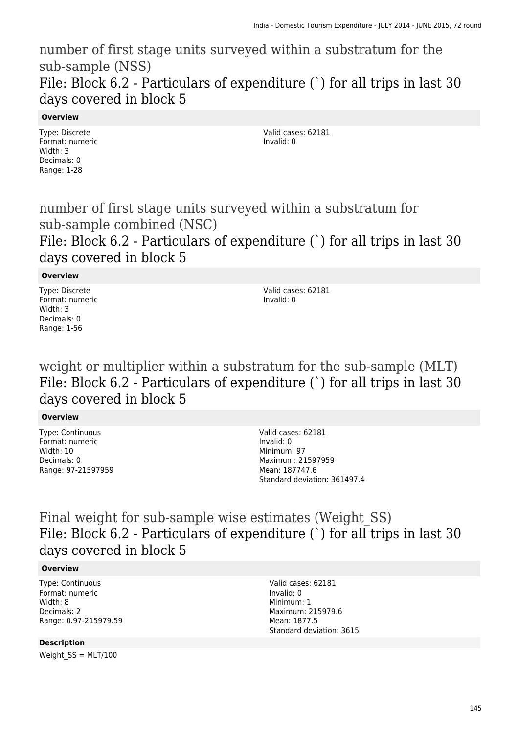## number of first stage units surveyed within a substratum for the sub-sample (NSS) File: Block 6.2 - Particulars of expenditure (`) for all trips in last 30 days covered in block 5

#### **Overview**

Type: Discrete Format: numeric Width: 3 Decimals: 0 Range: 1-28

Valid cases: 62181 Invalid: 0

number of first stage units surveyed within a substratum for sub-sample combined (NSC) File: Block 6.2 - Particulars of expenditure (`) for all trips in last 30 days covered in block 5

#### **Overview**

Type: Discrete Format: numeric Width: 3 Decimals: 0 Range: 1-56

Valid cases: 62181 Invalid: 0

weight or multiplier within a substratum for the sub-sample (MLT) File: Block 6.2 - Particulars of expenditure (`) for all trips in last 30 days covered in block 5

#### **Overview**

Type: Continuous Format: numeric Width: 10 Decimals: 0 Range: 97-21597959

Valid cases: 62181 Invalid: 0 Minimum: 97 Maximum: 21597959 Mean: 187747.6 Standard deviation: 361497.4

Final weight for sub-sample wise estimates (Weight\_SS) File: Block 6.2 - Particulars of expenditure (`) for all trips in last 30 days covered in block 5

#### **Overview**

Type: Continuous Format: numeric Width: 8 Decimals: 2 Range: 0.97-215979.59

#### **Description**

Weight  $SS = MLT/100$ 

Valid cases: 62181 Invalid: 0 Minimum: 1 Maximum: 215979.6 Mean: 1877.5 Standard deviation: 3615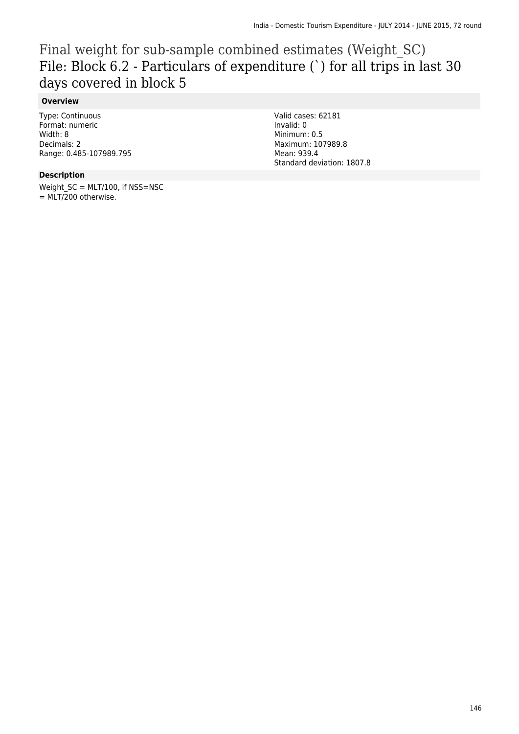# Final weight for sub-sample combined estimates (Weight\_SC) File: Block 6.2 - Particulars of expenditure (`) for all trips in last 30 days covered in block 5

#### **Overview**

Type: Continuous Format: numeric Width: 8 Decimals: 2 Range: 0.485-107989.795

#### **Description**

Weight SC = MLT/100, if NSS=NSC  $=$  MLT/200 otherwise.

Valid cases: 62181 Invalid: 0 Minimum: 0.5 Maximum: 107989.8 Mean: 939.4 Standard deviation: 1807.8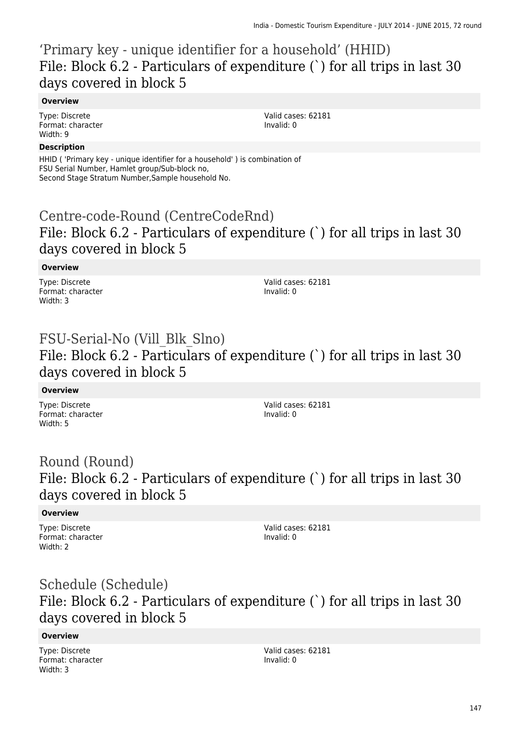# 'Primary key - unique identifier for a household' (HHID) File: Block 6.2 - Particulars of expenditure (`) for all trips in last 30 days covered in block 5

#### **Overview**

Type: Discrete Format: character Width: 9

#### **Description**

HHID ( 'Primary key - unique identifier for a household' ) is combination of FSU Serial Number, Hamlet group/Sub-block no, Second Stage Stratum Number,Sample household No.

# Centre-code-Round (CentreCodeRnd) File: Block 6.2 - Particulars of expenditure (`) for all trips in last 30 days covered in block 5

### **Overview**

Type: Discrete Format: character Width: 3

Valid cases: 62181 Invalid: 0

Valid cases: 62181

Invalid: 0

# FSU-Serial-No (Vill\_Blk\_Slno) File: Block 6.2 - Particulars of expenditure (`) for all trips in last 30 days covered in block 5

### **Overview**

Type: Discrete Format: character Width: 5

Valid cases: 62181 Invalid: 0

## Round (Round) File: Block 6.2 - Particulars of expenditure (`) for all trips in last 30 days covered in block 5

#### **Overview**

Type: Discrete Format: character Width: 2

Valid cases: 62181 Invalid: 0

# Schedule (Schedule) File: Block 6.2 - Particulars of expenditure (`) for all trips in last 30 days covered in block 5

#### **Overview**

Type: Discrete Format: character Width: 3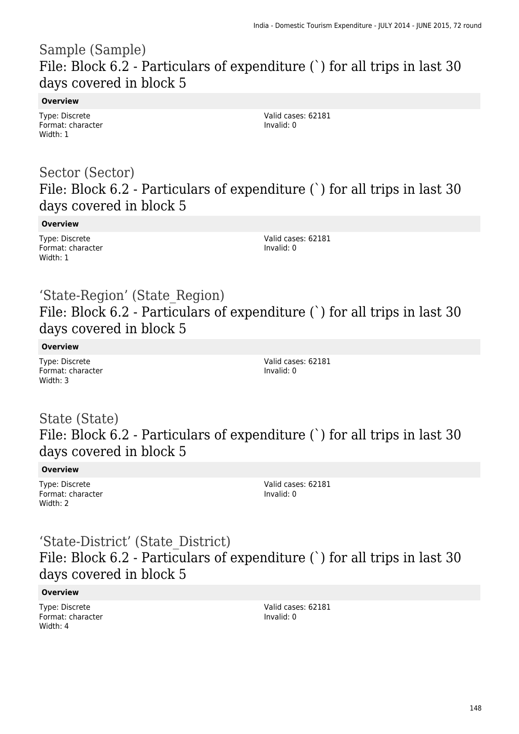## Sample (Sample) File: Block 6.2 - Particulars of expenditure (`) for all trips in last 30 days covered in block 5

#### **Overview**

Type: Discrete Format: character Width: 1

Valid cases: 62181 Invalid: 0

### Sector (Sector) File: Block 6.2 - Particulars of expenditure (`) for all trips in last 30 days covered in block 5

#### **Overview**

Type: Discrete Format: character Width: 1

Valid cases: 62181 Invalid: 0

### 'State-Region' (State\_Region) File: Block 6.2 - Particulars of expenditure (`) for all trips in last 30 days covered in block 5

#### **Overview**

Type: Discrete Format: character Width: 3

Valid cases: 62181 Invalid: 0

### State (State) File: Block 6.2 - Particulars of expenditure (`) for all trips in last 30 days covered in block 5

#### **Overview**

Type: Discrete Format: character Width: 2

Valid cases: 62181 Invalid: 0

'State-District' (State\_District) File: Block 6.2 - Particulars of expenditure (`) for all trips in last 30 days covered in block 5

#### **Overview**

Type: Discrete Format: character Width: 4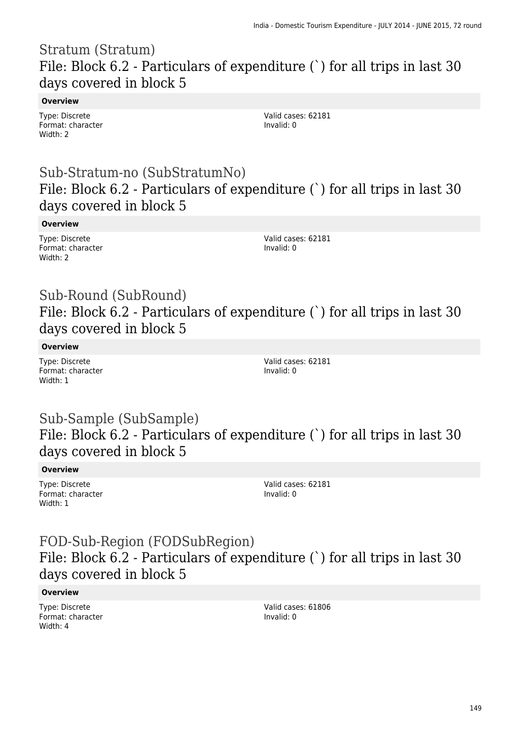### Stratum (Stratum) File: Block 6.2 - Particulars of expenditure (`) for all trips in last 30 days covered in block 5

#### **Overview**

Type: Discrete Format: character Width: 2

Valid cases: 62181 Invalid: 0

Sub-Stratum-no (SubStratumNo) File: Block 6.2 - Particulars of expenditure (`) for all trips in last 30 days covered in block 5

#### **Overview**

Type: Discrete Format: character Width: 2

Valid cases: 62181 Invalid: 0

## Sub-Round (SubRound) File: Block 6.2 - Particulars of expenditure (`) for all trips in last 30 days covered in block 5

### **Overview**

Type: Discrete Format: character Width: 1

Valid cases: 62181 Invalid: 0

### Sub-Sample (SubSample) File: Block 6.2 - Particulars of expenditure (`) for all trips in last 30 days covered in block 5

#### **Overview**

Type: Discrete Format: character Width: 1

Valid cases: 62181 Invalid: 0

## FOD-Sub-Region (FODSubRegion) File: Block 6.2 - Particulars of expenditure (`) for all trips in last 30 days covered in block 5

#### **Overview**

Type: Discrete Format: character Width: 4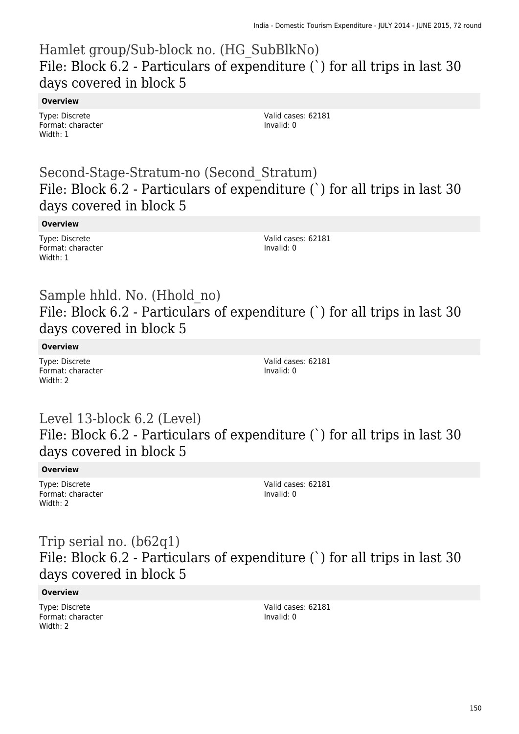# Hamlet group/Sub-block no. (HG\_SubBlkNo) File: Block 6.2 - Particulars of expenditure (`) for all trips in last 30 days covered in block 5

#### **Overview**

Type: Discrete Format: character Width: 1

Valid cases: 62181 Invalid: 0

Second-Stage-Stratum-no (Second\_Stratum) File: Block 6.2 - Particulars of expenditure (`) for all trips in last 30 days covered in block 5

#### **Overview**

Type: Discrete Format: character Width: 1

Valid cases: 62181 Invalid: 0

### Sample hhld. No. (Hhold\_no) File: Block 6.2 - Particulars of expenditure (`) for all trips in last 30 days covered in block 5

### **Overview**

Type: Discrete Format: character Width: 2

Valid cases: 62181 Invalid: 0

### Level 13-block 6.2 (Level) File: Block 6.2 - Particulars of expenditure (`) for all trips in last 30 days covered in block 5

#### **Overview**

Type: Discrete Format: character Width: 2

Valid cases: 62181 Invalid: 0

Trip serial no. (b62q1) File: Block 6.2 - Particulars of expenditure (`) for all trips in last 30 days covered in block 5

#### **Overview**

Type: Discrete Format: character Width: 2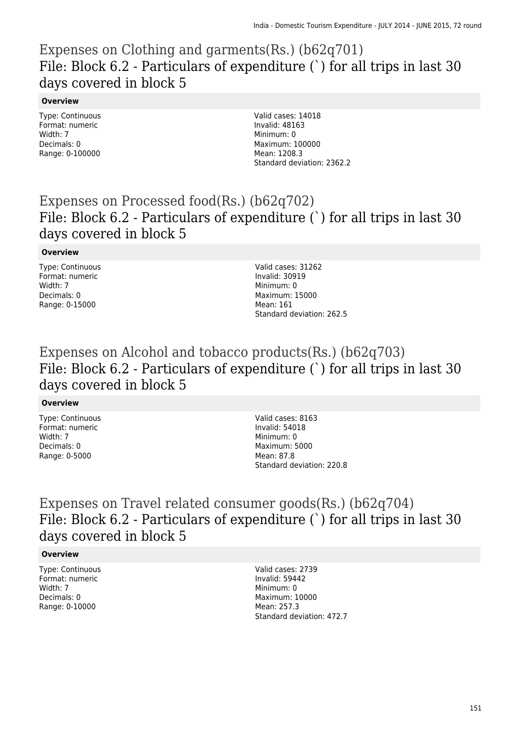# Expenses on Clothing and garments(Rs.) (b62q701) File: Block 6.2 - Particulars of expenditure (`) for all trips in last 30 days covered in block 5

#### **Overview**

Type: Continuous Format: numeric Width: 7 Decimals: 0 Range: 0-100000

Valid cases: 14018 Invalid: 48163 Minimum: 0 Maximum: 100000 Mean: 1208.3 Standard deviation: 2362.2

# Expenses on Processed food(Rs.) (b62q702) File: Block 6.2 - Particulars of expenditure (`) for all trips in last 30 days covered in block 5

### **Overview**

Type: Continuous Format: numeric Width: 7 Decimals: 0 Range: 0-15000

Valid cases: 31262 Invalid: 30919 Minimum: 0 Maximum: 15000 Mean: 161 Standard deviation: 262.5

# Expenses on Alcohol and tobacco products(Rs.) (b62q703) File: Block 6.2 - Particulars of expenditure (`) for all trips in last 30 days covered in block 5

#### **Overview**

Type: Continuous Format: numeric Width: 7 Decimals: 0 Range: 0-5000

Valid cases: 8163 Invalid: 54018 Minimum: 0 Maximum: 5000 Mean: 87.8 Standard deviation: 220.8

# Expenses on Travel related consumer goods(Rs.) (b62q704) File: Block 6.2 - Particulars of expenditure (`) for all trips in last 30 days covered in block 5

#### **Overview**

Type: Continuous Format: numeric Width: 7 Decimals: 0 Range: 0-10000

Valid cases: 2739 Invalid: 59442 Minimum: 0 Maximum: 10000 Mean: 257.3 Standard deviation: 472.7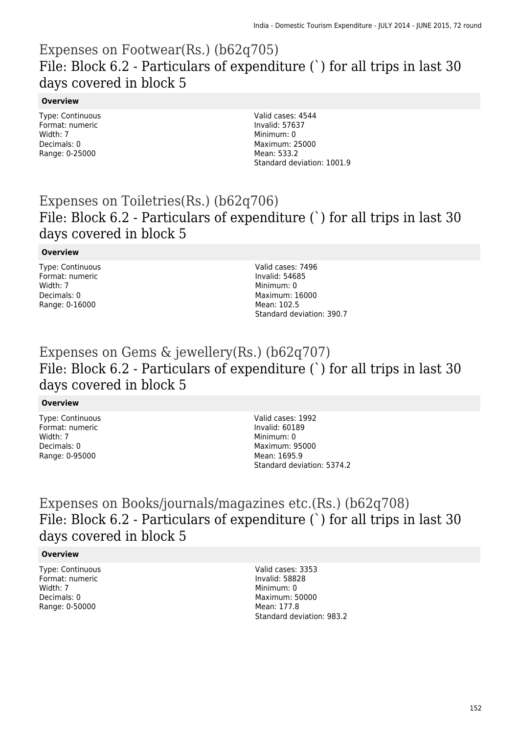# Expenses on Footwear(Rs.) (b62q705) File: Block 6.2 - Particulars of expenditure (`) for all trips in last 30 days covered in block 5

#### **Overview**

Type: Continuous Format: numeric Width: 7 Decimals: 0 Range: 0-25000

Valid cases: 4544 Invalid: 57637 Minimum: 0 Maximum: 25000 Mean: 533.2 Standard deviation: 1001.9

# Expenses on Toiletries(Rs.) (b62q706) File: Block 6.2 - Particulars of expenditure (`) for all trips in last 30 days covered in block 5

#### **Overview**

Type: Continuous Format: numeric Width: 7 Decimals: 0 Range: 0-16000

Valid cases: 7496 Invalid: 54685 Minimum: 0 Maximum: 16000 Mean: 102.5 Standard deviation: 390.7

# Expenses on Gems & jewellery(Rs.) (b62q707) File: Block 6.2 - Particulars of expenditure (`) for all trips in last 30 days covered in block 5

#### **Overview**

Type: Continuous Format: numeric Width: 7 Decimals: 0 Range: 0-95000

Valid cases: 1992 Invalid: 60189 Minimum: 0 Maximum: 95000 Mean: 1695.9 Standard deviation: 5374.2

## Expenses on Books/journals/magazines etc.(Rs.) (b62q708) File: Block 6.2 - Particulars of expenditure (`) for all trips in last 30 days covered in block 5

#### **Overview**

Type: Continuous Format: numeric Width: 7 Decimals: 0 Range: 0-50000

Valid cases: 3353 Invalid: 58828 Minimum: 0 Maximum: 50000 Mean: 177.8 Standard deviation: 983.2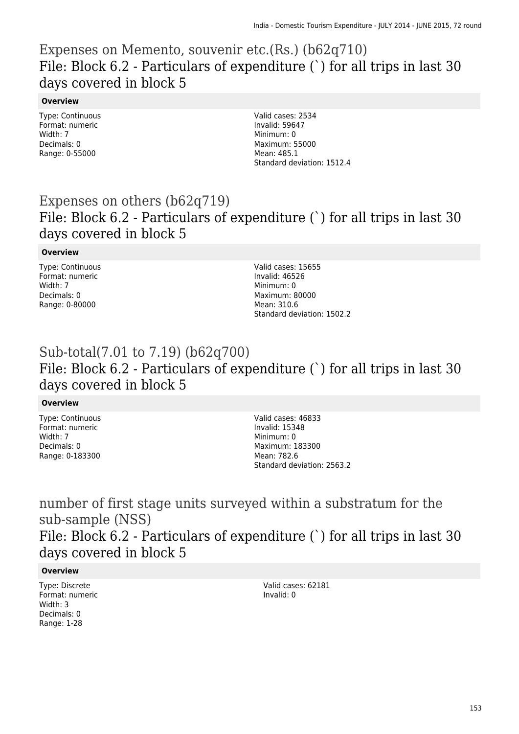# Expenses on Memento, souvenir etc.(Rs.) (b62q710) File: Block 6.2 - Particulars of expenditure (`) for all trips in last 30 days covered in block 5

#### **Overview**

Type: Continuous Format: numeric Width: 7 Decimals: 0 Range: 0-55000

Valid cases: 2534 Invalid: 59647 Minimum: 0 Maximum: 55000 Mean: 485.1 Standard deviation: 1512.4

### Expenses on others (b62q719) File: Block 6.2 - Particulars of expenditure (`) for all trips in last 30 days covered in block 5

#### **Overview**

Type: Continuous Format: numeric Width: 7 Decimals: 0 Range: 0-80000

Valid cases: 15655 Invalid: 46526 Minimum: 0 Maximum: 80000 Mean: 310.6 Standard deviation: 1502.2

# Sub-total(7.01 to 7.19) (b62q700) File: Block 6.2 - Particulars of expenditure (`) for all trips in last 30 days covered in block 5

#### **Overview**

Type: Continuous Format: numeric Width: 7 Decimals: 0 Range: 0-183300

Valid cases: 46833 Invalid: 15348 Minimum: 0 Maximum: 183300 Mean: 782.6 Standard deviation: 2563.2

number of first stage units surveyed within a substratum for the sub-sample (NSS) File: Block 6.2 - Particulars of expenditure (`) for all trips in last 30 days covered in block 5

#### **Overview**

Type: Discrete Format: numeric Width: 3 Decimals: 0 Range: 1-28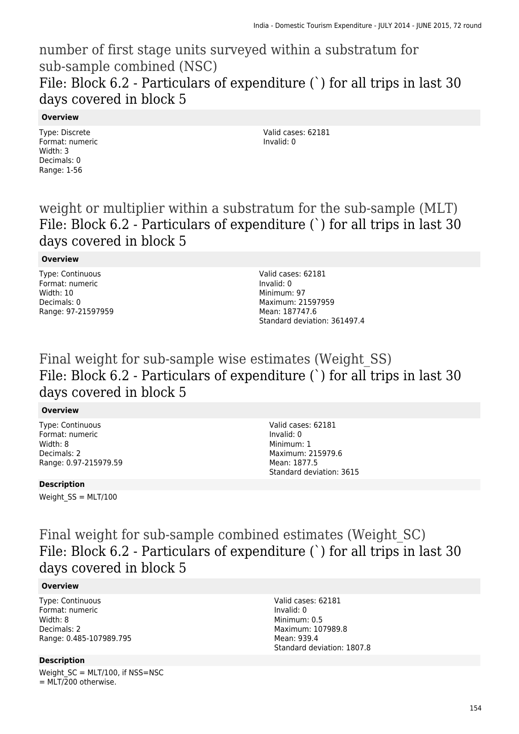# number of first stage units surveyed within a substratum for sub-sample combined (NSC) File: Block 6.2 - Particulars of expenditure (`) for all trips in last 30 days covered in block 5

#### **Overview**

Type: Discrete Format: numeric Width: 3 Decimals: 0 Range: 1-56

Valid cases: 62181 Invalid: 0

weight or multiplier within a substratum for the sub-sample (MLT) File: Block 6.2 - Particulars of expenditure (`) for all trips in last 30 days covered in block 5

#### **Overview**

Type: Continuous Format: numeric Width: 10 Decimals: 0 Range: 97-21597959

Valid cases: 62181 Invalid: 0 Minimum: 97 Maximum: 21597959 Mean: 187747.6 Standard deviation: 361497.4

## Final weight for sub-sample wise estimates (Weight\_SS) File: Block 6.2 - Particulars of expenditure (`) for all trips in last 30 days covered in block 5

#### **Overview**

Type: Continuous Format: numeric Width: 8 Decimals: 2 Range: 0.97-215979.59

#### **Description**

Weight  $SS = MLT/100$ 

Valid cases: 62181 Invalid: 0 Minimum: 1 Maximum: 215979.6 Mean: 1877.5 Standard deviation: 3615

Final weight for sub-sample combined estimates (Weight\_SC) File: Block 6.2 - Particulars of expenditure (`) for all trips in last 30 days covered in block 5

#### **Overview**

Type: Continuous Format: numeric Width: 8 Decimals: 2 Range: 0.485-107989.795

#### **Description**

Weight  $SC = MLT/100$ , if NSS=NSC = MLT/200 otherwise.

Valid cases: 62181 Invalid: 0 Minimum: 0.5 Maximum: 107989.8 Mean: 939.4 Standard deviation: 1807.8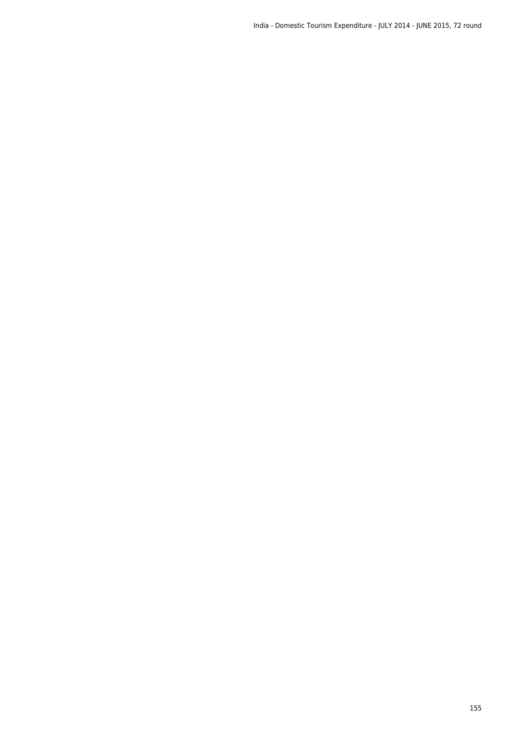India - Domestic Tourism Expenditure - JULY 2014 - JUNE 2015, 72 round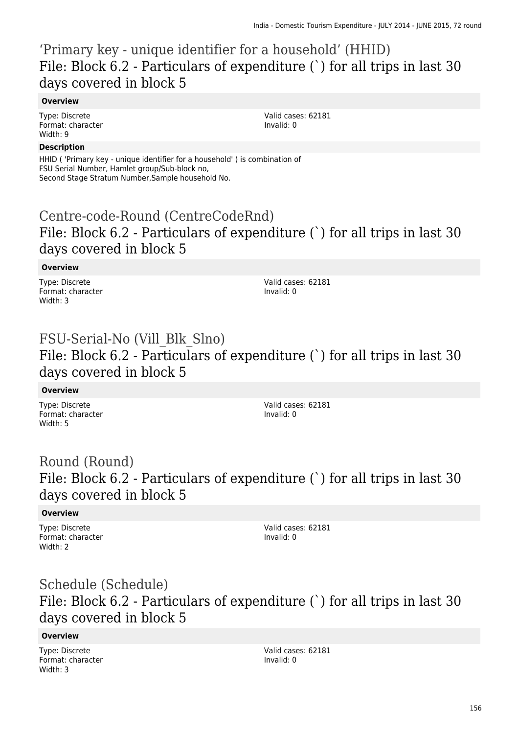# 'Primary key - unique identifier for a household' (HHID) File: Block 6.2 - Particulars of expenditure (`) for all trips in last 30 days covered in block 5

#### **Overview**

Type: Discrete Format: character Width: 9

#### **Description**

HHID ( 'Primary key - unique identifier for a household' ) is combination of FSU Serial Number, Hamlet group/Sub-block no, Second Stage Stratum Number,Sample household No.

# Centre-code-Round (CentreCodeRnd) File: Block 6.2 - Particulars of expenditure (`) for all trips in last 30 days covered in block 5

### **Overview**

Type: Discrete Format: character Width: 3

Valid cases: 62181 Invalid: 0

Valid cases: 62181

Invalid: 0

# FSU-Serial-No (Vill\_Blk\_Slno) File: Block 6.2 - Particulars of expenditure (`) for all trips in last 30 days covered in block 5

### **Overview**

Type: Discrete Format: character Width: 5

Valid cases: 62181 Invalid: 0

## Round (Round) File: Block 6.2 - Particulars of expenditure (`) for all trips in last 30 days covered in block 5

#### **Overview**

Type: Discrete Format: character Width: 2

Valid cases: 62181 Invalid: 0

# Schedule (Schedule) File: Block 6.2 - Particulars of expenditure (`) for all trips in last 30 days covered in block 5

#### **Overview**

Type: Discrete Format: character Width: 3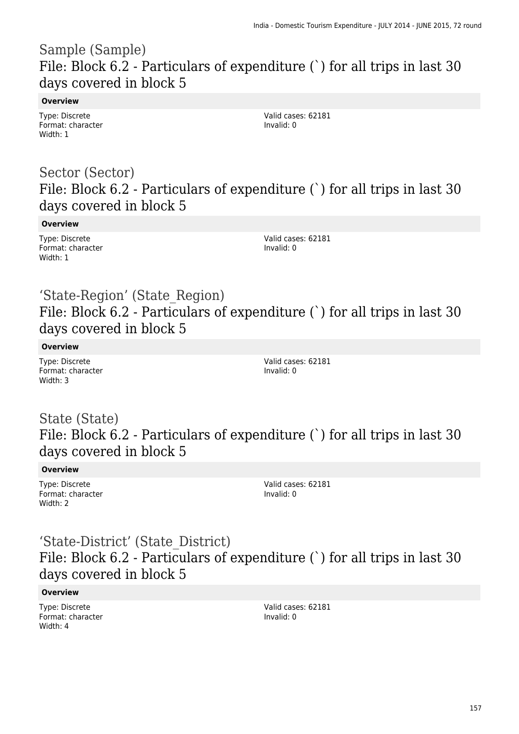## Sample (Sample) File: Block 6.2 - Particulars of expenditure (`) for all trips in last 30 days covered in block 5

#### **Overview**

Type: Discrete Format: character Width: 1

Valid cases: 62181 Invalid: 0

### Sector (Sector) File: Block 6.2 - Particulars of expenditure (`) for all trips in last 30 days covered in block 5

#### **Overview**

Type: Discrete Format: character Width: 1

Valid cases: 62181 Invalid: 0

### 'State-Region' (State\_Region) File: Block 6.2 - Particulars of expenditure (`) for all trips in last 30 days covered in block 5

#### **Overview**

Type: Discrete Format: character Width: 3

Valid cases: 62181 Invalid: 0

### State (State) File: Block 6.2 - Particulars of expenditure (`) for all trips in last 30 days covered in block 5

#### **Overview**

Type: Discrete Format: character Width: 2

Valid cases: 62181 Invalid: 0

'State-District' (State\_District) File: Block 6.2 - Particulars of expenditure (`) for all trips in last 30 days covered in block 5

#### **Overview**

Type: Discrete Format: character Width: 4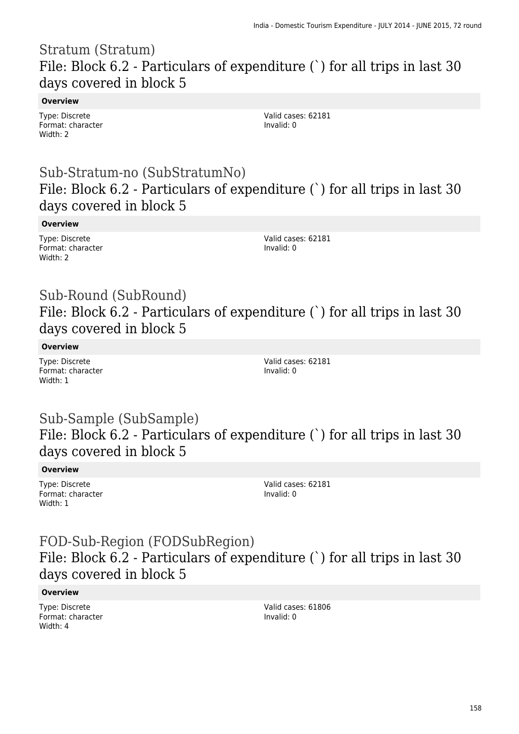### Stratum (Stratum) File: Block 6.2 - Particulars of expenditure (`) for all trips in last 30 days covered in block 5

#### **Overview**

Type: Discrete Format: character Width: 2

Valid cases: 62181 Invalid: 0

Sub-Stratum-no (SubStratumNo) File: Block 6.2 - Particulars of expenditure (`) for all trips in last 30 days covered in block 5

#### **Overview**

Type: Discrete Format: character Width: 2

Valid cases: 62181 Invalid: 0

## Sub-Round (SubRound) File: Block 6.2 - Particulars of expenditure (`) for all trips in last 30 days covered in block 5

### **Overview**

Type: Discrete Format: character Width: 1

Valid cases: 62181 Invalid: 0

### Sub-Sample (SubSample) File: Block 6.2 - Particulars of expenditure (`) for all trips in last 30 days covered in block 5

### **Overview**

Type: Discrete Format: character Width: 1

Valid cases: 62181 Invalid: 0

FOD-Sub-Region (FODSubRegion) File: Block 6.2 - Particulars of expenditure (`) for all trips in last 30 days covered in block 5

#### **Overview**

Type: Discrete Format: character Width: 4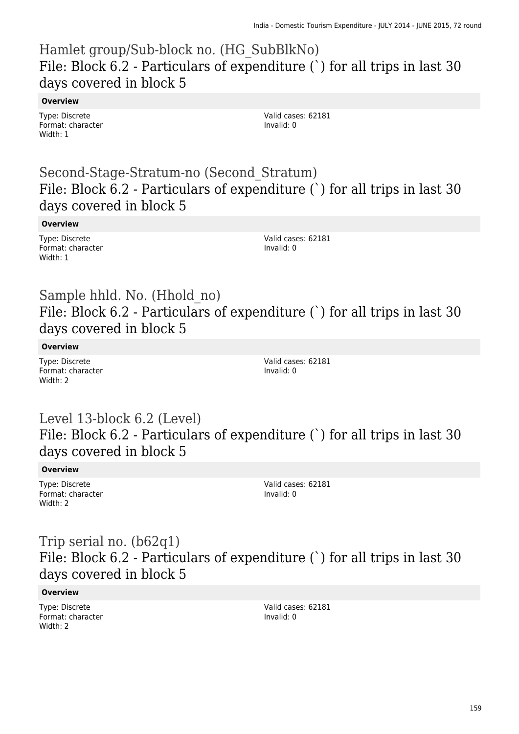# Hamlet group/Sub-block no. (HG\_SubBlkNo) File: Block 6.2 - Particulars of expenditure (`) for all trips in last 30 days covered in block 5

#### **Overview**

Type: Discrete Format: character Width: 1

Valid cases: 62181 Invalid: 0

Second-Stage-Stratum-no (Second\_Stratum) File: Block 6.2 - Particulars of expenditure (`) for all trips in last 30 days covered in block 5

#### **Overview**

Type: Discrete Format: character Width: 1

Valid cases: 62181 Invalid: 0

### Sample hhld. No. (Hhold\_no) File: Block 6.2 - Particulars of expenditure (`) for all trips in last 30 days covered in block 5

### **Overview**

Type: Discrete Format: character Width: 2

Valid cases: 62181 Invalid: 0

### Level 13-block 6.2 (Level) File: Block 6.2 - Particulars of expenditure (`) for all trips in last 30 days covered in block 5

#### **Overview**

Type: Discrete Format: character Width: 2

Valid cases: 62181 Invalid: 0

Trip serial no. (b62q1) File: Block 6.2 - Particulars of expenditure (`) for all trips in last 30 days covered in block 5

#### **Overview**

Type: Discrete Format: character Width: 2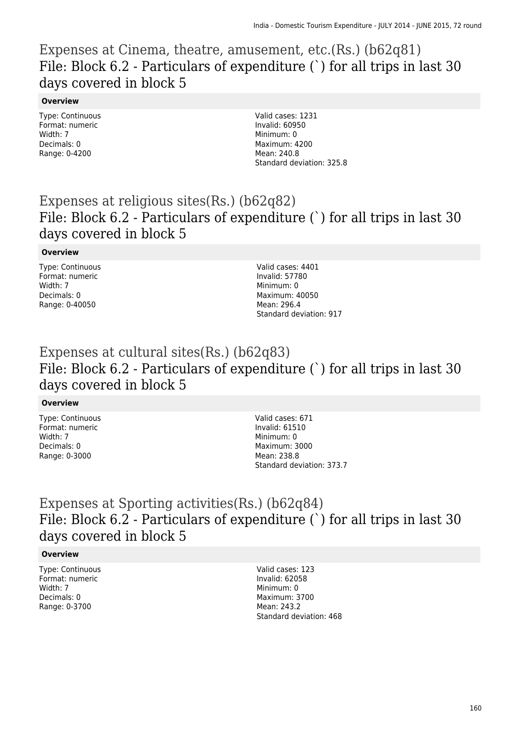## Expenses at Cinema, theatre, amusement, etc.(Rs.) (b62q81) File: Block 6.2 - Particulars of expenditure (`) for all trips in last 30 days covered in block 5

#### **Overview**

Type: Continuous Format: numeric Width: 7 Decimals: 0 Range: 0-4200

Valid cases: 1231 Invalid: 60950 Minimum: 0 Maximum: 4200 Mean: 240.8 Standard deviation: 325.8

# Expenses at religious sites(Rs.) (b62q82) File: Block 6.2 - Particulars of expenditure (`) for all trips in last 30 days covered in block 5

#### **Overview**

Type: Continuous Format: numeric Width: 7 Decimals: 0 Range: 0-40050

Valid cases: 4401 Invalid: 57780 Minimum: 0 Maximum: 40050 Mean: 296.4 Standard deviation: 917

# Expenses at cultural sites(Rs.) (b62q83) File: Block 6.2 - Particulars of expenditure (`) for all trips in last 30 days covered in block 5

#### **Overview**

Type: Continuous Format: numeric Width: 7 Decimals: 0 Range: 0-3000

Valid cases: 671 Invalid: 61510 Minimum: 0 Maximum: 3000 Mean: 238.8 Standard deviation: 373.7

# Expenses at Sporting activities(Rs.) (b62q84) File: Block 6.2 - Particulars of expenditure (`) for all trips in last 30 days covered in block 5

#### **Overview**

Type: Continuous Format: numeric Width: 7 Decimals: 0 Range: 0-3700

Valid cases: 123 Invalid: 62058 Minimum: 0 Maximum: 3700 Mean: 243.2 Standard deviation: 468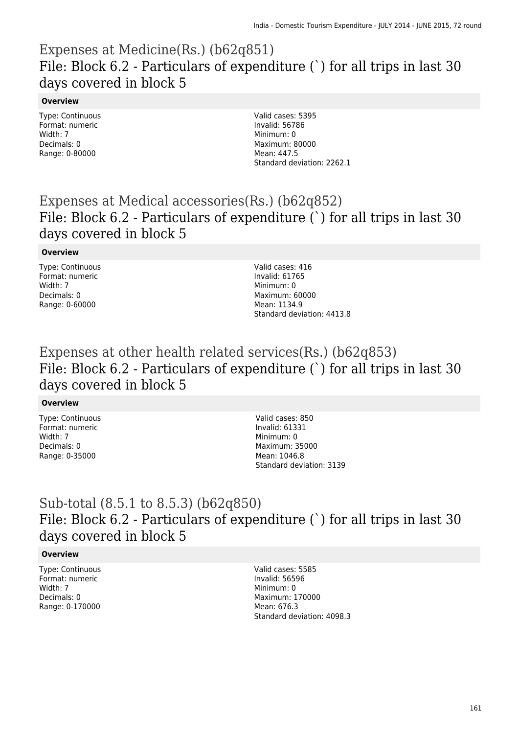# Expenses at Medicine(Rs.) (b62q851) File: Block 6.2 - Particulars of expenditure (`) for all trips in last 30 days covered in block 5

#### **Overview**

Type: Continuous Format: numeric Width: 7 Decimals: 0 Range: 0-80000

Valid cases: 5395 Invalid: 56786 Minimum: 0 Maximum: 80000 Mean: 447.5 Standard deviation: 2262.1

# Expenses at Medical accessories(Rs.) (b62q852) File: Block 6.2 - Particulars of expenditure (`) for all trips in last 30 days covered in block 5

### **Overview**

Type: Continuous Format: numeric Width: 7 Decimals: 0 Range: 0-60000

Valid cases: 416 Invalid: 61765 Minimum: 0 Maximum: 60000 Mean: 1134.9 Standard deviation: 4413.8

# Expenses at other health related services(Rs.) (b62q853) File: Block 6.2 - Particulars of expenditure (`) for all trips in last 30 days covered in block 5

#### **Overview**

Type: Continuous Format: numeric Width: 7 Decimals: 0 Range: 0-35000

Valid cases: 850 Invalid: 61331 Minimum: 0 Maximum: 35000 Mean: 1046.8 Standard deviation: 3139

# Sub-total (8.5.1 to 8.5.3) (b62q850) File: Block 6.2 - Particulars of expenditure (`) for all trips in last 30 days covered in block 5

#### **Overview**

Type: Continuous Format: numeric Width: 7 Decimals: 0 Range: 0-170000

Valid cases: 5585 Invalid: 56596 Minimum: 0 Maximum: 170000 Mean: 676.3 Standard deviation: 4098.3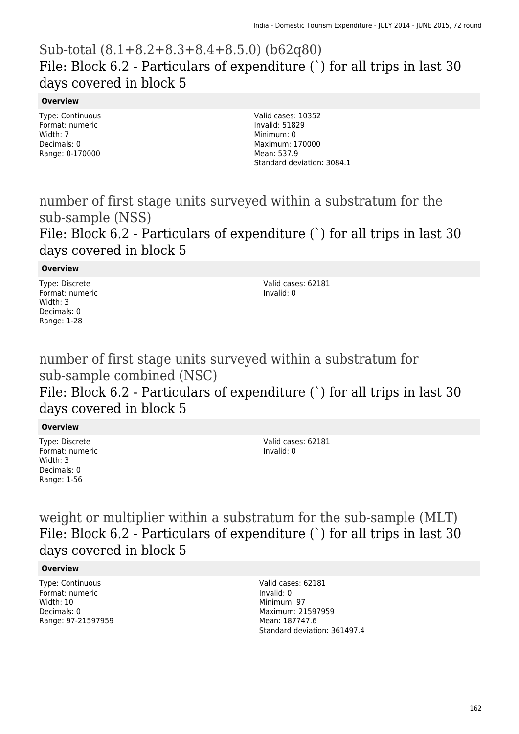# Sub-total (8.1+8.2+8.3+8.4+8.5.0) (b62q80) File: Block 6.2 - Particulars of expenditure (`) for all trips in last 30 days covered in block 5

#### **Overview**

Type: Continuous Format: numeric Width: 7 Decimals: 0 Range: 0-170000

Valid cases: 10352 Invalid: 51829 Minimum: 0 Maximum: 170000 Mean: 537.9 Standard deviation: 3084.1

number of first stage units surveyed within a substratum for the sub-sample (NSS) File: Block 6.2 - Particulars of expenditure (`) for all trips in last 30

days covered in block 5

### **Overview**

Type: Discrete Format: numeric Width: 3 Decimals: 0 Range: 1-28

Valid cases: 62181 Invalid: 0

number of first stage units surveyed within a substratum for sub-sample combined (NSC) File: Block 6.2 - Particulars of expenditure (`) for all trips in last 30 days covered in block 5

### **Overview**

Type: Discrete Format: numeric Width: 3 Decimals: 0 Range: 1-56

Valid cases: 62181 Invalid: 0

weight or multiplier within a substratum for the sub-sample (MLT) File: Block 6.2 - Particulars of expenditure (`) for all trips in last 30 days covered in block 5

#### **Overview**

Type: Continuous Format: numeric Width: 10 Decimals: 0 Range: 97-21597959 Valid cases: 62181 Invalid: 0 Minimum: 97 Maximum: 21597959 Mean: 187747.6 Standard deviation: 361497.4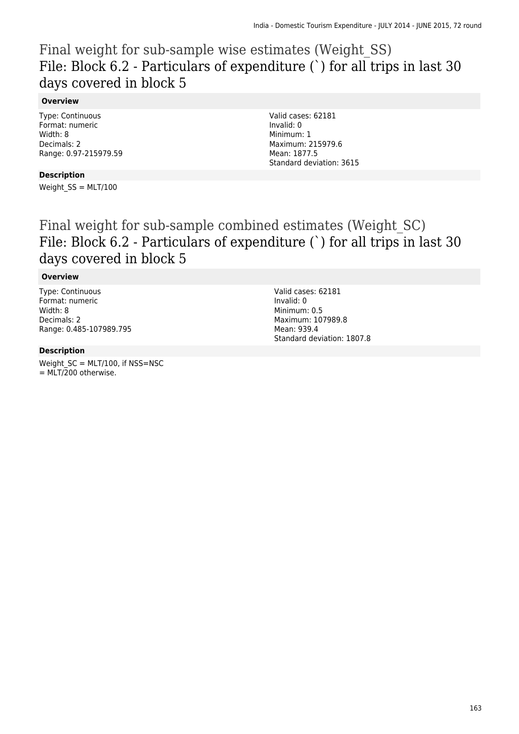# Final weight for sub-sample wise estimates (Weight\_SS) File: Block 6.2 - Particulars of expenditure (`) for all trips in last 30 days covered in block 5

#### **Overview**

Type: Continuous Format: numeric Width: 8 Decimals: 2 Range: 0.97-215979.59

#### **Description**

Weight  $SS = MLT/100$ 

Valid cases: 62181 Invalid: 0 Minimum: 1 Maximum: 215979.6 Mean: 1877.5 Standard deviation: 3615

# Final weight for sub-sample combined estimates (Weight\_SC) File: Block 6.2 - Particulars of expenditure (`) for all trips in last 30 days covered in block 5

#### **Overview**

Type: Continuous Format: numeric Width: 8 Decimals: 2 Range: 0.485-107989.795

#### **Description**

Weight  $SC = MLT/100$ , if NSS=NSC  $=$  MLT/200 otherwise.

Valid cases: 62181 Invalid: 0 Minimum: 0.5 Maximum: 107989.8 Mean: 939.4 Standard deviation: 1807.8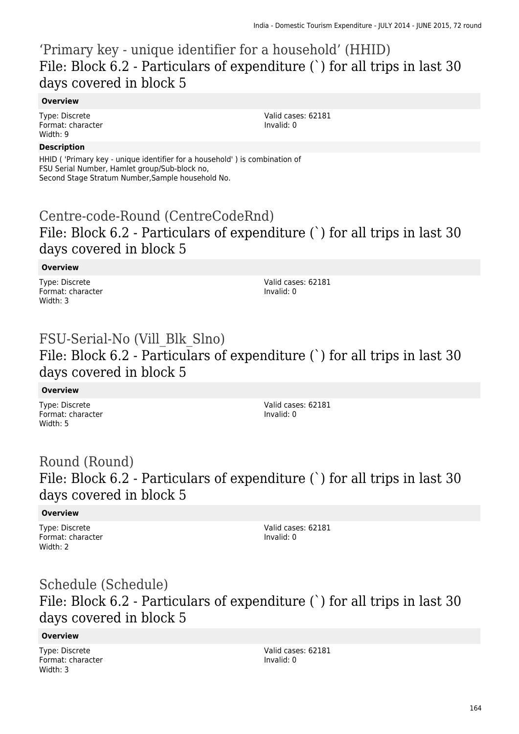# 'Primary key - unique identifier for a household' (HHID) File: Block 6.2 - Particulars of expenditure (`) for all trips in last 30 days covered in block 5

#### **Overview**

Type: Discrete Format: character Width: 9

#### **Description**

HHID ( 'Primary key - unique identifier for a household' ) is combination of FSU Serial Number, Hamlet group/Sub-block no, Second Stage Stratum Number,Sample household No.

# Centre-code-Round (CentreCodeRnd) File: Block 6.2 - Particulars of expenditure (`) for all trips in last 30 days covered in block 5

### **Overview**

Type: Discrete Format: character Width: 3

Valid cases: 62181 Invalid: 0

Valid cases: 62181

Invalid: 0

# FSU-Serial-No (Vill\_Blk\_Slno) File: Block 6.2 - Particulars of expenditure (`) for all trips in last 30 days covered in block 5

### **Overview**

Type: Discrete Format: character Width: 5

Valid cases: 62181 Invalid: 0

## Round (Round) File: Block 6.2 - Particulars of expenditure (`) for all trips in last 30 days covered in block 5

#### **Overview**

Type: Discrete Format: character Width: 2

Valid cases: 62181 Invalid: 0

# Schedule (Schedule) File: Block 6.2 - Particulars of expenditure (`) for all trips in last 30 days covered in block 5

#### **Overview**

Type: Discrete Format: character Width: 3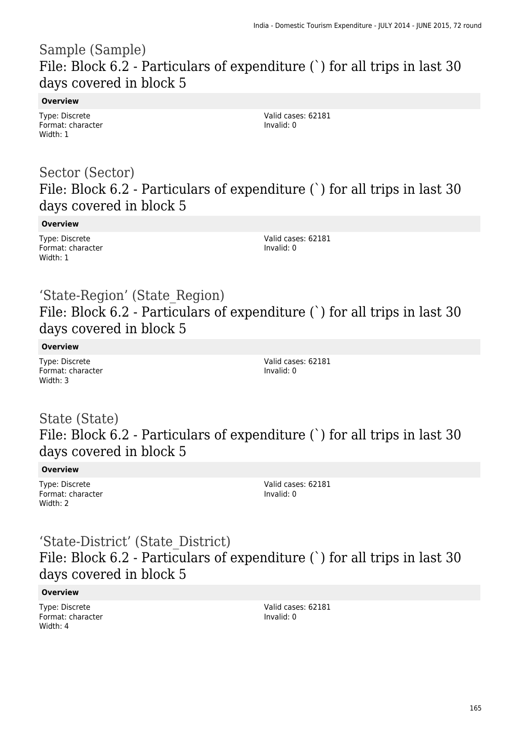## Sample (Sample) File: Block 6.2 - Particulars of expenditure (`) for all trips in last 30 days covered in block 5

#### **Overview**

Type: Discrete Format: character Width: 1

Valid cases: 62181 Invalid: 0

### Sector (Sector) File: Block 6.2 - Particulars of expenditure (`) for all trips in last 30 days covered in block 5

#### **Overview**

Type: Discrete Format: character Width: 1

Valid cases: 62181 Invalid: 0

### 'State-Region' (State\_Region) File: Block 6.2 - Particulars of expenditure (`) for all trips in last 30 days covered in block 5

#### **Overview**

Type: Discrete Format: character Width: 3

Valid cases: 62181 Invalid: 0

### State (State) File: Block 6.2 - Particulars of expenditure (`) for all trips in last 30 days covered in block 5

#### **Overview**

Type: Discrete Format: character Width: 2

Valid cases: 62181 Invalid: 0

'State-District' (State\_District) File: Block 6.2 - Particulars of expenditure (`) for all trips in last 30 days covered in block 5

#### **Overview**

Type: Discrete Format: character Width: 4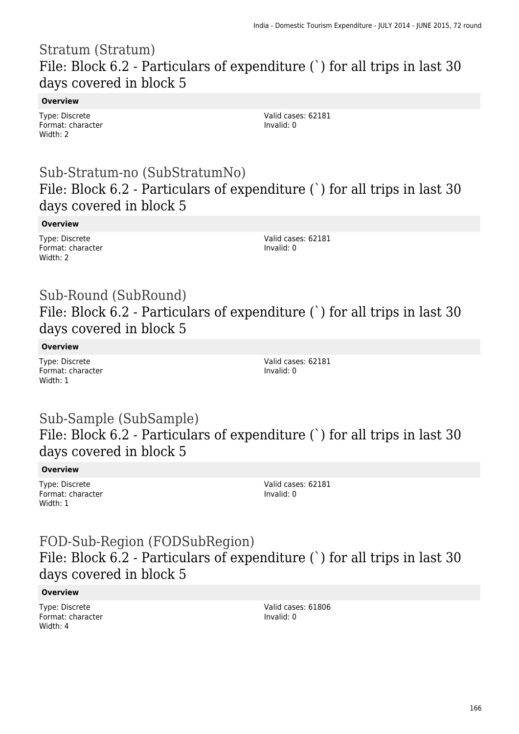### Stratum (Stratum) File: Block 6.2 - Particulars of expenditure (`) for all trips in last 30 days covered in block 5

#### **Overview**

Type: Discrete Format: character Width: 2

Valid cases: 62181 Invalid: 0

Sub-Stratum-no (SubStratumNo) File: Block 6.2 - Particulars of expenditure (`) for all trips in last 30 days covered in block 5

#### **Overview**

Type: Discrete Format: character Width: 2

Valid cases: 62181 Invalid: 0

## Sub-Round (SubRound) File: Block 6.2 - Particulars of expenditure (`) for all trips in last 30 days covered in block 5

### **Overview**

Type: Discrete Format: character Width: 1

Valid cases: 62181 Invalid: 0

### Sub-Sample (SubSample) File: Block 6.2 - Particulars of expenditure (`) for all trips in last 30 days covered in block 5

#### **Overview**

Type: Discrete Format: character Width: 1

Valid cases: 62181 Invalid: 0

FOD-Sub-Region (FODSubRegion) File: Block 6.2 - Particulars of expenditure (`) for all trips in last 30 days covered in block 5

#### **Overview**

Type: Discrete Format: character Width: 4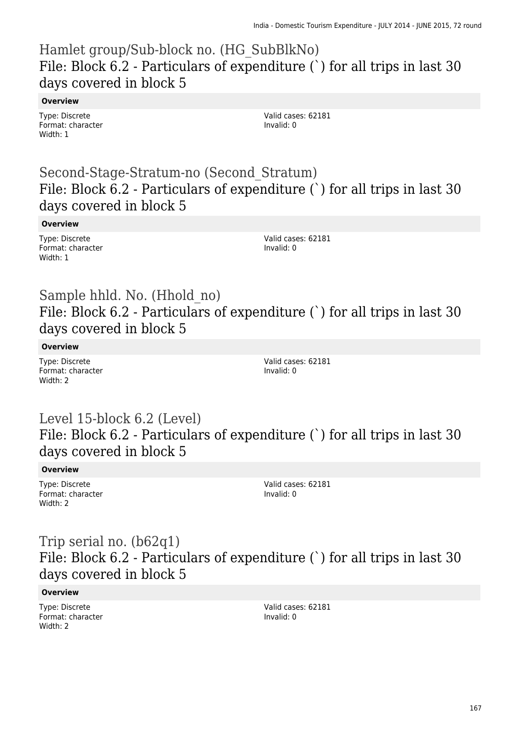## Hamlet group/Sub-block no. (HG\_SubBlkNo) File: Block 6.2 - Particulars of expenditure (`) for all trips in last 30 days covered in block 5

#### **Overview**

Type: Discrete Format: character Width: 1

Valid cases: 62181 Invalid: 0

Second-Stage-Stratum-no (Second\_Stratum) File: Block 6.2 - Particulars of expenditure (`) for all trips in last 30 days covered in block 5

#### **Overview**

Type: Discrete Format: character Width: 1

Valid cases: 62181 Invalid: 0

### Sample hhld. No. (Hhold\_no) File: Block 6.2 - Particulars of expenditure (`) for all trips in last 30 days covered in block 5

#### **Overview**

Type: Discrete Format: character Width: 2

Valid cases: 62181 Invalid: 0

### Level 15-block 6.2 (Level) File: Block 6.2 - Particulars of expenditure (`) for all trips in last 30 days covered in block 5

#### **Overview**

Type: Discrete Format: character Width: 2

Valid cases: 62181 Invalid: 0

Trip serial no. (b62q1) File: Block 6.2 - Particulars of expenditure (`) for all trips in last 30 days covered in block 5

#### **Overview**

Type: Discrete Format: character Width: 2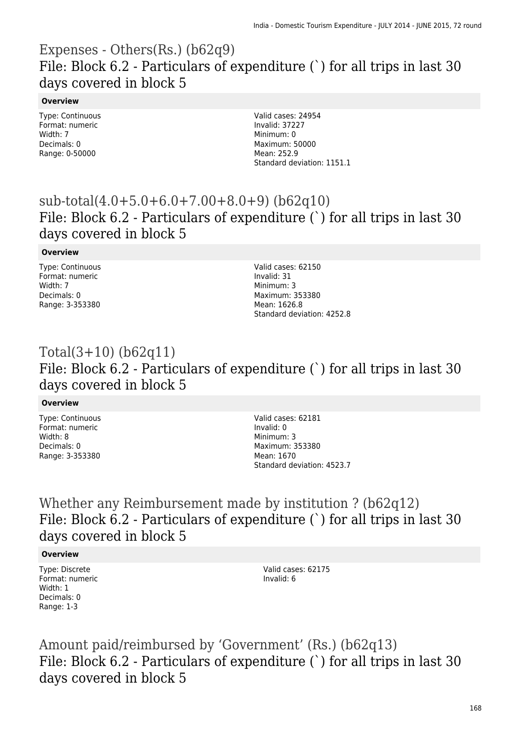# Expenses - Others(Rs.) (b62q9) File: Block 6.2 - Particulars of expenditure (`) for all trips in last 30 days covered in block 5

#### **Overview**

Type: Continuous Format: numeric Width: 7 Decimals: 0 Range: 0-50000

Valid cases: 24954 Invalid: 37227 Minimum: 0 Maximum: 50000 Mean: 252.9 Standard deviation: 1151.1

# sub-total(4.0+5.0+6.0+7.00+8.0+9) (b62q10) File: Block 6.2 - Particulars of expenditure (`) for all trips in last 30 days covered in block 5

### **Overview**

Type: Continuous Format: numeric Width: 7 Decimals: 0 Range: 3-353380

Valid cases: 62150 Invalid: 31 Minimum: 3 Maximum: 353380 Mean: 1626.8 Standard deviation: 4252.8

# Total(3+10) (b62q11) File: Block 6.2 - Particulars of expenditure (`) for all trips in last 30 days covered in block 5

### **Overview**

Type: Continuous Format: numeric Width: 8 Decimals: 0 Range: 3-353380

Valid cases: 62181 Invalid: 0 Minimum: 3 Maximum: 353380 Mean: 1670 Standard deviation: 4523.7

Whether any Reimbursement made by institution ? (b62q12) File: Block 6.2 - Particulars of expenditure (`) for all trips in last 30 days covered in block 5

### **Overview**

Type: Discrete Format: numeric Width: 1 Decimals: 0 Range: 1-3

Valid cases: 62175 Invalid: 6

Amount paid/reimbursed by 'Government' (Rs.) (b62q13) File: Block 6.2 - Particulars of expenditure (`) for all trips in last 30 days covered in block 5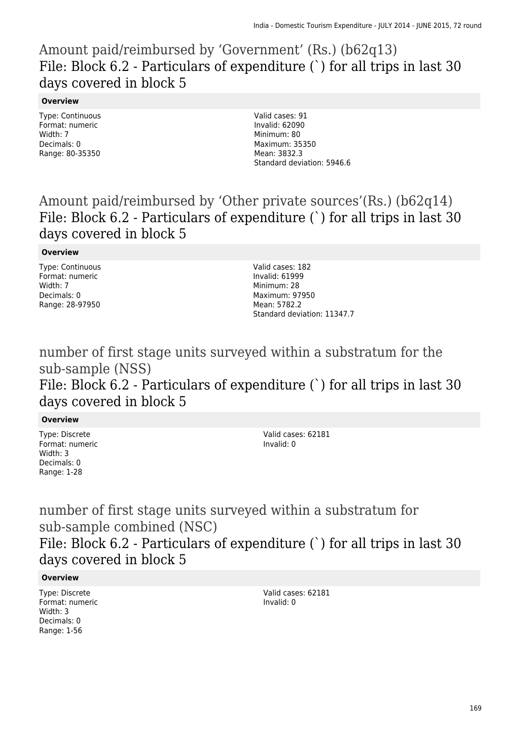# Amount paid/reimbursed by 'Government' (Rs.) (b62q13) File: Block 6.2 - Particulars of expenditure (`) for all trips in last 30 days covered in block 5

#### **Overview**

Type: Continuous Format: numeric Width: 7 Decimals: 0 Range: 80-35350

Valid cases: 91 Invalid: 62090 Minimum: 80 Maximum: 35350 Mean: 3832.3 Standard deviation: 5946.6

Amount paid/reimbursed by 'Other private sources'(Rs.) (b62q14) File: Block 6.2 - Particulars of expenditure (`) for all trips in last 30 days covered in block 5

#### **Overview**

Type: Continuous Format: numeric Width: 7 Decimals: 0 Range: 28-97950

Valid cases: 182 Invalid: 61999 Minimum: 28 Maximum: 97950 Mean: 5782.2 Standard deviation: 11347.7

number of first stage units surveyed within a substratum for the sub-sample (NSS)

File: Block 6.2 - Particulars of expenditure (`) for all trips in last 30 days covered in block 5

#### **Overview**

Type: Discrete Format: numeric Width: 3 Decimals: 0 Range: 1-28

Valid cases: 62181 Invalid: 0

number of first stage units surveyed within a substratum for sub-sample combined (NSC) File: Block 6.2 - Particulars of expenditure (`) for all trips in last 30

days covered in block 5

#### **Overview**

Type: Discrete Format: numeric Width: 3 Decimals: 0 Range: 1-56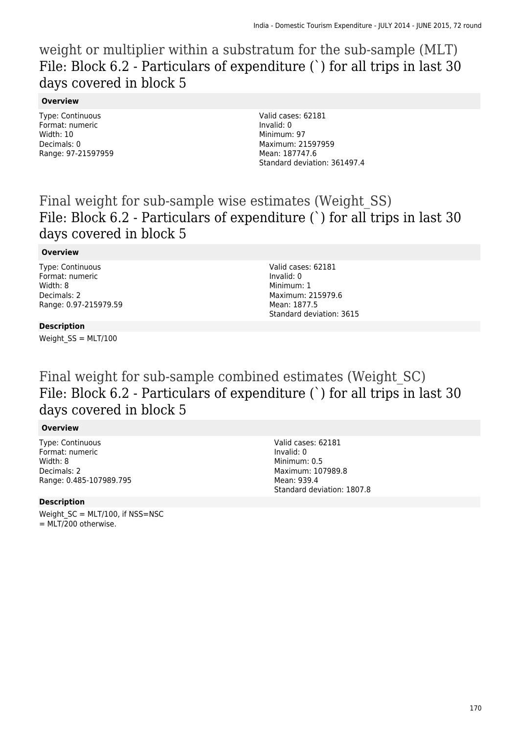## weight or multiplier within a substratum for the sub-sample (MLT) File: Block 6.2 - Particulars of expenditure (`) for all trips in last 30 days covered in block 5

#### **Overview**

Type: Continuous Format: numeric Width: 10 Decimals: 0 Range: 97-21597959

Valid cases: 62181 Invalid: 0 Minimum: 97 Maximum: 21597959 Mean: 187747.6 Standard deviation: 361497.4

# Final weight for sub-sample wise estimates (Weight\_SS) File: Block 6.2 - Particulars of expenditure (`) for all trips in last 30 days covered in block 5

### **Overview**

Type: Continuous Format: numeric Width: 8 Decimals: 2 Range: 0.97-215979.59

### **Description**

Weight  $SS = MLT/100$ 

Valid cases: 62181 Invalid: 0 Minimum: 1 Maximum: 215979.6 Mean: 1877.5 Standard deviation: 3615

# Final weight for sub-sample combined estimates (Weight\_SC) File: Block 6.2 - Particulars of expenditure (`) for all trips in last 30 days covered in block 5

### **Overview**

Type: Continuous Format: numeric Width: 8 Decimals: 2 Range: 0.485-107989.795

### **Description**

Weight SC = MLT/100, if NSS=NSC  $=$  MLT/200 otherwise.

Valid cases: 62181 Invalid: 0 Minimum: 0.5 Maximum: 107989.8 Mean: 939.4 Standard deviation: 1807.8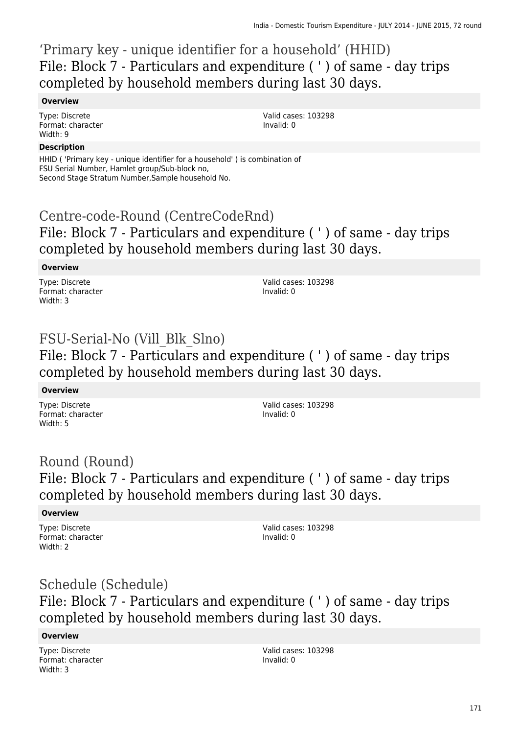# 'Primary key - unique identifier for a household' (HHID) File: Block 7 - Particulars and expenditure ( ' ) of same - day trips completed by household members during last 30 days.

#### **Overview**

Type: Discrete Format: character Width: 9

#### **Description**

HHID ( 'Primary key - unique identifier for a household' ) is combination of FSU Serial Number, Hamlet group/Sub-block no, Second Stage Stratum Number,Sample household No.

Centre-code-Round (CentreCodeRnd) File: Block 7 - Particulars and expenditure ( ' ) of same - day trips completed by household members during last 30 days.

### **Overview**

Type: Discrete Format: character Width: 3

Valid cases: 103298 Invalid: 0

Valid cases: 103298

Invalid: 0

## FSU-Serial-No (Vill\_Blk\_Slno)

File: Block 7 - Particulars and expenditure ( ' ) of same - day trips completed by household members during last 30 days.

#### **Overview**

Type: Discrete Format: character Width: 5

Valid cases: 103298 Invalid: 0

### Round (Round) File: Block 7 - Particulars and expenditure ( ' ) of same - day trips completed by household members during last 30 days.

#### **Overview**

Type: Discrete Format: character Width: 2

Valid cases: 103298 Invalid: 0

## Schedule (Schedule)

File: Block 7 - Particulars and expenditure ( ' ) of same - day trips completed by household members during last 30 days.

#### **Overview**

Type: Discrete Format: character Width: 3

Valid cases: 103298 Invalid: 0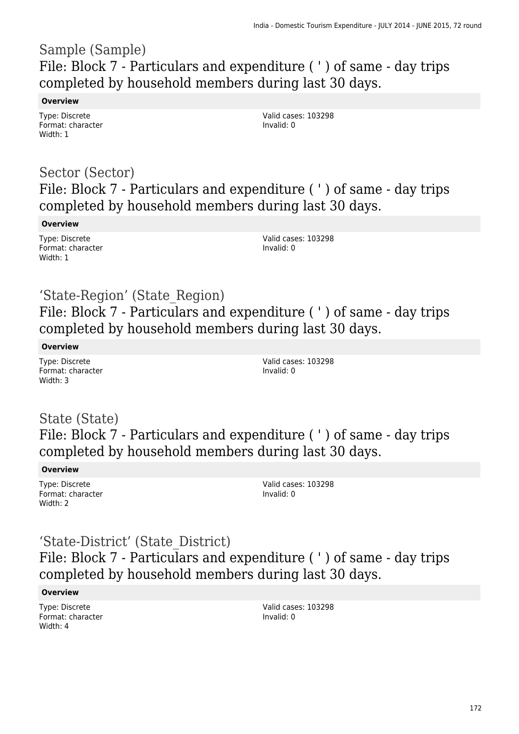# Sample (Sample) File: Block 7 - Particulars and expenditure ( ' ) of same - day trips completed by household members during last 30 days.

#### **Overview**

Type: Discrete Format: character Width: 1

Valid cases: 103298 Invalid: 0

# Sector (Sector) File: Block 7 - Particulars and expenditure ( ' ) of same - day trips completed by household members during last 30 days.

### **Overview**

Type: Discrete Format: character Width: 1

Valid cases: 103298 Invalid: 0

### 'State-Region' (State\_Region) File: Block 7 - Particulars and expenditure ( ' ) of same - day trips completed by household members during last 30 days.

### **Overview**

Type: Discrete Format: character Width: 3

Valid cases: 103298 Invalid: 0

## State (State) File: Block 7 - Particulars and expenditure ( ' ) of same - day trips completed by household members during last 30 days.

### **Overview**

Type: Discrete Format: character Width: 2

Valid cases: 103298 Invalid: 0

## 'State-District' (State\_District)

File: Block 7 - Particulars and expenditure ( ' ) of same - day trips completed by household members during last 30 days.

#### **Overview**

Type: Discrete Format: character Width: 4

Valid cases: 103298 Invalid: 0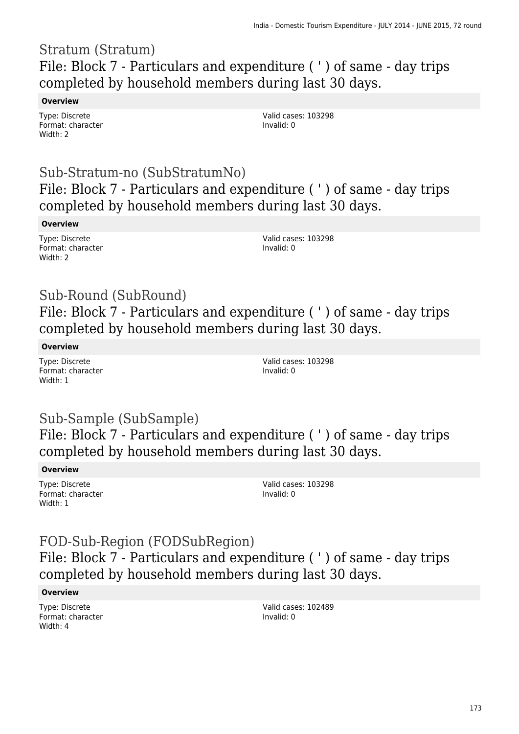# Stratum (Stratum) File: Block 7 - Particulars and expenditure ( ' ) of same - day trips completed by household members during last 30 days.

### **Overview**

Type: Discrete Format: character Width: 2

Valid cases: 103298 Invalid: 0

## Sub-Stratum-no (SubStratumNo) File: Block 7 - Particulars and expenditure ( ' ) of same - day trips completed by household members during last 30 days.

### **Overview**

Type: Discrete Format: character Width: 2

Valid cases: 103298 Invalid: 0

# Sub-Round (SubRound)

File: Block 7 - Particulars and expenditure ( ' ) of same - day trips completed by household members during last 30 days.

### **Overview**

Type: Discrete Format: character Width: 1

Valid cases: 103298 Invalid: 0

# Sub-Sample (SubSample)

File: Block 7 - Particulars and expenditure ( ' ) of same - day trips completed by household members during last 30 days.

### **Overview**

Type: Discrete Format: character Width: 1

Valid cases: 103298 Invalid: 0

# FOD-Sub-Region (FODSubRegion)

File: Block 7 - Particulars and expenditure ( ' ) of same - day trips completed by household members during last 30 days.

### **Overview**

Type: Discrete Format: character Width: 4

Valid cases: 102489 Invalid: 0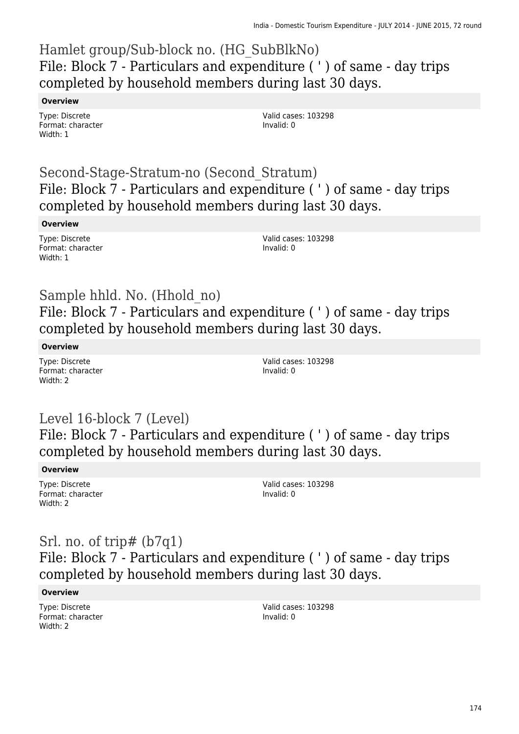# Hamlet group/Sub-block no. (HG\_SubBlkNo) File: Block 7 - Particulars and expenditure ( ' ) of same - day trips completed by household members during last 30 days.

#### **Overview**

Type: Discrete Format: character Width: 1

Valid cases: 103298 Invalid: 0

Second-Stage-Stratum-no (Second\_Stratum) File: Block 7 - Particulars and expenditure ( ' ) of same - day trips completed by household members during last 30 days.

#### **Overview**

Type: Discrete Format: character Width: 1

Valid cases: 103298 Invalid: 0

### Sample hhld. No. (Hhold\_no) File: Block 7 - Particulars and expenditure ( ' ) of same - day trips completed by household members during last 30 days.

### **Overview**

Type: Discrete Format: character Width: 2

Valid cases: 103298 Invalid: 0

# Level 16-block 7 (Level)

File: Block 7 - Particulars and expenditure ( ' ) of same - day trips completed by household members during last 30 days.

### **Overview**

Type: Discrete Format: character Width: 2

Valid cases: 103298 Invalid: 0

# Srl. no. of trip# (b7q1) File: Block 7 - Particulars and expenditure ( ' ) of same - day trips completed by household members during last 30 days.

#### **Overview**

Type: Discrete Format: character Width: 2

Valid cases: 103298 Invalid: 0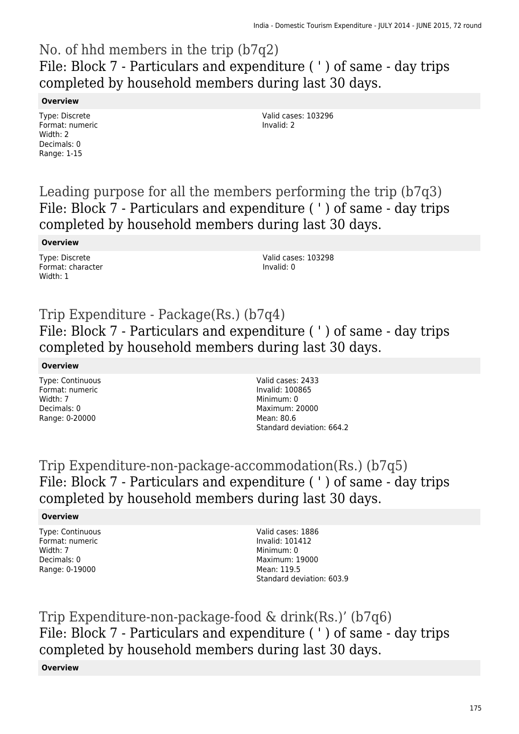# No. of hhd members in the trip  $(b7q2)$ File: Block 7 - Particulars and expenditure ( ' ) of same - day trips completed by household members during last 30 days.

#### **Overview**

Type: Discrete Format: numeric Width: 2 Decimals: 0 Range: 1-15

Valid cases: 103296 Invalid: 2

Leading purpose for all the members performing the trip  $(b7q3)$ File: Block 7 - Particulars and expenditure ( ' ) of same - day trips completed by household members during last 30 days.

**Overview**

Type: Discrete Format: character Width: 1

Valid cases: 103298 Invalid: 0

# Trip Expenditure - Package(Rs.) (b7q4)

File: Block 7 - Particulars and expenditure ( ' ) of same - day trips completed by household members during last 30 days.

### **Overview**

Type: Continuous Format: numeric Width: 7 Decimals: 0 Range: 0-20000

Valid cases: 2433 Invalid: 100865 Minimum: 0 Maximum: 20000 Mean: 80.6 Standard deviation: 664.2

Trip Expenditure-non-package-accommodation(Rs.) (b7q5) File: Block 7 - Particulars and expenditure ( ' ) of same - day trips completed by household members during last 30 days.

### **Overview**

Type: Continuous Format: numeric Width: 7 Decimals: 0 Range: 0-19000

Valid cases: 1886 Invalid: 101412 Minimum: 0 Maximum: 19000 Mean: 119.5 Standard deviation: 603.9

Trip Expenditure-non-package-food & drink(Rs.)' (b7q6) File: Block 7 - Particulars and expenditure ( ' ) of same - day trips completed by household members during last 30 days.

**Overview**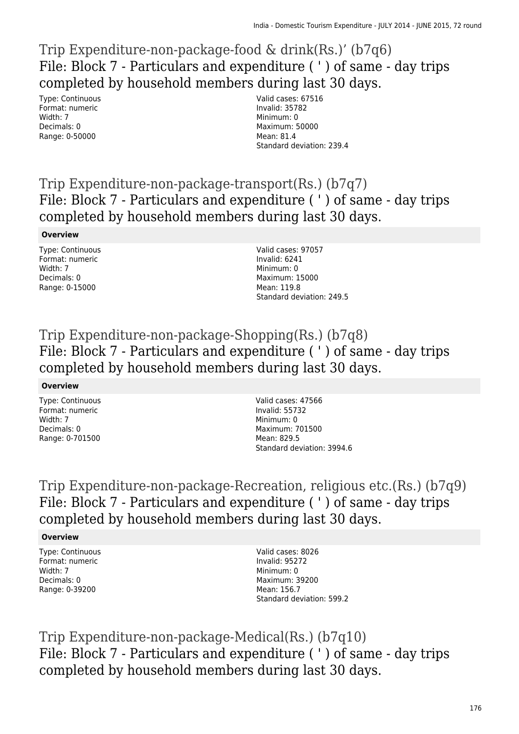### Trip Expenditure-non-package-food & drink(Rs.)' (b7q6) File: Block 7 - Particulars and expenditure ( ' ) of same - day trips completed by household members during last 30 days.

Type: Continuous Format: numeric Width: 7 Decimals: 0 Range: 0-50000

Valid cases: 67516 Invalid: 35782 Minimum: 0 Maximum: 50000 Mean: 81.4 Standard deviation: 239.4

Trip Expenditure-non-package-transport(Rs.) (b7q7) File: Block 7 - Particulars and expenditure ( ' ) of same - day trips completed by household members during last 30 days.

#### **Overview**

Type: Continuous Format: numeric Width: 7 Decimals: 0 Range: 0-15000

Valid cases: 97057 Invalid: 6241 Minimum: 0 Maximum: 15000 Mean: 119.8 Standard deviation: 249.5

# Trip Expenditure-non-package-Shopping(Rs.) (b7q8) File: Block 7 - Particulars and expenditure ( ' ) of same - day trips completed by household members during last 30 days.

#### **Overview**

Type: Continuous Format: numeric Width: 7 Decimals: 0 Range: 0-701500

Valid cases: 47566 Invalid: 55732 Minimum: 0 Maximum: 701500 Mean: 829.5 Standard deviation: 3994.6

Trip Expenditure-non-package-Recreation, religious etc.(Rs.) (b7q9) File: Block 7 - Particulars and expenditure ( ' ) of same - day trips completed by household members during last 30 days.

#### **Overview**

Type: Continuous Format: numeric Width: 7 Decimals: 0 Range: 0-39200

Valid cases: 8026 Invalid: 95272 Minimum: 0 Maximum: 39200 Mean: 156.7 Standard deviation: 599.2

Trip Expenditure-non-package-Medical(Rs.) (b7q10) File: Block 7 - Particulars and expenditure ( ' ) of same - day trips completed by household members during last 30 days.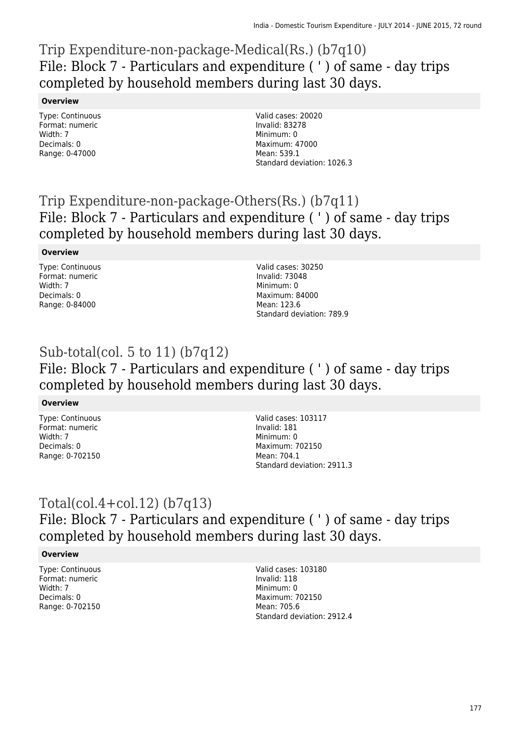## Trip Expenditure-non-package-Medical(Rs.) (b7q10) File: Block 7 - Particulars and expenditure ( ' ) of same - day trips completed by household members during last 30 days.

#### **Overview**

Type: Continuous Format: numeric Width: 7 Decimals: 0 Range: 0-47000

Valid cases: 20020 Invalid: 83278 Minimum: 0 Maximum: 47000 Mean: 539.1 Standard deviation: 1026.3

## Trip Expenditure-non-package-Others(Rs.) (b7q11) File: Block 7 - Particulars and expenditure ( ' ) of same - day trips completed by household members during last 30 days.

#### **Overview**

Type: Continuous Format: numeric Width: 7 Decimals: 0 Range: 0-84000

Valid cases: 30250 Invalid: 73048 Minimum: 0 Maximum: 84000 Mean: 123.6 Standard deviation: 789.9

# Sub-total(col. 5 to 11)  $(b7q12)$

# File: Block 7 - Particulars and expenditure ( ' ) of same - day trips completed by household members during last 30 days.

#### **Overview**

Type: Continuous Format: numeric Width: 7 Decimals: 0 Range: 0-702150

Valid cases: 103117 Invalid: 181 Minimum: 0 Maximum: 702150 Mean: 704.1 Standard deviation: 2911.3

## Total(col.4+col.12) (b7q13)

File: Block 7 - Particulars and expenditure ( ' ) of same - day trips completed by household members during last 30 days.

#### **Overview**

Type: Continuous Format: numeric Width: 7 Decimals: 0 Range: 0-702150

Valid cases: 103180 Invalid: 118 Minimum: 0 Maximum: 702150 Mean: 705.6 Standard deviation: 2912.4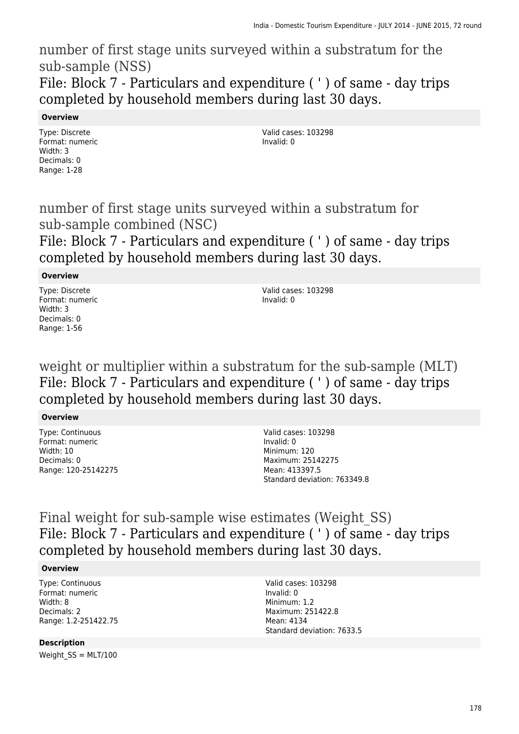### number of first stage units surveyed within a substratum for the sub-sample (NSS) File: Block 7 - Particulars and expenditure ( ' ) of same - day trips completed by household members during last 30 days.

#### **Overview**

Type: Discrete Format: numeric Width: 3 Decimals: 0 Range: 1-28

Valid cases: 103298 Invalid: 0

number of first stage units surveyed within a substratum for sub-sample combined (NSC) File: Block 7 - Particulars and expenditure ( ' ) of same - day trips

completed by household members during last 30 days.

### **Overview**

Type: Discrete Format: numeric Width: 3 Decimals: 0 Range: 1-56

Valid cases: 103298 Invalid: 0

weight or multiplier within a substratum for the sub-sample (MLT) File: Block 7 - Particulars and expenditure ( ' ) of same - day trips completed by household members during last 30 days.

#### **Overview**

Type: Continuous Format: numeric Width: 10 Decimals: 0 Range: 120-25142275 Valid cases: 103298 Invalid: 0 Minimum: 120 Maximum: 25142275 Mean: 413397.5 Standard deviation: 763349.8

Final weight for sub-sample wise estimates (Weight\_SS) File: Block 7 - Particulars and expenditure ( ' ) of same - day trips completed by household members during last 30 days.

#### **Overview**

Type: Continuous Format: numeric Width: 8 Decimals: 2 Range: 1.2-251422.75

#### **Description**

Weight  $SS = MLT/100$ 

Valid cases: 103298 Invalid: 0 Minimum: 1.2 Maximum: 251422.8 Mean: 4134 Standard deviation: 7633.5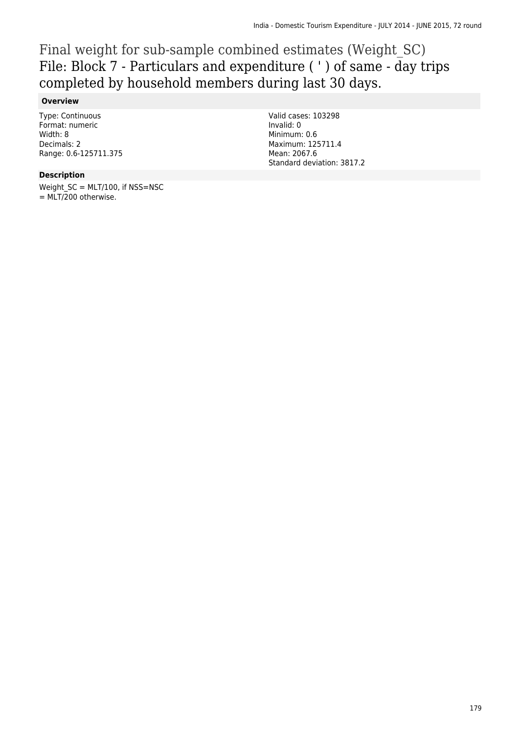# Final weight for sub-sample combined estimates (Weight\_SC) File: Block 7 - Particulars and expenditure ( ' ) of same - day trips completed by household members during last 30 days.

#### **Overview**

Type: Continuous Format: numeric Width: 8 Decimals: 2 Range: 0.6-125711.375

#### **Description**

Weight SC = MLT/100, if NSS=NSC  $=$  MLT/200 otherwise.

Valid cases: 103298 Invalid: 0 Minimum: 0.6 Maximum: 125711.4 Mean: 2067.6 Standard deviation: 3817.2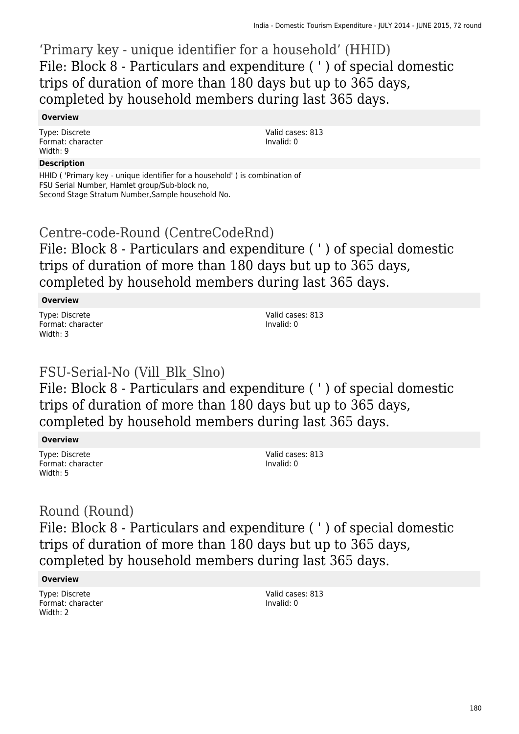'Primary key - unique identifier for a household' (HHID) File: Block 8 - Particulars and expenditure ( ' ) of special domestic trips of duration of more than 180 days but up to 365 days, completed by household members during last 365 days.

### **Overview**

Type: Discrete Format: character Width: 9

**Description**

Valid cases: 813 Invalid: 0

HHID ( 'Primary key - unique identifier for a household' ) is combination of FSU Serial Number, Hamlet group/Sub-block no, Second Stage Stratum Number,Sample household No.

## Centre-code-Round (CentreCodeRnd)

File: Block 8 - Particulars and expenditure ( ' ) of special domestic trips of duration of more than 180 days but up to 365 days, completed by household members during last 365 days.

### **Overview**

Type: Discrete Format: character Width: 3

Valid cases: 813 Invalid: 0

# FSU-Serial-No (Vill\_Blk\_Slno)

File: Block 8 - Particulars and expenditure ( ' ) of special domestic trips of duration of more than 180 days but up to 365 days, completed by household members during last 365 days.

### **Overview**

Type: Discrete Format: character Width: 5

Valid cases: 813 Invalid: 0

# Round (Round)

File: Block 8 - Particulars and expenditure ( ' ) of special domestic trips of duration of more than 180 days but up to 365 days, completed by household members during last 365 days.

### **Overview**

Type: Discrete Format: character Width: 2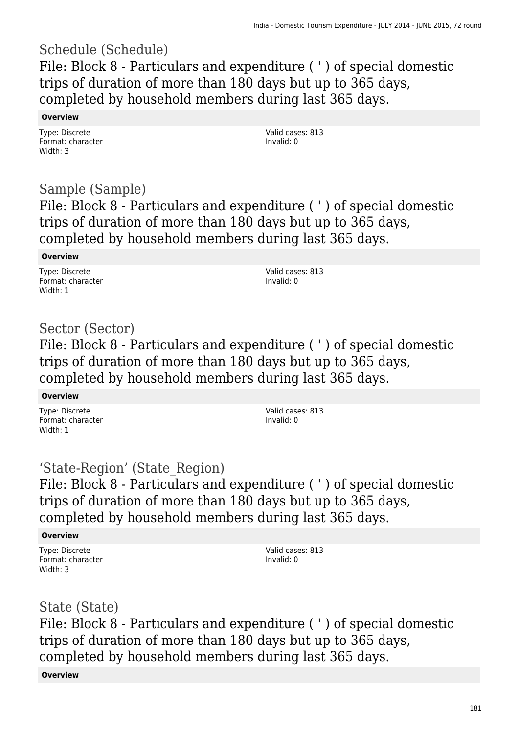## Schedule (Schedule) File: Block 8 - Particulars and expenditure ( ' ) of special domestic trips of duration of more than 180 days but up to 365 days, completed by household members during last 365 days.

#### **Overview**

Type: Discrete Format: character Width: 3

Valid cases: 813 Invalid: 0

## Sample (Sample)

File: Block 8 - Particulars and expenditure ( ' ) of special domestic trips of duration of more than 180 days but up to 365 days, completed by household members during last 365 days.

**Overview**

Type: Discrete Format: character Width: 1

Valid cases: 813 Invalid: 0

## Sector (Sector)

File: Block 8 - Particulars and expenditure ( ' ) of special domestic trips of duration of more than 180 days but up to 365 days, completed by household members during last 365 days.

**Overview**

Type: Discrete Format: character Width: 1

Valid cases: 813 Invalid: 0

'State-Region' (State\_Region)

File: Block 8 - Particulars and expenditure ( ' ) of special domestic trips of duration of more than 180 days but up to 365 days, completed by household members during last 365 days.

#### **Overview**

Type: Discrete Format: character Width: 3

Valid cases: 813 Invalid: 0

State (State) File: Block 8 - Particulars and expenditure ( ' ) of special domestic trips of duration of more than 180 days but up to 365 days, completed by household members during last 365 days.

#### **Overview**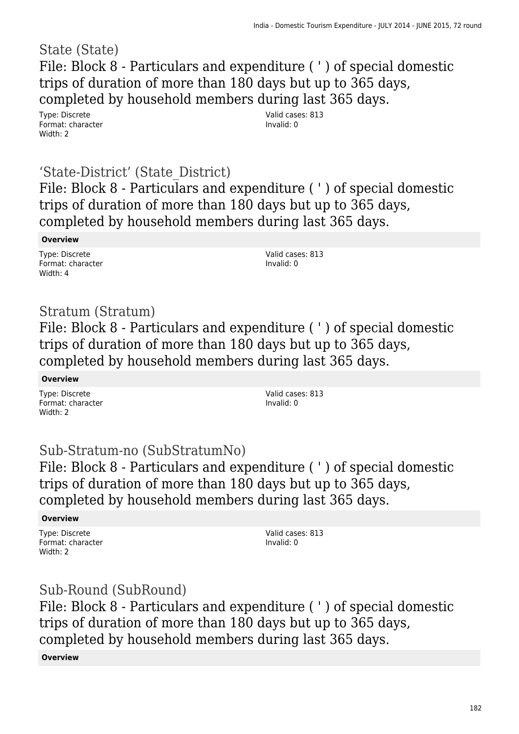## State (State) File: Block 8 - Particulars and expenditure ( ' ) of special domestic trips of duration of more than 180 days but up to 365 days, completed by household members during last 365 days.

Type: Discrete Format: character Width: 2

Valid cases: 813 Invalid: 0

## 'State-District' (State\_District)

File: Block 8 - Particulars and expenditure ( ' ) of special domestic trips of duration of more than 180 days but up to 365 days, completed by household members during last 365 days.

#### **Overview**

Type: Discrete Format: character Width: 4

Valid cases: 813 Invalid: 0

## Stratum (Stratum)

File: Block 8 - Particulars and expenditure ( ' ) of special domestic trips of duration of more than 180 days but up to 365 days, completed by household members during last 365 days.

**Overview**

Type: Discrete Format: character Width: 2

Valid cases: 813 Invalid: 0

## Sub-Stratum-no (SubStratumNo)

File: Block 8 - Particulars and expenditure ( ' ) of special domestic trips of duration of more than 180 days but up to 365 days, completed by household members during last 365 days.

#### **Overview**

Type: Discrete Format: character Width: 2

Valid cases: 813 Invalid: 0

## Sub-Round (SubRound)

File: Block 8 - Particulars and expenditure ( ' ) of special domestic trips of duration of more than 180 days but up to 365 days, completed by household members during last 365 days. **Overview**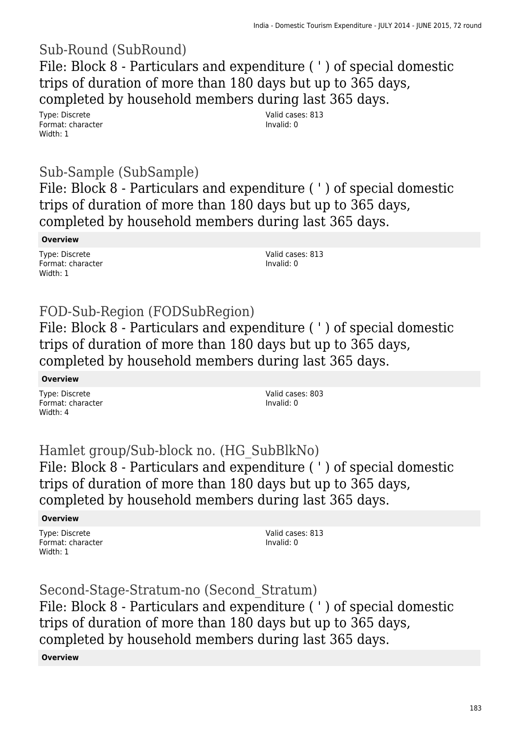## Sub-Round (SubRound) File: Block 8 - Particulars and expenditure ( ' ) of special domestic trips of duration of more than 180 days but up to 365 days, completed by household members during last 365 days.

Type: Discrete Format: character Width: 1

Valid cases: 813 Invalid: 0

## Sub-Sample (SubSample)

File: Block 8 - Particulars and expenditure ( ' ) of special domestic trips of duration of more than 180 days but up to 365 days, completed by household members during last 365 days.

#### **Overview**

Type: Discrete Format: character Width: 1

Valid cases: 813 Invalid: 0

## FOD-Sub-Region (FODSubRegion)

File: Block 8 - Particulars and expenditure ( ' ) of special domestic trips of duration of more than 180 days but up to 365 days, completed by household members during last 365 days.

**Overview**

Type: Discrete Format: character Width: 4

Valid cases: 803 Invalid: 0

Hamlet group/Sub-block no. (HG\_SubBlkNo) File: Block 8 - Particulars and expenditure ( ' ) of special domestic trips of duration of more than 180 days but up to 365 days, completed by household members during last 365 days.

#### **Overview**

Type: Discrete Format: character Width: 1

Valid cases: 813 Invalid: 0

Second-Stage-Stratum-no (Second\_Stratum) File: Block 8 - Particulars and expenditure ( ' ) of special domestic trips of duration of more than 180 days but up to 365 days, completed by household members during last 365 days. **Overview**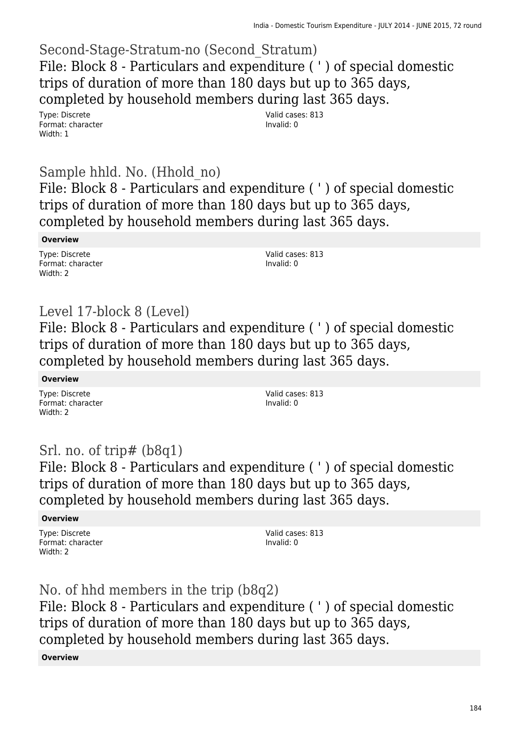Second-Stage-Stratum-no (Second\_Stratum) File: Block 8 - Particulars and expenditure ( ' ) of special domestic trips of duration of more than 180 days but up to 365 days, completed by household members during last 365 days.

Type: Discrete Format: character Width: 1

Valid cases: 813 Invalid: 0

## Sample hhld. No. (Hhold\_no)

File: Block 8 - Particulars and expenditure ( ' ) of special domestic trips of duration of more than 180 days but up to 365 days, completed by household members during last 365 days.

#### **Overview**

Type: Discrete Format: character Width: 2

Valid cases: 813 Invalid: 0

## Level 17-block 8 (Level)

File: Block 8 - Particulars and expenditure ( ' ) of special domestic trips of duration of more than 180 days but up to 365 days, completed by household members during last 365 days.

**Overview**

Type: Discrete Format: character Width: 2

Valid cases: 813 Invalid: 0

## Srl. no. of trip# (b8q1)

File: Block 8 - Particulars and expenditure ( ' ) of special domestic trips of duration of more than 180 days but up to 365 days, completed by household members during last 365 days.

#### **Overview**

Type: Discrete Format: character Width: 2

Valid cases: 813 Invalid: 0

No. of hhd members in the trip (b8q2) File: Block 8 - Particulars and expenditure ( ' ) of special domestic trips of duration of more than 180 days but up to 365 days, completed by household members during last 365 days. **Overview**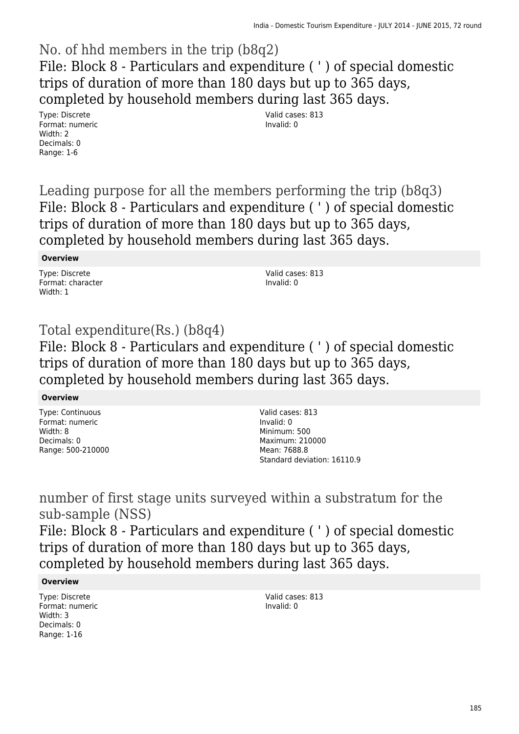## No. of hhd members in the trip (b8q2) File: Block 8 - Particulars and expenditure ( ' ) of special domestic trips of duration of more than 180 days but up to 365 days, completed by household members during last 365 days.

Type: Discrete Format: numeric Width: 2 Decimals: 0 Range: 1-6

Valid cases: 813 Invalid: 0

Leading purpose for all the members performing the trip (b8q3) File: Block 8 - Particulars and expenditure ( ' ) of special domestic trips of duration of more than 180 days but up to 365 days, completed by household members during last 365 days.

**Overview**

Type: Discrete Format: character Width: 1

Valid cases: 813 Invalid: 0

## Total expenditure(Rs.) (b8q4)

File: Block 8 - Particulars and expenditure ( ' ) of special domestic trips of duration of more than 180 days but up to 365 days, completed by household members during last 365 days.

#### **Overview**

Type: Continuous Format: numeric Width: 8 Decimals: 0 Range: 500-210000

Valid cases: 813 Invalid: 0 Minimum: 500 Maximum: 210000 Mean: 7688.8 Standard deviation: 16110.9

number of first stage units surveyed within a substratum for the sub-sample (NSS) File: Block 8 - Particulars and expenditure ( ' ) of special domestic trips of duration of more than 180 days but up to 365 days,

completed by household members during last 365 days.

#### **Overview**

Type: Discrete Format: numeric Width: 3 Decimals: 0 Range: 1-16

Valid cases: 813 Invalid: 0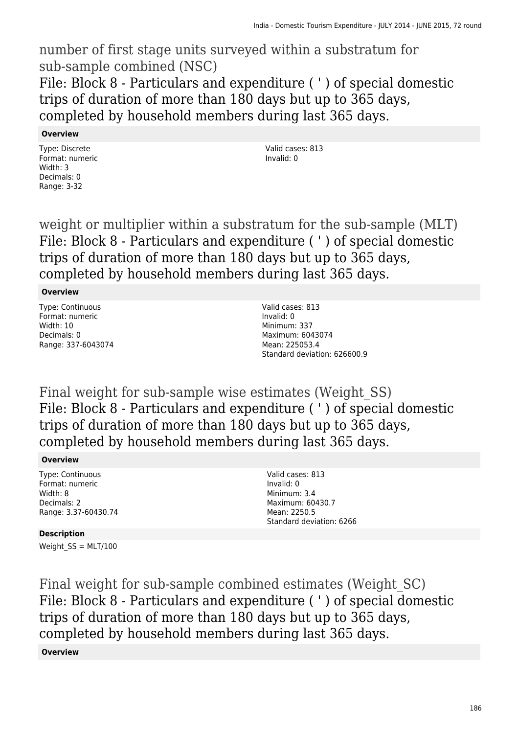number of first stage units surveyed within a substratum for sub-sample combined (NSC) File: Block 8 - Particulars and expenditure ( ' ) of special domestic trips of duration of more than 180 days but up to 365 days, completed by household members during last 365 days.

#### **Overview**

Type: Discrete Format: numeric Width: 3 Decimals: 0 Range: 3-32

Valid cases: 813 Invalid: 0

weight or multiplier within a substratum for the sub-sample (MLT) File: Block 8 - Particulars and expenditure ( ' ) of special domestic trips of duration of more than 180 days but up to 365 days, completed by household members during last 365 days.

**Overview**

Type: Continuous Format: numeric Width: 10 Decimals: 0 Range: 337-6043074 Valid cases: 813 Invalid: 0 Minimum: 337 Maximum: 6043074 Mean: 225053.4 Standard deviation: 626600.9

Final weight for sub-sample wise estimates (Weight\_SS) File: Block 8 - Particulars and expenditure ( ' ) of special domestic trips of duration of more than 180 days but up to 365 days, completed by household members during last 365 days.

#### **Overview**

Type: Continuous Format: numeric Width: 8 Decimals: 2 Range: 3.37-60430.74

#### **Description**

Weight  $SS = MLT/100$ 

Valid cases: 813 Invalid: 0 Minimum: 3.4 Maximum: 60430.7 Mean: 2250.5 Standard deviation: 6266

Final weight for sub-sample combined estimates (Weight\_SC) File: Block 8 - Particulars and expenditure ( ' ) of special domestic trips of duration of more than 180 days but up to 365 days, completed by household members during last 365 days.

**Overview**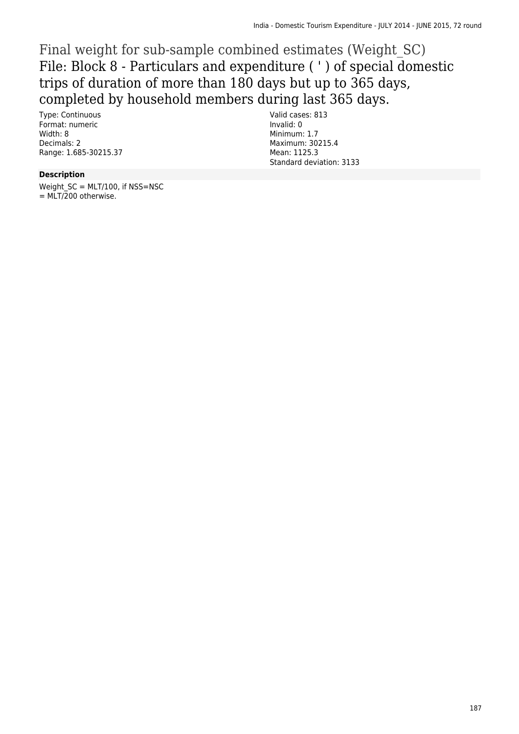## Final weight for sub-sample combined estimates (Weight\_SC) File: Block 8 - Particulars and expenditure ( ' ) of special domestic trips of duration of more than 180 days but up to 365 days, completed by household members during last 365 days.

Type: Continuous Format: numeric Width: 8 Decimals: 2 Range: 1.685-30215.37

**Description**

Weight  $SC = MLT/100$ , if NSS=NSC  $=$  MLT/200 otherwise.

Valid cases: 813 Invalid: 0 Minimum: 1.7 Maximum: 30215.4 Mean: 1125.3 Standard deviation: 3133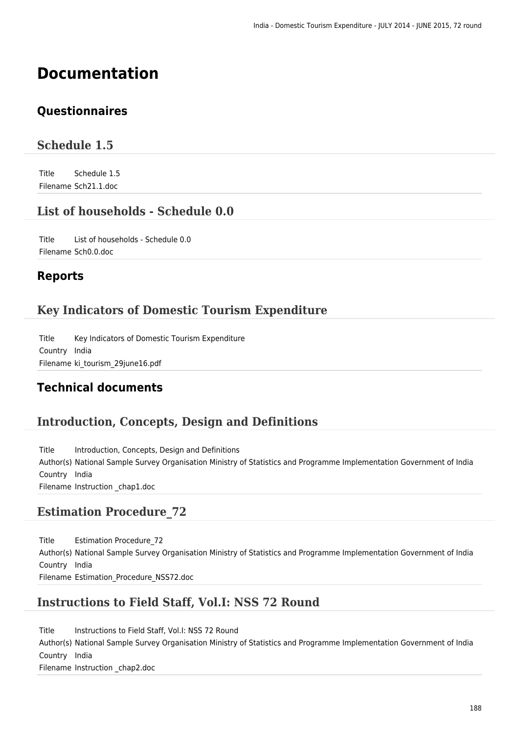# **Documentation**

## **Questionnaires**

### **Schedule 1.5**

Title Schedule 1.5 Filename Sch21.1.doc

### **List of households - Schedule 0.0**

Title List of households - Schedule 0.0 Filename Sch0.0.doc

## **Reports**

### **Key Indicators of Domestic Tourism Expenditure**

Title Key Indicators of Domestic Tourism Expenditure Country India Filename ki\_tourism\_29june16.pdf

## **Technical documents**

## **Introduction, Concepts, Design and Definitions**

Title Introduction, Concepts, Design and Definitions Author(s) National Sample Survey Organisation Ministry of Statistics and Programme Implementation Government of India Country India Filename Instruction chap1.doc

### **Estimation Procedure\_72**

Title **Estimation Procedure 72** Author(s) National Sample Survey Organisation Ministry of Statistics and Programme Implementation Government of India Country India Filename Estimation\_Procedure\_NSS72.doc

## **Instructions to Field Staff, Vol.I: NSS 72 Round**

Title Instructions to Field Staff, Vol.I: NSS 72 Round Author(s) National Sample Survey Organisation Ministry of Statistics and Programme Implementation Government of India Country India Filename Instruction chap2.doc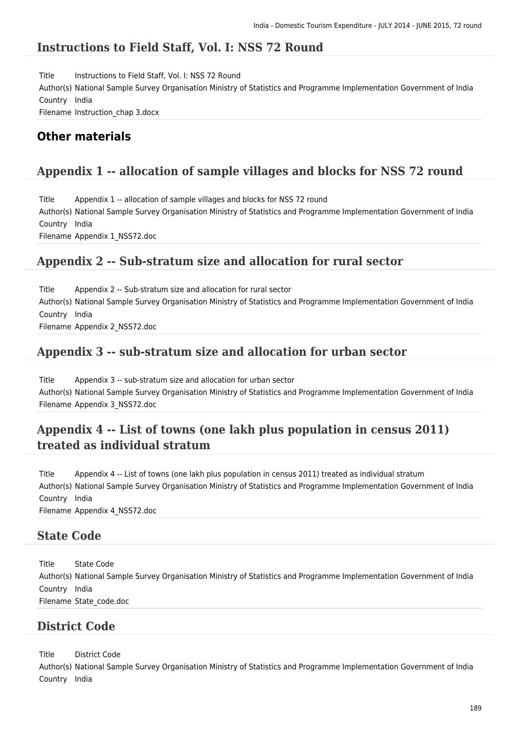### **Instructions to Field Staff, Vol. I: NSS 72 Round**

Title Instructions to Field Staff, Vol. I: NSS 72 Round

Author(s) National Sample Survey Organisation Ministry of Statistics and Programme Implementation Government of India Country India

Filename Instruction chap 3.docx

### **Other materials**

### **Appendix 1 -- allocation of sample villages and blocks for NSS 72 round**

Title Appendix 1 -- allocation of sample villages and blocks for NSS 72 round Author(s) National Sample Survey Organisation Ministry of Statistics and Programme Implementation Government of India Country India Filename Appendix 1\_NSS72.doc

### **Appendix 2 -- Sub-stratum size and allocation for rural sector**

Title Appendix 2 -- Sub-stratum size and allocation for rural sector Author(s) National Sample Survey Organisation Ministry of Statistics and Programme Implementation Government of India Country India Filename Appendix 2\_NSS72.doc

### **Appendix 3 -- sub-stratum size and allocation for urban sector**

Title Appendix 3 -- sub-stratum size and allocation for urban sector Author(s) National Sample Survey Organisation Ministry of Statistics and Programme Implementation Government of India Filename Appendix 3\_NSS72.doc

### **Appendix 4 -- List of towns (one lakh plus population in census 2011) treated as individual stratum**

Title Appendix 4 -- List of towns (one lakh plus population in census 2011) treated as individual stratum Author(s) National Sample Survey Organisation Ministry of Statistics and Programme Implementation Government of India Country India Filename Appendix 4\_NSS72.doc

### **State Code**

Title State Code Author(s) National Sample Survey Organisation Ministry of Statistics and Programme Implementation Government of India Country India Filename State code.doc

### **District Code**

Title District Code

Author(s) National Sample Survey Organisation Ministry of Statistics and Programme Implementation Government of India Country India